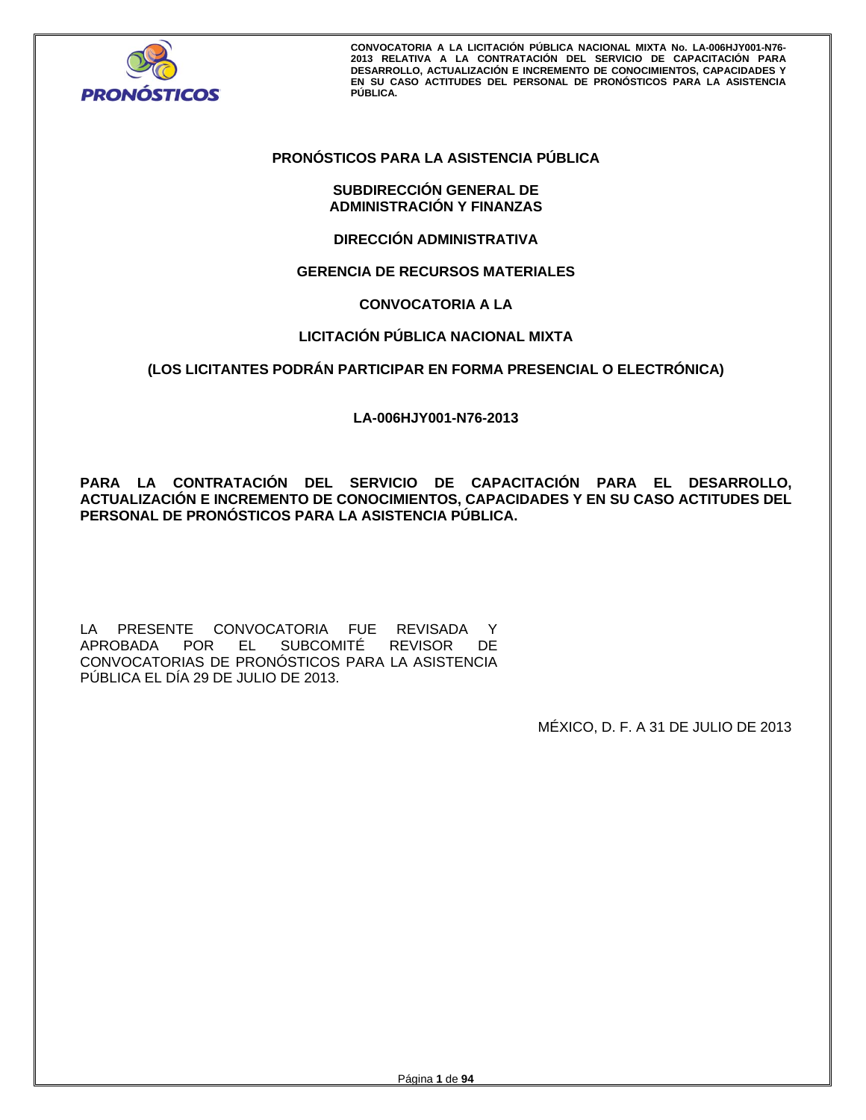

# **PRONÓSTICOS PARA LA ASISTENCIA PÚBLICA**

# **SUBDIRECCIÓN GENERAL DE ADMINISTRACIÓN Y FINANZAS**

**DIRECCIÓN ADMINISTRATIVA** 

# **GERENCIA DE RECURSOS MATERIALES**

# **CONVOCATORIA A LA**

# **LICITACIÓN PÚBLICA NACIONAL MIXTA**

# **(LOS LICITANTES PODRÁN PARTICIPAR EN FORMA PRESENCIAL O ELECTRÓNICA)**

**LA-006HJY001-N76-2013** 

**PARA LA CONTRATACIÓN DEL SERVICIO DE CAPACITACIÓN PARA EL DESARROLLO, ACTUALIZACIÓN E INCREMENTO DE CONOCIMIENTOS, CAPACIDADES Y EN SU CASO ACTITUDES DEL PERSONAL DE PRONÓSTICOS PARA LA ASISTENCIA PÚBLICA.** 

LA PRESENTE CONVOCATORIA FUE REVISADA Y APROBADA POR EL SUBCOMITÉ REVISOR DE CONVOCATORIAS DE PRONÓSTICOS PARA LA ASISTENCIA PÚBLICA EL DÍA 29 DE JULIO DE 2013.

MÉXICO, D. F. A 31 DE JULIO DE 2013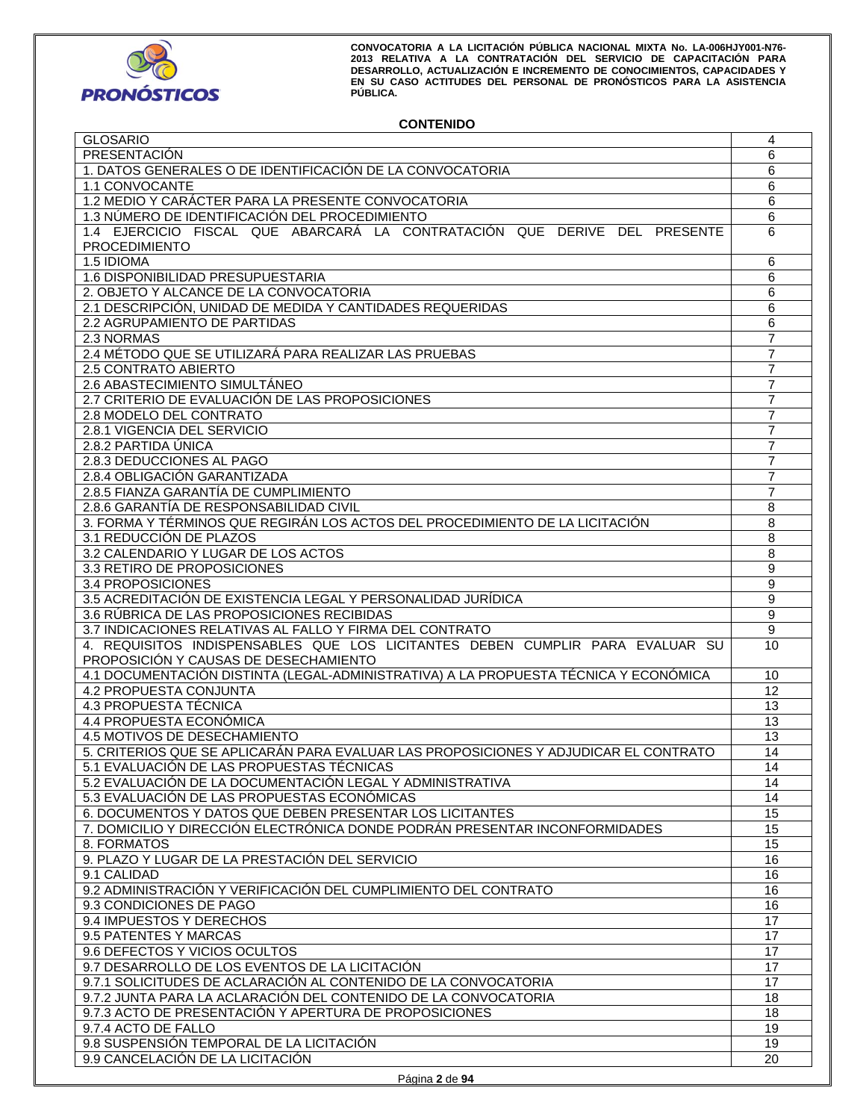

# **CONTENIDO**

| <b>GLOSARIO</b>                                                                      | 4                |
|--------------------------------------------------------------------------------------|------------------|
| PRESENTACIÓN                                                                         | 6                |
| 1. DATOS GENERALES O DE IDENTIFICACIÓN DE LA CONVOCATORIA                            | 6                |
| 1.1 CONVOCANTE                                                                       | 6                |
| 1.2 MEDIO Y CARÁCTER PARA LA PRESENTE CONVOCATORIA                                   | 6                |
| 1.3 NÚMERO DE IDENTIFICACIÓN DEL PROCEDIMIENTO                                       | 6                |
| 1.4 EJERCICIO FISCAL QUE ABARCARÁ LA CONTRATACIÓN QUE DERIVE DEL PRESENTE            | 6                |
|                                                                                      |                  |
| <b>PROCEDIMIENTO</b>                                                                 |                  |
| 1.5 IDIOMA                                                                           | 6                |
| 1.6 DISPONIBILIDAD PRESUPUESTARIA                                                    | 6                |
| 2. OBJETO Y ALCANCE DE LA CONVOCATORIA                                               | 6                |
| 2.1 DESCRIPCIÓN, UNIDAD DE MEDIDA Y CANTIDADES REQUERIDAS                            | 6                |
| 2.2 AGRUPAMIENTO DE PARTIDAS                                                         | 6                |
| 2.3 NORMAS                                                                           | $\overline{7}$   |
| 2.4 MÉTODO QUE SE UTILIZARÁ PARA REALIZAR LAS PRUEBAS                                | 7                |
| 2.5 CONTRATO ABIERTO                                                                 | $\overline{7}$   |
| 2.6 ABASTECIMIENTO SIMULTÁNEO                                                        | 7                |
|                                                                                      |                  |
| 2.7 CRITERIO DE EVALUACIÓN DE LAS PROPOSICIONES                                      | 7                |
| 2.8 MODELO DEL CONTRATO                                                              | 7                |
| 2.8.1 VIGENCIA DEL SERVICIO                                                          | $\overline{7}$   |
| 2.8.2 PARTIDA ÚNICA                                                                  | 7                |
| 2.8.3 DEDUCCIONES AL PAGO                                                            | $\overline{7}$   |
| 2.8.4 OBLIGACIÓN GARANTIZADA                                                         | 7                |
| 2.8.5 FIANZA GARANTÍA DE CUMPLIMIENTO                                                | 7                |
| 2.8.6 GARANTÍA DE RESPONSABILIDAD CIVIL                                              | $\,8\,$          |
| 3. FORMA Y TÉRMINOS QUE REGIRÁN LOS ACTOS DEL PROCEDIMIENTO DE LA LICITACIÓN         | $\overline{8}$   |
| 3.1 REDUCCIÓN DE PLAZOS                                                              |                  |
|                                                                                      | 8                |
| 3.2 CALENDARIO Y LUGAR DE LOS ACTOS                                                  | 8                |
| 3.3 RETIRO DE PROPOSICIONES                                                          | 9                |
| 3.4 PROPOSICIONES                                                                    | $\boldsymbol{9}$ |
| 3.5 ACREDITACIÓN DE EXISTENCIA LEGAL Y PERSONALIDAD JURÍDICA                         | 9                |
| 3.6 RÚBRICA DE LAS PROPOSICIONES RECIBIDAS                                           | 9                |
|                                                                                      |                  |
| 3.7 INDICACIONES RELATIVAS AL FALLO Y FIRMA DEL CONTRATO                             | 9                |
|                                                                                      | 10               |
| 4. REQUISITOS INDISPENSABLES QUE LOS LICITANTES DEBEN CUMPLIR PARA EVALUAR SU        |                  |
| PROPOSICIÓN Y CAUSAS DE DESECHAMIENTO                                                |                  |
| 4.1 DOCUMENTACIÓN DISTINTA (LEGAL-ADMINISTRATIVA) A LA PROPUESTA TÉCNICA Y ECONÓMICA | 10               |
| <b>4.2 PROPUESTA CONJUNTA</b>                                                        | 12               |
| 4.3 PROPUESTA TÉCNICA                                                                | 13               |
| 4.4 PROPUESTA ECONÓMICA                                                              | 13               |
| 4.5 MOTIVOS DE DESECHAMIENTO                                                         | 13               |
| 5. CRITERIOS QUE SE APLICARÁN PARA EVALUAR LAS PROPOSICIONES Y ADJUDICAR EL CONTRATO | 14               |
| 5.1 EVALUACIÓN DE LAS PROPUESTAS TÉCNICAS                                            | $\overline{14}$  |
| 5.2 EVALUACIÓN DE LA DOCUMENTACIÓN LEGAL Y ADMINISTRATIVA                            | 14               |
| 5.3 EVALUACIÓN DE LAS PROPUESTAS ECONÓMICAS                                          | 14               |
|                                                                                      |                  |
| 6. DOCUMENTOS Y DATOS QUE DEBEN PRESENTAR LOS LICITANTES                             | 15               |
| 7. DOMICILIO Y DIRECCIÓN ELECTRÓNICA DONDE PODRÁN PRESENTAR INCONFORMIDADES          | 15               |
| 8. FORMATOS                                                                          | 15               |
| 9. PLAZO Y LUGAR DE LA PRESTACIÓN DEL SERVICIO                                       | 16               |
| 9.1 CALIDAD                                                                          | 16               |
| 9.2 ADMINISTRACIÓN Y VERIFICACIÓN DEL CUMPLIMIENTO DEL CONTRATO                      | 16               |
| 9.3 CONDICIONES DE PAGO                                                              | 16               |
| 9.4 IMPUESTOS Y DERECHOS                                                             | 17               |
| 9.5 PATENTES Y MARCAS                                                                | 17               |
| 9.6 DEFECTOS Y VICIOS OCULTOS                                                        | 17               |
|                                                                                      | 17               |
| 9.7 DESARROLLO DE LOS EVENTOS DE LA LICITACIÓN                                       |                  |
| 9.7.1 SOLICITUDES DE ACLARACIÓN AL CONTENIDO DE LA CONVOCATORIA                      | 17               |
| 9.7.2 JUNTA PARA LA ACLARACIÓN DEL CONTENIDO DE LA CONVOCATORIA                      | 18               |
| 9.7.3 ACTO DE PRESENTACIÓN Y APERTURA DE PROPOSICIONES                               | 18               |
| 9.7.4 ACTO DE FALLO                                                                  | 19               |
| 9.8 SUSPENSIÓN TEMPORAL DE LA LICITACIÓN<br>9.9 CANCELACIÓN DE LA LICITACIÓN         | 19<br>20         |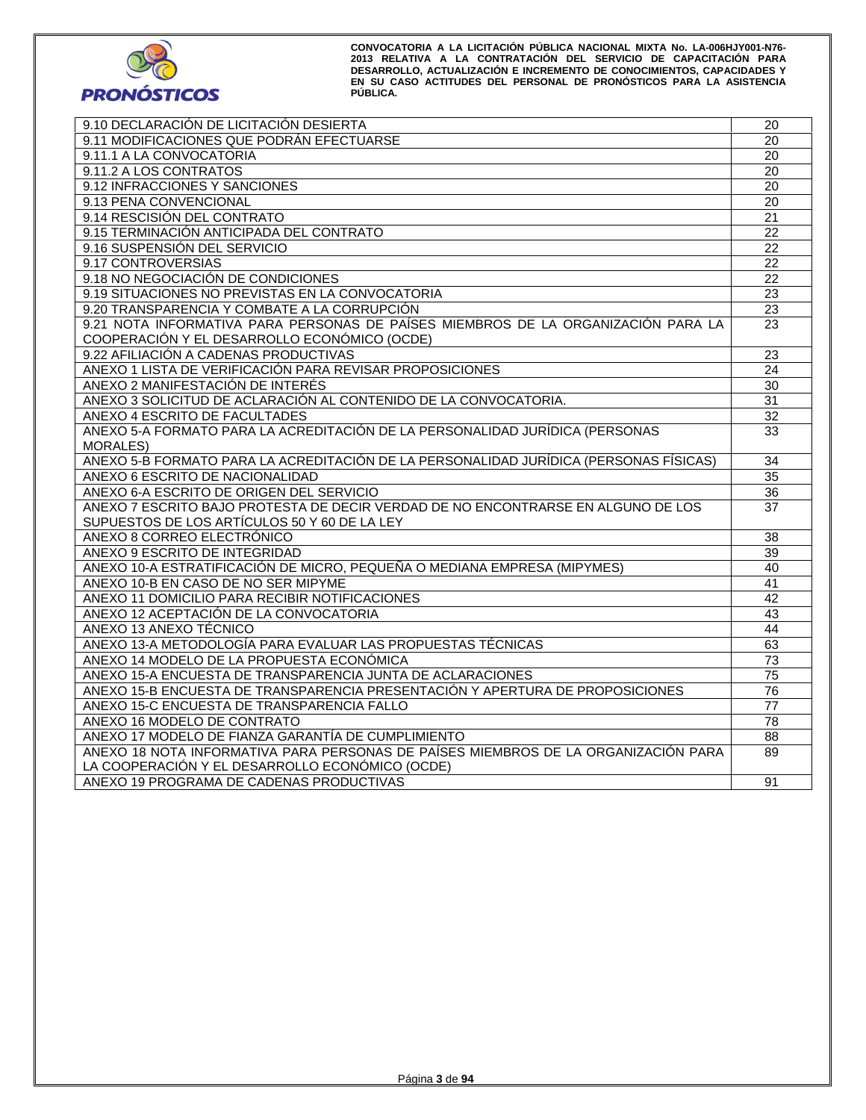

| 9.10 DECLARACIÓN DE LICITACIÓN DESIERTA                                               | 20              |
|---------------------------------------------------------------------------------------|-----------------|
| 9.11 MODIFICACIONES QUE PODRÁN EFECTUARSE                                             | 20              |
| 9.11.1 A LA CONVOCATORIA                                                              | 20              |
| 9.11.2 A LOS CONTRATOS                                                                | 20              |
| 9.12 INFRACCIONES Y SANCIONES                                                         | 20              |
| 9.13 PENA CONVENCIONAL                                                                | 20              |
| 9.14 RESCISIÓN DEL CONTRATO                                                           | 21              |
| 9.15 TERMINACIÓN ANTICIPADA DEL CONTRATO                                              | 22              |
| 9.16 SUSPENSIÓN DEL SERVICIO                                                          | 22              |
| 9.17 CONTROVERSIAS                                                                    | $\overline{22}$ |
| 9.18 NO NEGOCIACIÓN DE CONDICIONES                                                    | 22              |
| 9.19 SITUACIONES NO PREVISTAS EN LA CONVOCATORIA                                      | $\overline{23}$ |
| 9.20 TRANSPARENCIA Y COMBATE A LA CORRUPCIÓN                                          | $\overline{23}$ |
| 9.21 NOTA INFORMATIVA PARA PERSONAS DE PAÍSES MIEMBROS DE LA ORGANIZACIÓN PARA LA     | 23              |
| COOPERACIÓN Y EL DESARROLLO ECONÓMICO (OCDE)                                          |                 |
| 9.22 AFILIACIÓN A CADENAS PRODUCTIVAS                                                 | 23              |
| ANEXO 1 LISTA DE VERIFICACIÓN PARA REVISAR PROPOSICIONES                              | 24              |
| ANEXO 2 MANIFESTACIÓN DE INTERÉS                                                      | $\overline{30}$ |
| ANEXO 3 SOLICITUD DE ACLARACIÓN AL CONTENIDO DE LA CONVOCATORIA.                      | 31              |
| ANEXO 4 ESCRITO DE FACULTADES                                                         | 32              |
| ANEXO 5-A FORMATO PARA LA ACREDITACIÓN DE LA PERSONALIDAD JURÍDICA (PERSONAS          | 33              |
| <b>MORALES</b>                                                                        |                 |
| ANEXO 5-B FORMATO PARA LA ACREDITACIÓN DE LA PERSONALIDAD JURÍDICA (PERSONAS FÍSICAS) | 34              |
| ANEXO 6 ESCRITO DE NACIONALIDAD                                                       | 35              |
| ANEXO 6-A ESCRITO DE ORIGEN DEL SERVICIO                                              | $\overline{36}$ |
| ANEXO 7 ESCRITO BAJO PROTESTA DE DECIR VERDAD DE NO ENCONTRARSE EN ALGUNO DE LOS      | 37              |
| SUPUESTOS DE LOS ARTÍCULOS 50 Y 60 DE LA LEY                                          |                 |
| ANEXO 8 CORREO ELECTRÓNICO                                                            | 38              |
| ANEXO 9 ESCRITO DE INTEGRIDAD                                                         | 39              |
| ANEXO 10-A ESTRATIFICACIÓN DE MICRO, PEQUEÑA O MEDIANA EMPRESA (MIPYMES)              | 40              |
| ANEXO 10-B EN CASO DE NO SER MIPYME                                                   | 41              |
| ANEXO 11 DOMICILIO PARA RECIBIR NOTIFICACIONES                                        | $\overline{42}$ |
| ANEXO 12 ACEPTACIÓN DE LA CONVOCATORIA                                                | 43              |
| ANEXO 13 ANEXO TÉCNICO                                                                | 44              |
| ANEXO 13-A METODOLOGÍA PARA EVALUAR LAS PROPUESTAS TÉCNICAS                           | 63              |
| ANEXO 14 MODELO DE LA PROPUESTA ECONÓMICA                                             | 73              |
| ANEXO 15-A ENCUESTA DE TRANSPARENCIA JUNTA DE ACLARACIONES                            | $\overline{75}$ |
| ANEXO 15-B ENCUESTA DE TRANSPARENCIA PRESENTACIÓN Y APERTURA DE PROPOSICIONES         | $\overline{76}$ |
| ANEXO 15-C ENCUESTA DE TRANSPARENCIA FALLO                                            | 77              |
| ANEXO 16 MODELO DE CONTRATO                                                           | 78              |
| ANEXO 17 MODELO DE FIANZA GARANTÍA DE CUMPLIMIENTO                                    | 88              |
| ANEXO 18 NOTA INFORMATIVA PARA PERSONAS DE PAÍSES MIEMBROS DE LA ORGANIZACIÓN PARA    | 89              |
| LA COOPERACIÓN Y EL DESARROLLO ECONÓMICO (OCDE)                                       |                 |
| ANEXO 19 PROGRAMA DE CADENAS PRODUCTIVAS                                              | 91              |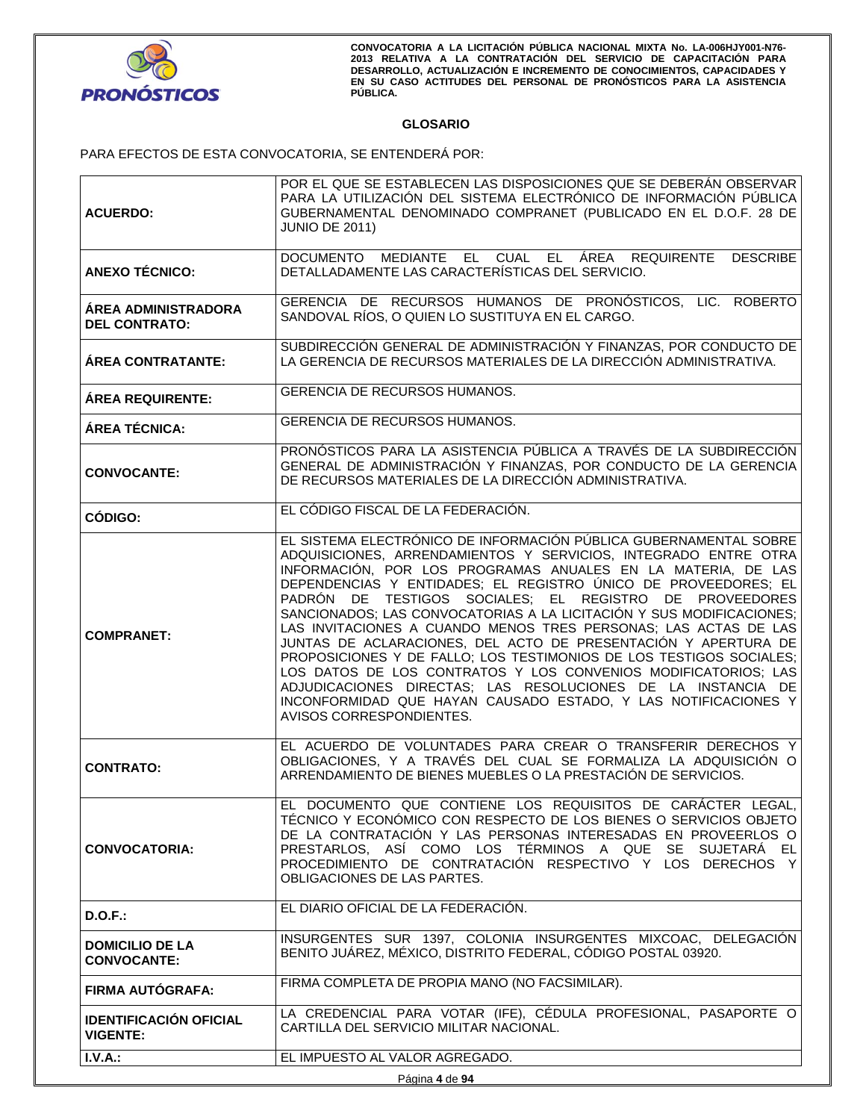

# **GLOSARIO**

PARA EFECTOS DE ESTA CONVOCATORIA, SE ENTENDERÁ POR:

| <b>CONTRATO:</b>                                   | OBLIGACIONES, Y A TRAVÉS DEL CUAL SE FORMALIZA LA ADQUISICIÓN O<br>ARRENDAMIENTO DE BIENES MUEBLES O LA PRESTACIÓN DE SERVICIOS.<br>EL DOCUMENTO QUE CONTIENE LOS REQUISITOS DE CARÁCTER LEGAL.<br>TÉCNICO Y ECONÓMICO CON RESPECTO DE LOS BIENES O SERVICIOS OBJETO                                                                                                                                                                                                                                                                                                                                                                                                                                                                                                                                                                                  |
|----------------------------------------------------|-------------------------------------------------------------------------------------------------------------------------------------------------------------------------------------------------------------------------------------------------------------------------------------------------------------------------------------------------------------------------------------------------------------------------------------------------------------------------------------------------------------------------------------------------------------------------------------------------------------------------------------------------------------------------------------------------------------------------------------------------------------------------------------------------------------------------------------------------------|
|                                                    |                                                                                                                                                                                                                                                                                                                                                                                                                                                                                                                                                                                                                                                                                                                                                                                                                                                       |
|                                                    | EL ACUERDO DE VOLUNTADES PARA CREAR O TRANSFERIR DERECHOS Y                                                                                                                                                                                                                                                                                                                                                                                                                                                                                                                                                                                                                                                                                                                                                                                           |
| <b>COMPRANET:</b>                                  | EL SISTEMA ELECTRÓNICO DE INFORMACIÓN PÚBLICA GUBERNAMENTAL SOBRE<br>ADQUISICIONES, ARRENDAMIENTOS Y SERVICIOS, INTEGRADO ENTRE OTRA<br>INFORMACIÓN, POR LOS PROGRAMAS ANUALES EN LA MATERIA, DE LAS<br>DEPENDENCIAS Y ENTIDADES; EL REGISTRO ÚNICO DE PROVEEDORES; EL<br>PADRÓN DE TESTIGOS SOCIALES; EL REGISTRO DE PROVEEDORES<br>SANCIONADOS; LAS CONVOCATORIAS A LA LICITACIÓN Y SUS MODIFICACIONES;<br>LAS INVITACIONES A CUANDO MENOS TRES PERSONAS; LAS ACTAS DE LAS<br>JUNTAS DE ACLARACIONES, DEL ACTO DE PRESENTACIÓN Y APERTURA DE<br>PROPOSICIONES Y DE FALLO; LOS TESTIMONIOS DE LOS TESTIGOS SOCIALES;<br>LOS DATOS DE LOS CONTRATOS Y LOS CONVENIOS MODIFICATORIOS; LAS<br>ADJUDICACIONES DIRECTAS; LAS RESOLUCIONES DE LA INSTANCIA DE<br>INCONFORMIDAD QUE HAYAN CAUSADO ESTADO, Y LAS NOTIFICACIONES Y<br>AVISOS CORRESPONDIENTES. |
| <b>CÓDIGO:</b>                                     | EL CÓDIGO FISCAL DE LA FEDERACIÓN.                                                                                                                                                                                                                                                                                                                                                                                                                                                                                                                                                                                                                                                                                                                                                                                                                    |
| <b>CONVOCANTE:</b>                                 | PRONÓSTICOS PARA LA ASISTENCIA PÚBLICA A TRAVÉS DE LA SUBDIRECCIÓN<br>GENERAL DE ADMINISTRACIÓN Y FINANZAS, POR CONDUCTO DE LA GERENCIA<br>DE RECURSOS MATERIALES DE LA DIRECCIÓN ADMINISTRATIVA.                                                                                                                                                                                                                                                                                                                                                                                                                                                                                                                                                                                                                                                     |
| ÁREA TÉCNICA:                                      | GERENCIA DE RECURSOS HUMANOS.                                                                                                                                                                                                                                                                                                                                                                                                                                                                                                                                                                                                                                                                                                                                                                                                                         |
| <b>ÁREA REQUIRENTE:</b>                            | <b>GERENCIA DE RECURSOS HUMANOS.</b>                                                                                                                                                                                                                                                                                                                                                                                                                                                                                                                                                                                                                                                                                                                                                                                                                  |
| <b>AREA CONTRATANTE:</b>                           | SUBDIRECCIÓN GENERAL DE ADMINISTRACIÓN Y FINANZAS, POR CONDUCTO DE<br>LA GERENCIA DE RECURSOS MATERIALES DE LA DIRECCIÓN ADMINISTRATIVA.                                                                                                                                                                                                                                                                                                                                                                                                                                                                                                                                                                                                                                                                                                              |
| <b>ÁREA ADMINISTRADORA</b><br><b>DEL CONTRATO:</b> | GERENCIA DE RECURSOS HUMANOS DE PRONÓSTICOS, LIC. ROBERTO<br>SANDOVAL RÍOS, O QUIEN LO SUSTITUYA EN EL CARGO.                                                                                                                                                                                                                                                                                                                                                                                                                                                                                                                                                                                                                                                                                                                                         |
| <b>ANEXO TÉCNICO:</b>                              | DOCUMENTO MEDIANTE EL CUAL EL ÁREA REQUIRENTE DESCRIBE<br>DETALLADAMENTE LAS CARACTERÍSTICAS DEL SERVICIO.                                                                                                                                                                                                                                                                                                                                                                                                                                                                                                                                                                                                                                                                                                                                            |
| <b>ACUERDO:</b>                                    | PARA LA UTILIZACIÓN DEL SISTEMA ELECTRÓNICO DE INFORMACIÓN PÚBLICA<br>GUBERNAMENTAL DENOMINADO COMPRANET (PUBLICADO EN EL D.O.F. 28 DE<br><b>JUNIO DE 2011)</b>                                                                                                                                                                                                                                                                                                                                                                                                                                                                                                                                                                                                                                                                                       |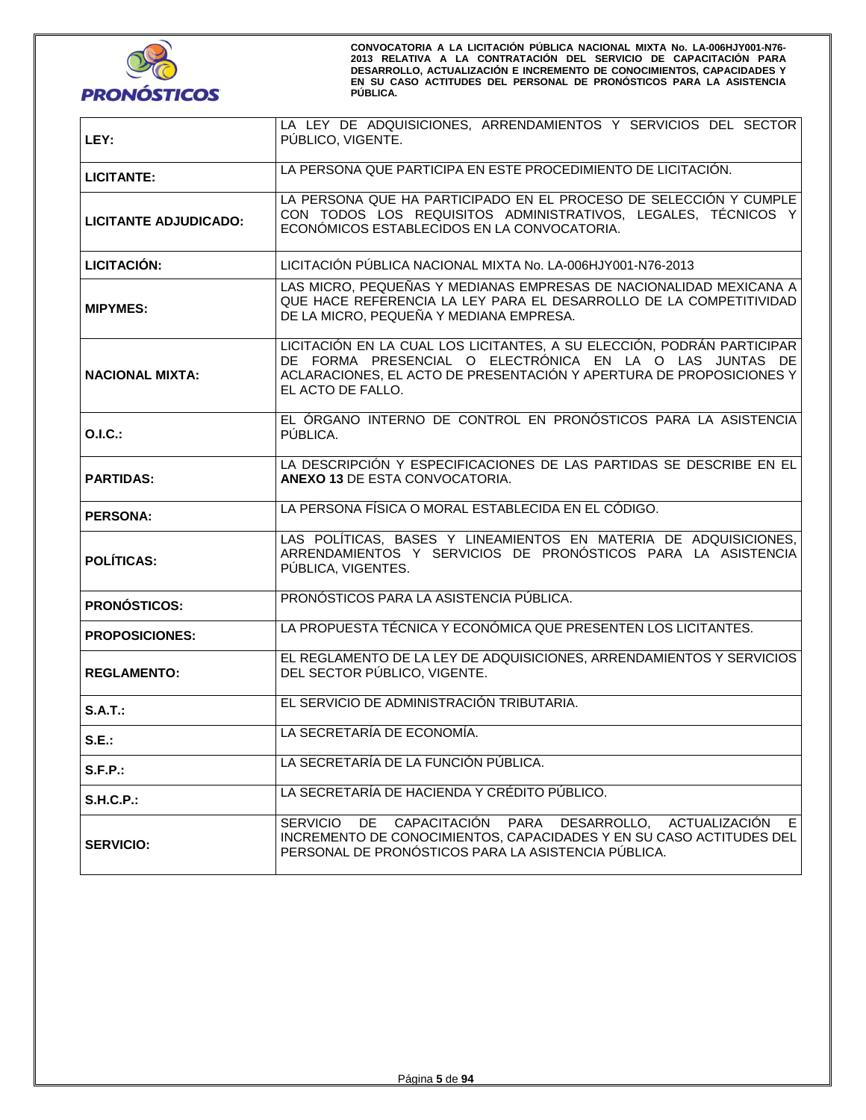

| LEY:                                                                                                                                                                        | LA LEY DE ADQUISICIONES, ARRENDAMIENTOS Y SERVICIOS DEL SECTOR<br>PUBLICO, VIGENTE.                                                                                                                                           |  |  |
|-----------------------------------------------------------------------------------------------------------------------------------------------------------------------------|-------------------------------------------------------------------------------------------------------------------------------------------------------------------------------------------------------------------------------|--|--|
| <b>LICITANTE:</b>                                                                                                                                                           | LA PERSONA QUE PARTICIPA EN ESTE PROCEDIMIENTO DE LICITACIÓN.                                                                                                                                                                 |  |  |
| <b>LICITANTE ADJUDICADO:</b>                                                                                                                                                | LA PERSONA QUE HA PARTICIPADO EN EL PROCESO DE SELECCIÓN Y CUMPLE<br>CON TODOS LOS REQUISITOS ADMINISTRATIVOS, LEGALES, TÉCNICOS Y<br>ECONÓMICOS ESTABLECIDOS EN LA CONVOCATORIA.                                             |  |  |
| <b>LICITACIÓN:</b>                                                                                                                                                          | LICITACIÓN PÚBLICA NACIONAL MIXTA No. LA-006HJY001-N76-2013                                                                                                                                                                   |  |  |
| <b>MIPYMES:</b>                                                                                                                                                             | LAS MICRO, PEQUEÑAS Y MEDIANAS EMPRESAS DE NACIONALIDAD MEXICANA A<br>QUE HACE REFERENCIA LA LEY PARA EL DESARROLLO DE LA COMPETITIVIDAD<br>DE LA MICRO, PEQUEÑA Y MEDIANA EMPRESA.                                           |  |  |
| <b>NACIONAL MIXTA:</b>                                                                                                                                                      | LICITACIÓN EN LA CUAL LOS LICITANTES, A SU ELECCIÓN, PODRÁN PARTICIPAR<br>DE FORMA PRESENCIAL O ELECTRÓNICA EN LA O LAS JUNTAS DE<br>ACLARACIONES, EL ACTO DE PRESENTACIÓN Y APERTURA DE PROPOSICIONES Y<br>EL ACTO DE FALLO. |  |  |
| O.I.C.:                                                                                                                                                                     | EL ÓRGANO INTERNO DE CONTROL EN PRONÓSTICOS PARA LA ASISTENCIA<br>PÚBLICA.                                                                                                                                                    |  |  |
| <b>PARTIDAS:</b>                                                                                                                                                            | LA DESCRIPCIÓN Y ESPECIFICACIONES DE LAS PARTIDAS SE DESCRIBE EN EL<br><b>ANEXO 13 DE ESTA CONVOCATORIA.</b>                                                                                                                  |  |  |
| <b>PERSONA:</b>                                                                                                                                                             | LA PERSONA FÍSICA O MORAL ESTABLECIDA EN EL CÓDIGO.                                                                                                                                                                           |  |  |
| LAS POLÍTICAS, BASES Y LINEAMIENTOS EN MATERIA DE ADQUISICIONES,<br>ARRENDAMIENTOS Y SERVICIOS DE PRONÓSTICOS PARA LA ASISTENCIA<br><b>POLÍTICAS:</b><br>PÚBLICA, VIGENTES. |                                                                                                                                                                                                                               |  |  |
| <b>PRONÓSTICOS:</b>                                                                                                                                                         | PRONÓSTICOS PARA LA ASISTENCIA PÚBLICA.                                                                                                                                                                                       |  |  |
| <b>PROPOSICIONES:</b>                                                                                                                                                       | LA PROPUESTA TÉCNICA Y ECONÓMICA QUE PRESENTEN LOS LICITANTES.                                                                                                                                                                |  |  |
| <b>REGLAMENTO:</b>                                                                                                                                                          | EL REGLAMENTO DE LA LEY DE ADQUISICIONES, ARRENDAMIENTOS Y SERVICIOS<br>DEL SECTOR PÚBLICO, VIGENTE.                                                                                                                          |  |  |
| $S.A.T.$ :                                                                                                                                                                  | EL SERVICIO DE ADMINISTRACIÓN TRIBUTARIA.                                                                                                                                                                                     |  |  |
| S.E.:                                                                                                                                                                       | LA SECRETARÍA DE ECONOMÍA.                                                                                                                                                                                                    |  |  |
| <b>S.F.P.:</b>                                                                                                                                                              | LA SECRETARÍA DE LA FUNCIÓN PÚBLICA.                                                                                                                                                                                          |  |  |
| <b>S.H.C.P.:</b>                                                                                                                                                            | LA SECRETARÍA DE HACIENDA Y CRÉDITO PÚBLICO.                                                                                                                                                                                  |  |  |
| <b>SERVICIO:</b>                                                                                                                                                            | SERVICIO DE CAPACITACIÓN<br>PARA DESARROLLO, ACTUALIZACIÓN<br>E<br>INCREMENTO DE CONOCIMIENTOS, CAPACIDADES Y EN SU CASO ACTITUDES DEL<br>PERSONAL DE PRONÓSTICOS PARA LA ASISTENCIA PÚBLICA.                                 |  |  |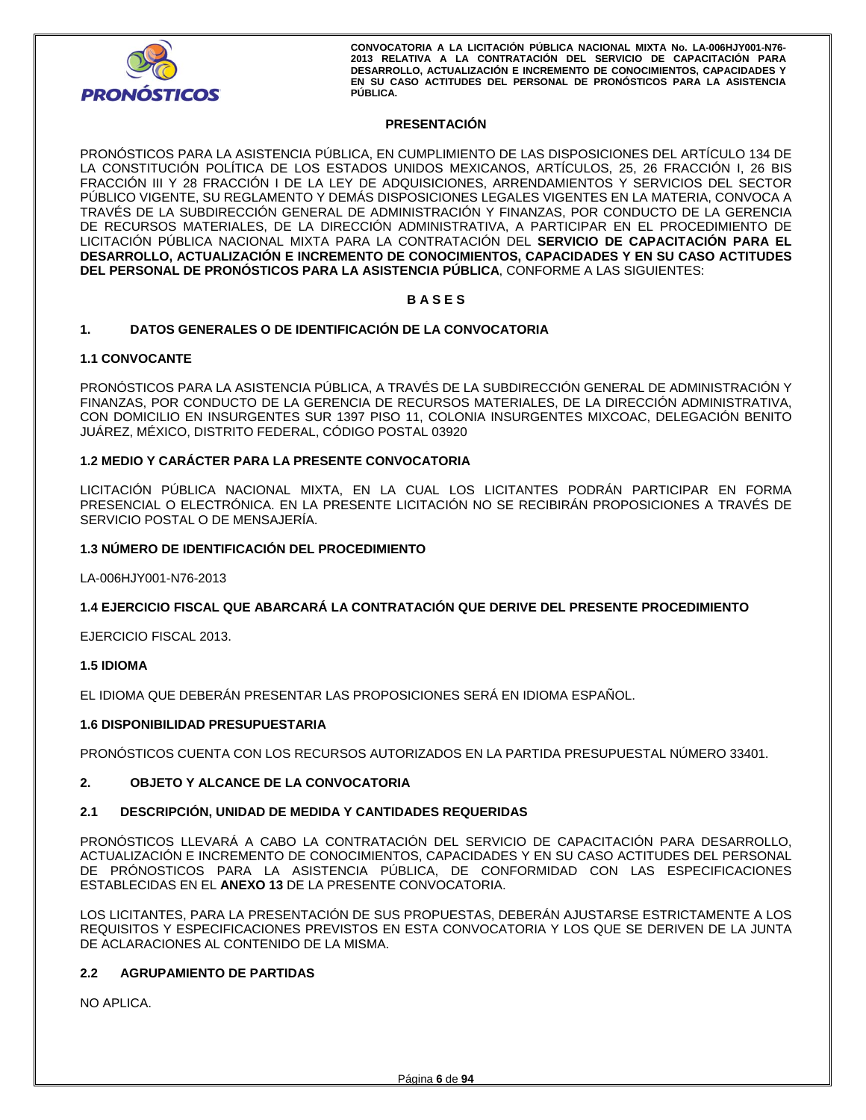

# **PRESENTACIÓN**

PRONÓSTICOS PARA LA ASISTENCIA PÚBLICA, EN CUMPLIMIENTO DE LAS DISPOSICIONES DEL ARTÍCULO 134 DE LA CONSTITUCIÓN POLÍTICA DE LOS ESTADOS UNIDOS MEXICANOS, ARTÍCULOS, 25, 26 FRACCIÓN I, 26 BIS FRACCIÓN III Y 28 FRACCIÓN I DE LA LEY DE ADQUISICIONES, ARRENDAMIENTOS Y SERVICIOS DEL SECTOR PÚBLICO VIGENTE, SU REGLAMENTO Y DEMÁS DISPOSICIONES LEGALES VIGENTES EN LA MATERIA, CONVOCA A TRAVÉS DE LA SUBDIRECCIÓN GENERAL DE ADMINISTRACIÓN Y FINANZAS, POR CONDUCTO DE LA GERENCIA DE RECURSOS MATERIALES, DE LA DIRECCIÓN ADMINISTRATIVA, A PARTICIPAR EN EL PROCEDIMIENTO DE LICITACIÓN PÚBLICA NACIONAL MIXTA PARA LA CONTRATACIÓN DEL **SERVICIO DE CAPACITACIÓN PARA EL DESARROLLO, ACTUALIZACIÓN E INCREMENTO DE CONOCIMIENTOS, CAPACIDADES Y EN SU CASO ACTITUDES DEL PERSONAL DE PRONÓSTICOS PARA LA ASISTENCIA PÚBLICA**, CONFORME A LAS SIGUIENTES:

## **B A S E S**

## **1. DATOS GENERALES O DE IDENTIFICACIÓN DE LA CONVOCATORIA**

## **1.1 CONVOCANTE**

PRONÓSTICOS PARA LA ASISTENCIA PÚBLICA, A TRAVÉS DE LA SUBDIRECCIÓN GENERAL DE ADMINISTRACIÓN Y FINANZAS, POR CONDUCTO DE LA GERENCIA DE RECURSOS MATERIALES, DE LA DIRECCIÓN ADMINISTRATIVA, CON DOMICILIO EN INSURGENTES SUR 1397 PISO 11, COLONIA INSURGENTES MIXCOAC, DELEGACIÓN BENITO JUÁREZ, MÉXICO, DISTRITO FEDERAL, CÓDIGO POSTAL 03920

# **1.2 MEDIO Y CARÁCTER PARA LA PRESENTE CONVOCATORIA**

LICITACIÓN PÚBLICA NACIONAL MIXTA, EN LA CUAL LOS LICITANTES PODRÁN PARTICIPAR EN FORMA PRESENCIAL O ELECTRÓNICA. EN LA PRESENTE LICITACIÓN NO SE RECIBIRÁN PROPOSICIONES A TRAVÉS DE SERVICIO POSTAL O DE MENSAJERÍA.

# **1.3 NÚMERO DE IDENTIFICACIÓN DEL PROCEDIMIENTO**

LA-006HJY001-N76-2013

# **1.4 EJERCICIO FISCAL QUE ABARCARÁ LA CONTRATACIÓN QUE DERIVE DEL PRESENTE PROCEDIMIENTO**

EJERCICIO FISCAL 2013.

# **1.5 IDIOMA**

EL IDIOMA QUE DEBERÁN PRESENTAR LAS PROPOSICIONES SERÁ EN IDIOMA ESPAÑOL.

## **1.6 DISPONIBILIDAD PRESUPUESTARIA**

PRONÓSTICOS CUENTA CON LOS RECURSOS AUTORIZADOS EN LA PARTIDA PRESUPUESTAL NÚMERO 33401.

# **2. OBJETO Y ALCANCE DE LA CONVOCATORIA**

## **2.1 DESCRIPCIÓN, UNIDAD DE MEDIDA Y CANTIDADES REQUERIDAS**

PRONÓSTICOS LLEVARÁ A CABO LA CONTRATACIÓN DEL SERVICIO DE CAPACITACIÓN PARA DESARROLLO, ACTUALIZACIÓN E INCREMENTO DE CONOCIMIENTOS, CAPACIDADES Y EN SU CASO ACTITUDES DEL PERSONAL DE PRÓNOSTICOS PARA LA ASISTENCIA PÚBLICA, DE CONFORMIDAD CON LAS ESPECIFICACIONES ESTABLECIDAS EN EL **ANEXO 13** DE LA PRESENTE CONVOCATORIA.

LOS LICITANTES, PARA LA PRESENTACIÓN DE SUS PROPUESTAS, DEBERÁN AJUSTARSE ESTRICTAMENTE A LOS REQUISITOS Y ESPECIFICACIONES PREVISTOS EN ESTA CONVOCATORIA Y LOS QUE SE DERIVEN DE LA JUNTA DE ACLARACIONES AL CONTENIDO DE LA MISMA.

## **2.2 AGRUPAMIENTO DE PARTIDAS**

NO APLICA.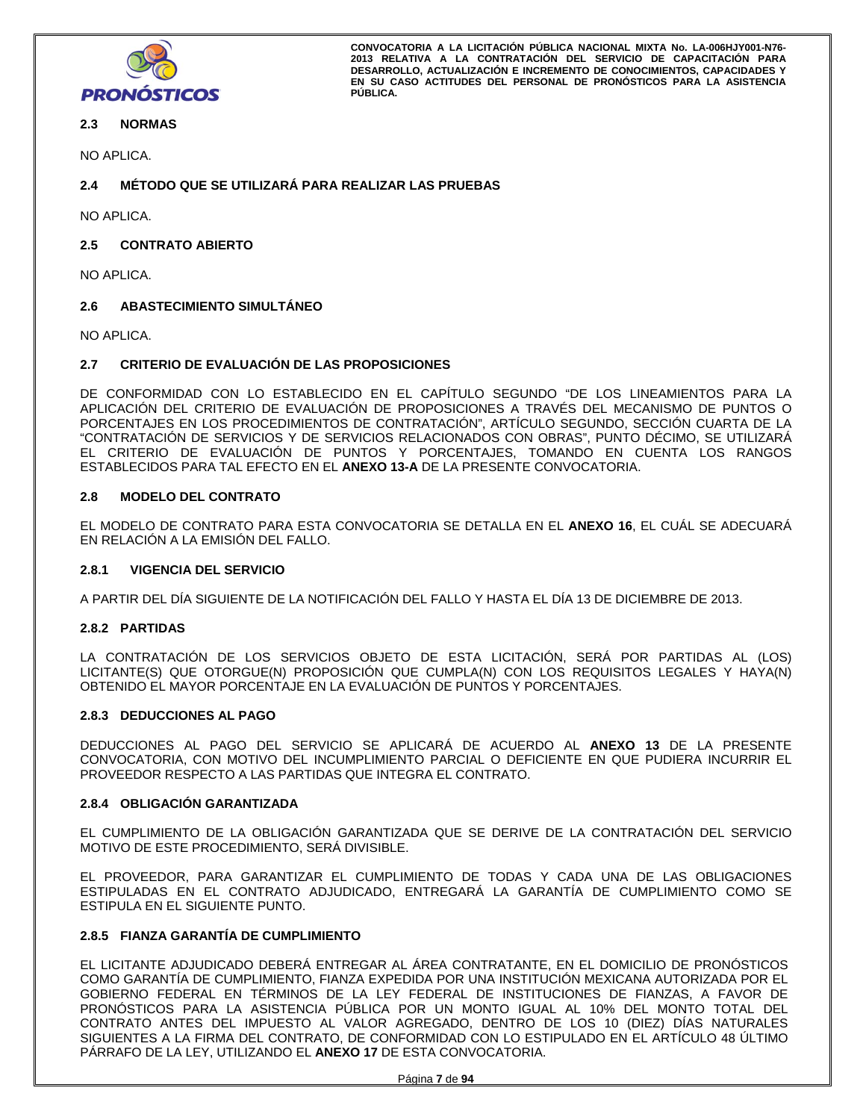

# **2.3 NORMAS**

NO APLICA.

# **2.4 MÉTODO QUE SE UTILIZARÁ PARA REALIZAR LAS PRUEBAS**

NO APLICA.

# **2.5 CONTRATO ABIERTO**

NO APLICA.

# **2.6 ABASTECIMIENTO SIMULTÁNEO**

NO APLICA.

## **2.7 CRITERIO DE EVALUACIÓN DE LAS PROPOSICIONES**

DE CONFORMIDAD CON LO ESTABLECIDO EN EL CAPÍTULO SEGUNDO "DE LOS LINEAMIENTOS PARA LA APLICACIÓN DEL CRITERIO DE EVALUACIÓN DE PROPOSICIONES A TRAVÉS DEL MECANISMO DE PUNTOS O PORCENTAJES EN LOS PROCEDIMIENTOS DE CONTRATACIÓN", ARTÍCULO SEGUNDO, SECCIÓN CUARTA DE LA "CONTRATACIÓN DE SERVICIOS Y DE SERVICIOS RELACIONADOS CON OBRAS", PUNTO DÉCIMO, SE UTILIZARÁ EL CRITERIO DE EVALUACIÓN DE PUNTOS Y PORCENTAJES, TOMANDO EN CUENTA LOS RANGOS ESTABLECIDOS PARA TAL EFECTO EN EL **ANEXO 13-A** DE LA PRESENTE CONVOCATORIA.

## **2.8 MODELO DEL CONTRATO**

EL MODELO DE CONTRATO PARA ESTA CONVOCATORIA SE DETALLA EN EL **ANEXO 16**, EL CUÁL SE ADECUARÁ EN RELACIÓN A LA EMISIÓN DEL FALLO.

## **2.8.1 VIGENCIA DEL SERVICIO**

A PARTIR DEL DÍA SIGUIENTE DE LA NOTIFICACIÓN DEL FALLO Y HASTA EL DÍA 13 DE DICIEMBRE DE 2013.

## **2.8.2 PARTIDAS**

LA CONTRATACIÓN DE LOS SERVICIOS OBJETO DE ESTA LICITACIÓN, SERÁ POR PARTIDAS AL (LOS) LICITANTE(S) QUE OTORGUE(N) PROPOSICIÓN QUE CUMPLA(N) CON LOS REQUISITOS LEGALES Y HAYA(N) OBTENIDO EL MAYOR PORCENTAJE EN LA EVALUACIÓN DE PUNTOS Y PORCENTAJES.

## **2.8.3 DEDUCCIONES AL PAGO**

DEDUCCIONES AL PAGO DEL SERVICIO SE APLICARÁ DE ACUERDO AL **ANEXO 13** DE LA PRESENTE CONVOCATORIA, CON MOTIVO DEL INCUMPLIMIENTO PARCIAL O DEFICIENTE EN QUE PUDIERA INCURRIR EL PROVEEDOR RESPECTO A LAS PARTIDAS QUE INTEGRA EL CONTRATO.

## **2.8.4 OBLIGACIÓN GARANTIZADA**

EL CUMPLIMIENTO DE LA OBLIGACIÓN GARANTIZADA QUE SE DERIVE DE LA CONTRATACIÓN DEL SERVICIO MOTIVO DE ESTE PROCEDIMIENTO, SERÁ DIVISIBLE.

EL PROVEEDOR, PARA GARANTIZAR EL CUMPLIMIENTO DE TODAS Y CADA UNA DE LAS OBLIGACIONES ESTIPULADAS EN EL CONTRATO ADJUDICADO, ENTREGARÁ LA GARANTÍA DE CUMPLIMIENTO COMO SE ESTIPULA EN EL SIGUIENTE PUNTO.

# **2.8.5 FIANZA GARANTÍA DE CUMPLIMIENTO**

EL LICITANTE ADJUDICADO DEBERÁ ENTREGAR AL ÁREA CONTRATANTE, EN EL DOMICILIO DE PRONÓSTICOS COMO GARANTÍA DE CUMPLIMIENTO, FIANZA EXPEDIDA POR UNA INSTITUCIÓN MEXICANA AUTORIZADA POR EL GOBIERNO FEDERAL EN TÉRMINOS DE LA LEY FEDERAL DE INSTITUCIONES DE FIANZAS, A FAVOR DE PRONÓSTICOS PARA LA ASISTENCIA PÚBLICA POR UN MONTO IGUAL AL 10% DEL MONTO TOTAL DEL CONTRATO ANTES DEL IMPUESTO AL VALOR AGREGADO, DENTRO DE LOS 10 (DIEZ) DÍAS NATURALES SIGUIENTES A LA FIRMA DEL CONTRATO, DE CONFORMIDAD CON LO ESTIPULADO EN EL ARTÍCULO 48 ÚLTIMO PÁRRAFO DE LA LEY, UTILIZANDO EL **ANEXO 17** DE ESTA CONVOCATORIA.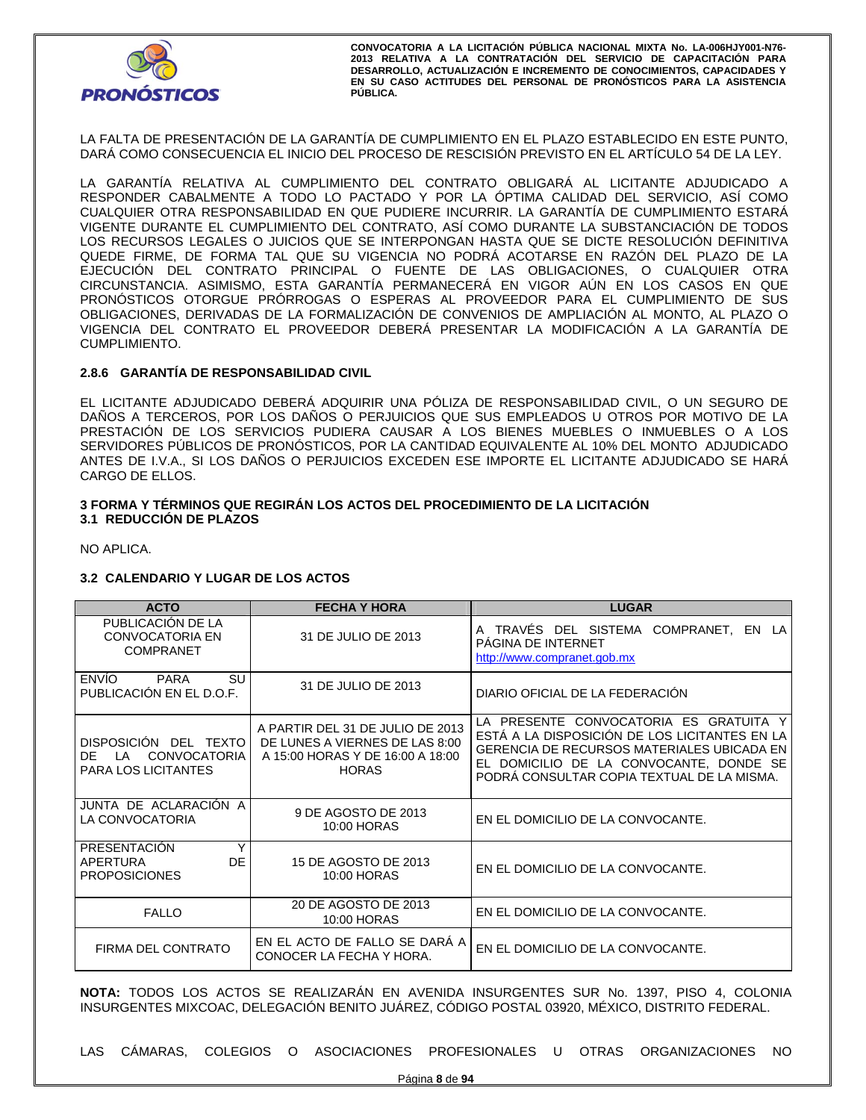

LA FALTA DE PRESENTACIÓN DE LA GARANTÍA DE CUMPLIMIENTO EN EL PLAZO ESTABLECIDO EN ESTE PUNTO, DARÁ COMO CONSECUENCIA EL INICIO DEL PROCESO DE RESCISIÓN PREVISTO EN EL ARTÍCULO 54 DE LA LEY.

LA GARANTÍA RELATIVA AL CUMPLIMIENTO DEL CONTRATO OBLIGARÁ AL LICITANTE ADJUDICADO A RESPONDER CABALMENTE A TODO LO PACTADO Y POR LA ÓPTIMA CALIDAD DEL SERVICIO, ASÍ COMO CUALQUIER OTRA RESPONSABILIDAD EN QUE PUDIERE INCURRIR. LA GARANTÍA DE CUMPLIMIENTO ESTARÁ VIGENTE DURANTE EL CUMPLIMIENTO DEL CONTRATO, ASÍ COMO DURANTE LA SUBSTANCIACIÓN DE TODOS LOS RECURSOS LEGALES O JUICIOS QUE SE INTERPONGAN HASTA QUE SE DICTE RESOLUCIÓN DEFINITIVA QUEDE FIRME, DE FORMA TAL QUE SU VIGENCIA NO PODRÁ ACOTARSE EN RAZÓN DEL PLAZO DE LA EJECUCIÓN DEL CONTRATO PRINCIPAL O FUENTE DE LAS OBLIGACIONES, O CUALQUIER OTRA CIRCUNSTANCIA. ASIMISMO, ESTA GARANTÍA PERMANECERÁ EN VIGOR AÚN EN LOS CASOS EN QUE PRONÓSTICOS OTORGUE PRÓRROGAS O ESPERAS AL PROVEEDOR PARA EL CUMPLIMIENTO DE SUS OBLIGACIONES, DERIVADAS DE LA FORMALIZACIÓN DE CONVENIOS DE AMPLIACIÓN AL MONTO, AL PLAZO O VIGENCIA DEL CONTRATO EL PROVEEDOR DEBERÁ PRESENTAR LA MODIFICACIÓN A LA GARANTÍA DE CUMPLIMIENTO.

# **2.8.6 GARANTÍA DE RESPONSABILIDAD CIVIL**

EL LICITANTE ADJUDICADO DEBERÁ ADQUIRIR UNA PÓLIZA DE RESPONSABILIDAD CIVIL, O UN SEGURO DE DAÑOS A TERCEROS, POR LOS DAÑOS O PERJUICIOS QUE SUS EMPLEADOS U OTROS POR MOTIVO DE LA PRESTACIÓN DE LOS SERVICIOS PUDIERA CAUSAR A LOS BIENES MUEBLES O INMUEBLES O A LOS SERVIDORES PÚBLICOS DE PRONÓSTICOS, POR LA CANTIDAD EQUIVALENTE AL 10% DEL MONTO ADJUDICADO ANTES DE I.V.A., SI LOS DAÑOS O PERJUICIOS EXCEDEN ESE IMPORTE EL LICITANTE ADJUDICADO SE HARÁ CARGO DE ELLOS.

#### **3 FORMA Y TÉRMINOS QUE REGIRÁN LOS ACTOS DEL PROCEDIMIENTO DE LA LICITACIÓN 3.1 REDUCCIÓN DE PLAZOS**

NO APLICA.

# **3.2 CALENDARIO Y LUGAR DE LOS ACTOS**

| <b>ACTO</b>                                                                             | <b>FECHA Y HORA</b>                                                                                                    | <b>LUGAR</b>                                                                                                                                                                                                                   |  |  |
|-----------------------------------------------------------------------------------------|------------------------------------------------------------------------------------------------------------------------|--------------------------------------------------------------------------------------------------------------------------------------------------------------------------------------------------------------------------------|--|--|
| PUBLICACIÓN DE LA<br><b>CONVOCATORIA EN</b><br><b>COMPRANET</b>                         | 31 DE JULIO DE 2013                                                                                                    | A TRAVÉS DEL SISTEMA COMPRANET, EN LA<br>PAGINA DE INTERNET<br>http://www.compranet.gob.mx                                                                                                                                     |  |  |
| <b>ENVIO</b><br><b>PARA</b><br>SU<br>31 DE JULIO DE 2013<br>PUBLICACIÓN EN EL D.O.F.    |                                                                                                                        | DIARIO OFICIAL DE LA FEDERACIÓN                                                                                                                                                                                                |  |  |
| DISPOSICIÓN DEL TEXTO<br>DF.<br><b>CONVOCATORIA</b><br>ΙA<br><b>PARA LOS LICITANTES</b> | A PARTIR DEL 31 DE JULIO DE 2013<br>DE LUNES A VIERNES DE LAS 8:00<br>A 15:00 HORAS Y DE 16:00 A 18:00<br><b>HORAS</b> | LA PRESENTE CONVOCATORIA ES GRATUITA Y<br>ESTÁ A LA DISPOSICIÓN DE LOS LICITANTES EN LA<br>GERENCIA DE RECURSOS MATERIALES UBICADA EN<br>EL DOMICILIO DE LA CONVOCANTE, DONDE SE<br>PODRÁ CONSULTAR COPIA TEXTUAL DE LA MISMA. |  |  |
| JUNTA DE ACLARACIÓN A<br>LA CONVOCATORIA                                                | 9 DE AGOSTO DE 2013<br>10:00 HORAS                                                                                     | EN EL DOMICILIO DE LA CONVOCANTE.                                                                                                                                                                                              |  |  |
| Υ<br><b>PRESENTACIÓN</b><br><b>DE</b><br><b>APERTURA</b><br><b>PROPOSICIONES</b>        | 15 DE AGOSTO DE 2013<br>10:00 HORAS                                                                                    | EN EL DOMICILIO DE LA CONVOCANTE.                                                                                                                                                                                              |  |  |
| <b>FALLO</b>                                                                            | 20 DE AGOSTO DE 2013<br>10:00 HORAS                                                                                    | EN EL DOMICILIO DE LA CONVOCANTE.                                                                                                                                                                                              |  |  |
| FIRMA DEL CONTRATO                                                                      | EN EL ACTO DE FALLO SE DARA A<br>CONOCER LA FECHA Y HORA.                                                              | EN EL DOMICILIO DE LA CONVOCANTE.                                                                                                                                                                                              |  |  |

**NOTA:** TODOS LOS ACTOS SE REALIZARÁN EN AVENIDA INSURGENTES SUR No. 1397, PISO 4, COLONIA INSURGENTES MIXCOAC, DELEGACIÓN BENITO JUÁREZ, CÓDIGO POSTAL 03920, MÉXICO, DISTRITO FEDERAL.

LAS CÁMARAS, COLEGIOS O ASOCIACIONES PROFESIONALES U OTRAS ORGANIZACIONES NO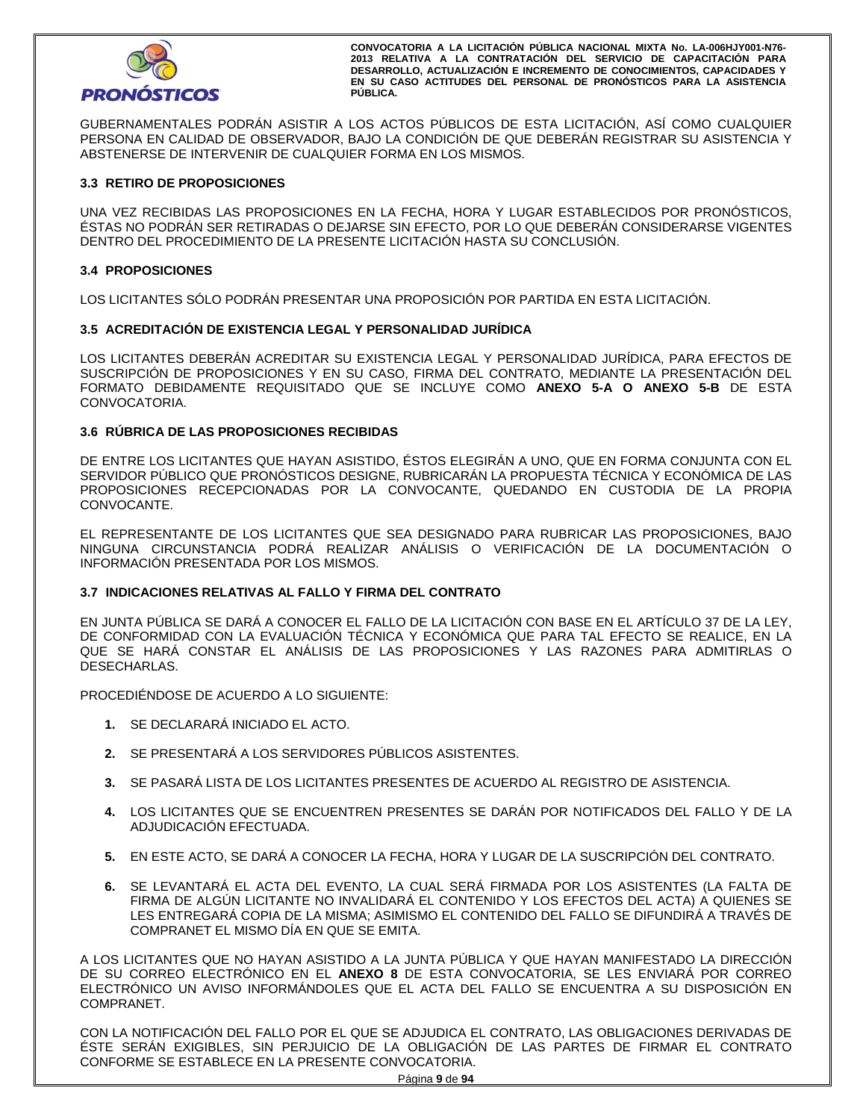

GUBERNAMENTALES PODRÁN ASISTIR A LOS ACTOS PÚBLICOS DE ESTA LICITACIÓN, ASÍ COMO CUALQUIER PERSONA EN CALIDAD DE OBSERVADOR, BAJO LA CONDICIÓN DE QUE DEBERÁN REGISTRAR SU ASISTENCIA Y ABSTENERSE DE INTERVENIR DE CUALQUIER FORMA EN LOS MISMOS.

# **3.3 RETIRO DE PROPOSICIONES**

UNA VEZ RECIBIDAS LAS PROPOSICIONES EN LA FECHA, HORA Y LUGAR ESTABLECIDOS POR PRONÓSTICOS, ÉSTAS NO PODRÁN SER RETIRADAS O DEJARSE SIN EFECTO, POR LO QUE DEBERÁN CONSIDERARSE VIGENTES DENTRO DEL PROCEDIMIENTO DE LA PRESENTE LICITACIÓN HASTA SU CONCLUSIÓN.

## **3.4 PROPOSICIONES**

LOS LICITANTES SÓLO PODRÁN PRESENTAR UNA PROPOSICIÓN POR PARTIDA EN ESTA LICITACIÓN.

## **3.5 ACREDITACIÓN DE EXISTENCIA LEGAL Y PERSONALIDAD JURÍDICA**

LOS LICITANTES DEBERÁN ACREDITAR SU EXISTENCIA LEGAL Y PERSONALIDAD JURÍDICA, PARA EFECTOS DE SUSCRIPCIÓN DE PROPOSICIONES Y EN SU CASO, FIRMA DEL CONTRATO, MEDIANTE LA PRESENTACIÓN DEL FORMATO DEBIDAMENTE REQUISITADO QUE SE INCLUYE COMO **ANEXO 5-A O ANEXO 5-B** DE ESTA CONVOCATORIA.

## **3.6 RÚBRICA DE LAS PROPOSICIONES RECIBIDAS**

DE ENTRE LOS LICITANTES QUE HAYAN ASISTIDO, ÉSTOS ELEGIRÁN A UNO, QUE EN FORMA CONJUNTA CON EL SERVIDOR PÚBLICO QUE PRONÓSTICOS DESIGNE, RUBRICARÁN LA PROPUESTA TÉCNICA Y ECONÓMICA DE LAS PROPOSICIONES RECEPCIONADAS POR LA CONVOCANTE, QUEDANDO EN CUSTODIA DE LA PROPIA CONVOCANTE.

EL REPRESENTANTE DE LOS LICITANTES QUE SEA DESIGNADO PARA RUBRICAR LAS PROPOSICIONES, BAJO NINGUNA CIRCUNSTANCIA PODRÁ REALIZAR ANÁLISIS O VERIFICACIÓN DE LA DOCUMENTACIÓN O INFORMACIÓN PRESENTADA POR LOS MISMOS.

## **3.7 INDICACIONES RELATIVAS AL FALLO Y FIRMA DEL CONTRATO**

EN JUNTA PÚBLICA SE DARÁ A CONOCER EL FALLO DE LA LICITACIÓN CON BASE EN EL ARTÍCULO 37 DE LA LEY, DE CONFORMIDAD CON LA EVALUACIÓN TÉCNICA Y ECONÓMICA QUE PARA TAL EFECTO SE REALICE, EN LA QUE SE HARÁ CONSTAR EL ANÁLISIS DE LAS PROPOSICIONES Y LAS RAZONES PARA ADMITIRLAS O DESECHARLAS.

PROCEDIÉNDOSE DE ACUERDO A LO SIGUIENTE:

- **1.** SE DECLARARÁ INICIADO EL ACTO.
- **2.** SE PRESENTARÁ A LOS SERVIDORES PÚBLICOS ASISTENTES.
- **3.** SE PASARÁ LISTA DE LOS LICITANTES PRESENTES DE ACUERDO AL REGISTRO DE ASISTENCIA.
- **4.** LOS LICITANTES QUE SE ENCUENTREN PRESENTES SE DARÁN POR NOTIFICADOS DEL FALLO Y DE LA ADJUDICACIÓN EFECTUADA.
- **5.** EN ESTE ACTO, SE DARÁ A CONOCER LA FECHA, HORA Y LUGAR DE LA SUSCRIPCIÓN DEL CONTRATO.
- **6.** SE LEVANTARÁ EL ACTA DEL EVENTO, LA CUAL SERÁ FIRMADA POR LOS ASISTENTES (LA FALTA DE FIRMA DE ALGÚN LICITANTE NO INVALIDARÁ EL CONTENIDO Y LOS EFECTOS DEL ACTA) A QUIENES SE LES ENTREGARÁ COPIA DE LA MISMA; ASIMISMO EL CONTENIDO DEL FALLO SE DIFUNDIRÁ A TRAVÉS DE COMPRANET EL MISMO DÍA EN QUE SE EMITA.

A LOS LICITANTES QUE NO HAYAN ASISTIDO A LA JUNTA PÚBLICA Y QUE HAYAN MANIFESTADO LA DIRECCIÓN DE SU CORREO ELECTRÓNICO EN EL **ANEXO 8** DE ESTA CONVOCATORIA, SE LES ENVIARÁ POR CORREO ELECTRÓNICO UN AVISO INFORMÁNDOLES QUE EL ACTA DEL FALLO SE ENCUENTRA A SU DISPOSICIÓN EN COMPRANET.

CON LA NOTIFICACIÓN DEL FALLO POR EL QUE SE ADJUDICA EL CONTRATO, LAS OBLIGACIONES DERIVADAS DE ÉSTE SERÁN EXIGIBLES, SIN PERJUICIO DE LA OBLIGACIÓN DE LAS PARTES DE FIRMAR EL CONTRATO CONFORME SE ESTABLECE EN LA PRESENTE CONVOCATORIA.

Página **9** de **94**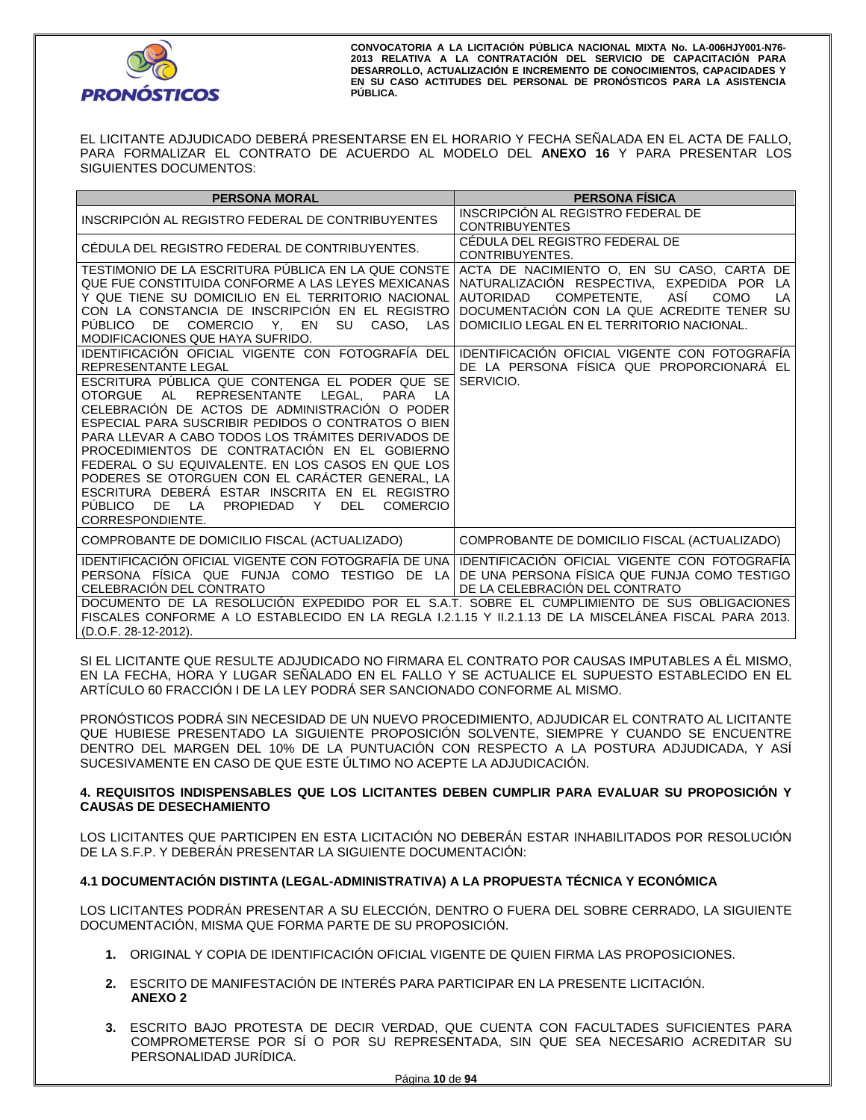

EL LICITANTE ADJUDICADO DEBERÁ PRESENTARSE EN EL HORARIO Y FECHA SEÑALADA EN EL ACTA DE FALLO, PARA FORMALIZAR EL CONTRATO DE ACUERDO AL MODELO DEL **ANEXO 16** Y PARA PRESENTAR LOS SIGUIENTES DOCUMENTOS:

| <b>PERSONA MORAL</b>                                                                                                                                                                                                                                                                                                                                                                                                                                                                                                                                                                                                                                                                      | <b>PERSONA FISICA</b>                                                                                                                                                                                                                               |
|-------------------------------------------------------------------------------------------------------------------------------------------------------------------------------------------------------------------------------------------------------------------------------------------------------------------------------------------------------------------------------------------------------------------------------------------------------------------------------------------------------------------------------------------------------------------------------------------------------------------------------------------------------------------------------------------|-----------------------------------------------------------------------------------------------------------------------------------------------------------------------------------------------------------------------------------------------------|
| INSCRIPCIÓN AL REGISTRO FEDERAL DE CONTRIBUYENTES                                                                                                                                                                                                                                                                                                                                                                                                                                                                                                                                                                                                                                         | INSCRIPCIÓN AL REGISTRO FEDERAL DE<br><b>CONTRIBUYENTES</b>                                                                                                                                                                                         |
| CÉDULA DEL REGISTRO FEDERAL DE CONTRIBUYENTES.                                                                                                                                                                                                                                                                                                                                                                                                                                                                                                                                                                                                                                            | CÉDULA DEL REGISTRO FEDERAL DE<br><b>CONTRIBUYENTES</b>                                                                                                                                                                                             |
| TESTIMONIO DE LA ESCRITURA PÚBLICA EN LA QUE CONSTE<br>QUE FUE CONSTITUIDA CONFORME A LAS LEYES MEXICANAS<br>Y QUE TIENE SU DOMICILIO EN EL TERRITORIO NACIONAL<br>CON LA CONSTANCIA DE INSCRIPCIÓN EN EL REGISTRO<br><b>PUBLICO</b><br>DE.<br>COMERCIO Y, EN<br><b>SU</b><br>CASO, LAS<br>MODIFICACIONES QUE HAYA SUFRIDO.                                                                                                                                                                                                                                                                                                                                                               | ACTA DE NACIMIENTO O, EN SU CASO, CARTA DE<br>NATURALIZACIÓN RESPECTIVA, EXPEDIDA POR LA<br>COMPETENTE.<br>ASÍ<br><b>AUTORIDAD</b><br><b>COMO</b><br>LA<br>DOCUMENTACIÓN CON LA QUE ACREDITE TENER SU<br>DOMICILIO LEGAL EN EL TERRITORIO NACIONAL. |
| IDENTIFICACIÓN OFICIAL VIGENTE CON FOTOGRAFÍA DEL<br><b>REPRESENTANTE LEGAL</b><br>ESCRITURA PÚBLICA QUE CONTENGA EL PODER QUE SE<br><b>OTORGUE</b><br>AL<br><b>REPRESENTANTE</b><br><b>PARA</b><br>LEGAL.<br>CELEBRACIÓN DE ACTOS DE ADMINISTRACIÓN O PODER<br>ESPECIAL PARA SUSCRIBIR PEDIDOS O CONTRATOS O BIEN<br>PARA LLEVAR A CABO TODOS LOS TRÁMITES DERIVADOS DE<br>PROCEDIMIENTOS DE CONTRATACIÓN EN EL GOBIERNO<br>FEDERAL O SU EQUIVALENTE. EN LOS CASOS EN QUE LOS<br>PODERES SE OTORGUEN CON EL CARÁCTER GENERAL, LA<br>ESCRITURA DEBERÁ ESTAR INSCRITA EN EL REGISTRO<br>PUBLICO<br>DE.<br><b>PROPIEDAD</b><br>Y<br><b>DEL</b><br><b>COMERCIO</b><br>LA<br>CORRESPONDIENTE. | IDENTIFICACIÓN OFICIAL VIGENTE CON FOTOGRAFÍA<br>DE LA PERSONA FÍSICA QUE PROPORCIONARÁ EL<br>SERVICIO.                                                                                                                                             |
| COMPROBANTE DE DOMICILIO FISCAL (ACTUALIZADO)                                                                                                                                                                                                                                                                                                                                                                                                                                                                                                                                                                                                                                             | COMPROBANTE DE DOMICILIO FISCAL (ACTUALIZADO)                                                                                                                                                                                                       |
| IDENTIFICACIÓN OFICIAL VIGENTE CON FOTOGRAFÍA DE UNA<br>PERSONA FISICA QUE FUNJA COMO TESTIGO DE LA<br>CELEBRACIÓN DEL CONTRATO<br>DOCUMENTO DE LA RESOLUCIÓN EXPEDIDO POR EL S.A.T. SOBRE EL CUMPLIMIENTO DE SUS OBLIGACIONES<br>FISCALES CONFORME A LO ESTABLECIDO EN LA REGLA 1.2.1.15 Y 11.2.1.13 DE LA MISCELÁNEA FISCAL PARA 2013.<br>(D.O.F. 28-12-2012).                                                                                                                                                                                                                                                                                                                          | IDENTIFICACIÓN OFICIAL VIGENTE CON FOTOGRAFÍA<br>DE UNA PERSONA FÍSICA QUE FUNJA COMO TESTIGO<br>DE LA CELEBRACIÓN DEL CONTRATO                                                                                                                     |

SI EL LICITANTE QUE RESULTE ADJUDICADO NO FIRMARA EL CONTRATO POR CAUSAS IMPUTABLES A ÉL MISMO, EN LA FECHA, HORA Y LUGAR SEÑALADO EN EL FALLO Y SE ACTUALICE EL SUPUESTO ESTABLECIDO EN EL ARTÍCULO 60 FRACCIÓN I DE LA LEY PODRÁ SER SANCIONADO CONFORME AL MISMO.

PRONÓSTICOS PODRÁ SIN NECESIDAD DE UN NUEVO PROCEDIMIENTO, ADJUDICAR EL CONTRATO AL LICITANTE QUE HUBIESE PRESENTADO LA SIGUIENTE PROPOSICIÓN SOLVENTE, SIEMPRE Y CUANDO SE ENCUENTRE DENTRO DEL MARGEN DEL 10% DE LA PUNTUACIÓN CON RESPECTO A LA POSTURA ADJUDICADA, Y ASÍ SUCESIVAMENTE EN CASO DE QUE ESTE ÚLTIMO NO ACEPTE LA ADJUDICACIÓN.

# **4. REQUISITOS INDISPENSABLES QUE LOS LICITANTES DEBEN CUMPLIR PARA EVALUAR SU PROPOSICIÓN Y CAUSAS DE DESECHAMIENTO**

LOS LICITANTES QUE PARTICIPEN EN ESTA LICITACIÓN NO DEBERÁN ESTAR INHABILITADOS POR RESOLUCIÓN DE LA S.F.P. Y DEBERÁN PRESENTAR LA SIGUIENTE DOCUMENTACIÓN:

# **4.1 DOCUMENTACIÓN DISTINTA (LEGAL-ADMINISTRATIVA) A LA PROPUESTA TÉCNICA Y ECONÓMICA**

LOS LICITANTES PODRÁN PRESENTAR A SU ELECCIÓN, DENTRO O FUERA DEL SOBRE CERRADO, LA SIGUIENTE DOCUMENTACIÓN, MISMA QUE FORMA PARTE DE SU PROPOSICIÓN.

- **1.** ORIGINAL Y COPIA DE IDENTIFICACIÓN OFICIAL VIGENTE DE QUIEN FIRMA LAS PROPOSICIONES.
- **2.** ESCRITO DE MANIFESTACIÓN DE INTERÉS PARA PARTICIPAR EN LA PRESENTE LICITACIÓN. **ANEXO 2**
- **3.** ESCRITO BAJO PROTESTA DE DECIR VERDAD, QUE CUENTA CON FACULTADES SUFICIENTES PARA COMPROMETERSE POR SÍ O POR SU REPRESENTADA, SIN QUE SEA NECESARIO ACREDITAR SU PERSONALIDAD JURÍDICA.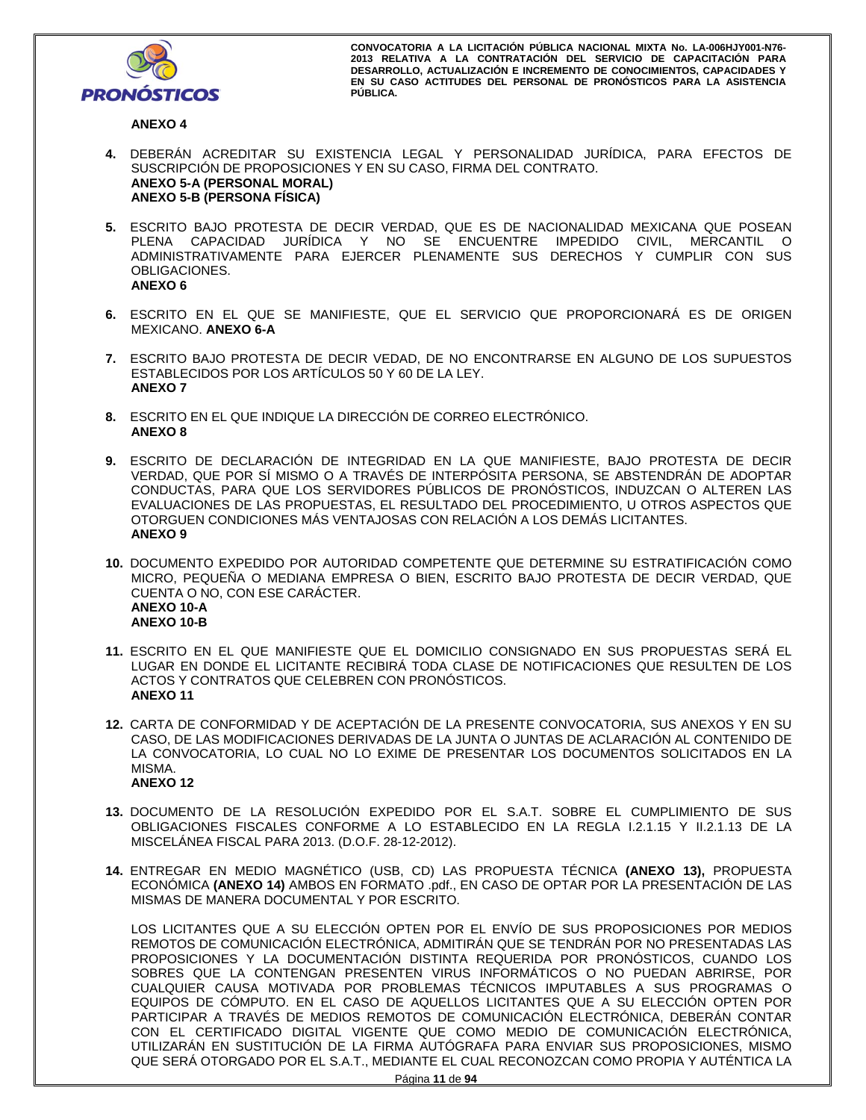

# **ANEXO 4**

- **4.** DEBERÁN ACREDITAR SU EXISTENCIA LEGAL Y PERSONALIDAD JURÍDICA, PARA EFECTOS DE SUSCRIPCIÓN DE PROPOSICIONES Y EN SU CASO, FIRMA DEL CONTRATO. **ANEXO 5-A (PERSONAL MORAL) ANEXO 5-B (PERSONA FÍSICA)**
- **5.** ESCRITO BAJO PROTESTA DE DECIR VERDAD, QUE ES DE NACIONALIDAD MEXICANA QUE POSEAN PLENA CAPACIDAD JURÍDICA Y NO SE ENCUENTRE IMPEDIDO CIVIL, MERCANTIL O ADMINISTRATIVAMENTE PARA EJERCER PLENAMENTE SUS DERECHOS Y CUMPLIR CON SUS OBLIGACIONES. **ANEXO 6**
- **6.** ESCRITO EN EL QUE SE MANIFIESTE, QUE EL SERVICIO QUE PROPORCIONARÁ ES DE ORIGEN MEXICANO. **ANEXO 6-A**
- **7.** ESCRITO BAJO PROTESTA DE DECIR VEDAD, DE NO ENCONTRARSE EN ALGUNO DE LOS SUPUESTOS ESTABLECIDOS POR LOS ARTÍCULOS 50 Y 60 DE LA LEY. **ANEXO 7**
- **8.** ESCRITO EN EL QUE INDIQUE LA DIRECCIÓN DE CORREO ELECTRÓNICO. **ANEXO 8**
- **9.** ESCRITO DE DECLARACIÓN DE INTEGRIDAD EN LA QUE MANIFIESTE, BAJO PROTESTA DE DECIR VERDAD, QUE POR SÍ MISMO O A TRAVÉS DE INTERPÓSITA PERSONA, SE ABSTENDRÁN DE ADOPTAR CONDUCTAS, PARA QUE LOS SERVIDORES PÚBLICOS DE PRONÓSTICOS, INDUZCAN O ALTEREN LAS EVALUACIONES DE LAS PROPUESTAS, EL RESULTADO DEL PROCEDIMIENTO, U OTROS ASPECTOS QUE OTORGUEN CONDICIONES MÁS VENTAJOSAS CON RELACIÓN A LOS DEMÁS LICITANTES. **ANEXO 9**
- **10.** DOCUMENTO EXPEDIDO POR AUTORIDAD COMPETENTE QUE DETERMINE SU ESTRATIFICACIÓN COMO MICRO, PEQUEÑA O MEDIANA EMPRESA O BIEN, ESCRITO BAJO PROTESTA DE DECIR VERDAD, QUE CUENTA O NO, CON ESE CARÁCTER. **ANEXO 10-A ANEXO 10-B**
- **11.** ESCRITO EN EL QUE MANIFIESTE QUE EL DOMICILIO CONSIGNADO EN SUS PROPUESTAS SERÁ EL LUGAR EN DONDE EL LICITANTE RECIBIRÁ TODA CLASE DE NOTIFICACIONES QUE RESULTEN DE LOS ACTOS Y CONTRATOS QUE CELEBREN CON PRONÓSTICOS. **ANEXO 11**
- **12.** CARTA DE CONFORMIDAD Y DE ACEPTACIÓN DE LA PRESENTE CONVOCATORIA, SUS ANEXOS Y EN SU CASO, DE LAS MODIFICACIONES DERIVADAS DE LA JUNTA O JUNTAS DE ACLARACIÓN AL CONTENIDO DE LA CONVOCATORIA, LO CUAL NO LO EXIME DE PRESENTAR LOS DOCUMENTOS SOLICITADOS EN LA MISMA. **ANEXO 12**
- **13.** DOCUMENTO DE LA RESOLUCIÓN EXPEDIDO POR EL S.A.T. SOBRE EL CUMPLIMIENTO DE SUS OBLIGACIONES FISCALES CONFORME A LO ESTABLECIDO EN LA REGLA I.2.1.15 Y II.2.1.13 DE LA MISCELÁNEA FISCAL PARA 2013. (D.O.F. 28-12-2012).
- **14.** ENTREGAR EN MEDIO MAGNÉTICO (USB, CD) LAS PROPUESTA TÉCNICA **(ANEXO 13),** PROPUESTA ECONÓMICA **(ANEXO 14)** AMBOS EN FORMATO .pdf., EN CASO DE OPTAR POR LA PRESENTACIÓN DE LAS MISMAS DE MANERA DOCUMENTAL Y POR ESCRITO.

LOS LICITANTES QUE A SU ELECCIÓN OPTEN POR EL ENVÍO DE SUS PROPOSICIONES POR MEDIOS REMOTOS DE COMUNICACIÓN ELECTRÓNICA, ADMITIRÁN QUE SE TENDRÁN POR NO PRESENTADAS LAS PROPOSICIONES Y LA DOCUMENTACIÓN DISTINTA REQUERIDA POR PRONÓSTICOS, CUANDO LOS SOBRES QUE LA CONTENGAN PRESENTEN VIRUS INFORMÁTICOS O NO PUEDAN ABRIRSE, POR CUALQUIER CAUSA MOTIVADA POR PROBLEMAS TÉCNICOS IMPUTABLES A SUS PROGRAMAS O EQUIPOS DE CÓMPUTO. EN EL CASO DE AQUELLOS LICITANTES QUE A SU ELECCIÓN OPTEN POR PARTICIPAR A TRAVÉS DE MEDIOS REMOTOS DE COMUNICACIÓN ELECTRÓNICA, DEBERÁN CONTAR CON EL CERTIFICADO DIGITAL VIGENTE QUE COMO MEDIO DE COMUNICACIÓN ELECTRÓNICA, UTILIZARÁN EN SUSTITUCIÓN DE LA FIRMA AUTÓGRAFA PARA ENVIAR SUS PROPOSICIONES, MISMO QUE SERÁ OTORGADO POR EL S.A.T., MEDIANTE EL CUAL RECONOZCAN COMO PROPIA Y AUTÉNTICA LA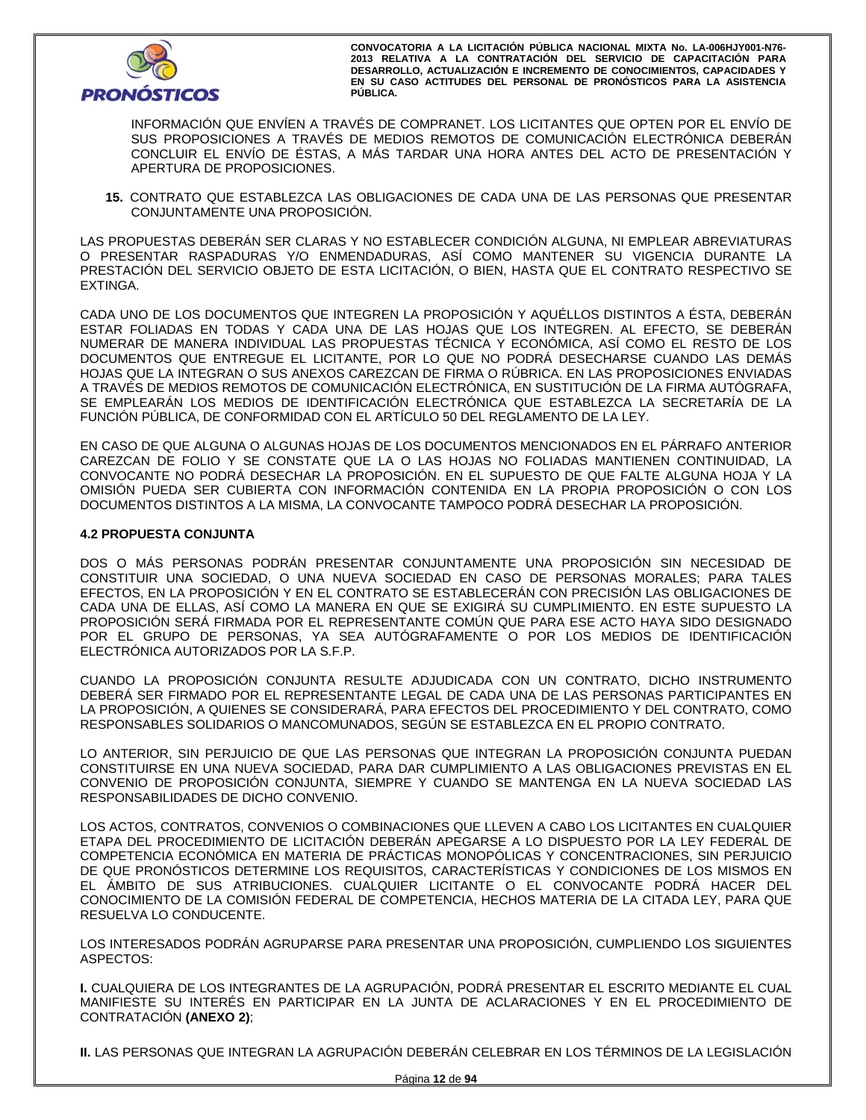

INFORMACIÓN QUE ENVÍEN A TRAVÉS DE COMPRANET. LOS LICITANTES QUE OPTEN POR EL ENVÍO DE SUS PROPOSICIONES A TRAVÉS DE MEDIOS REMOTOS DE COMUNICACIÓN ELECTRÓNICA DEBERÁN CONCLUIR EL ENVÍO DE ÉSTAS, A MÁS TARDAR UNA HORA ANTES DEL ACTO DE PRESENTACIÓN Y APERTURA DE PROPOSICIONES.

**15.** CONTRATO QUE ESTABLEZCA LAS OBLIGACIONES DE CADA UNA DE LAS PERSONAS QUE PRESENTAR CONJUNTAMENTE UNA PROPOSICIÓN.

LAS PROPUESTAS DEBERÁN SER CLARAS Y NO ESTABLECER CONDICIÓN ALGUNA, NI EMPLEAR ABREVIATURAS O PRESENTAR RASPADURAS Y/O ENMENDADURAS, ASÍ COMO MANTENER SU VIGENCIA DURANTE LA PRESTACIÓN DEL SERVICIO OBJETO DE ESTA LICITACIÓN, O BIEN, HASTA QUE EL CONTRATO RESPECTIVO SE EXTINGA.

CADA UNO DE LOS DOCUMENTOS QUE INTEGREN LA PROPOSICIÓN Y AQUÉLLOS DISTINTOS A ÉSTA, DEBERÁN ESTAR FOLIADAS EN TODAS Y CADA UNA DE LAS HOJAS QUE LOS INTEGREN. AL EFECTO, SE DEBERÁN NUMERAR DE MANERA INDIVIDUAL LAS PROPUESTAS TÉCNICA Y ECONÓMICA, ASÍ COMO EL RESTO DE LOS DOCUMENTOS QUE ENTREGUE EL LICITANTE, POR LO QUE NO PODRÁ DESECHARSE CUANDO LAS DEMÁS HOJAS QUE LA INTEGRAN O SUS ANEXOS CAREZCAN DE FIRMA O RÚBRICA. EN LAS PROPOSICIONES ENVIADAS A TRAVÉS DE MEDIOS REMOTOS DE COMUNICACIÓN ELECTRÓNICA, EN SUSTITUCIÓN DE LA FIRMA AUTÓGRAFA, SE EMPLEARÁN LOS MEDIOS DE IDENTIFICACIÓN ELECTRÓNICA QUE ESTABLEZCA LA SECRETARÍA DE LA FUNCIÓN PÚBLICA, DE CONFORMIDAD CON EL ARTÍCULO 50 DEL REGLAMENTO DE LA LEY.

EN CASO DE QUE ALGUNA O ALGUNAS HOJAS DE LOS DOCUMENTOS MENCIONADOS EN EL PÁRRAFO ANTERIOR CAREZCAN DE FOLIO Y SE CONSTATE QUE LA O LAS HOJAS NO FOLIADAS MANTIENEN CONTINUIDAD, LA CONVOCANTE NO PODRÁ DESECHAR LA PROPOSICIÓN. EN EL SUPUESTO DE QUE FALTE ALGUNA HOJA Y LA OMISIÓN PUEDA SER CUBIERTA CON INFORMACIÓN CONTENIDA EN LA PROPIA PROPOSICIÓN O CON LOS DOCUMENTOS DISTINTOS A LA MISMA, LA CONVOCANTE TAMPOCO PODRÁ DESECHAR LA PROPOSICIÓN.

## **4.2 PROPUESTA CONJUNTA**

DOS O MÁS PERSONAS PODRÁN PRESENTAR CONJUNTAMENTE UNA PROPOSICIÓN SIN NECESIDAD DE CONSTITUIR UNA SOCIEDAD, O UNA NUEVA SOCIEDAD EN CASO DE PERSONAS MORALES; PARA TALES EFECTOS, EN LA PROPOSICIÓN Y EN EL CONTRATO SE ESTABLECERÁN CON PRECISIÓN LAS OBLIGACIONES DE CADA UNA DE ELLAS, ASÍ COMO LA MANERA EN QUE SE EXIGIRÁ SU CUMPLIMIENTO. EN ESTE SUPUESTO LA PROPOSICIÓN SERÁ FIRMADA POR EL REPRESENTANTE COMÚN QUE PARA ESE ACTO HAYA SIDO DESIGNADO POR EL GRUPO DE PERSONAS, YA SEA AUTÓGRAFAMENTE O POR LOS MEDIOS DE IDENTIFICACIÓN ELECTRÓNICA AUTORIZADOS POR LA S.F.P.

CUANDO LA PROPOSICIÓN CONJUNTA RESULTE ADJUDICADA CON UN CONTRATO, DICHO INSTRUMENTO DEBERÁ SER FIRMADO POR EL REPRESENTANTE LEGAL DE CADA UNA DE LAS PERSONAS PARTICIPANTES EN LA PROPOSICIÓN, A QUIENES SE CONSIDERARÁ, PARA EFECTOS DEL PROCEDIMIENTO Y DEL CONTRATO, COMO RESPONSABLES SOLIDARIOS O MANCOMUNADOS, SEGÚN SE ESTABLEZCA EN EL PROPIO CONTRATO.

LO ANTERIOR, SIN PERJUICIO DE QUE LAS PERSONAS QUE INTEGRAN LA PROPOSICIÓN CONJUNTA PUEDAN CONSTITUIRSE EN UNA NUEVA SOCIEDAD, PARA DAR CUMPLIMIENTO A LAS OBLIGACIONES PREVISTAS EN EL CONVENIO DE PROPOSICIÓN CONJUNTA, SIEMPRE Y CUANDO SE MANTENGA EN LA NUEVA SOCIEDAD LAS RESPONSABILIDADES DE DICHO CONVENIO.

LOS ACTOS, CONTRATOS, CONVENIOS O COMBINACIONES QUE LLEVEN A CABO LOS LICITANTES EN CUALQUIER ETAPA DEL PROCEDIMIENTO DE LICITACIÓN DEBERÁN APEGARSE A LO DISPUESTO POR LA LEY FEDERAL DE COMPETENCIA ECONÓMICA EN MATERIA DE PRÁCTICAS MONOPÓLICAS Y CONCENTRACIONES, SIN PERJUICIO DE QUE PRONÓSTICOS DETERMINE LOS REQUISITOS, CARACTERÍSTICAS Y CONDICIONES DE LOS MISMOS EN EL ÁMBITO DE SUS ATRIBUCIONES. CUALQUIER LICITANTE O EL CONVOCANTE PODRÁ HACER DEL CONOCIMIENTO DE LA COMISIÓN FEDERAL DE COMPETENCIA, HECHOS MATERIA DE LA CITADA LEY, PARA QUE RESUELVA LO CONDUCENTE.

LOS INTERESADOS PODRÁN AGRUPARSE PARA PRESENTAR UNA PROPOSICIÓN, CUMPLIENDO LOS SIGUIENTES ASPECTOS:

**I.** CUALQUIERA DE LOS INTEGRANTES DE LA AGRUPACIÓN, PODRÁ PRESENTAR EL ESCRITO MEDIANTE EL CUAL MANIFIESTE SU INTERÉS EN PARTICIPAR EN LA JUNTA DE ACLARACIONES Y EN EL PROCEDIMIENTO DE CONTRATACIÓN **(ANEXO 2)**;

**II.** LAS PERSONAS QUE INTEGRAN LA AGRUPACIÓN DEBERÁN CELEBRAR EN LOS TÉRMINOS DE LA LEGISLACIÓN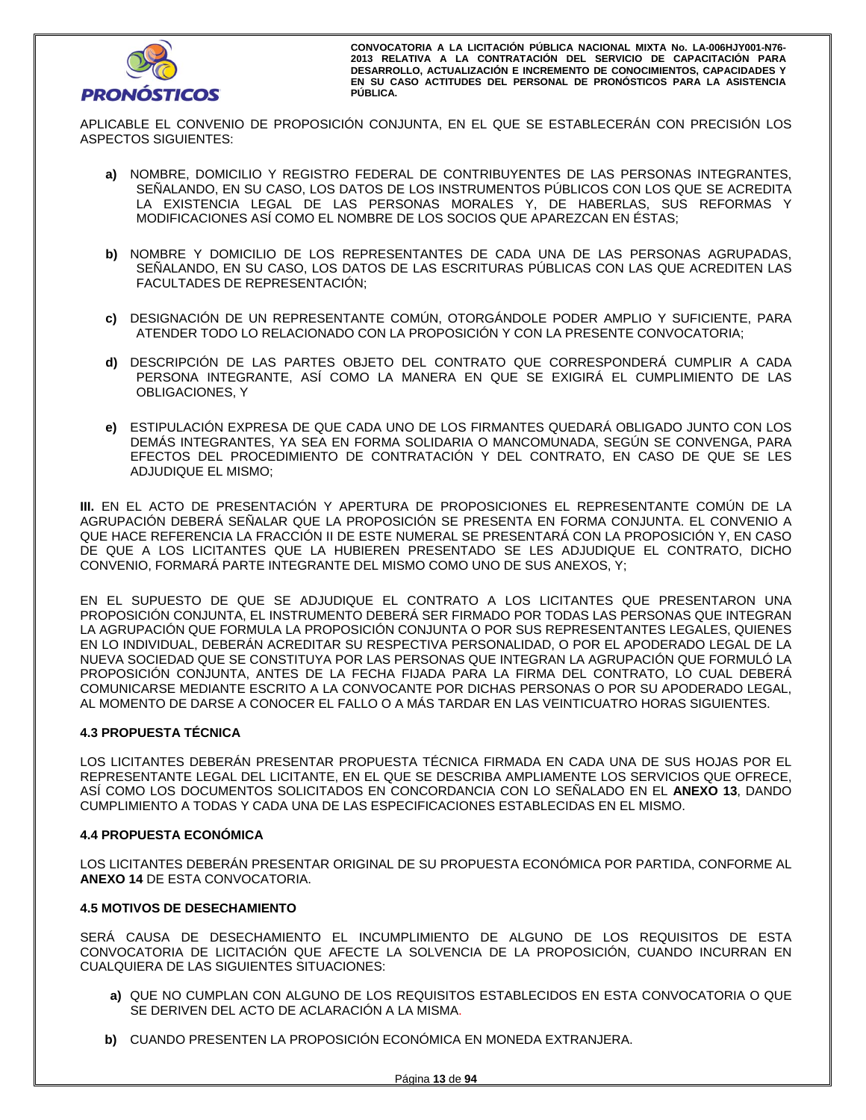

APLICABLE EL CONVENIO DE PROPOSICIÓN CONJUNTA, EN EL QUE SE ESTABLECERÁN CON PRECISIÓN LOS ASPECTOS SIGUIENTES:

- **a)** NOMBRE, DOMICILIO Y REGISTRO FEDERAL DE CONTRIBUYENTES DE LAS PERSONAS INTEGRANTES, SEÑALANDO, EN SU CASO, LOS DATOS DE LOS INSTRUMENTOS PÚBLICOS CON LOS QUE SE ACREDITA LA EXISTENCIA LEGAL DE LAS PERSONAS MORALES Y, DE HABERLAS, SUS REFORMAS Y MODIFICACIONES ASÍ COMO EL NOMBRE DE LOS SOCIOS QUE APAREZCAN EN ÉSTAS;
- **b)** NOMBRE Y DOMICILIO DE LOS REPRESENTANTES DE CADA UNA DE LAS PERSONAS AGRUPADAS, SEÑALANDO, EN SU CASO, LOS DATOS DE LAS ESCRITURAS PÚBLICAS CON LAS QUE ACREDITEN LAS FACULTADES DE REPRESENTACIÓN;
- **c)** DESIGNACIÓN DE UN REPRESENTANTE COMÚN, OTORGÁNDOLE PODER AMPLIO Y SUFICIENTE, PARA ATENDER TODO LO RELACIONADO CON LA PROPOSICIÓN Y CON LA PRESENTE CONVOCATORIA;
- **d)** DESCRIPCIÓN DE LAS PARTES OBJETO DEL CONTRATO QUE CORRESPONDERÁ CUMPLIR A CADA PERSONA INTEGRANTE, ASÍ COMO LA MANERA EN QUE SE EXIGIRÁ EL CUMPLIMIENTO DE LAS OBLIGACIONES, Y
- **e)** ESTIPULACIÓN EXPRESA DE QUE CADA UNO DE LOS FIRMANTES QUEDARÁ OBLIGADO JUNTO CON LOS DEMÁS INTEGRANTES, YA SEA EN FORMA SOLIDARIA O MANCOMUNADA, SEGÚN SE CONVENGA, PARA EFECTOS DEL PROCEDIMIENTO DE CONTRATACIÓN Y DEL CONTRATO, EN CASO DE QUE SE LES ADJUDIQUE EL MISMO;

**III.** EN EL ACTO DE PRESENTACIÓN Y APERTURA DE PROPOSICIONES EL REPRESENTANTE COMÚN DE LA AGRUPACIÓN DEBERÁ SEÑALAR QUE LA PROPOSICIÓN SE PRESENTA EN FORMA CONJUNTA. EL CONVENIO A QUE HACE REFERENCIA LA FRACCIÓN II DE ESTE NUMERAL SE PRESENTARÁ CON LA PROPOSICIÓN Y, EN CASO DE QUE A LOS LICITANTES QUE LA HUBIEREN PRESENTADO SE LES ADJUDIQUE EL CONTRATO, DICHO CONVENIO, FORMARÁ PARTE INTEGRANTE DEL MISMO COMO UNO DE SUS ANEXOS, Y;

EN EL SUPUESTO DE QUE SE ADJUDIQUE EL CONTRATO A LOS LICITANTES QUE PRESENTARON UNA PROPOSICIÓN CONJUNTA, EL INSTRUMENTO DEBERÁ SER FIRMADO POR TODAS LAS PERSONAS QUE INTEGRAN LA AGRUPACIÓN QUE FORMULA LA PROPOSICIÓN CONJUNTA O POR SUS REPRESENTANTES LEGALES, QUIENES EN LO INDIVIDUAL, DEBERÁN ACREDITAR SU RESPECTIVA PERSONALIDAD, O POR EL APODERADO LEGAL DE LA NUEVA SOCIEDAD QUE SE CONSTITUYA POR LAS PERSONAS QUE INTEGRAN LA AGRUPACIÓN QUE FORMULÓ LA PROPOSICIÓN CONJUNTA, ANTES DE LA FECHA FIJADA PARA LA FIRMA DEL CONTRATO, LO CUAL DEBERÁ COMUNICARSE MEDIANTE ESCRITO A LA CONVOCANTE POR DICHAS PERSONAS O POR SU APODERADO LEGAL, AL MOMENTO DE DARSE A CONOCER EL FALLO O A MÁS TARDAR EN LAS VEINTICUATRO HORAS SIGUIENTES.

# **4.3 PROPUESTA TÉCNICA**

LOS LICITANTES DEBERÁN PRESENTAR PROPUESTA TÉCNICA FIRMADA EN CADA UNA DE SUS HOJAS POR EL REPRESENTANTE LEGAL DEL LICITANTE, EN EL QUE SE DESCRIBA AMPLIAMENTE LOS SERVICIOS QUE OFRECE, ASÍ COMO LOS DOCUMENTOS SOLICITADOS EN CONCORDANCIA CON LO SEÑALADO EN EL **ANEXO 13**, DANDO CUMPLIMIENTO A TODAS Y CADA UNA DE LAS ESPECIFICACIONES ESTABLECIDAS EN EL MISMO.

## **4.4 PROPUESTA ECONÓMICA**

LOS LICITANTES DEBERÁN PRESENTAR ORIGINAL DE SU PROPUESTA ECONÓMICA POR PARTIDA, CONFORME AL **ANEXO 14** DE ESTA CONVOCATORIA.

## **4.5 MOTIVOS DE DESECHAMIENTO**

SERÁ CAUSA DE DESECHAMIENTO EL INCUMPLIMIENTO DE ALGUNO DE LOS REQUISITOS DE ESTA CONVOCATORIA DE LICITACIÓN QUE AFECTE LA SOLVENCIA DE LA PROPOSICIÓN, CUANDO INCURRAN EN CUALQUIERA DE LAS SIGUIENTES SITUACIONES:

- **a)** QUE NO CUMPLAN CON ALGUNO DE LOS REQUISITOS ESTABLECIDOS EN ESTA CONVOCATORIA O QUE SE DERIVEN DEL ACTO DE ACLARACIÓN A LA MISMA.
- **b)** CUANDO PRESENTEN LA PROPOSICIÓN ECONÓMICA EN MONEDA EXTRANJERA.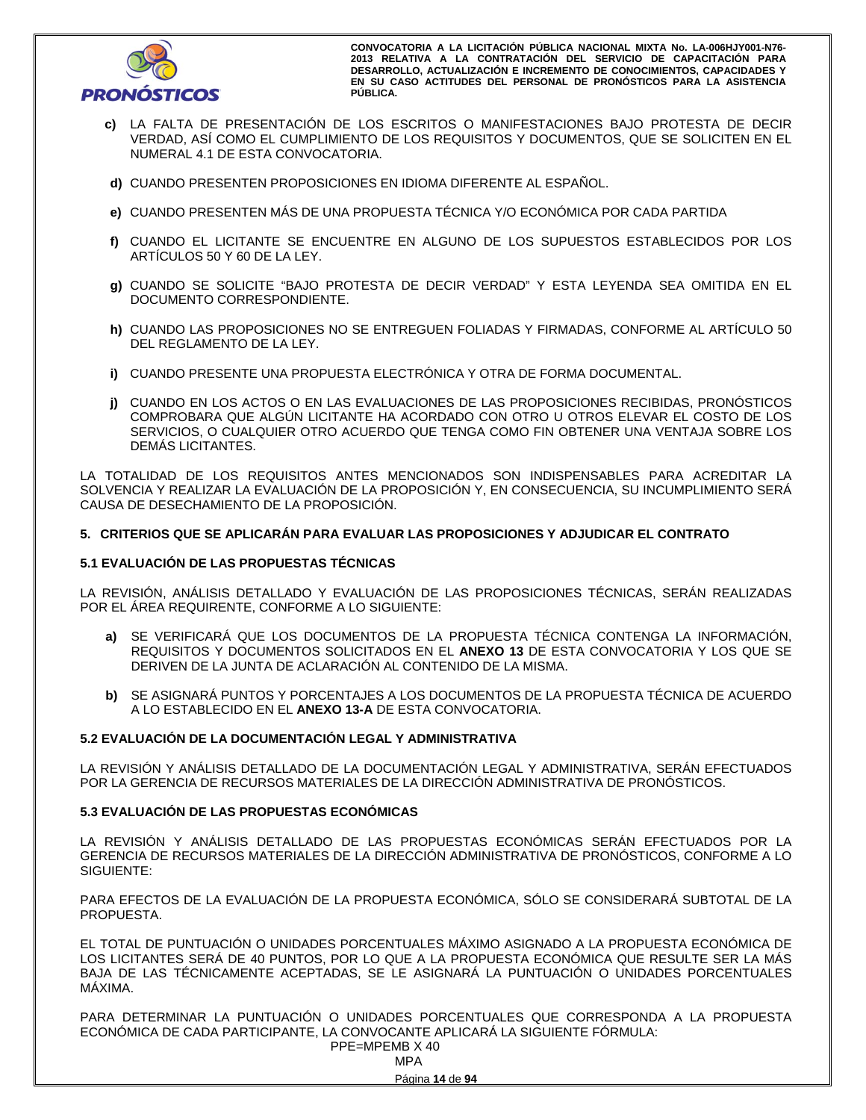

- **c)** LA FALTA DE PRESENTACIÓN DE LOS ESCRITOS O MANIFESTACIONES BAJO PROTESTA DE DECIR VERDAD, ASÍ COMO EL CUMPLIMIENTO DE LOS REQUISITOS Y DOCUMENTOS, QUE SE SOLICITEN EN EL NUMERAL 4.1 DE ESTA CONVOCATORIA.
- **d)** CUANDO PRESENTEN PROPOSICIONES EN IDIOMA DIFERENTE AL ESPAÑOL.
- **e)** CUANDO PRESENTEN MÁS DE UNA PROPUESTA TÉCNICA Y/O ECONÓMICA POR CADA PARTIDA
- **f)** CUANDO EL LICITANTE SE ENCUENTRE EN ALGUNO DE LOS SUPUESTOS ESTABLECIDOS POR LOS ARTÍCULOS 50 Y 60 DE LA LEY.
- **g)** CUANDO SE SOLICITE "BAJO PROTESTA DE DECIR VERDAD" Y ESTA LEYENDA SEA OMITIDA EN EL DOCUMENTO CORRESPONDIENTE.
- **h)** CUANDO LAS PROPOSICIONES NO SE ENTREGUEN FOLIADAS Y FIRMADAS, CONFORME AL ARTÍCULO 50 DEL REGLAMENTO DE LA LEY.
- **i)** CUANDO PRESENTE UNA PROPUESTA ELECTRÓNICA Y OTRA DE FORMA DOCUMENTAL.
- **j)** CUANDO EN LOS ACTOS O EN LAS EVALUACIONES DE LAS PROPOSICIONES RECIBIDAS, PRONÓSTICOS COMPROBARA QUE ALGÚN LICITANTE HA ACORDADO CON OTRO U OTROS ELEVAR EL COSTO DE LOS SERVICIOS, O CUALQUIER OTRO ACUERDO QUE TENGA COMO FIN OBTENER UNA VENTAJA SOBRE LOS DEMÁS LICITANTES.

LA TOTALIDAD DE LOS REQUISITOS ANTES MENCIONADOS SON INDISPENSABLES PARA ACREDITAR LA SOLVENCIA Y REALIZAR LA EVALUACIÓN DE LA PROPOSICIÓN Y, EN CONSECUENCIA, SU INCUMPLIMIENTO SERÁ CAUSA DE DESECHAMIENTO DE LA PROPOSICIÓN.

## **5. CRITERIOS QUE SE APLICARÁN PARA EVALUAR LAS PROPOSICIONES Y ADJUDICAR EL CONTRATO**

# **5.1 EVALUACIÓN DE LAS PROPUESTAS TÉCNICAS**

LA REVISIÓN, ANÁLISIS DETALLADO Y EVALUACIÓN DE LAS PROPOSICIONES TÉCNICAS, SERÁN REALIZADAS POR EL ÁREA REQUIRENTE, CONFORME A LO SIGUIENTE:

- **a)** SE VERIFICARÁ QUE LOS DOCUMENTOS DE LA PROPUESTA TÉCNICA CONTENGA LA INFORMACIÓN, REQUISITOS Y DOCUMENTOS SOLICITADOS EN EL **ANEXO 13** DE ESTA CONVOCATORIA Y LOS QUE SE DERIVEN DE LA JUNTA DE ACLARACIÓN AL CONTENIDO DE LA MISMA.
- **b)** SE ASIGNARÁ PUNTOS Y PORCENTAJES A LOS DOCUMENTOS DE LA PROPUESTA TÉCNICA DE ACUERDO A LO ESTABLECIDO EN EL **ANEXO 13-A** DE ESTA CONVOCATORIA.

# **5.2 EVALUACIÓN DE LA DOCUMENTACIÓN LEGAL Y ADMINISTRATIVA**

LA REVISIÓN Y ANÁLISIS DETALLADO DE LA DOCUMENTACIÓN LEGAL Y ADMINISTRATIVA, SERÁN EFECTUADOS POR LA GERENCIA DE RECURSOS MATERIALES DE LA DIRECCIÓN ADMINISTRATIVA DE PRONÓSTICOS.

## **5.3 EVALUACIÓN DE LAS PROPUESTAS ECONÓMICAS**

LA REVISIÓN Y ANÁLISIS DETALLADO DE LAS PROPUESTAS ECONÓMICAS SERÁN EFECTUADOS POR LA GERENCIA DE RECURSOS MATERIALES DE LA DIRECCIÓN ADMINISTRATIVA DE PRONÓSTICOS, CONFORME A LO SIGUIENTE:

PARA EFECTOS DE LA EVALUACIÓN DE LA PROPUESTA ECONÓMICA, SÓLO SE CONSIDERARÁ SUBTOTAL DE LA PROPUESTA.

EL TOTAL DE PUNTUACIÓN O UNIDADES PORCENTUALES MÁXIMO ASIGNADO A LA PROPUESTA ECONÓMICA DE LOS LICITANTES SERÁ DE 40 PUNTOS, POR LO QUE A LA PROPUESTA ECONÓMICA QUE RESULTE SER LA MÁS BAJA DE LAS TÉCNICAMENTE ACEPTADAS, SE LE ASIGNARÁ LA PUNTUACIÓN O UNIDADES PORCENTUALES MÁXIMA.

PARA DETERMINAR LA PUNTUACIÓN O UNIDADES PORCENTUALES QUE CORRESPONDA A LA PROPUESTA ECONÓMICA DE CADA PARTICIPANTE, LA CONVOCANTE APLICARÁ LA SIGUIENTE FÓRMULA: PPE=MPEMB X 40

| PPE=MPEMB X 4 |
|---------------|
| MPA           |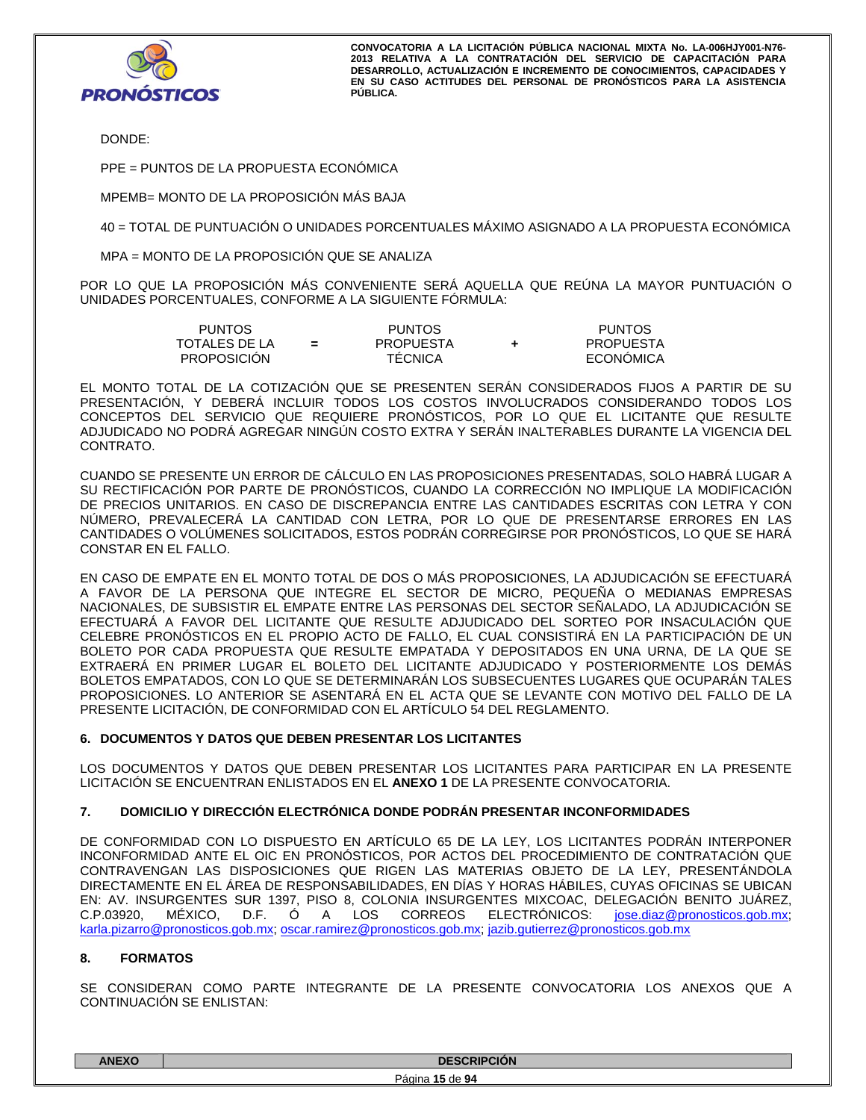

DONDE:

PPE = PUNTOS DE LA PROPUESTA ECONÓMICA

MPEMB= MONTO DE LA PROPOSICIÓN MÁS BAJA

40 = TOTAL DE PUNTUACIÓN O UNIDADES PORCENTUALES MÁXIMO ASIGNADO A LA PROPUESTA ECONÓMICA

MPA = MONTO DE LA PROPOSICIÓN QUE SE ANALIZA

POR LO QUE LA PROPOSICIÓN MÁS CONVENIENTE SERÁ AQUELLA QUE REÚNA LA MAYOR PUNTUACIÓN O UNIDADES PORCENTUALES, CONFORME A LA SIGUIENTE FÓRMULA:

| PUNTOS        |     | <b>PUNTOS</b>    | <b>PUNTOS</b>    |
|---------------|-----|------------------|------------------|
| TOTALES DE LA | $=$ | <b>PROPUESTA</b> | PROPUESTA        |
| PROPOSICIÓN   |     | <b>TECNICA</b>   | <b>ECONÓMICA</b> |

EL MONTO TOTAL DE LA COTIZACIÓN QUE SE PRESENTEN SERÁN CONSIDERADOS FIJOS A PARTIR DE SU PRESENTACIÓN, Y DEBERÁ INCLUIR TODOS LOS COSTOS INVOLUCRADOS CONSIDERANDO TODOS LOS CONCEPTOS DEL SERVICIO QUE REQUIERE PRONÓSTICOS, POR LO QUE EL LICITANTE QUE RESULTE ADJUDICADO NO PODRÁ AGREGAR NINGÚN COSTO EXTRA Y SERÁN INALTERABLES DURANTE LA VIGENCIA DEL CONTRATO.

CUANDO SE PRESENTE UN ERROR DE CÁLCULO EN LAS PROPOSICIONES PRESENTADAS, SOLO HABRÁ LUGAR A SU RECTIFICACIÓN POR PARTE DE PRONÓSTICOS, CUANDO LA CORRECCIÓN NO IMPLIQUE LA MODIFICACIÓN DE PRECIOS UNITARIOS. EN CASO DE DISCREPANCIA ENTRE LAS CANTIDADES ESCRITAS CON LETRA Y CON NÚMERO, PREVALECERÁ LA CANTIDAD CON LETRA, POR LO QUE DE PRESENTARSE ERRORES EN LAS CANTIDADES O VOLÚMENES SOLICITADOS, ESTOS PODRÁN CORREGIRSE POR PRONÓSTICOS, LO QUE SE HARÁ CONSTAR EN EL FALLO.

EN CASO DE EMPATE EN EL MONTO TOTAL DE DOS O MÁS PROPOSICIONES, LA ADJUDICACIÓN SE EFECTUARÁ A FAVOR DE LA PERSONA QUE INTEGRE EL SECTOR DE MICRO, PEQUEÑA O MEDIANAS EMPRESAS NACIONALES, DE SUBSISTIR EL EMPATE ENTRE LAS PERSONAS DEL SECTOR SEÑALADO, LA ADJUDICACIÓN SE EFECTUARÁ A FAVOR DEL LICITANTE QUE RESULTE ADJUDICADO DEL SORTEO POR INSACULACIÓN QUE CELEBRE PRONÓSTICOS EN EL PROPIO ACTO DE FALLO, EL CUAL CONSISTIRÁ EN LA PARTICIPACIÓN DE UN BOLETO POR CADA PROPUESTA QUE RESULTE EMPATADA Y DEPOSITADOS EN UNA URNA, DE LA QUE SE EXTRAERÁ EN PRIMER LUGAR EL BOLETO DEL LICITANTE ADJUDICADO Y POSTERIORMENTE LOS DEMÁS BOLETOS EMPATADOS, CON LO QUE SE DETERMINARÁN LOS SUBSECUENTES LUGARES QUE OCUPARÁN TALES PROPOSICIONES. LO ANTERIOR SE ASENTARÁ EN EL ACTA QUE SE LEVANTE CON MOTIVO DEL FALLO DE LA PRESENTE LICITACIÓN, DE CONFORMIDAD CON EL ARTÍCULO 54 DEL REGLAMENTO.

## **6. DOCUMENTOS Y DATOS QUE DEBEN PRESENTAR LOS LICITANTES**

LOS DOCUMENTOS Y DATOS QUE DEBEN PRESENTAR LOS LICITANTES PARA PARTICIPAR EN LA PRESENTE LICITACIÓN SE ENCUENTRAN ENLISTADOS EN EL **ANEXO 1** DE LA PRESENTE CONVOCATORIA.

# **7. DOMICILIO Y DIRECCIÓN ELECTRÓNICA DONDE PODRÁN PRESENTAR INCONFORMIDADES**

DE CONFORMIDAD CON LO DISPUESTO EN ARTÍCULO 65 DE LA LEY, LOS LICITANTES PODRÁN INTERPONER INCONFORMIDAD ANTE EL OIC EN PRONÓSTICOS, POR ACTOS DEL PROCEDIMIENTO DE CONTRATACIÓN QUE CONTRAVENGAN LAS DISPOSICIONES QUE RIGEN LAS MATERIAS OBJETO DE LA LEY, PRESENTÁNDOLA DIRECTAMENTE EN EL ÁREA DE RESPONSABILIDADES, EN DÍAS Y HORAS HÁBILES, CUYAS OFICINAS SE UBICAN EN: AV. INSURGENTES SUR 1397, PISO 8, COLONIA INSURGENTES MIXCOAC, DELEGACIÓN BENITO JUÁREZ, C.P.03920, MÉXICO, D.F. Ó A LOS CORREOS ELECTRÓNICOS: jose.diaz@pronosticos.gob.mx; karla.pizarro@pronosticos.gob.mx; oscar.ramirez@pronosticos.gob.mx; jazib.gutierrez@pronosticos.gob.mx

# **8. FORMATOS**

SE CONSIDERAN COMO PARTE INTEGRANTE DE LA PRESENTE CONVOCATORIA LOS ANEXOS QUE A CONTINUACIÓN SE ENLISTAN:

| <b>ANEXC</b> | <b>DESCRIPCIÓN</b>     |
|--------------|------------------------|
|              | Página<br>5 de 94<br>u |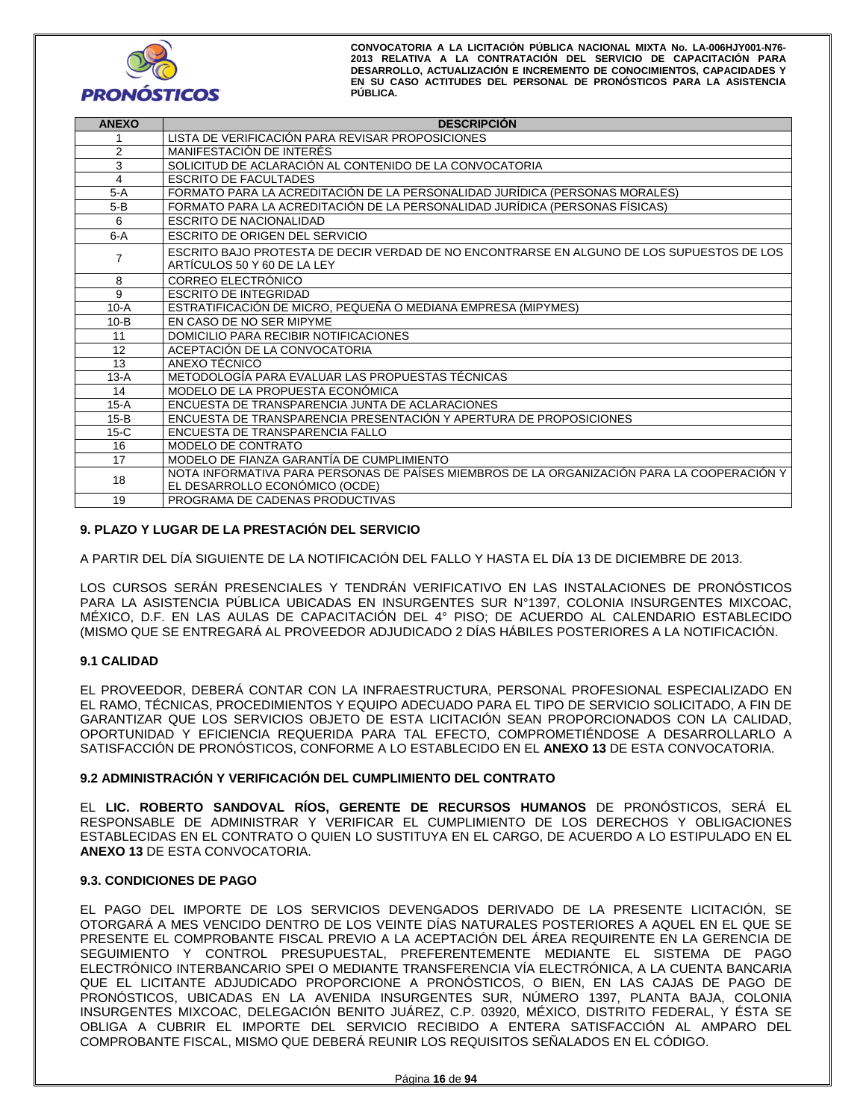

| <b>ANEXO</b>   | <b>DESCRIPCIÓN</b>                                                                         |
|----------------|--------------------------------------------------------------------------------------------|
|                | LISTA DE VERIFICACIÓN PARA REVISAR PROPOSICIONES                                           |
| 2              | MANIFESTACIÓN DE INTERÉS                                                                   |
| 3              | SOLICITUD DE ACLARACIÓN AL CONTENIDO DE LA CONVOCATORIA                                    |
| $\overline{4}$ | <b>ESCRITO DE FACULTADES</b>                                                               |
| $5-A$          | FORMATO PARA LA ACREDITACIÓN DE LA PERSONALIDAD JURÍDICA (PERSONAS MORALES)                |
| $5-B$          | FORMATO PARA LA ACREDITACIÓN DE LA PERSONALIDAD JURÍDICA (PERSONAS FÍSICAS)                |
| 6              | <b>ESCRITO DE NACIONALIDAD</b>                                                             |
| $6-A$          | ESCRITO DE ORIGEN DEL SERVICIO                                                             |
|                | ESCRITO BAJO PROTESTA DE DECIR VERDAD DE NO ENCONTRARSE EN ALGUNO DE LOS SUPUESTOS DE LOS  |
| 7              | ARTÍCULOS 50 Y 60 DE LA LEY                                                                |
| 8              | CORREO ELECTRÓNICO                                                                         |
| 9              | <b>ESCRITO DE INTEGRIDAD</b>                                                               |
| $10-A$         | ESTRATIFICACIÓN DE MICRO, PEQUEÑA O MEDIANA EMPRESA (MIPYMES)                              |
| $10-B$         | EN CASO DE NO SER MIPYME                                                                   |
| 11             | DOMICILIO PARA RECIBIR NOTIFICACIONES                                                      |
| 12             | ACEPTACIÓN DE LA CONVOCATORIA                                                              |
| 13             | ANEXO TÉCNICO                                                                              |
| $13-A$         | METODOLOGÍA PARA EVALUAR LAS PROPUESTAS TÉCNICAS                                           |
| 14             | MODELO DE LA PROPUESTA ECONÓMICA                                                           |
| $15-A$         | ENCUESTA DE TRANSPARENCIA JUNTA DE ACLARACIONES                                            |
| $15-B$         | ENCUESTA DE TRANSPARENCIA PRESENTACIÓN Y APERTURA DE PROPOSICIONES                         |
| $15-C$         | ENCUESTA DE TRANSPARENCIA FALLO                                                            |
| 16             | MODELO DE CONTRATO                                                                         |
| 17             | MODELO DE FIANZA GARANTÍA DE CUMPLIMIENTO                                                  |
| 18             | NOTA INFORMATIVA PARA PERSONAS DE PAÍSES MIEMBROS DE LA ORGANIZACIÓN PARA LA COOPERACIÓN Y |
|                | EL DESARROLLO ECONÓMICO (OCDE)                                                             |
| 19             | PROGRAMA DE CADENAS PRODUCTIVAS                                                            |

# **9. PLAZO Y LUGAR DE LA PRESTACIÓN DEL SERVICIO**

A PARTIR DEL DÍA SIGUIENTE DE LA NOTIFICACIÓN DEL FALLO Y HASTA EL DÍA 13 DE DICIEMBRE DE 2013.

LOS CURSOS SERÁN PRESENCIALES Y TENDRÁN VERIFICATIVO EN LAS INSTALACIONES DE PRONÓSTICOS PARA LA ASISTENCIA PÚBLICA UBICADAS EN INSURGENTES SUR N°1397, COLONIA INSURGENTES MIXCOAC, MÉXICO, D.F. EN LAS AULAS DE CAPACITACIÓN DEL 4° PISO; DE ACUERDO AL CALENDARIO ESTABLECIDO (MISMO QUE SE ENTREGARÁ AL PROVEEDOR ADJUDICADO 2 DÍAS HÁBILES POSTERIORES A LA NOTIFICACIÓN.

## **9.1 CALIDAD**

EL PROVEEDOR, DEBERÁ CONTAR CON LA INFRAESTRUCTURA, PERSONAL PROFESIONAL ESPECIALIZADO EN EL RAMO, TÉCNICAS, PROCEDIMIENTOS Y EQUIPO ADECUADO PARA EL TIPO DE SERVICIO SOLICITADO, A FIN DE GARANTIZAR QUE LOS SERVICIOS OBJETO DE ESTA LICITACIÓN SEAN PROPORCIONADOS CON LA CALIDAD, OPORTUNIDAD Y EFICIENCIA REQUERIDA PARA TAL EFECTO, COMPROMETIÉNDOSE A DESARROLLARLO A SATISFACCIÓN DE PRONÓSTICOS, CONFORME A LO ESTABLECIDO EN EL **ANEXO 13** DE ESTA CONVOCATORIA.

## **9.2 ADMINISTRACIÓN Y VERIFICACIÓN DEL CUMPLIMIENTO DEL CONTRATO**

EL **LIC. ROBERTO SANDOVAL RÍOS, GERENTE DE RECURSOS HUMANOS** DE PRONÓSTICOS, SERÁ EL RESPONSABLE DE ADMINISTRAR Y VERIFICAR EL CUMPLIMIENTO DE LOS DERECHOS Y OBLIGACIONES ESTABLECIDAS EN EL CONTRATO O QUIEN LO SUSTITUYA EN EL CARGO, DE ACUERDO A LO ESTIPULADO EN EL **ANEXO 13** DE ESTA CONVOCATORIA.

## **9.3. CONDICIONES DE PAGO**

EL PAGO DEL IMPORTE DE LOS SERVICIOS DEVENGADOS DERIVADO DE LA PRESENTE LICITACIÓN, SE OTORGARÁ A MES VENCIDO DENTRO DE LOS VEINTE DÍAS NATURALES POSTERIORES A AQUEL EN EL QUE SE PRESENTE EL COMPROBANTE FISCAL PREVIO A LA ACEPTACIÓN DEL ÁREA REQUIRENTE EN LA GERENCIA DE SEGUIMIENTO Y CONTROL PRESUPUESTAL, PREFERENTEMENTE MEDIANTE EL SISTEMA DE PAGO ELECTRÓNICO INTERBANCARIO SPEI O MEDIANTE TRANSFERENCIA VÍA ELECTRÓNICA, A LA CUENTA BANCARIA QUE EL LICITANTE ADJUDICADO PROPORCIONE A PRONÓSTICOS, O BIEN, EN LAS CAJAS DE PAGO DE PRONÓSTICOS, UBICADAS EN LA AVENIDA INSURGENTES SUR, NÚMERO 1397, PLANTA BAJA, COLONIA INSURGENTES MIXCOAC, DELEGACIÓN BENITO JUÁREZ, C.P. 03920, MÉXICO, DISTRITO FEDERAL, Y ÉSTA SE OBLIGA A CUBRIR EL IMPORTE DEL SERVICIO RECIBIDO A ENTERA SATISFACCIÓN AL AMPARO DEL COMPROBANTE FISCAL, MISMO QUE DEBERÁ REUNIR LOS REQUISITOS SEÑALADOS EN EL CÓDIGO.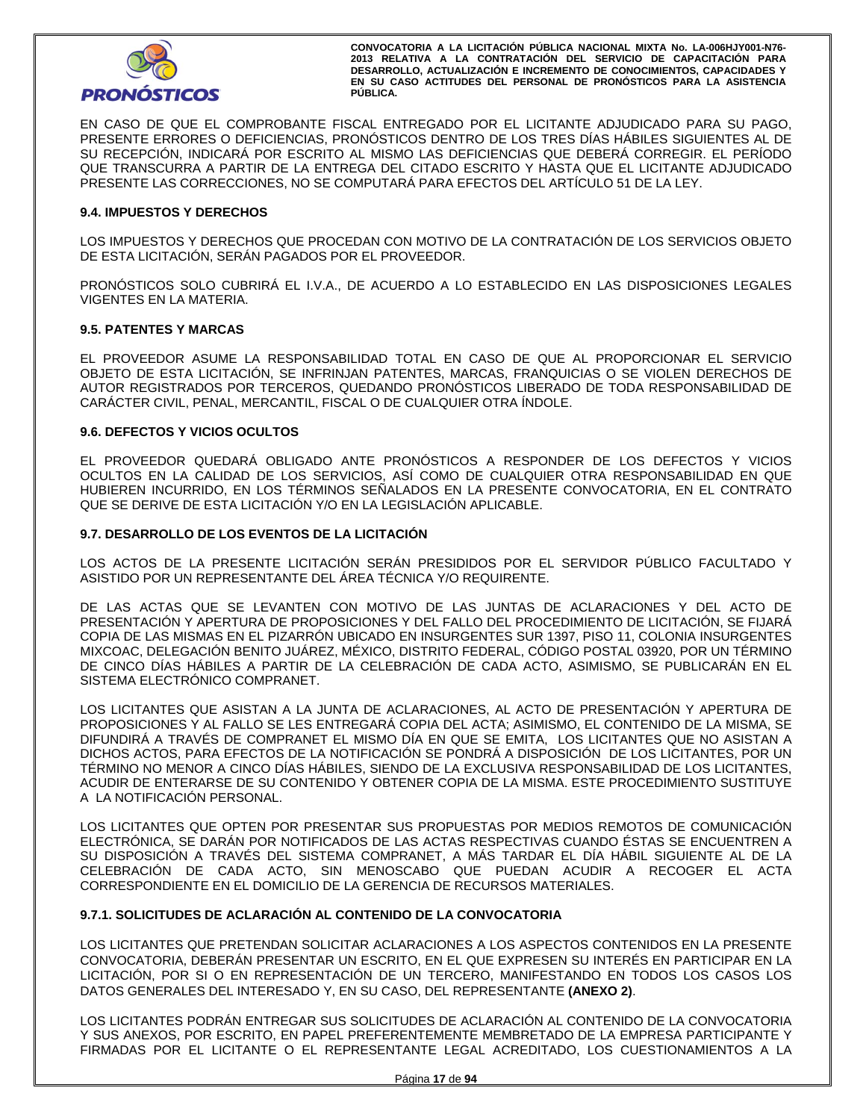

EN CASO DE QUE EL COMPROBANTE FISCAL ENTREGADO POR EL LICITANTE ADJUDICADO PARA SU PAGO, PRESENTE ERRORES O DEFICIENCIAS, PRONÓSTICOS DENTRO DE LOS TRES DÍAS HÁBILES SIGUIENTES AL DE SU RECEPCIÓN, INDICARÁ POR ESCRITO AL MISMO LAS DEFICIENCIAS QUE DEBERÁ CORREGIR. EL PERÍODO QUE TRANSCURRA A PARTIR DE LA ENTREGA DEL CITADO ESCRITO Y HASTA QUE EL LICITANTE ADJUDICADO PRESENTE LAS CORRECCIONES, NO SE COMPUTARÁ PARA EFECTOS DEL ARTÍCULO 51 DE LA LEY.

## **9.4. IMPUESTOS Y DERECHOS**

LOS IMPUESTOS Y DERECHOS QUE PROCEDAN CON MOTIVO DE LA CONTRATACIÓN DE LOS SERVICIOS OBJETO DE ESTA LICITACIÓN, SERÁN PAGADOS POR EL PROVEEDOR.

PRONÓSTICOS SOLO CUBRIRÁ EL I.V.A., DE ACUERDO A LO ESTABLECIDO EN LAS DISPOSICIONES LEGALES VIGENTES EN LA MATERIA.

#### **9.5. PATENTES Y MARCAS**

EL PROVEEDOR ASUME LA RESPONSABILIDAD TOTAL EN CASO DE QUE AL PROPORCIONAR EL SERVICIO OBJETO DE ESTA LICITACIÓN, SE INFRINJAN PATENTES, MARCAS, FRANQUICIAS O SE VIOLEN DERECHOS DE AUTOR REGISTRADOS POR TERCEROS, QUEDANDO PRONÓSTICOS LIBERADO DE TODA RESPONSABILIDAD DE CARÁCTER CIVIL, PENAL, MERCANTIL, FISCAL O DE CUALQUIER OTRA ÍNDOLE.

#### **9.6. DEFECTOS Y VICIOS OCULTOS**

EL PROVEEDOR QUEDARÁ OBLIGADO ANTE PRONÓSTICOS A RESPONDER DE LOS DEFECTOS Y VICIOS OCULTOS EN LA CALIDAD DE LOS SERVICIOS, ASÍ COMO DE CUALQUIER OTRA RESPONSABILIDAD EN QUE HUBIEREN INCURRIDO, EN LOS TÉRMINOS SEÑALADOS EN LA PRESENTE CONVOCATORIA, EN EL CONTRATO QUE SE DERIVE DE ESTA LICITACIÓN Y/O EN LA LEGISLACIÓN APLICABLE.

#### **9.7. DESARROLLO DE LOS EVENTOS DE LA LICITACIÓN**

LOS ACTOS DE LA PRESENTE LICITACIÓN SERÁN PRESIDIDOS POR EL SERVIDOR PÚBLICO FACULTADO Y ASISTIDO POR UN REPRESENTANTE DEL ÁREA TÉCNICA Y/O REQUIRENTE.

DE LAS ACTAS QUE SE LEVANTEN CON MOTIVO DE LAS JUNTAS DE ACLARACIONES Y DEL ACTO DE PRESENTACIÓN Y APERTURA DE PROPOSICIONES Y DEL FALLO DEL PROCEDIMIENTO DE LICITACIÓN, SE FIJARÁ COPIA DE LAS MISMAS EN EL PIZARRÓN UBICADO EN INSURGENTES SUR 1397, PISO 11, COLONIA INSURGENTES MIXCOAC, DELEGACIÓN BENITO JUÁREZ, MÉXICO, DISTRITO FEDERAL, CÓDIGO POSTAL 03920, POR UN TÉRMINO DE CINCO DÍAS HÁBILES A PARTIR DE LA CELEBRACIÓN DE CADA ACTO, ASIMISMO, SE PUBLICARÁN EN EL SISTEMA ELECTRÓNICO COMPRANET.

LOS LICITANTES QUE ASISTAN A LA JUNTA DE ACLARACIONES, AL ACTO DE PRESENTACIÓN Y APERTURA DE PROPOSICIONES Y AL FALLO SE LES ENTREGARÁ COPIA DEL ACTA; ASIMISMO, EL CONTENIDO DE LA MISMA, SE DIFUNDIRÁ A TRAVÉS DE COMPRANET EL MISMO DÍA EN QUE SE EMITA, LOS LICITANTES QUE NO ASISTAN A DICHOS ACTOS, PARA EFECTOS DE LA NOTIFICACIÓN SE PONDRÁ A DISPOSICIÓN DE LOS LICITANTES, POR UN TÉRMINO NO MENOR A CINCO DÍAS HÁBILES, SIENDO DE LA EXCLUSIVA RESPONSABILIDAD DE LOS LICITANTES, ACUDIR DE ENTERARSE DE SU CONTENIDO Y OBTENER COPIA DE LA MISMA. ESTE PROCEDIMIENTO SUSTITUYE A LA NOTIFICACIÓN PERSONAL.

LOS LICITANTES QUE OPTEN POR PRESENTAR SUS PROPUESTAS POR MEDIOS REMOTOS DE COMUNICACIÓN ELECTRÓNICA, SE DARÁN POR NOTIFICADOS DE LAS ACTAS RESPECTIVAS CUANDO ÉSTAS SE ENCUENTREN A SU DISPOSICIÓN A TRAVÉS DEL SISTEMA COMPRANET, A MÁS TARDAR EL DÍA HÁBIL SIGUIENTE AL DE LA CELEBRACIÓN DE CADA ACTO, SIN MENOSCABO QUE PUEDAN ACUDIR A RECOGER EL ACTA CORRESPONDIENTE EN EL DOMICILIO DE LA GERENCIA DE RECURSOS MATERIALES.

## **9.7.1. SOLICITUDES DE ACLARACIÓN AL CONTENIDO DE LA CONVOCATORIA**

LOS LICITANTES QUE PRETENDAN SOLICITAR ACLARACIONES A LOS ASPECTOS CONTENIDOS EN LA PRESENTE CONVOCATORIA, DEBERÁN PRESENTAR UN ESCRITO, EN EL QUE EXPRESEN SU INTERÉS EN PARTICIPAR EN LA LICITACIÓN, POR SI O EN REPRESENTACIÓN DE UN TERCERO, MANIFESTANDO EN TODOS LOS CASOS LOS DATOS GENERALES DEL INTERESADO Y, EN SU CASO, DEL REPRESENTANTE **(ANEXO 2)**.

LOS LICITANTES PODRÁN ENTREGAR SUS SOLICITUDES DE ACLARACIÓN AL CONTENIDO DE LA CONVOCATORIA Y SUS ANEXOS, POR ESCRITO, EN PAPEL PREFERENTEMENTE MEMBRETADO DE LA EMPRESA PARTICIPANTE Y FIRMADAS POR EL LICITANTE O EL REPRESENTANTE LEGAL ACREDITADO, LOS CUESTIONAMIENTOS A LA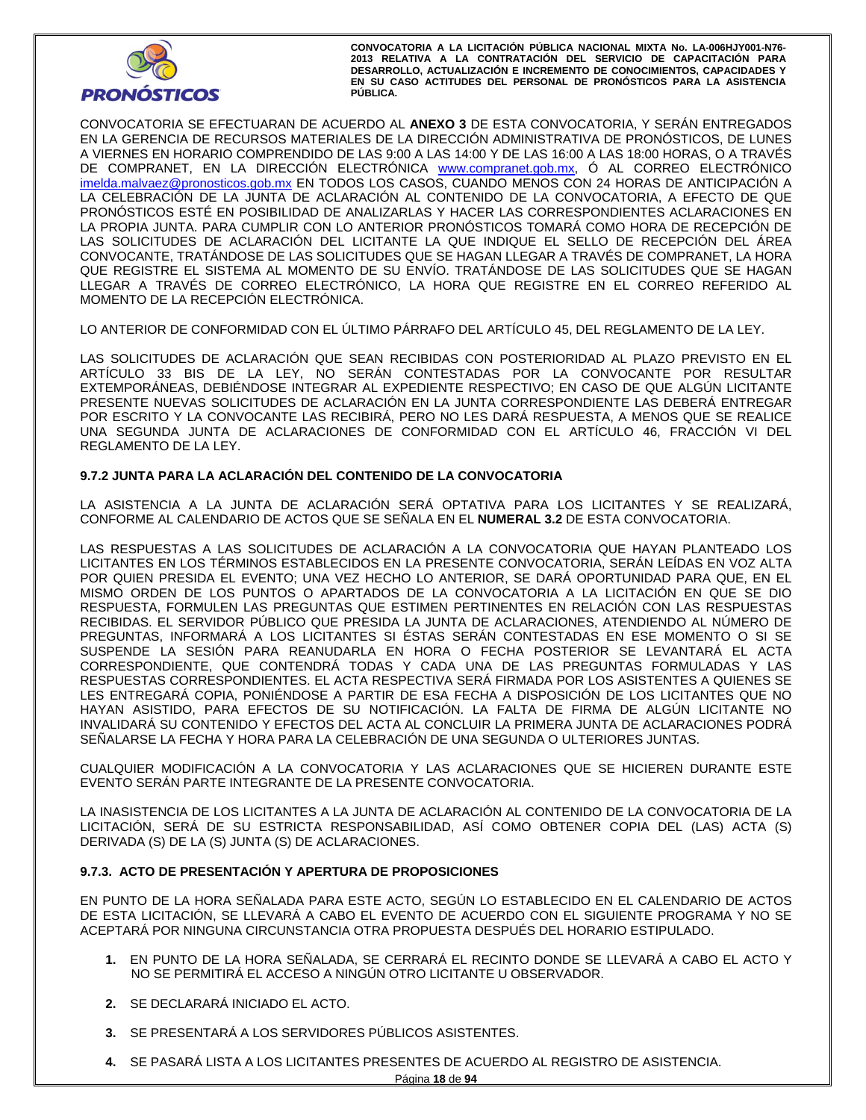

CONVOCATORIA SE EFECTUARAN DE ACUERDO AL **ANEXO 3** DE ESTA CONVOCATORIA, Y SERÁN ENTREGADOS EN LA GERENCIA DE RECURSOS MATERIALES DE LA DIRECCIÓN ADMINISTRATIVA DE PRONÓSTICOS, DE LUNES A VIERNES EN HORARIO COMPRENDIDO DE LAS 9:00 A LAS 14:00 Y DE LAS 16:00 A LAS 18:00 HORAS, O A TRAVÉS DE COMPRANET, EN LA DIRECCIÓN ELECTRÓNICA www.compranet.gob.mx, Ó AL CORREO ELECTRÓNICO imelda.malvaez@pronosticos.gob.mx EN TODOS LOS CASOS, CUANDO MENOS CON 24 HORAS DE ANTICIPACIÓN A LA CELEBRACIÓN DE LA JUNTA DE ACLARACIÓN AL CONTENIDO DE LA CONVOCATORIA, A EFECTO DE QUE PRONÓSTICOS ESTÉ EN POSIBILIDAD DE ANALIZARLAS Y HACER LAS CORRESPONDIENTES ACLARACIONES EN LA PROPIA JUNTA. PARA CUMPLIR CON LO ANTERIOR PRONÓSTICOS TOMARÁ COMO HORA DE RECEPCIÓN DE LAS SOLICITUDES DE ACLARACIÓN DEL LICITANTE LA QUE INDIQUE EL SELLO DE RECEPCIÓN DEL ÁREA CONVOCANTE, TRATÁNDOSE DE LAS SOLICITUDES QUE SE HAGAN LLEGAR A TRAVÉS DE COMPRANET, LA HORA QUE REGISTRE EL SISTEMA AL MOMENTO DE SU ENVÍO. TRATÁNDOSE DE LAS SOLICITUDES QUE SE HAGAN LLEGAR A TRAVÉS DE CORREO ELECTRÓNICO, LA HORA QUE REGISTRE EN EL CORREO REFERIDO AL MOMENTO DE LA RECEPCIÓN ELECTRÓNICA.

LO ANTERIOR DE CONFORMIDAD CON EL ÚLTIMO PÁRRAFO DEL ARTÍCULO 45, DEL REGLAMENTO DE LA LEY.

LAS SOLICITUDES DE ACLARACIÓN QUE SEAN RECIBIDAS CON POSTERIORIDAD AL PLAZO PREVISTO EN EL ARTÍCULO 33 BIS DE LA LEY, NO SERÁN CONTESTADAS POR LA CONVOCANTE POR RESULTAR EXTEMPORÁNEAS, DEBIÉNDOSE INTEGRAR AL EXPEDIENTE RESPECTIVO; EN CASO DE QUE ALGÚN LICITANTE PRESENTE NUEVAS SOLICITUDES DE ACLARACIÓN EN LA JUNTA CORRESPONDIENTE LAS DEBERÁ ENTREGAR POR ESCRITO Y LA CONVOCANTE LAS RECIBIRÁ, PERO NO LES DARÁ RESPUESTA, A MENOS QUE SE REALICE UNA SEGUNDA JUNTA DE ACLARACIONES DE CONFORMIDAD CON EL ARTÍCULO 46, FRACCIÓN VI DEL REGLAMENTO DE LA LEY.

# **9.7.2 JUNTA PARA LA ACLARACIÓN DEL CONTENIDO DE LA CONVOCATORIA**

LA ASISTENCIA A LA JUNTA DE ACLARACIÓN SERÁ OPTATIVA PARA LOS LICITANTES Y SE REALIZARÁ, CONFORME AL CALENDARIO DE ACTOS QUE SE SEÑALA EN EL **NUMERAL 3.2** DE ESTA CONVOCATORIA.

LAS RESPUESTAS A LAS SOLICITUDES DE ACLARACIÓN A LA CONVOCATORIA QUE HAYAN PLANTEADO LOS LICITANTES EN LOS TÉRMINOS ESTABLECIDOS EN LA PRESENTE CONVOCATORIA, SERÁN LEÍDAS EN VOZ ALTA POR QUIEN PRESIDA EL EVENTO; UNA VEZ HECHO LO ANTERIOR, SE DARÁ OPORTUNIDAD PARA QUE, EN EL MISMO ORDEN DE LOS PUNTOS O APARTADOS DE LA CONVOCATORIA A LA LICITACIÓN EN QUE SE DIO RESPUESTA, FORMULEN LAS PREGUNTAS QUE ESTIMEN PERTINENTES EN RELACIÓN CON LAS RESPUESTAS RECIBIDAS. EL SERVIDOR PÚBLICO QUE PRESIDA LA JUNTA DE ACLARACIONES, ATENDIENDO AL NÚMERO DE PREGUNTAS, INFORMARÁ A LOS LICITANTES SI ÉSTAS SERÁN CONTESTADAS EN ESE MOMENTO O SI SE SUSPENDE LA SESIÓN PARA REANUDARLA EN HORA O FECHA POSTERIOR SE LEVANTARÁ EL ACTA CORRESPONDIENTE, QUE CONTENDRÁ TODAS Y CADA UNA DE LAS PREGUNTAS FORMULADAS Y LAS RESPUESTAS CORRESPONDIENTES. EL ACTA RESPECTIVA SERÁ FIRMADA POR LOS ASISTENTES A QUIENES SE LES ENTREGARÁ COPIA, PONIÉNDOSE A PARTIR DE ESA FECHA A DISPOSICIÓN DE LOS LICITANTES QUE NO HAYAN ASISTIDO, PARA EFECTOS DE SU NOTIFICACIÓN. LA FALTA DE FIRMA DE ALGÚN LICITANTE NO INVALIDARÁ SU CONTENIDO Y EFECTOS DEL ACTA AL CONCLUIR LA PRIMERA JUNTA DE ACLARACIONES PODRÁ SEÑALARSE LA FECHA Y HORA PARA LA CELEBRACIÓN DE UNA SEGUNDA O ULTERIORES JUNTAS.

CUALQUIER MODIFICACIÓN A LA CONVOCATORIA Y LAS ACLARACIONES QUE SE HICIEREN DURANTE ESTE EVENTO SERÁN PARTE INTEGRANTE DE LA PRESENTE CONVOCATORIA.

LA INASISTENCIA DE LOS LICITANTES A LA JUNTA DE ACLARACIÓN AL CONTENIDO DE LA CONVOCATORIA DE LA LICITACIÓN, SERÁ DE SU ESTRICTA RESPONSABILIDAD, ASÍ COMO OBTENER COPIA DEL (LAS) ACTA (S) DERIVADA (S) DE LA (S) JUNTA (S) DE ACLARACIONES.

# **9.7.3. ACTO DE PRESENTACIÓN Y APERTURA DE PROPOSICIONES**

EN PUNTO DE LA HORA SEÑALADA PARA ESTE ACTO, SEGÚN LO ESTABLECIDO EN EL CALENDARIO DE ACTOS DE ESTA LICITACIÓN, SE LLEVARÁ A CABO EL EVENTO DE ACUERDO CON EL SIGUIENTE PROGRAMA Y NO SE ACEPTARÁ POR NINGUNA CIRCUNSTANCIA OTRA PROPUESTA DESPUÉS DEL HORARIO ESTIPULADO.

- **1.** EN PUNTO DE LA HORA SEÑALADA, SE CERRARÁ EL RECINTO DONDE SE LLEVARÁ A CABO EL ACTO Y NO SE PERMITIRÁ EL ACCESO A NINGÚN OTRO LICITANTE U OBSERVADOR.
- **2.** SE DECLARARÁ INICIADO EL ACTO.
- **3.** SE PRESENTARÁ A LOS SERVIDORES PÚBLICOS ASISTENTES.
- **4.** SE PASARÁ LISTA A LOS LICITANTES PRESENTES DE ACUERDO AL REGISTRO DE ASISTENCIA.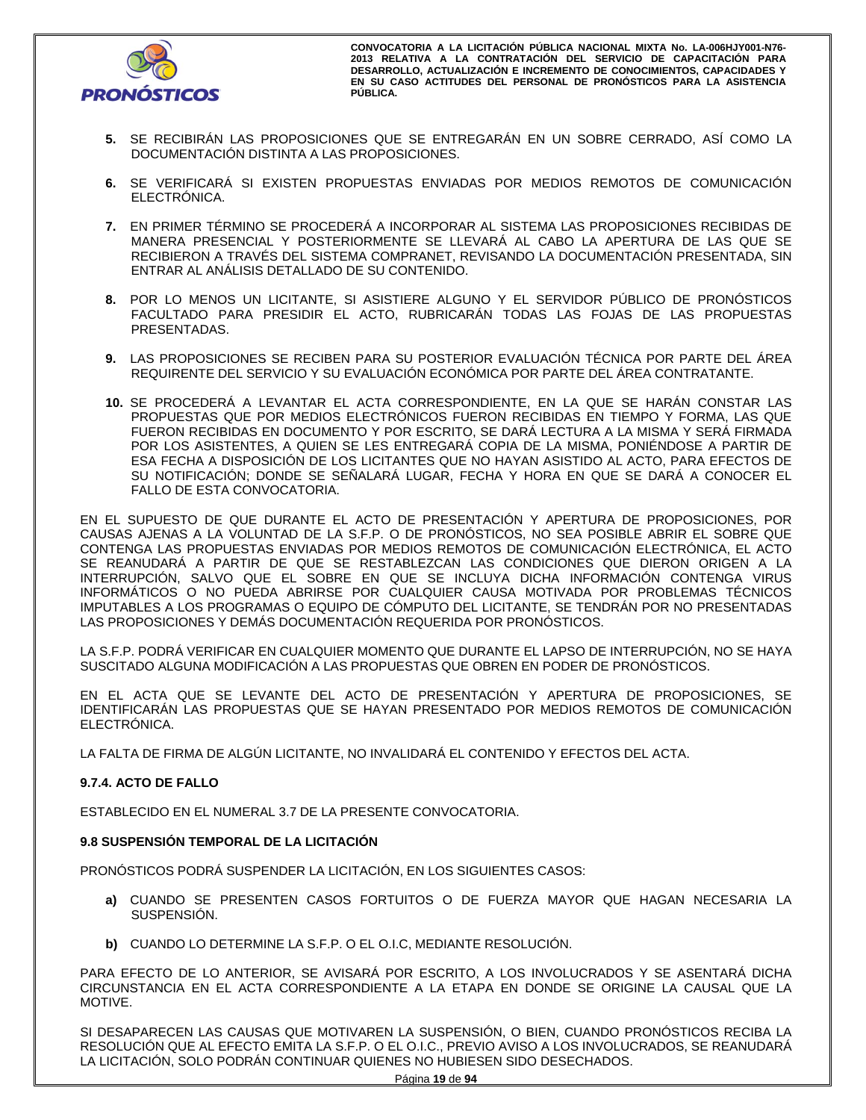

- **5.** SE RECIBIRÁN LAS PROPOSICIONES QUE SE ENTREGARÁN EN UN SOBRE CERRADO, ASÍ COMO LA DOCUMENTACIÓN DISTINTA A LAS PROPOSICIONES.
- **6.** SE VERIFICARÁ SI EXISTEN PROPUESTAS ENVIADAS POR MEDIOS REMOTOS DE COMUNICACIÓN ELECTRÓNICA.
- **7.** EN PRIMER TÉRMINO SE PROCEDERÁ A INCORPORAR AL SISTEMA LAS PROPOSICIONES RECIBIDAS DE MANERA PRESENCIAL Y POSTERIORMENTE SE LLEVARÁ AL CABO LA APERTURA DE LAS QUE SE RECIBIERON A TRAVÉS DEL SISTEMA COMPRANET, REVISANDO LA DOCUMENTACIÓN PRESENTADA, SIN ENTRAR AL ANÁLISIS DETALLADO DE SU CONTENIDO.
- **8.** POR LO MENOS UN LICITANTE, SI ASISTIERE ALGUNO Y EL SERVIDOR PÚBLICO DE PRONÓSTICOS FACULTADO PARA PRESIDIR EL ACTO, RUBRICARÁN TODAS LAS FOJAS DE LAS PROPUESTAS PRESENTADAS.
- **9.** LAS PROPOSICIONES SE RECIBEN PARA SU POSTERIOR EVALUACIÓN TÉCNICA POR PARTE DEL ÁREA REQUIRENTE DEL SERVICIO Y SU EVALUACIÓN ECONÓMICA POR PARTE DEL ÁREA CONTRATANTE.
- **10.** SE PROCEDERÁ A LEVANTAR EL ACTA CORRESPONDIENTE, EN LA QUE SE HARÁN CONSTAR LAS PROPUESTAS QUE POR MEDIOS ELECTRÓNICOS FUERON RECIBIDAS EN TIEMPO Y FORMA, LAS QUE FUERON RECIBIDAS EN DOCUMENTO Y POR ESCRITO, SE DARÁ LECTURA A LA MISMA Y SERÁ FIRMADA POR LOS ASISTENTES, A QUIEN SE LES ENTREGARÁ COPIA DE LA MISMA, PONIÉNDOSE A PARTIR DE ESA FECHA A DISPOSICIÓN DE LOS LICITANTES QUE NO HAYAN ASISTIDO AL ACTO, PARA EFECTOS DE SU NOTIFICACIÓN; DONDE SE SEÑALARÁ LUGAR, FECHA Y HORA EN QUE SE DARÁ A CONOCER EL FALLO DE ESTA CONVOCATORIA.

EN EL SUPUESTO DE QUE DURANTE EL ACTO DE PRESENTACIÓN Y APERTURA DE PROPOSICIONES, POR CAUSAS AJENAS A LA VOLUNTAD DE LA S.F.P. O DE PRONÓSTICOS, NO SEA POSIBLE ABRIR EL SOBRE QUE CONTENGA LAS PROPUESTAS ENVIADAS POR MEDIOS REMOTOS DE COMUNICACIÓN ELECTRÓNICA, EL ACTO SE REANUDARÁ A PARTIR DE QUE SE RESTABLEZCAN LAS CONDICIONES QUE DIERON ORIGEN A LA INTERRUPCIÓN, SALVO QUE EL SOBRE EN QUE SE INCLUYA DICHA INFORMACIÓN CONTENGA VIRUS INFORMÁTICOS O NO PUEDA ABRIRSE POR CUALQUIER CAUSA MOTIVADA POR PROBLEMAS TÉCNICOS IMPUTABLES A LOS PROGRAMAS O EQUIPO DE CÓMPUTO DEL LICITANTE, SE TENDRÁN POR NO PRESENTADAS LAS PROPOSICIONES Y DEMÁS DOCUMENTACIÓN REQUERIDA POR PRONÓSTICOS.

LA S.F.P. PODRÁ VERIFICAR EN CUALQUIER MOMENTO QUE DURANTE EL LAPSO DE INTERRUPCIÓN, NO SE HAYA SUSCITADO ALGUNA MODIFICACIÓN A LAS PROPUESTAS QUE OBREN EN PODER DE PRONÓSTICOS.

EN EL ACTA QUE SE LEVANTE DEL ACTO DE PRESENTACIÓN Y APERTURA DE PROPOSICIONES, SE IDENTIFICARÁN LAS PROPUESTAS QUE SE HAYAN PRESENTADO POR MEDIOS REMOTOS DE COMUNICACIÓN ELECTRÓNICA.

LA FALTA DE FIRMA DE ALGÚN LICITANTE, NO INVALIDARÁ EL CONTENIDO Y EFECTOS DEL ACTA.

# **9.7.4. ACTO DE FALLO**

ESTABLECIDO EN EL NUMERAL 3.7 DE LA PRESENTE CONVOCATORIA.

## **9.8 SUSPENSIÓN TEMPORAL DE LA LICITACIÓN**

PRONÓSTICOS PODRÁ SUSPENDER LA LICITACIÓN, EN LOS SIGUIENTES CASOS:

- **a)** CUANDO SE PRESENTEN CASOS FORTUITOS O DE FUERZA MAYOR QUE HAGAN NECESARIA LA SUSPENSIÓN.
- **b)** CUANDO LO DETERMINE LA S.F.P. O EL O.I.C, MEDIANTE RESOLUCIÓN.

PARA EFECTO DE LO ANTERIOR, SE AVISARÁ POR ESCRITO, A LOS INVOLUCRADOS Y SE ASENTARÁ DICHA CIRCUNSTANCIA EN EL ACTA CORRESPONDIENTE A LA ETAPA EN DONDE SE ORIGINE LA CAUSAL QUE LA MOTIVE.

SI DESAPARECEN LAS CAUSAS QUE MOTIVAREN LA SUSPENSIÓN, O BIEN, CUANDO PRONÓSTICOS RECIBA LA RESOLUCIÓN QUE AL EFECTO EMITA LA S.F.P. O EL O.I.C., PREVIO AVISO A LOS INVOLUCRADOS, SE REANUDARÁ LA LICITACIÓN, SOLO PODRÁN CONTINUAR QUIENES NO HUBIESEN SIDO DESECHADOS.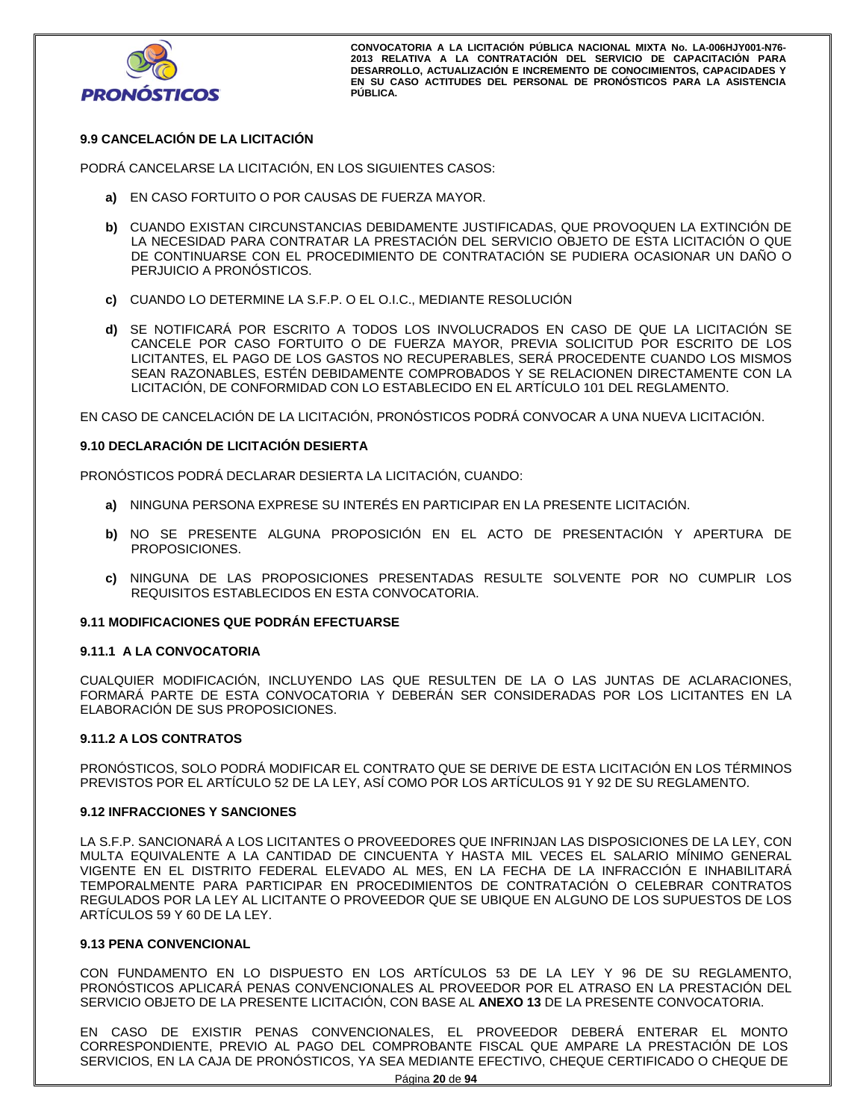

# **9.9 CANCELACIÓN DE LA LICITACIÓN**

PODRÁ CANCELARSE LA LICITACIÓN, EN LOS SIGUIENTES CASOS:

- **a)** EN CASO FORTUITO O POR CAUSAS DE FUERZA MAYOR.
- **b)** CUANDO EXISTAN CIRCUNSTANCIAS DEBIDAMENTE JUSTIFICADAS, QUE PROVOQUEN LA EXTINCIÓN DE LA NECESIDAD PARA CONTRATAR LA PRESTACIÓN DEL SERVICIO OBJETO DE ESTA LICITACIÓN O QUE DE CONTINUARSE CON EL PROCEDIMIENTO DE CONTRATACIÓN SE PUDIERA OCASIONAR UN DAÑO O PERJUICIO A PRONÓSTICOS.
- **c)** CUANDO LO DETERMINE LA S.F.P. O EL O.I.C., MEDIANTE RESOLUCIÓN
- **d)** SE NOTIFICARÁ POR ESCRITO A TODOS LOS INVOLUCRADOS EN CASO DE QUE LA LICITACIÓN SE CANCELE POR CASO FORTUITO O DE FUERZA MAYOR, PREVIA SOLICITUD POR ESCRITO DE LOS LICITANTES, EL PAGO DE LOS GASTOS NO RECUPERABLES, SERÁ PROCEDENTE CUANDO LOS MISMOS SEAN RAZONABLES, ESTÉN DEBIDAMENTE COMPROBADOS Y SE RELACIONEN DIRECTAMENTE CON LA LICITACIÓN, DE CONFORMIDAD CON LO ESTABLECIDO EN EL ARTÍCULO 101 DEL REGLAMENTO.

EN CASO DE CANCELACIÓN DE LA LICITACIÓN, PRONÓSTICOS PODRÁ CONVOCAR A UNA NUEVA LICITACIÓN.

#### **9.10 DECLARACIÓN DE LICITACIÓN DESIERTA**

PRONÓSTICOS PODRÁ DECLARAR DESIERTA LA LICITACIÓN, CUANDO:

- **a)** NINGUNA PERSONA EXPRESE SU INTERÉS EN PARTICIPAR EN LA PRESENTE LICITACIÓN.
- **b)** NO SE PRESENTE ALGUNA PROPOSICIÓN EN EL ACTO DE PRESENTACIÓN Y APERTURA DE PROPOSICIONES.
- **c)** NINGUNA DE LAS PROPOSICIONES PRESENTADAS RESULTE SOLVENTE POR NO CUMPLIR LOS REQUISITOS ESTABLECIDOS EN ESTA CONVOCATORIA.

#### **9.11 MODIFICACIONES QUE PODRÁN EFECTUARSE**

#### **9.11.1 A LA CONVOCATORIA**

CUALQUIER MODIFICACIÓN, INCLUYENDO LAS QUE RESULTEN DE LA O LAS JUNTAS DE ACLARACIONES, FORMARÁ PARTE DE ESTA CONVOCATORIA Y DEBERÁN SER CONSIDERADAS POR LOS LICITANTES EN LA ELABORACIÓN DE SUS PROPOSICIONES.

#### **9.11.2 A LOS CONTRATOS**

PRONÓSTICOS, SOLO PODRÁ MODIFICAR EL CONTRATO QUE SE DERIVE DE ESTA LICITACIÓN EN LOS TÉRMINOS PREVISTOS POR EL ARTÍCULO 52 DE LA LEY, ASÍ COMO POR LOS ARTÍCULOS 91 Y 92 DE SU REGLAMENTO.

## **9.12 INFRACCIONES Y SANCIONES**

LA S.F.P. SANCIONARÁ A LOS LICITANTES O PROVEEDORES QUE INFRINJAN LAS DISPOSICIONES DE LA LEY, CON MULTA EQUIVALENTE A LA CANTIDAD DE CINCUENTA Y HASTA MIL VECES EL SALARIO MÍNIMO GENERAL VIGENTE EN EL DISTRITO FEDERAL ELEVADO AL MES, EN LA FECHA DE LA INFRACCIÓN E INHABILITARÁ TEMPORALMENTE PARA PARTICIPAR EN PROCEDIMIENTOS DE CONTRATACIÓN O CELEBRAR CONTRATOS REGULADOS POR LA LEY AL LICITANTE O PROVEEDOR QUE SE UBIQUE EN ALGUNO DE LOS SUPUESTOS DE LOS ARTÍCULOS 59 Y 60 DE LA LEY.

#### **9.13 PENA CONVENCIONAL**

CON FUNDAMENTO EN LO DISPUESTO EN LOS ARTÍCULOS 53 DE LA LEY Y 96 DE SU REGLAMENTO, PRONÓSTICOS APLICARÁ PENAS CONVENCIONALES AL PROVEEDOR POR EL ATRASO EN LA PRESTACIÓN DEL SERVICIO OBJETO DE LA PRESENTE LICITACIÓN, CON BASE AL **ANEXO 13** DE LA PRESENTE CONVOCATORIA.

EN CASO DE EXISTIR PENAS CONVENCIONALES, EL PROVEEDOR DEBERÁ ENTERAR EL MONTO CORRESPONDIENTE, PREVIO AL PAGO DEL COMPROBANTE FISCAL QUE AMPARE LA PRESTACIÓN DE LOS SERVICIOS, EN LA CAJA DE PRONÓSTICOS, YA SEA MEDIANTE EFECTIVO, CHEQUE CERTIFICADO O CHEQUE DE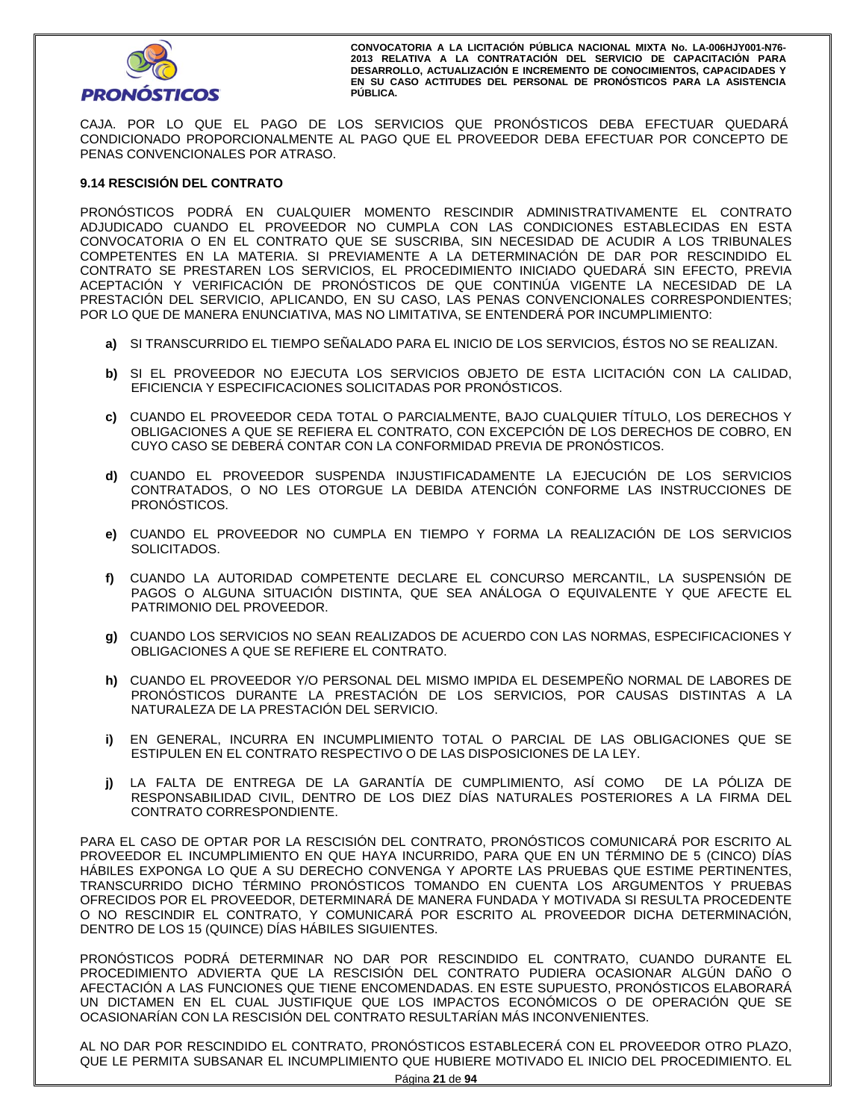

CAJA. POR LO QUE EL PAGO DE LOS SERVICIOS QUE PRONÓSTICOS DEBA EFECTUAR QUEDARÁ CONDICIONADO PROPORCIONALMENTE AL PAGO QUE EL PROVEEDOR DEBA EFECTUAR POR CONCEPTO DE PENAS CONVENCIONALES POR ATRASO.

# **9.14 RESCISIÓN DEL CONTRATO**

PRONÓSTICOS PODRÁ EN CUALQUIER MOMENTO RESCINDIR ADMINISTRATIVAMENTE EL CONTRATO ADJUDICADO CUANDO EL PROVEEDOR NO CUMPLA CON LAS CONDICIONES ESTABLECIDAS EN ESTA CONVOCATORIA O EN EL CONTRATO QUE SE SUSCRIBA, SIN NECESIDAD DE ACUDIR A LOS TRIBUNALES COMPETENTES EN LA MATERIA. SI PREVIAMENTE A LA DETERMINACIÓN DE DAR POR RESCINDIDO EL CONTRATO SE PRESTAREN LOS SERVICIOS, EL PROCEDIMIENTO INICIADO QUEDARÁ SIN EFECTO, PREVIA ACEPTACIÓN Y VERIFICACIÓN DE PRONÓSTICOS DE QUE CONTINÚA VIGENTE LA NECESIDAD DE LA PRESTACIÓN DEL SERVICIO, APLICANDO, EN SU CASO, LAS PENAS CONVENCIONALES CORRESPONDIENTES; POR LO QUE DE MANERA ENUNCIATIVA, MAS NO LIMITATIVA, SE ENTENDERÁ POR INCUMPLIMIENTO:

- **a)** SI TRANSCURRIDO EL TIEMPO SEÑALADO PARA EL INICIO DE LOS SERVICIOS, ÉSTOS NO SE REALIZAN.
- **b)** SI EL PROVEEDOR NO EJECUTA LOS SERVICIOS OBJETO DE ESTA LICITACIÓN CON LA CALIDAD, EFICIENCIA Y ESPECIFICACIONES SOLICITADAS POR PRONÓSTICOS.
- **c)** CUANDO EL PROVEEDOR CEDA TOTAL O PARCIALMENTE, BAJO CUALQUIER TÍTULO, LOS DERECHOS Y OBLIGACIONES A QUE SE REFIERA EL CONTRATO, CON EXCEPCIÓN DE LOS DERECHOS DE COBRO, EN CUYO CASO SE DEBERÁ CONTAR CON LA CONFORMIDAD PREVIA DE PRONÓSTICOS.
- **d)** CUANDO EL PROVEEDOR SUSPENDA INJUSTIFICADAMENTE LA EJECUCIÓN DE LOS SERVICIOS CONTRATADOS, O NO LES OTORGUE LA DEBIDA ATENCIÓN CONFORME LAS INSTRUCCIONES DE PRONÓSTICOS.
- **e)** CUANDO EL PROVEEDOR NO CUMPLA EN TIEMPO Y FORMA LA REALIZACIÓN DE LOS SERVICIOS SOLICITADOS.
- **f)** CUANDO LA AUTORIDAD COMPETENTE DECLARE EL CONCURSO MERCANTIL, LA SUSPENSIÓN DE PAGOS O ALGUNA SITUACIÓN DISTINTA, QUE SEA ANÁLOGA O EQUIVALENTE Y QUE AFECTE EL PATRIMONIO DEL PROVEEDOR.
- **g)** CUANDO LOS SERVICIOS NO SEAN REALIZADOS DE ACUERDO CON LAS NORMAS, ESPECIFICACIONES Y OBLIGACIONES A QUE SE REFIERE EL CONTRATO.
- **h)** CUANDO EL PROVEEDOR Y/O PERSONAL DEL MISMO IMPIDA EL DESEMPEÑO NORMAL DE LABORES DE PRONÓSTICOS DURANTE LA PRESTACIÓN DE LOS SERVICIOS, POR CAUSAS DISTINTAS A LA NATURALEZA DE LA PRESTACIÓN DEL SERVICIO.
- **i)** EN GENERAL, INCURRA EN INCUMPLIMIENTO TOTAL O PARCIAL DE LAS OBLIGACIONES QUE SE ESTIPULEN EN EL CONTRATO RESPECTIVO O DE LAS DISPOSICIONES DE LA LEY.
- **j)** LA FALTA DE ENTREGA DE LA GARANTÍA DE CUMPLIMIENTO, ASÍ COMO DE LA PÓLIZA DE RESPONSABILIDAD CIVIL, DENTRO DE LOS DIEZ DÍAS NATURALES POSTERIORES A LA FIRMA DEL CONTRATO CORRESPONDIENTE.

PARA EL CASO DE OPTAR POR LA RESCISIÓN DEL CONTRATO, PRONÓSTICOS COMUNICARÁ POR ESCRITO AL PROVEEDOR EL INCUMPLIMIENTO EN QUE HAYA INCURRIDO, PARA QUE EN UN TÉRMINO DE 5 (CINCO) DÍAS HÁBILES EXPONGA LO QUE A SU DERECHO CONVENGA Y APORTE LAS PRUEBAS QUE ESTIME PERTINENTES, TRANSCURRIDO DICHO TÉRMINO PRONÓSTICOS TOMANDO EN CUENTA LOS ARGUMENTOS Y PRUEBAS OFRECIDOS POR EL PROVEEDOR, DETERMINARÁ DE MANERA FUNDADA Y MOTIVADA SI RESULTA PROCEDENTE O NO RESCINDIR EL CONTRATO, Y COMUNICARÁ POR ESCRITO AL PROVEEDOR DICHA DETERMINACIÓN, DENTRO DE LOS 15 (QUINCE) DÍAS HÁBILES SIGUIENTES.

PRONÓSTICOS PODRÁ DETERMINAR NO DAR POR RESCINDIDO EL CONTRATO, CUANDO DURANTE EL PROCEDIMIENTO ADVIERTA QUE LA RESCISIÓN DEL CONTRATO PUDIERA OCASIONAR ALGÚN DAÑO O AFECTACIÓN A LAS FUNCIONES QUE TIENE ENCOMENDADAS. EN ESTE SUPUESTO, PRONÓSTICOS ELABORARÁ UN DICTAMEN EN EL CUAL JUSTIFIQUE QUE LOS IMPACTOS ECONÓMICOS O DE OPERACIÓN QUE SE OCASIONARÍAN CON LA RESCISIÓN DEL CONTRATO RESULTARÍAN MÁS INCONVENIENTES.

AL NO DAR POR RESCINDIDO EL CONTRATO, PRONÓSTICOS ESTABLECERÁ CON EL PROVEEDOR OTRO PLAZO, QUE LE PERMITA SUBSANAR EL INCUMPLIMIENTO QUE HUBIERE MOTIVADO EL INICIO DEL PROCEDIMIENTO. EL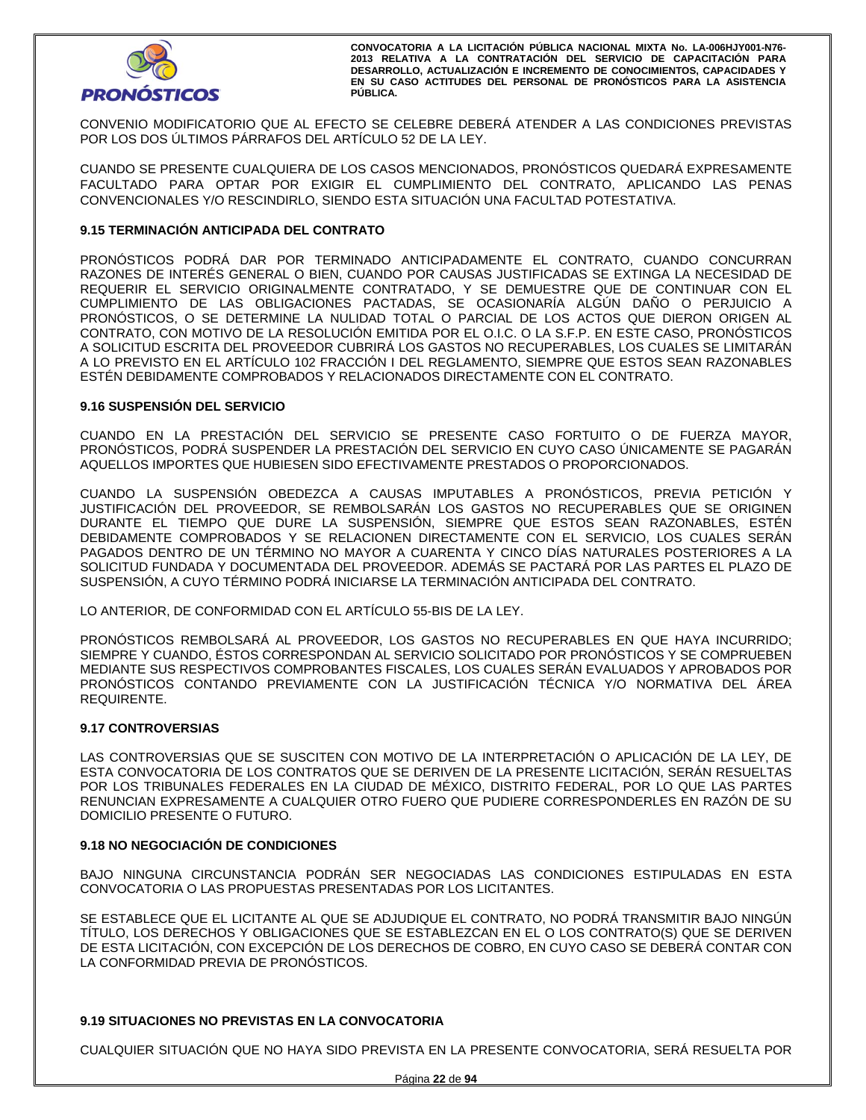

CONVENIO MODIFICATORIO QUE AL EFECTO SE CELEBRE DEBERÁ ATENDER A LAS CONDICIONES PREVISTAS POR LOS DOS ÚLTIMOS PÁRRAFOS DEL ARTÍCULO 52 DE LA LEY.

CUANDO SE PRESENTE CUALQUIERA DE LOS CASOS MENCIONADOS, PRONÓSTICOS QUEDARÁ EXPRESAMENTE FACULTADO PARA OPTAR POR EXIGIR EL CUMPLIMIENTO DEL CONTRATO, APLICANDO LAS PENAS CONVENCIONALES Y/O RESCINDIRLO, SIENDO ESTA SITUACIÓN UNA FACULTAD POTESTATIVA.

# **9.15 TERMINACIÓN ANTICIPADA DEL CONTRATO**

PRONÓSTICOS PODRÁ DAR POR TERMINADO ANTICIPADAMENTE EL CONTRATO, CUANDO CONCURRAN RAZONES DE INTERÉS GENERAL O BIEN, CUANDO POR CAUSAS JUSTIFICADAS SE EXTINGA LA NECESIDAD DE REQUERIR EL SERVICIO ORIGINALMENTE CONTRATADO, Y SE DEMUESTRE QUE DE CONTINUAR CON EL CUMPLIMIENTO DE LAS OBLIGACIONES PACTADAS, SE OCASIONARÍA ALGÚN DAÑO O PERJUICIO A PRONÓSTICOS, O SE DETERMINE LA NULIDAD TOTAL O PARCIAL DE LOS ACTOS QUE DIERON ORIGEN AL CONTRATO, CON MOTIVO DE LA RESOLUCIÓN EMITIDA POR EL O.I.C. O LA S.F.P. EN ESTE CASO, PRONÓSTICOS A SOLICITUD ESCRITA DEL PROVEEDOR CUBRIRÁ LOS GASTOS NO RECUPERABLES, LOS CUALES SE LIMITARÁN A LO PREVISTO EN EL ARTÍCULO 102 FRACCIÓN I DEL REGLAMENTO, SIEMPRE QUE ESTOS SEAN RAZONABLES ESTÉN DEBIDAMENTE COMPROBADOS Y RELACIONADOS DIRECTAMENTE CON EL CONTRATO.

## **9.16 SUSPENSIÓN DEL SERVICIO**

CUANDO EN LA PRESTACIÓN DEL SERVICIO SE PRESENTE CASO FORTUITO O DE FUERZA MAYOR, PRONÓSTICOS, PODRÁ SUSPENDER LA PRESTACIÓN DEL SERVICIO EN CUYO CASO ÚNICAMENTE SE PAGARÁN AQUELLOS IMPORTES QUE HUBIESEN SIDO EFECTIVAMENTE PRESTADOS O PROPORCIONADOS.

CUANDO LA SUSPENSIÓN OBEDEZCA A CAUSAS IMPUTABLES A PRONÓSTICOS, PREVIA PETICIÓN Y JUSTIFICACIÓN DEL PROVEEDOR, SE REMBOLSARÁN LOS GASTOS NO RECUPERABLES QUE SE ORIGINEN DURANTE EL TIEMPO QUE DURE LA SUSPENSIÓN, SIEMPRE QUE ESTOS SEAN RAZONABLES, ESTÉN DEBIDAMENTE COMPROBADOS Y SE RELACIONEN DIRECTAMENTE CON EL SERVICIO, LOS CUALES SERÁN PAGADOS DENTRO DE UN TÉRMINO NO MAYOR A CUARENTA Y CINCO DÍAS NATURALES POSTERIORES A LA SOLICITUD FUNDADA Y DOCUMENTADA DEL PROVEEDOR. ADEMÁS SE PACTARÁ POR LAS PARTES EL PLAZO DE SUSPENSIÓN, A CUYO TÉRMINO PODRÁ INICIARSE LA TERMINACIÓN ANTICIPADA DEL CONTRATO.

LO ANTERIOR, DE CONFORMIDAD CON EL ARTÍCULO 55-BIS DE LA LEY.

PRONÓSTICOS REMBOLSARÁ AL PROVEEDOR, LOS GASTOS NO RECUPERABLES EN QUE HAYA INCURRIDO; SIEMPRE Y CUANDO, ÉSTOS CORRESPONDAN AL SERVICIO SOLICITADO POR PRONÓSTICOS Y SE COMPRUEBEN MEDIANTE SUS RESPECTIVOS COMPROBANTES FISCALES, LOS CUALES SERÁN EVALUADOS Y APROBADOS POR PRONÓSTICOS CONTANDO PREVIAMENTE CON LA JUSTIFICACIÓN TÉCNICA Y/O NORMATIVA DEL ÁREA REQUIRENTE.

#### **9.17 CONTROVERSIAS**

LAS CONTROVERSIAS QUE SE SUSCITEN CON MOTIVO DE LA INTERPRETACIÓN O APLICACIÓN DE LA LEY, DE ESTA CONVOCATORIA DE LOS CONTRATOS QUE SE DERIVEN DE LA PRESENTE LICITACIÓN, SERÁN RESUELTAS POR LOS TRIBUNALES FEDERALES EN LA CIUDAD DE MÉXICO, DISTRITO FEDERAL, POR LO QUE LAS PARTES RENUNCIAN EXPRESAMENTE A CUALQUIER OTRO FUERO QUE PUDIERE CORRESPONDERLES EN RAZÓN DE SU DOMICILIO PRESENTE O FUTURO.

#### **9.18 NO NEGOCIACIÓN DE CONDICIONES**

BAJO NINGUNA CIRCUNSTANCIA PODRÁN SER NEGOCIADAS LAS CONDICIONES ESTIPULADAS EN ESTA CONVOCATORIA O LAS PROPUESTAS PRESENTADAS POR LOS LICITANTES.

SE ESTABLECE QUE EL LICITANTE AL QUE SE ADJUDIQUE EL CONTRATO, NO PODRÁ TRANSMITIR BAJO NINGÚN TÍTULO, LOS DERECHOS Y OBLIGACIONES QUE SE ESTABLEZCAN EN EL O LOS CONTRATO(S) QUE SE DERIVEN DE ESTA LICITACIÓN, CON EXCEPCIÓN DE LOS DERECHOS DE COBRO, EN CUYO CASO SE DEBERÁ CONTAR CON LA CONFORMIDAD PREVIA DE PRONÓSTICOS.

## **9.19 SITUACIONES NO PREVISTAS EN LA CONVOCATORIA**

CUALQUIER SITUACIÓN QUE NO HAYA SIDO PREVISTA EN LA PRESENTE CONVOCATORIA, SERÁ RESUELTA POR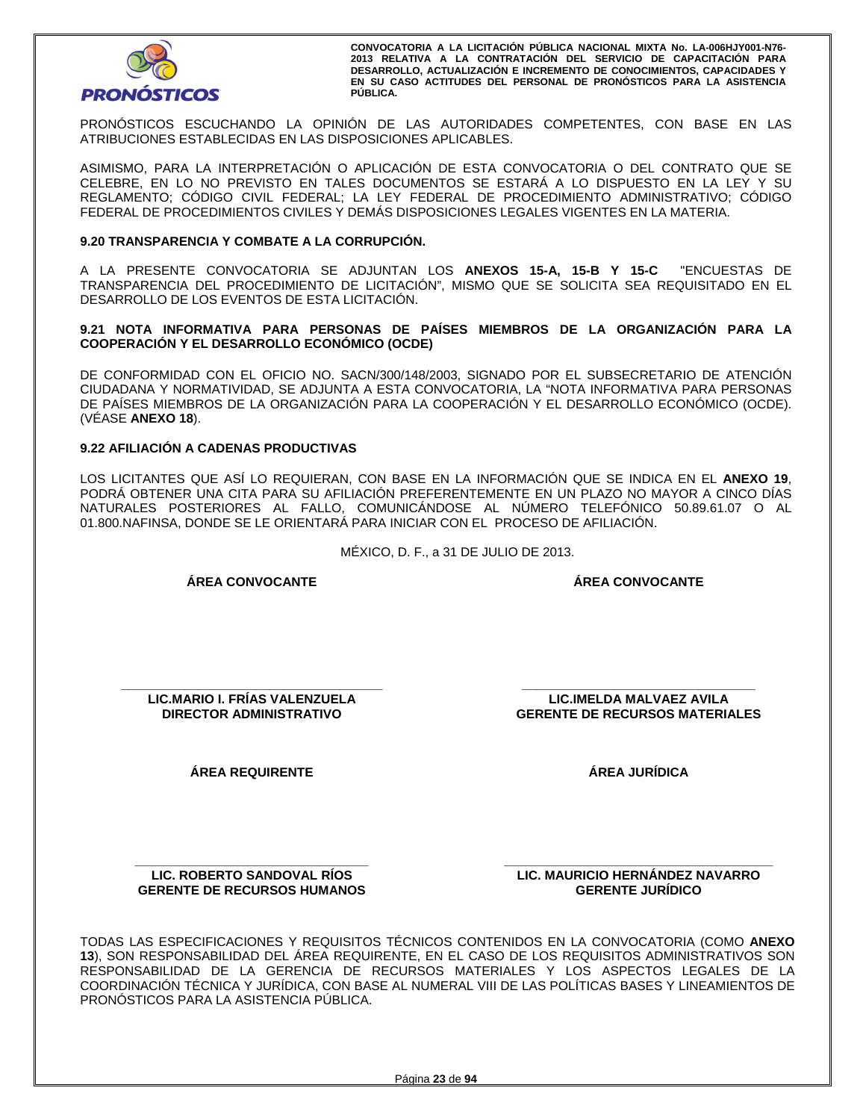

PRONÓSTICOS ESCUCHANDO LA OPINIÓN DE LAS AUTORIDADES COMPETENTES, CON BASE EN LAS ATRIBUCIONES ESTABLECIDAS EN LAS DISPOSICIONES APLICABLES.

ASIMISMO, PARA LA INTERPRETACIÓN O APLICACIÓN DE ESTA CONVOCATORIA O DEL CONTRATO QUE SE CELEBRE, EN LO NO PREVISTO EN TALES DOCUMENTOS SE ESTARÁ A LO DISPUESTO EN LA LEY Y SU REGLAMENTO; CÓDIGO CIVIL FEDERAL; LA LEY FEDERAL DE PROCEDIMIENTO ADMINISTRATIVO; CÓDIGO FEDERAL DE PROCEDIMIENTOS CIVILES Y DEMÁS DISPOSICIONES LEGALES VIGENTES EN LA MATERIA.

## **9.20 TRANSPARENCIA Y COMBATE A LA CORRUPCIÓN.**

A LA PRESENTE CONVOCATORIA SE ADJUNTAN LOS **ANEXOS 15-A, 15-B Y 15-C** "ENCUESTAS DE TRANSPARENCIA DEL PROCEDIMIENTO DE LICITACIÓN", MISMO QUE SE SOLICITA SEA REQUISITADO EN EL DESARROLLO DE LOS EVENTOS DE ESTA LICITACIÓN.

**9.21 NOTA INFORMATIVA PARA PERSONAS DE PAÍSES MIEMBROS DE LA ORGANIZACIÓN PARA LA COOPERACIÓN Y EL DESARROLLO ECONÓMICO (OCDE)** 

DE CONFORMIDAD CON EL OFICIO NO. SACN/300/148/2003, SIGNADO POR EL SUBSECRETARIO DE ATENCIÓN CIUDADANA Y NORMATIVIDAD, SE ADJUNTA A ESTA CONVOCATORIA, LA "NOTA INFORMATIVA PARA PERSONAS DE PAÍSES MIEMBROS DE LA ORGANIZACIÓN PARA LA COOPERACIÓN Y EL DESARROLLO ECONÓMICO (OCDE). (VÉASE **ANEXO 18**).

# **9.22 AFILIACIÓN A CADENAS PRODUCTIVAS**

LOS LICITANTES QUE ASÍ LO REQUIERAN, CON BASE EN LA INFORMACIÓN QUE SE INDICA EN EL **ANEXO 19**, PODRÁ OBTENER UNA CITA PARA SU AFILIACIÓN PREFERENTEMENTE EN UN PLAZO NO MAYOR A CINCO DÍAS NATURALES POSTERIORES AL FALLO, COMUNICÁNDOSE AL NÚMERO TELEFÓNICO 50.89.61.07 O AL 01.800.NAFINSA, DONDE SE LE ORIENTARÁ PARA INICIAR CON EL PROCESO DE AFILIACIÓN.

MÉXICO, D. F., a 31 DE JULIO DE 2013.

**ÁREA CONVOCANTE** 

**ÁREA CONVOCANTE**

**\_\_\_\_\_\_\_\_\_\_\_\_\_\_\_\_\_\_\_\_\_\_\_\_\_\_\_\_\_\_\_\_\_\_\_\_\_ LIC.MARIO I. FRÍAS VALENZUELA DIRECTOR ADMINISTRATIVO** 

**ÁREA REQUIRENTE** 

**\_\_\_\_\_\_\_\_\_\_\_\_\_\_\_\_\_\_\_\_\_\_\_\_\_\_\_\_\_\_\_\_\_ LIC.IMELDA MALVAEZ AVILA GERENTE DE RECURSOS MATERIALES** 

**ÁREA JURÍDICA** 

**\_\_\_\_\_\_\_\_\_\_\_\_\_\_\_\_\_\_\_\_\_\_\_\_\_\_\_\_\_\_\_\_\_ LIC. ROBERTO SANDOVAL RÍOS GERENTE DE RECURSOS HUMANOS**  **\_\_\_\_\_\_\_\_\_\_\_\_\_\_\_\_\_\_\_\_\_\_\_\_\_\_\_\_\_\_\_\_\_\_\_\_\_\_ LIC. MAURICIO HERNÁNDEZ NAVARRO GERENTE JURÍDICO** 

TODAS LAS ESPECIFICACIONES Y REQUISITOS TÉCNICOS CONTENIDOS EN LA CONVOCATORIA (COMO **ANEXO 13**), SON RESPONSABILIDAD DEL ÁREA REQUIRENTE, EN EL CASO DE LOS REQUISITOS ADMINISTRATIVOS SON RESPONSABILIDAD DE LA GERENCIA DE RECURSOS MATERIALES Y LOS ASPECTOS LEGALES DE LA COORDINACIÓN TÉCNICA Y JURÍDICA, CON BASE AL NUMERAL VIII DE LAS POLÍTICAS BASES Y LINEAMIENTOS DE PRONÓSTICOS PARA LA ASISTENCIA PÚBLICA.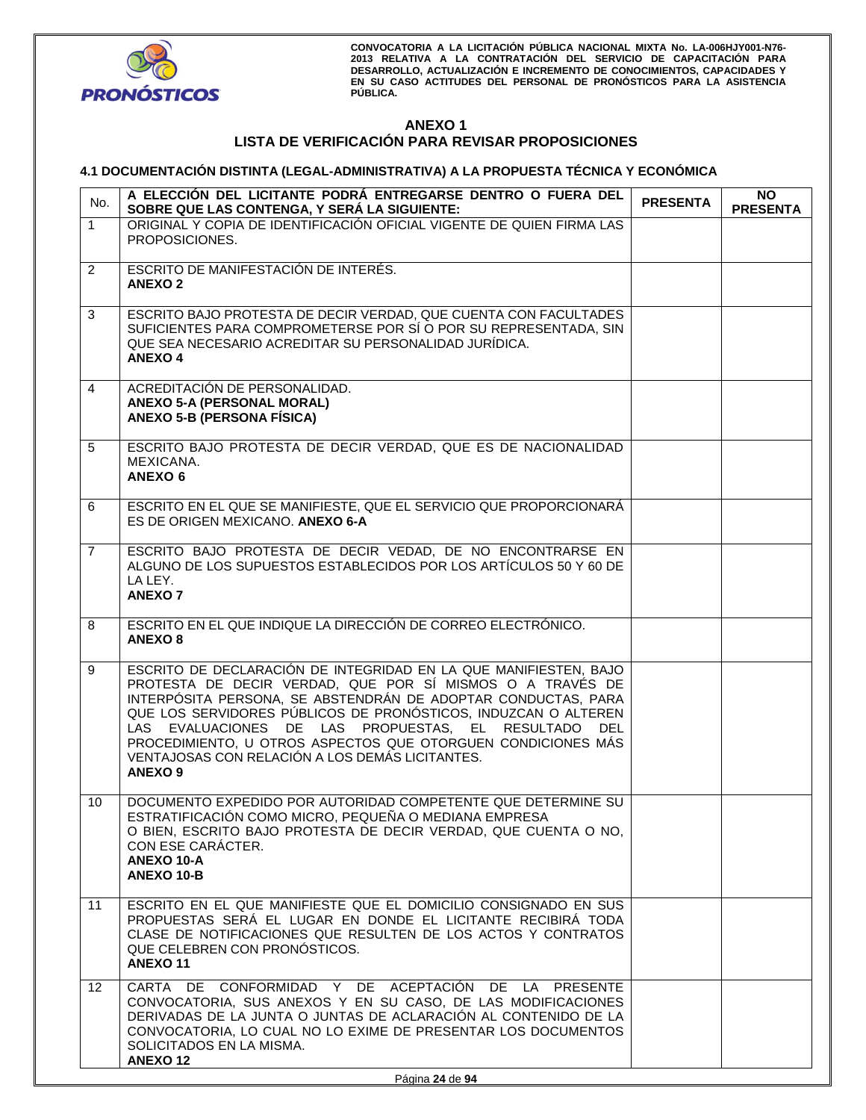

# **ANEXO 1 LISTA DE VERIFICACIÓN PARA REVISAR PROPOSICIONES**

# **4.1 DOCUMENTACIÓN DISTINTA (LEGAL-ADMINISTRATIVA) A LA PROPUESTA TÉCNICA Y ECONÓMICA**

| No.             | A ELECCIÓN DEL LICITANTE PODRÁ ENTREGARSE DENTRO O FUERA DEL<br>SOBRE QUE LAS CONTENGA, Y SERÁ LA SIGUIENTE:                                                                                                                                                                                                                                                                                                                                                      | <b>PRESENTA</b> | <b>NO</b><br><b>PRESENTA</b> |
|-----------------|-------------------------------------------------------------------------------------------------------------------------------------------------------------------------------------------------------------------------------------------------------------------------------------------------------------------------------------------------------------------------------------------------------------------------------------------------------------------|-----------------|------------------------------|
| $\mathbf{1}$    | ORIGINAL Y COPIA DE IDENTIFICACIÓN OFICIAL VIGENTE DE QUIEN FIRMA LAS<br>PROPOSICIONES.                                                                                                                                                                                                                                                                                                                                                                           |                 |                              |
| $\overline{2}$  | ESCRITO DE MANIFESTACIÓN DE INTERÉS.<br><b>ANEXO 2</b>                                                                                                                                                                                                                                                                                                                                                                                                            |                 |                              |
| 3               | ESCRITO BAJO PROTESTA DE DECIR VERDAD, QUE CUENTA CON FACULTADES<br>SUFICIENTES PARA COMPROMETERSE POR SÍ O POR SU REPRESENTADA, SIN<br>QUE SEA NECESARIO ACREDITAR SU PERSONALIDAD JURÍDICA.<br><b>ANEXO4</b>                                                                                                                                                                                                                                                    |                 |                              |
| 4               | ACREDITACIÓN DE PERSONALIDAD.<br><b>ANEXO 5-A (PERSONAL MORAL)</b><br><b>ANEXO 5-B (PERSONA FÍSICA)</b>                                                                                                                                                                                                                                                                                                                                                           |                 |                              |
| 5               | ESCRITO BAJO PROTESTA DE DECIR VERDAD, QUE ES DE NACIONALIDAD<br>MEXICANA.<br>ANEXO <sub>6</sub>                                                                                                                                                                                                                                                                                                                                                                  |                 |                              |
| 6               | ESCRITO EN EL QUE SE MANIFIESTE, QUE EL SERVICIO QUE PROPORCIONARÁ<br>ES DE ORIGEN MEXICANO. ANEXO 6-A                                                                                                                                                                                                                                                                                                                                                            |                 |                              |
| $\overline{7}$  | ESCRITO BAJO PROTESTA DE DECIR VEDAD, DE NO ENCONTRARSE EN<br>ALGUNO DE LOS SUPUESTOS ESTABLECIDOS POR LOS ARTÍCULOS 50 Y 60 DE<br>LA LEY.<br><b>ANEXO 7</b>                                                                                                                                                                                                                                                                                                      |                 |                              |
| 8               | ESCRITO EN EL QUE INDIQUE LA DIRECCIÓN DE CORREO ELECTRÓNICO.<br><b>ANEXO 8</b>                                                                                                                                                                                                                                                                                                                                                                                   |                 |                              |
| 9               | ESCRITO DE DECLARACIÓN DE INTEGRIDAD EN LA QUE MANIFIESTEN, BAJO<br>PROTESTA DE DECIR VERDAD, QUE POR SÍ MISMOS O A TRAVÉS DE<br>INTERPÓSITA PERSONA, SE ABSTENDRÁN DE ADOPTAR CONDUCTAS, PARA<br>QUE LOS SERVIDORES PÚBLICOS DE PRONÓSTICOS, INDUZCAN O ALTEREN<br>LAS EVALUACIONES DE LAS PROPUESTAS, EL RESULTADO DEL<br>PROCEDIMIENTO, U OTROS ASPECTOS QUE OTORGUEN CONDICIONES MÁS<br>VENTAJOSAS CON RELACIÓN A LOS DEMÁS LICITANTES.<br>ANEXO <sub>9</sub> |                 |                              |
| 10              | DOCUMENTO EXPEDIDO POR AUTORIDAD COMPETENTE QUE DETERMINE SU<br>ESTRATIFICACIÓN COMO MICRO, PEQUEÑA O MEDIANA EMPRESA<br>O BIEN, ESCRITO BAJO PROTESTA DE DECIR VERDAD, QUE CUENTA O NO,<br>CON ESE CARÁCTER.<br>ANEXO 10-A<br>ANEXO 10-B                                                                                                                                                                                                                         |                 |                              |
| 11              | ESCRITO EN EL QUE MANIFIESTE QUE EL DOMICILIO CONSIGNADO EN SUS<br>PROPUESTAS SERÁ EL LUGAR EN DONDE EL LICITANTE RECIBIRÁ TODA<br>CLASE DE NOTIFICACIONES QUE RESULTEN DE LOS ACTOS Y CONTRATOS<br>QUE CELEBREN CON PRONOSTICOS.<br>ANEXO <sub>11</sub>                                                                                                                                                                                                          |                 |                              |
| 12 <sup>°</sup> | CARTA DE CONFORMIDAD Y DE ACEPTACIÓN DE LA PRESENTE<br>CONVOCATORIA, SUS ANEXOS Y EN SU CASO, DE LAS MODIFICACIONES<br>DERIVADAS DE LA JUNTA O JUNTAS DE ACLARACIÓN AL CONTENIDO DE LA<br>CONVOCATORIA, LO CUAL NO LO EXIME DE PRESENTAR LOS DOCUMENTOS<br>SOLICITADOS EN LA MISMA.<br><b>ANEXO12</b>                                                                                                                                                             |                 |                              |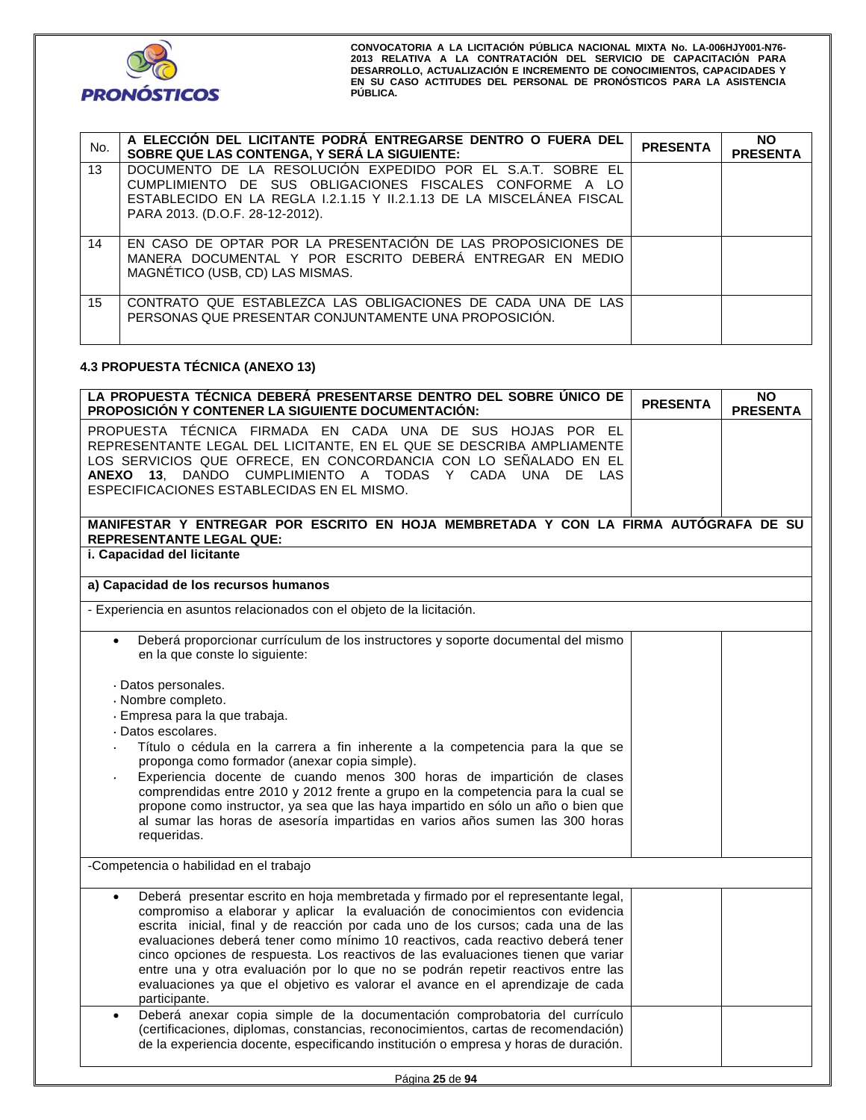

| No. | A ELECCIÓN DEL LICITANTE PODRÁ ENTREGARSE DENTRO O FUERA DEL<br>SOBRE QUE LAS CONTENGA, Y SERÁ LA SIGUIENTE:                                                                                                                     | <b>PRESENTA</b> | <b>NO</b><br><b>PRESENTA</b> |
|-----|----------------------------------------------------------------------------------------------------------------------------------------------------------------------------------------------------------------------------------|-----------------|------------------------------|
| 13  | DOCUMENTO DE LA RESOLUCIÓN EXPEDIDO POR EL S.A.T. SOBRE EL<br>CUMPLIMIENTO DE SUS OBLIGACIONES FISCALES CONFORME A LO<br>ESTABLECIDO EN LA REGLA 1.2.1.15 Y 11.2.1.13 DE LA MISCELÁNEA FISCAL<br>PARA 2013. (D.O.F. 28-12-2012). |                 |                              |
| 14  | EN CASO DE OPTAR POR LA PRESENTACIÓN DE LAS PROPOSICIONES DE<br>MANERA DOCUMENTAL Y POR ESCRITO DEBERÁ ENTREGAR EN MEDIO<br>MAGNÉTICO (USB, CD) LAS MISMAS.                                                                      |                 |                              |
| 15  | CONTRATO QUE ESTABLEZCA LAS OBLIGACIONES DE CADA UNA DE LAS<br>PERSONAS QUE PRESENTAR CONJUNTAMENTE UNA PROPOSICIÓN.                                                                                                             |                 |                              |

# **4.3 PROPUESTA TÉCNICA (ANEXO 13)**

| LA PROPUESTA TÉCNICA DEBERÁ PRESENTARSE DENTRO DEL SOBRE ÚNICO DE<br>PROPOSICIÓN Y CONTENER LA SIGUIENTE DOCUMENTACIÓN:                                                                                                                                                                                                                                                                                                                                                                                                                                                                                                                                                                         | <b>PRESENTA</b> | ΝO<br><b>PRESENTA</b> |
|-------------------------------------------------------------------------------------------------------------------------------------------------------------------------------------------------------------------------------------------------------------------------------------------------------------------------------------------------------------------------------------------------------------------------------------------------------------------------------------------------------------------------------------------------------------------------------------------------------------------------------------------------------------------------------------------------|-----------------|-----------------------|
| PROPUESTA TÉCNICA FIRMADA EN CADA UNA DE SUS HOJAS POR EL<br>REPRESENTANTE LEGAL DEL LICITANTE, EN EL QUE SE DESCRIBA AMPLIAMENTE<br>LOS SERVICIOS QUE OFRECE, EN CONCORDANCIA CON LO SEÑALADO EN EL<br>ANEXO 13, DANDO CUMPLIMIENTO A TODAS Y CADA UNA DE LAS<br>ESPECIFICACIONES ESTABLECIDAS EN EL MISMO.                                                                                                                                                                                                                                                                                                                                                                                    |                 |                       |
| MANIFESTAR Y ENTREGAR POR ESCRITO EN HOJA MEMBRETADA Y CON LA FIRMA AUTÓGRAFA DE SU                                                                                                                                                                                                                                                                                                                                                                                                                                                                                                                                                                                                             |                 |                       |
| <b>REPRESENTANTE LEGAL QUE:</b><br>i. Capacidad del licitante                                                                                                                                                                                                                                                                                                                                                                                                                                                                                                                                                                                                                                   |                 |                       |
|                                                                                                                                                                                                                                                                                                                                                                                                                                                                                                                                                                                                                                                                                                 |                 |                       |
| a) Capacidad de los recursos humanos                                                                                                                                                                                                                                                                                                                                                                                                                                                                                                                                                                                                                                                            |                 |                       |
| - Experiencia en asuntos relacionados con el objeto de la licitación.                                                                                                                                                                                                                                                                                                                                                                                                                                                                                                                                                                                                                           |                 |                       |
| Deberá proporcionar currículum de los instructores y soporte documental del mismo<br>$\bullet$<br>en la que conste lo siguiente:                                                                                                                                                                                                                                                                                                                                                                                                                                                                                                                                                                |                 |                       |
| · Datos personales.<br>· Nombre completo.<br>· Empresa para la que trabaja.<br>· Datos escolares.<br>Título o cédula en la carrera a fin inherente a la competencia para la que se<br>proponga como formador (anexar copia simple).<br>Experiencia docente de cuando menos 300 horas de impartición de clases<br>comprendidas entre 2010 y 2012 frente a grupo en la competencia para la cual se<br>propone como instructor, ya sea que las haya impartido en sólo un año o bien que<br>al sumar las horas de asesoría impartidas en varios años sumen las 300 horas<br>requeridas.                                                                                                             |                 |                       |
| -Competencia o habilidad en el trabajo                                                                                                                                                                                                                                                                                                                                                                                                                                                                                                                                                                                                                                                          |                 |                       |
| Deberá presentar escrito en hoja membretada y firmado por el representante legal,<br>compromiso a elaborar y aplicar la evaluación de conocimientos con evidencia<br>escrita inicial, final y de reacción por cada uno de los cursos; cada una de las<br>evaluaciones deberá tener como mínimo 10 reactivos, cada reactivo deberá tener<br>cinco opciones de respuesta. Los reactivos de las evaluaciones tienen que variar<br>entre una y otra evaluación por lo que no se podrán repetir reactivos entre las<br>evaluaciones ya que el objetivo es valorar el avance en el aprendizaje de cada<br>participante.<br>Deberá anexar copia simple de la documentación comprobatoria del currículo |                 |                       |
| (certificaciones, diplomas, constancias, reconocimientos, cartas de recomendación)<br>de la experiencia docente, especificando institución o empresa y horas de duración.                                                                                                                                                                                                                                                                                                                                                                                                                                                                                                                       |                 |                       |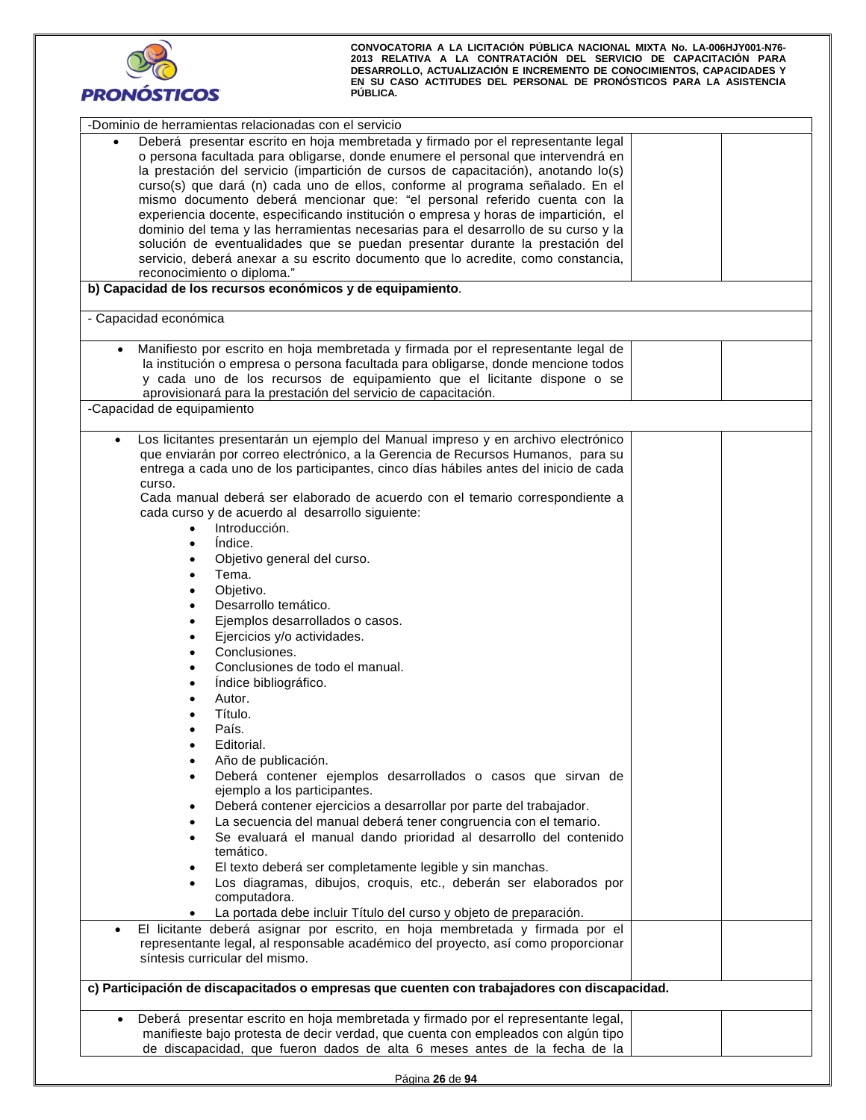

| -Dominio de herramientas relacionadas con el servicio                                          |  |  |  |  |  |  |  |
|------------------------------------------------------------------------------------------------|--|--|--|--|--|--|--|
| Deberá presentar escrito en hoja membretada y firmado por el representante legal               |  |  |  |  |  |  |  |
| o persona facultada para obligarse, donde enumere el personal que intervendrá en               |  |  |  |  |  |  |  |
|                                                                                                |  |  |  |  |  |  |  |
| la prestación del servicio (impartición de cursos de capacitación), anotando lo(s)             |  |  |  |  |  |  |  |
| curso(s) que dará (n) cada uno de ellos, conforme al programa señalado. En el                  |  |  |  |  |  |  |  |
| mismo documento deberá mencionar que: "el personal referido cuenta con la                      |  |  |  |  |  |  |  |
| experiencia docente, especificando institución o empresa y horas de impartición, el            |  |  |  |  |  |  |  |
| dominio del tema y las herramientas necesarias para el desarrollo de su curso y la             |  |  |  |  |  |  |  |
| solución de eventualidades que se puedan presentar durante la prestación del                   |  |  |  |  |  |  |  |
| servicio, deberá anexar a su escrito documento que lo acredite, como constancia,               |  |  |  |  |  |  |  |
| reconocimiento o diploma."                                                                     |  |  |  |  |  |  |  |
| b) Capacidad de los recursos económicos y de equipamiento.                                     |  |  |  |  |  |  |  |
|                                                                                                |  |  |  |  |  |  |  |
| - Capacidad económica                                                                          |  |  |  |  |  |  |  |
|                                                                                                |  |  |  |  |  |  |  |
| Manifiesto por escrito en hoja membretada y firmada por el representante legal de              |  |  |  |  |  |  |  |
| la institución o empresa o persona facultada para obligarse, donde mencione todos              |  |  |  |  |  |  |  |
| y cada uno de los recursos de equipamiento que el licitante dispone o se                       |  |  |  |  |  |  |  |
| aprovisionará para la prestación del servicio de capacitación.                                 |  |  |  |  |  |  |  |
| -Capacidad de equipamiento                                                                     |  |  |  |  |  |  |  |
|                                                                                                |  |  |  |  |  |  |  |
| Los licitantes presentarán un ejemplo del Manual impreso y en archivo electrónico<br>$\bullet$ |  |  |  |  |  |  |  |
| que enviarán por correo electrónico, a la Gerencia de Recursos Humanos, para su                |  |  |  |  |  |  |  |
| entrega a cada uno de los participantes, cinco días hábiles antes del inicio de cada           |  |  |  |  |  |  |  |
| curso.                                                                                         |  |  |  |  |  |  |  |
| Cada manual deberá ser elaborado de acuerdo con el temario correspondiente a                   |  |  |  |  |  |  |  |
| cada curso y de acuerdo al desarrollo siguiente:                                               |  |  |  |  |  |  |  |
| Introducción.<br>$\bullet$                                                                     |  |  |  |  |  |  |  |
| Indice.<br>$\bullet$                                                                           |  |  |  |  |  |  |  |
| Objetivo general del curso.                                                                    |  |  |  |  |  |  |  |
| Tema.                                                                                          |  |  |  |  |  |  |  |
| Objetivo.                                                                                      |  |  |  |  |  |  |  |
| Desarrollo temático.                                                                           |  |  |  |  |  |  |  |
|                                                                                                |  |  |  |  |  |  |  |
| Ejemplos desarrollados o casos.                                                                |  |  |  |  |  |  |  |
| Ejercicios y/o actividades.                                                                    |  |  |  |  |  |  |  |
| Conclusiones.                                                                                  |  |  |  |  |  |  |  |
| Conclusiones de todo el manual.                                                                |  |  |  |  |  |  |  |
| Indice bibliográfico.                                                                          |  |  |  |  |  |  |  |
| Autor.                                                                                         |  |  |  |  |  |  |  |
| Título.                                                                                        |  |  |  |  |  |  |  |
| País.                                                                                          |  |  |  |  |  |  |  |
| Editorial.                                                                                     |  |  |  |  |  |  |  |
| Año de publicación.                                                                            |  |  |  |  |  |  |  |
| Deberá contener ejemplos desarrollados o casos que sirvan de                                   |  |  |  |  |  |  |  |
| ejemplo a los participantes.                                                                   |  |  |  |  |  |  |  |
| Deberá contener ejercicios a desarrollar por parte del trabajador.                             |  |  |  |  |  |  |  |
|                                                                                                |  |  |  |  |  |  |  |
| La secuencia del manual deberá tener congruencia con el temario.                               |  |  |  |  |  |  |  |
| Se evaluará el manual dando prioridad al desarrollo del contenido                              |  |  |  |  |  |  |  |
| temático.                                                                                      |  |  |  |  |  |  |  |
| El texto deberá ser completamente legible y sin manchas.                                       |  |  |  |  |  |  |  |
| Los diagramas, dibujos, croquis, etc., deberán ser elaborados por                              |  |  |  |  |  |  |  |
| computadora.                                                                                   |  |  |  |  |  |  |  |
| La portada debe incluir Título del curso y objeto de preparación.                              |  |  |  |  |  |  |  |
| El licitante deberá asignar por escrito, en hoja membretada y firmada por el                   |  |  |  |  |  |  |  |
| representante legal, al responsable académico del proyecto, así como proporcionar              |  |  |  |  |  |  |  |
| síntesis curricular del mismo.                                                                 |  |  |  |  |  |  |  |
|                                                                                                |  |  |  |  |  |  |  |
| c) Participación de discapacitados o empresas que cuenten con trabajadores con discapacidad.   |  |  |  |  |  |  |  |
|                                                                                                |  |  |  |  |  |  |  |
| Deberá presentar escrito en hoja membretada y firmado por el representante legal,              |  |  |  |  |  |  |  |
| manifieste bajo protesta de decir verdad, que cuenta con empleados con algún tipo              |  |  |  |  |  |  |  |
| de discapacidad, que fueron dados de alta 6 meses antes de la fecha de la                      |  |  |  |  |  |  |  |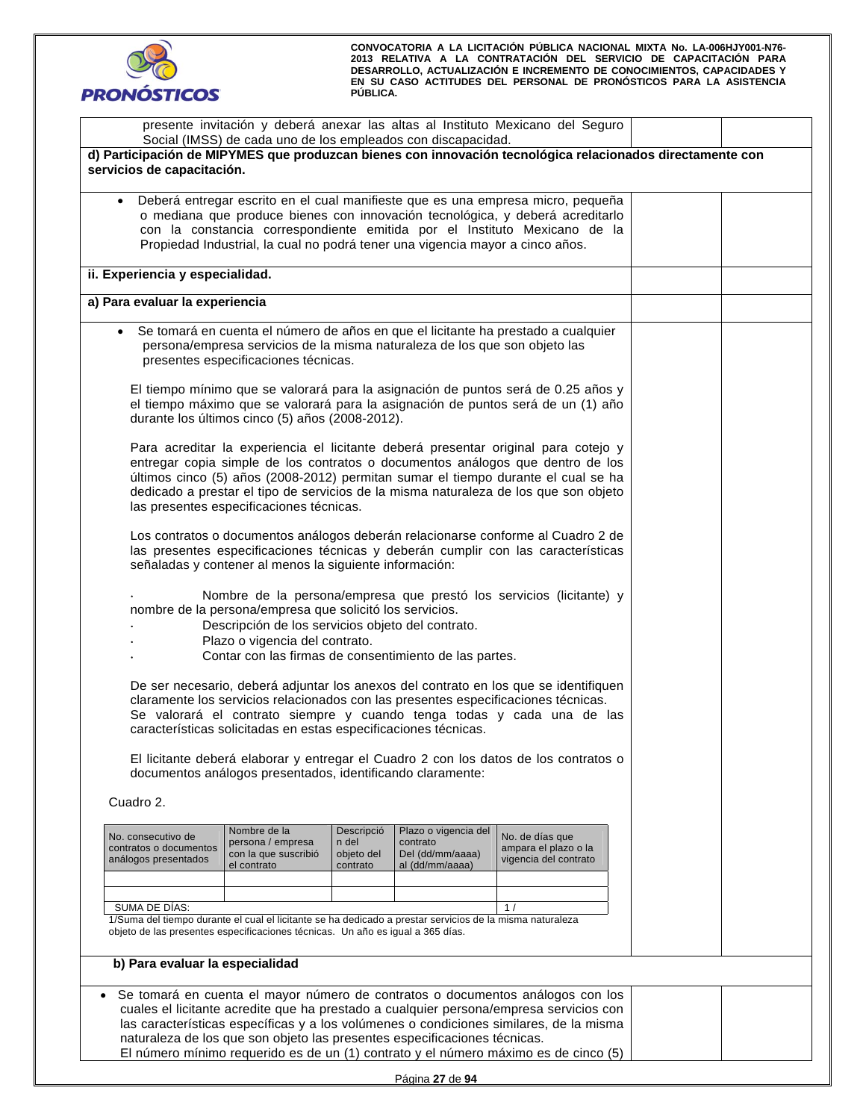

|                                                                                                                                                                                                                                                                                                                                             | presente invitación y deberá anexar las altas al Instituto Mexicano del Seguro<br>Social (IMSS) de cada uno de los empleados con discapacidad.                                                                                                                                   |  |  |                                                                                                                                                                                                                                                                                                                                                           |  |  |  |
|---------------------------------------------------------------------------------------------------------------------------------------------------------------------------------------------------------------------------------------------------------------------------------------------------------------------------------------------|----------------------------------------------------------------------------------------------------------------------------------------------------------------------------------------------------------------------------------------------------------------------------------|--|--|-----------------------------------------------------------------------------------------------------------------------------------------------------------------------------------------------------------------------------------------------------------------------------------------------------------------------------------------------------------|--|--|--|
| d) Participación de MIPYMES que produzcan bienes con innovación tecnológica relacionados directamente con<br>servicios de capacitación.                                                                                                                                                                                                     |                                                                                                                                                                                                                                                                                  |  |  |                                                                                                                                                                                                                                                                                                                                                           |  |  |  |
| Deberá entregar escrito en el cual manifieste que es una empresa micro, pequeña<br>$\bullet$<br>o mediana que produce bienes con innovación tecnológica, y deberá acreditarlo<br>con la constancia correspondiente emitida por el Instituto Mexicano de la<br>Propiedad Industrial, la cual no podrá tener una vigencia mayor a cinco años. |                                                                                                                                                                                                                                                                                  |  |  |                                                                                                                                                                                                                                                                                                                                                           |  |  |  |
| ii. Experiencia y especialidad.                                                                                                                                                                                                                                                                                                             |                                                                                                                                                                                                                                                                                  |  |  |                                                                                                                                                                                                                                                                                                                                                           |  |  |  |
| a) Para evaluar la experiencia                                                                                                                                                                                                                                                                                                              |                                                                                                                                                                                                                                                                                  |  |  |                                                                                                                                                                                                                                                                                                                                                           |  |  |  |
|                                                                                                                                                                                                                                                                                                                                             | persona/empresa servicios de la misma naturaleza de los que son objeto las<br>presentes especificaciones técnicas.                                                                                                                                                               |  |  | Se tomará en cuenta el número de años en que el licitante ha prestado a cualquier                                                                                                                                                                                                                                                                         |  |  |  |
|                                                                                                                                                                                                                                                                                                                                             | durante los últimos cinco (5) años (2008-2012).                                                                                                                                                                                                                                  |  |  | El tiempo mínimo que se valorará para la asignación de puntos será de 0.25 años y<br>el tiempo máximo que se valorará para la asignación de puntos será de un (1) año                                                                                                                                                                                     |  |  |  |
|                                                                                                                                                                                                                                                                                                                                             | las presentes especificaciones técnicas.                                                                                                                                                                                                                                         |  |  | Para acreditar la experiencia el licitante deberá presentar original para cotejo y<br>entregar copia simple de los contratos o documentos análogos que dentro de los<br>últimos cinco (5) años (2008-2012) permitan sumar el tiempo durante el cual se ha<br>dedicado a prestar el tipo de servicios de la misma naturaleza de los que son objeto         |  |  |  |
|                                                                                                                                                                                                                                                                                                                                             | señaladas y contener al menos la siguiente información:                                                                                                                                                                                                                          |  |  | Los contratos o documentos análogos deberán relacionarse conforme al Cuadro 2 de<br>las presentes especificaciones técnicas y deberán cumplir con las características                                                                                                                                                                                     |  |  |  |
|                                                                                                                                                                                                                                                                                                                                             | Nombre de la persona/empresa que prestó los servicios (licitante) y<br>nombre de la persona/empresa que solicitó los servicios.<br>Descripción de los servicios objeto del contrato.<br>Plazo o vigencia del contrato.<br>Contar con las firmas de consentimiento de las partes. |  |  |                                                                                                                                                                                                                                                                                                                                                           |  |  |  |
| De ser necesario, deberá adjuntar los anexos del contrato en los que se identifiquen<br>claramente los servicios relacionados con las presentes especificaciones técnicas.<br>Se valorará el contrato siempre y cuando tenga todas y cada una de las<br>características solicitadas en estas especificaciones técnicas.                     |                                                                                                                                                                                                                                                                                  |  |  |                                                                                                                                                                                                                                                                                                                                                           |  |  |  |
|                                                                                                                                                                                                                                                                                                                                             | documentos análogos presentados, identificando claramente:                                                                                                                                                                                                                       |  |  | El licitante deberá elaborar y entregar el Cuadro 2 con los datos de los contratos o                                                                                                                                                                                                                                                                      |  |  |  |
| Cuadro 2.                                                                                                                                                                                                                                                                                                                                   |                                                                                                                                                                                                                                                                                  |  |  |                                                                                                                                                                                                                                                                                                                                                           |  |  |  |
| No. consecutivo de<br>contratos o documentos<br>análogos presentados                                                                                                                                                                                                                                                                        |                                                                                                                                                                                                                                                                                  |  |  |                                                                                                                                                                                                                                                                                                                                                           |  |  |  |
|                                                                                                                                                                                                                                                                                                                                             |                                                                                                                                                                                                                                                                                  |  |  |                                                                                                                                                                                                                                                                                                                                                           |  |  |  |
|                                                                                                                                                                                                                                                                                                                                             | SUMA DE DÍAS:<br>1 <sub>1</sub><br>1/Suma del tiempo durante el cual el licitante se ha dedicado a prestar servicios de la misma naturaleza<br>objeto de las presentes especificaciones técnicas. Un año es igual a 365 días.                                                    |  |  |                                                                                                                                                                                                                                                                                                                                                           |  |  |  |
| b) Para evaluar la especialidad                                                                                                                                                                                                                                                                                                             |                                                                                                                                                                                                                                                                                  |  |  |                                                                                                                                                                                                                                                                                                                                                           |  |  |  |
|                                                                                                                                                                                                                                                                                                                                             | naturaleza de los que son objeto las presentes especificaciones técnicas.                                                                                                                                                                                                        |  |  | Se tomará en cuenta el mayor número de contratos o documentos análogos con los<br>cuales el licitante acredite que ha prestado a cualquier persona/empresa servicios con<br>las características específicas y a los volúmenes o condiciones similares, de la misma<br>El número mínimo requerido es de un (1) contrato y el número máximo es de cinco (5) |  |  |  |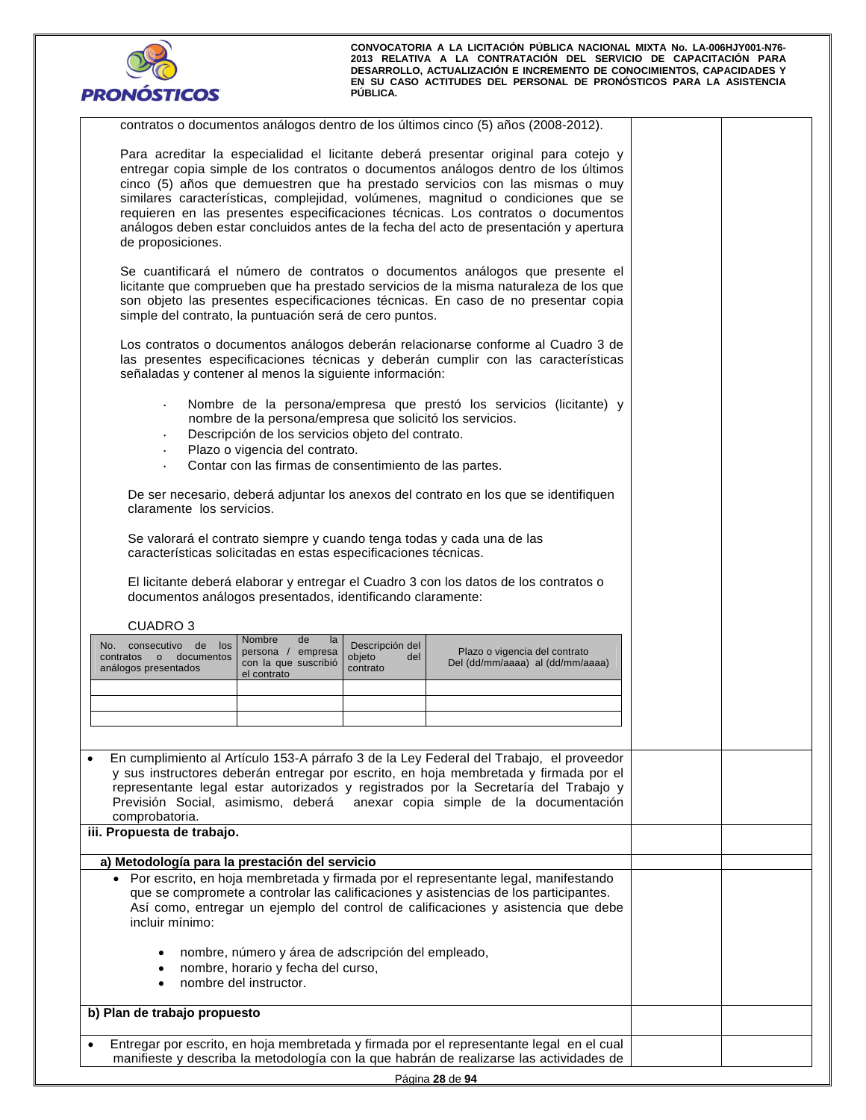

| contratos o documentos análogos dentro de los últimos cinco (5) años (2008-2012).                                                                                                                                                                                                                                                                                                                                                                                                                                                               |  |
|-------------------------------------------------------------------------------------------------------------------------------------------------------------------------------------------------------------------------------------------------------------------------------------------------------------------------------------------------------------------------------------------------------------------------------------------------------------------------------------------------------------------------------------------------|--|
| Para acreditar la especialidad el licitante deberá presentar original para cotejo y<br>entregar copia simple de los contratos o documentos análogos dentro de los últimos<br>cinco (5) años que demuestren que ha prestado servicios con las mismas o muy<br>similares características, complejidad, volúmenes, magnitud o condiciones que se<br>requieren en las presentes especificaciones técnicas. Los contratos o documentos<br>análogos deben estar concluidos antes de la fecha del acto de presentación y apertura<br>de proposiciones. |  |
| Se cuantificará el número de contratos o documentos análogos que presente el<br>licitante que comprueben que ha prestado servicios de la misma naturaleza de los que<br>son objeto las presentes especificaciones técnicas. En caso de no presentar copia<br>simple del contrato, la puntuación será de cero puntos.                                                                                                                                                                                                                            |  |
| Los contratos o documentos análogos deberán relacionarse conforme al Cuadro 3 de<br>las presentes especificaciones técnicas y deberán cumplir con las características<br>señaladas y contener al menos la siguiente información:                                                                                                                                                                                                                                                                                                                |  |
| Nombre de la persona/empresa que prestó los servicios (licitante) y<br>$\bullet$<br>nombre de la persona/empresa que solicitó los servicios.<br>Descripción de los servicios objeto del contrato.<br>Plazo o vigencia del contrato.<br>Contar con las firmas de consentimiento de las partes.                                                                                                                                                                                                                                                   |  |
| De ser necesario, deberá adjuntar los anexos del contrato en los que se identifiquen<br>claramente los servicios.                                                                                                                                                                                                                                                                                                                                                                                                                               |  |
| Se valorará el contrato siempre y cuando tenga todas y cada una de las<br>características solicitadas en estas especificaciones técnicas.                                                                                                                                                                                                                                                                                                                                                                                                       |  |
| El licitante deberá elaborar y entregar el Cuadro 3 con los datos de los contratos o<br>documentos análogos presentados, identificando claramente:                                                                                                                                                                                                                                                                                                                                                                                              |  |
| <b>CUADRO3</b>                                                                                                                                                                                                                                                                                                                                                                                                                                                                                                                                  |  |
| Nombre<br>de<br>la<br>No. consecutivo de los<br>Descripción del<br>Plazo o vigencia del contrato<br>persona / empresa<br>documentos<br>objeto<br>contratos o<br>del<br>con la que suscribió<br>Del (dd/mm/aaaa) al (dd/mm/aaaa)<br>análogos presentados<br>contrato<br>el contrato                                                                                                                                                                                                                                                              |  |
|                                                                                                                                                                                                                                                                                                                                                                                                                                                                                                                                                 |  |
|                                                                                                                                                                                                                                                                                                                                                                                                                                                                                                                                                 |  |
|                                                                                                                                                                                                                                                                                                                                                                                                                                                                                                                                                 |  |
| En cumplimiento al Artículo 153-A párrafo 3 de la Ley Federal del Trabajo, el proveedor<br>y sus instructores deberán entregar por escrito, en hoja membretada y firmada por el<br>representante legal estar autorizados y registrados por la Secretaría del Trabajo y<br>anexar copia simple de la documentación<br>Previsión Social, asimismo, deberá<br>comprobatoria.                                                                                                                                                                       |  |
| iii. Propuesta de trabajo.                                                                                                                                                                                                                                                                                                                                                                                                                                                                                                                      |  |
| a) Metodología para la prestación del servicio                                                                                                                                                                                                                                                                                                                                                                                                                                                                                                  |  |
| · Por escrito, en hoja membretada y firmada por el representante legal, manifestando<br>que se compromete a controlar las calificaciones y asistencias de los participantes.<br>Así como, entregar un ejemplo del control de calificaciones y asistencia que debe<br>incluir mínimo:                                                                                                                                                                                                                                                            |  |
| nombre, número y área de adscripción del empleado,<br>$\bullet$<br>nombre, horario y fecha del curso,<br>$\bullet$<br>nombre del instructor.<br>$\bullet$                                                                                                                                                                                                                                                                                                                                                                                       |  |
| b) Plan de trabajo propuesto                                                                                                                                                                                                                                                                                                                                                                                                                                                                                                                    |  |
| Entregar por escrito, en hoja membretada y firmada por el representante legal en el cual<br>manifieste y describa la metodología con la que habrán de realizarse las actividades de                                                                                                                                                                                                                                                                                                                                                             |  |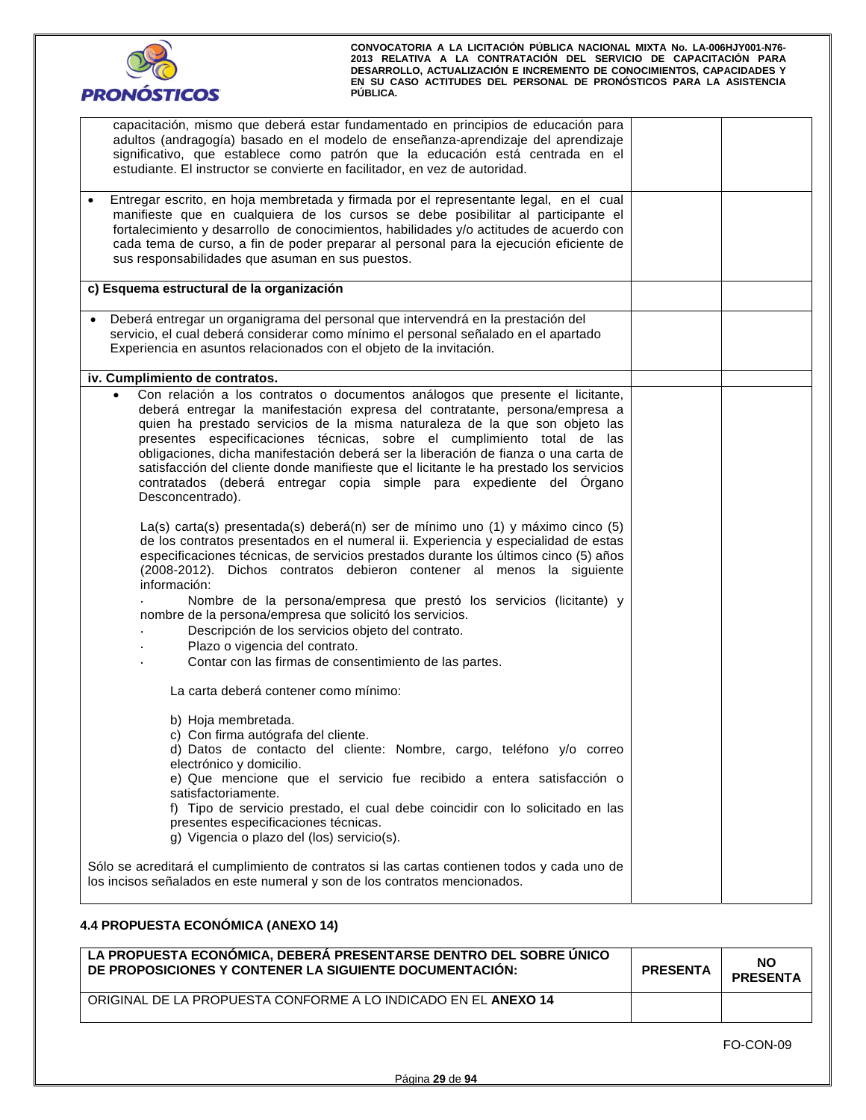

| capacitación, mismo que deberá estar fundamentado en principios de educación para<br>adultos (andragogía) basado en el modelo de enseñanza-aprendizaje del aprendizaje<br>significativo, que establece como patrón que la educación está centrada en el<br>estudiante. El instructor se convierte en facilitador, en vez de autoridad.                                                                                                                                                                                                                                                                            |  |
|-------------------------------------------------------------------------------------------------------------------------------------------------------------------------------------------------------------------------------------------------------------------------------------------------------------------------------------------------------------------------------------------------------------------------------------------------------------------------------------------------------------------------------------------------------------------------------------------------------------------|--|
| Entregar escrito, en hoja membretada y firmada por el representante legal, en el cual<br>manifieste que en cualquiera de los cursos se debe posibilitar al participante el<br>fortalecimiento y desarrollo de conocimientos, habilidades y/o actitudes de acuerdo con<br>cada tema de curso, a fin de poder preparar al personal para la ejecución eficiente de<br>sus responsabilidades que asuman en sus puestos.                                                                                                                                                                                               |  |
| c) Esquema estructural de la organización                                                                                                                                                                                                                                                                                                                                                                                                                                                                                                                                                                         |  |
| Deberá entregar un organigrama del personal que intervendrá en la prestación del<br>$\bullet$<br>servicio, el cual deberá considerar como mínimo el personal señalado en el apartado<br>Experiencia en asuntos relacionados con el objeto de la invitación.                                                                                                                                                                                                                                                                                                                                                       |  |
| iv. Cumplimiento de contratos.                                                                                                                                                                                                                                                                                                                                                                                                                                                                                                                                                                                    |  |
| Con relación a los contratos o documentos análogos que presente el licitante,<br>$\bullet$<br>deberá entregar la manifestación expresa del contratante, persona/empresa a<br>quien ha prestado servicios de la misma naturaleza de la que son objeto las<br>presentes especificaciones técnicas, sobre el cumplimiento total de las<br>obligaciones, dicha manifestación deberá ser la liberación de fianza o una carta de<br>satisfacción del cliente donde manifieste que el licitante le ha prestado los servicios<br>contratados (deberá entregar copia simple para expediente del Órgano<br>Desconcentrado). |  |
| La(s) carta(s) presentada(s) deberá(n) ser de mínimo uno (1) y máximo cinco (5)<br>de los contratos presentados en el numeral ii. Experiencia y especialidad de estas<br>especificaciones técnicas, de servicios prestados durante los últimos cinco (5) años<br>(2008-2012). Dichos contratos debieron contener al menos la siguiente<br>información:                                                                                                                                                                                                                                                            |  |
| Nombre de la persona/empresa que prestó los servicios (licitante) y<br>nombre de la persona/empresa que solicitó los servicios.<br>Descripción de los servicios objeto del contrato.<br>Plazo o vigencia del contrato.<br>Contar con las firmas de consentimiento de las partes.                                                                                                                                                                                                                                                                                                                                  |  |
| La carta deberá contener como mínimo:                                                                                                                                                                                                                                                                                                                                                                                                                                                                                                                                                                             |  |
| b) Hoja membretada.<br>c) Con firma autógrafa del cliente.<br>d) Datos de contacto del cliente: Nombre, cargo, teléfono y/o correo<br>electrónico y domicilio.<br>e) Que mencione que el servicio fue recibido a entera satisfacción o<br>satisfactoriamente.<br>f) Tipo de servicio prestado, el cual debe coincidir con lo solicitado en las<br>presentes especificaciones técnicas.<br>g) Vigencia o plazo del (los) servicio(s).                                                                                                                                                                              |  |
| Sólo se acreditará el cumplimiento de contratos si las cartas contienen todos y cada uno de<br>los incisos señalados en este numeral y son de los contratos mencionados.                                                                                                                                                                                                                                                                                                                                                                                                                                          |  |

# **4.4 PROPUESTA ECONÓMICA (ANEXO 14)**

| LA PROPUESTA ECONÓMICA, DEBERÁ PRESENTARSE DENTRO DEL SOBRE ÚNICO<br>DE PROPOSICIONES Y CONTENER LA SIGUIENTE DOCUMENTACION: | <b>PRESENTA</b> | <b>NO</b><br><b>PRESENTA</b> |
|------------------------------------------------------------------------------------------------------------------------------|-----------------|------------------------------|
| ORIGINAL DE LA PROPUESTA CONFORME A LO INDICADO EN EL ANEXO 14                                                               |                 |                              |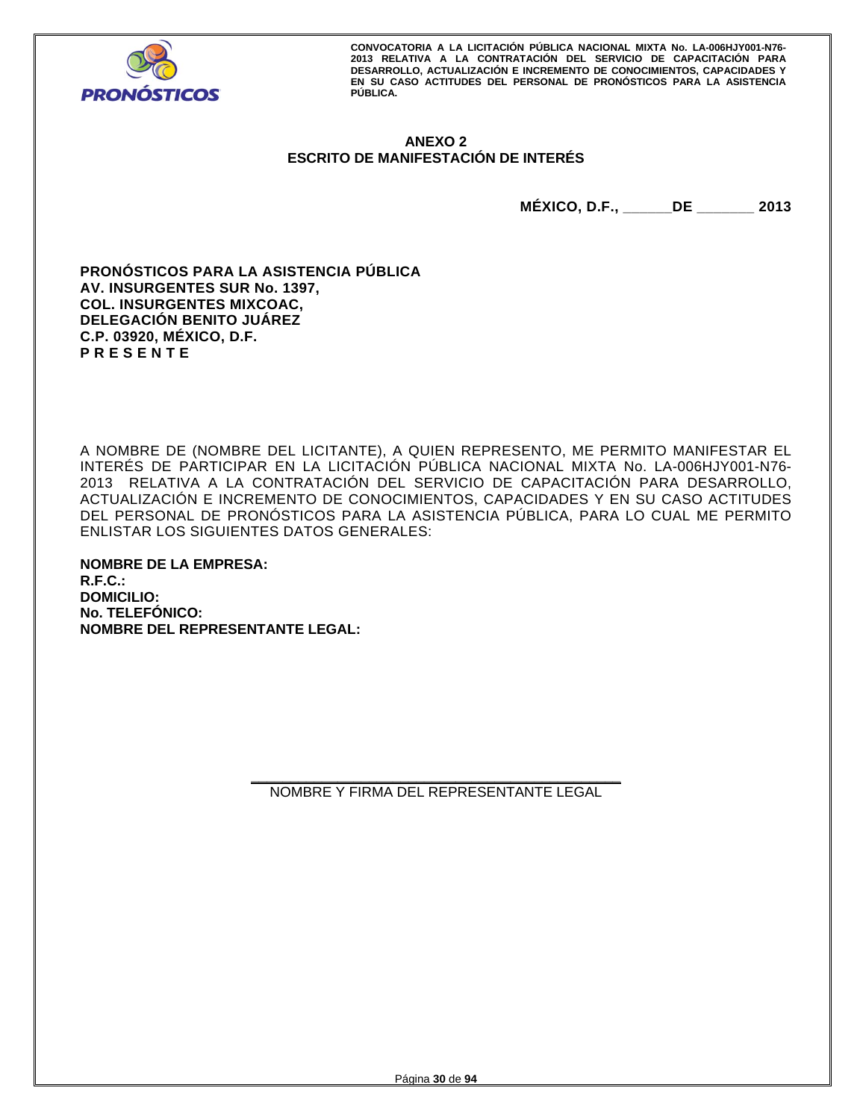

# **ANEXO 2 ESCRITO DE MANIFESTACIÓN DE INTERÉS**

**MÉXICO, D.F., \_\_\_\_\_\_DE \_\_\_\_\_\_\_ 2013** 

**PRONÓSTICOS PARA LA ASISTENCIA PÚBLICA AV. INSURGENTES SUR No. 1397, COL. INSURGENTES MIXCOAC, DELEGACIÓN BENITO JUÁREZ C.P. 03920, MÉXICO, D.F. P R E S E N T E** 

A NOMBRE DE (NOMBRE DEL LICITANTE), A QUIEN REPRESENTO, ME PERMITO MANIFESTAR EL INTERÉS DE PARTICIPAR EN LA LICITACIÓN PÚBLICA NACIONAL MIXTA No. LA-006HJY001-N76- 2013 RELATIVA A LA CONTRATACIÓN DEL SERVICIO DE CAPACITACIÓN PARA DESARROLLO, ACTUALIZACIÓN E INCREMENTO DE CONOCIMIENTOS, CAPACIDADES Y EN SU CASO ACTITUDES DEL PERSONAL DE PRONÓSTICOS PARA LA ASISTENCIA PÚBLICA, PARA LO CUAL ME PERMITO ENLISTAR LOS SIGUIENTES DATOS GENERALES:

**NOMBRE DE LA EMPRESA: R.F.C.: DOMICILIO: No. TELEFÓNICO: NOMBRE DEL REPRESENTANTE LEGAL:** 

> **\_\_\_\_\_\_\_\_\_\_\_\_\_\_\_\_\_\_\_\_\_\_\_\_\_\_\_\_\_\_\_\_\_\_\_\_\_\_\_\_\_\_\_\_\_\_\_**  NOMBRE Y FIRMA DEL REPRESENTANTE LEGAL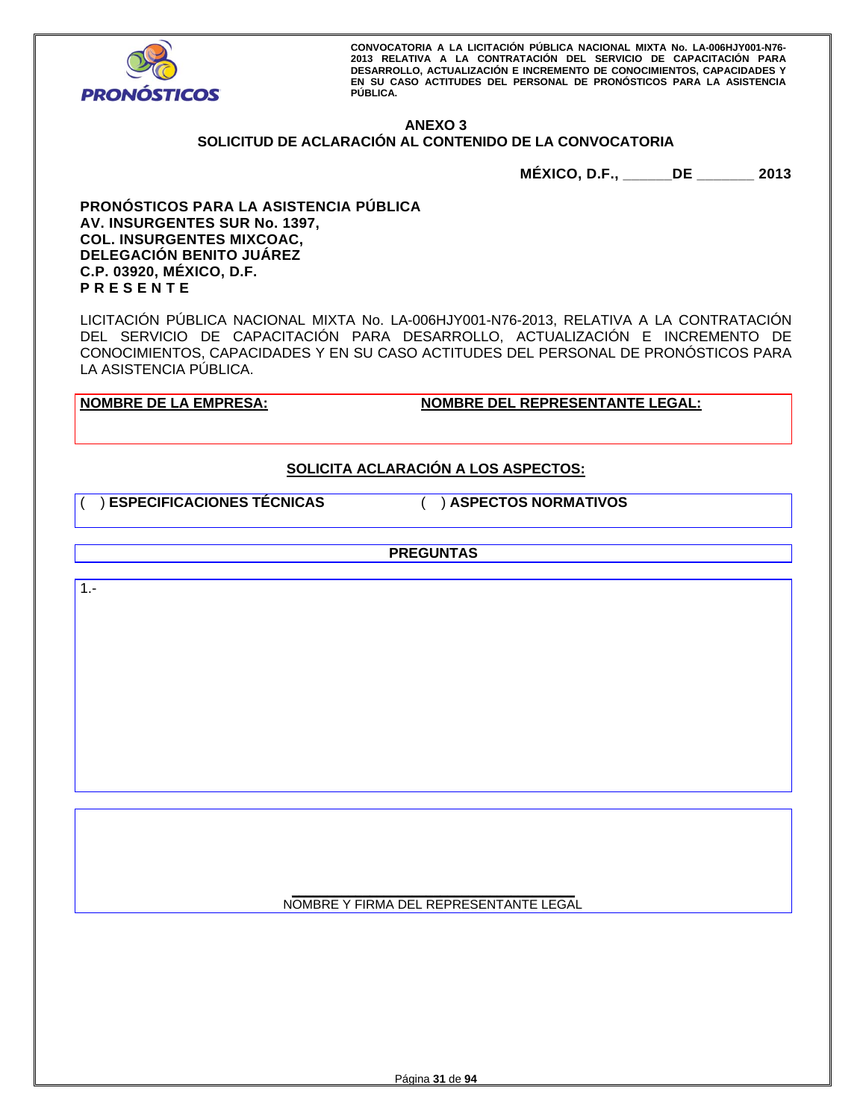

# **ANEXO 3**

# **SOLICITUD DE ACLARACIÓN AL CONTENIDO DE LA CONVOCATORIA**

**MÉXICO, D.F., \_\_\_\_\_\_DE \_\_\_\_\_\_\_ 2013** 

**PRONÓSTICOS PARA LA ASISTENCIA PÚBLICA AV. INSURGENTES SUR No. 1397, COL. INSURGENTES MIXCOAC, DELEGACIÓN BENITO JUÁREZ C.P. 03920, MÉXICO, D.F. P R E S E N T E** 

LICITACIÓN PÚBLICA NACIONAL MIXTA No. LA-006HJY001-N76-2013, RELATIVA A LA CONTRATACIÓN DEL SERVICIO DE CAPACITACIÓN PARA DESARROLLO, ACTUALIZACIÓN E INCREMENTO DE CONOCIMIENTOS, CAPACIDADES Y EN SU CASO ACTITUDES DEL PERSONAL DE PRONÓSTICOS PARA LA ASISTENCIA PÚBLICA.

**NOMBRE DE LA EMPRESA: NOMBRE DEL REPRESENTANTE LEGAL:** 

# **SOLICITA ACLARACIÓN A LOS ASPECTOS:**

( ) **ESPECIFICACIONES TÉCNICAS** ( ) **ASPECTOS NORMATIVOS**

**PREGUNTAS** 

1.-

**\_\_\_\_\_\_\_\_\_\_\_\_\_\_\_\_\_\_\_\_\_\_\_\_\_\_\_\_\_\_\_\_\_\_\_\_\_\_\_\_**  NOMBRE Y FIRMA DEL REPRESENTANTE LEGAL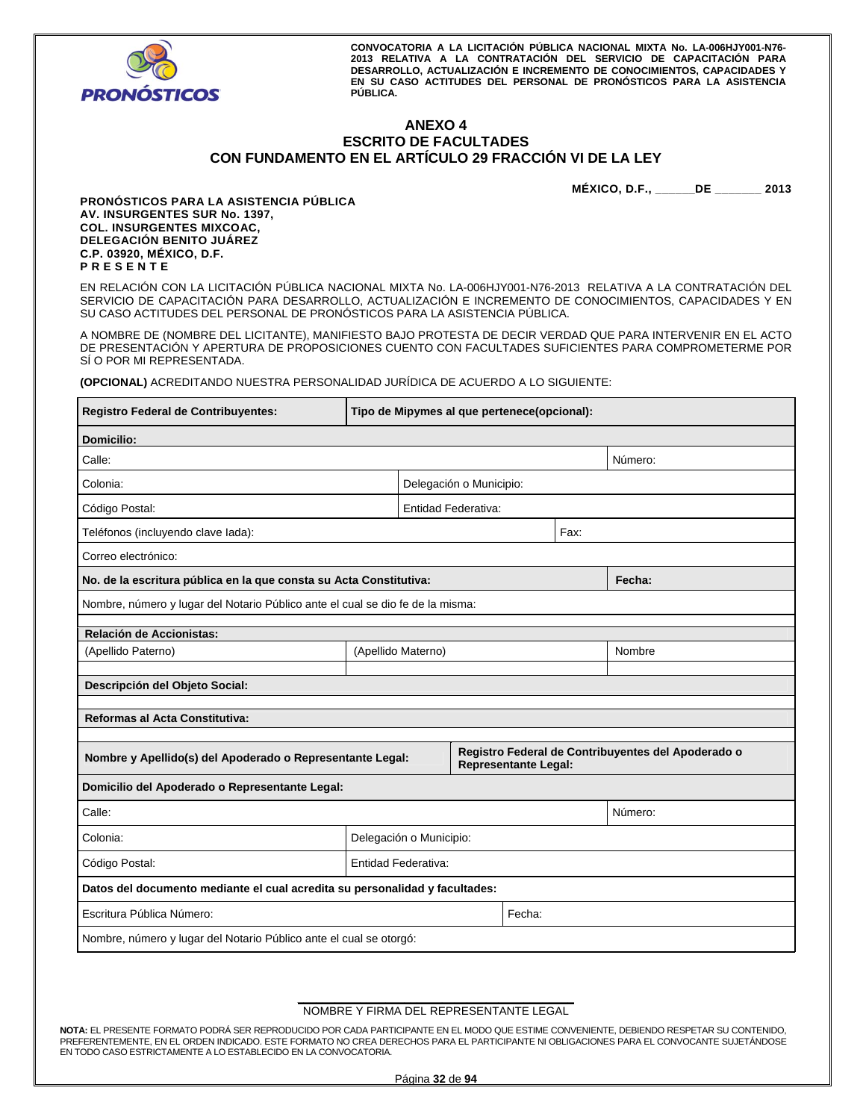

# **ANEXO 4 ESCRITO DE FACULTADES CON FUNDAMENTO EN EL ARTÍCULO 29 FRACCIÓN VI DE LA LEY**

**MÉXICO, D.F., \_\_\_\_\_\_DE \_\_\_\_\_\_\_ 2013** 

**PRONÓSTICOS PARA LA ASISTENCIA PÚBLICA AV. INSURGENTES SUR No. 1397, COL. INSURGENTES MIXCOAC, DELEGACIÓN BENITO JUÁREZ C.P. 03920, MÉXICO, D.F. P R E S E N T E** 

EN RELACIÓN CON LA LICITACIÓN PÚBLICA NACIONAL MIXTA No. LA-006HJY001-N76-2013 RELATIVA A LA CONTRATACIÓN DEL SERVICIO DE CAPACITACIÓN PARA DESARROLLO, ACTUALIZACIÓN E INCREMENTO DE CONOCIMIENTOS, CAPACIDADES Y EN SU CASO ACTITUDES DEL PERSONAL DE PRONÓSTICOS PARA LA ASISTENCIA PÚBLICA.

A NOMBRE DE (NOMBRE DEL LICITANTE), MANIFIESTO BAJO PROTESTA DE DECIR VERDAD QUE PARA INTERVENIR EN EL ACTO DE PRESENTACIÓN Y APERTURA DE PROPOSICIONES CUENTO CON FACULTADES SUFICIENTES PARA COMPROMETERME POR SÍ O POR MI REPRESENTADA.

**(OPCIONAL)** ACREDITANDO NUESTRA PERSONALIDAD JURÍDICA DE ACUERDO A LO SIGUIENTE:

| <b>Registro Federal de Contribuyentes:</b>                                     | Tipo de Mipymes al que pertenece(opcional): |  |                         |                             |                                                    |
|--------------------------------------------------------------------------------|---------------------------------------------|--|-------------------------|-----------------------------|----------------------------------------------------|
| <b>Domicilio:</b>                                                              |                                             |  |                         |                             |                                                    |
| Calle:                                                                         |                                             |  |                         |                             | Número:                                            |
| Colonia:                                                                       |                                             |  | Delegación o Municipio: |                             |                                                    |
| Código Postal:                                                                 |                                             |  | Entidad Federativa:     |                             |                                                    |
| Teléfonos (incluyendo clave lada):                                             |                                             |  |                         | Fax:                        |                                                    |
| Correo electrónico:                                                            |                                             |  |                         |                             |                                                    |
| No. de la escritura pública en la que consta su Acta Constitutiva:             |                                             |  |                         |                             | Fecha:                                             |
| Nombre, número y lugar del Notario Público ante el cual se dio fe de la misma: |                                             |  |                         |                             |                                                    |
| Relación de Accionistas:                                                       |                                             |  |                         |                             |                                                    |
| (Apellido Paterno)                                                             | (Apellido Materno)<br>Nombre                |  |                         |                             |                                                    |
| Descripción del Objeto Social:                                                 |                                             |  |                         |                             |                                                    |
|                                                                                |                                             |  |                         |                             |                                                    |
| Reformas al Acta Constitutiva:                                                 |                                             |  |                         |                             |                                                    |
|                                                                                |                                             |  |                         |                             | Registro Federal de Contribuyentes del Apoderado o |
| Nombre y Apellido(s) del Apoderado o Representante Legal:                      |                                             |  |                         | <b>Representante Legal:</b> |                                                    |
| Domicilio del Apoderado o Representante Legal:                                 |                                             |  |                         |                             |                                                    |
| Calle:<br>Número:                                                              |                                             |  |                         |                             |                                                    |
| Colonia:                                                                       | Delegación o Municipio:                     |  |                         |                             |                                                    |
| Código Postal:                                                                 | Entidad Federativa:                         |  |                         |                             |                                                    |
| Datos del documento mediante el cual acredita su personalidad y facultades:    |                                             |  |                         |                             |                                                    |
| Fecha:<br>Escritura Pública Número:                                            |                                             |  |                         |                             |                                                    |
| Nombre, número y lugar del Notario Público ante el cual se otorgó:             |                                             |  |                         |                             |                                                    |

#### **\_\_\_\_\_\_\_\_\_\_\_\_\_\_\_\_\_\_\_\_\_\_\_\_\_\_\_\_\_\_\_\_\_\_\_\_\_\_\_\_\_\_\_\_**  NOMBRE Y FIRMA DEL REPRESENTANTE LEGAL

**NOTA:** EL PRESENTE FORMATO PODRÁ SER REPRODUCIDO POR CADA PARTICIPANTE EN EL MODO QUE ESTIME CONVENIENTE, DEBIENDO RESPETAR SU CONTENIDO, PREFERENTEMENTE, EN EL ORDEN INDICADO. ESTE FORMATO NO CREA DERECHOS PARA EL PARTICIPANTE NI OBLIGACIONES PARA EL CONVOCANTE SUJETÁNDOSE EN TODO CASO ESTRICTAMENTE A LO ESTABLECIDO EN LA CONVOCATORIA.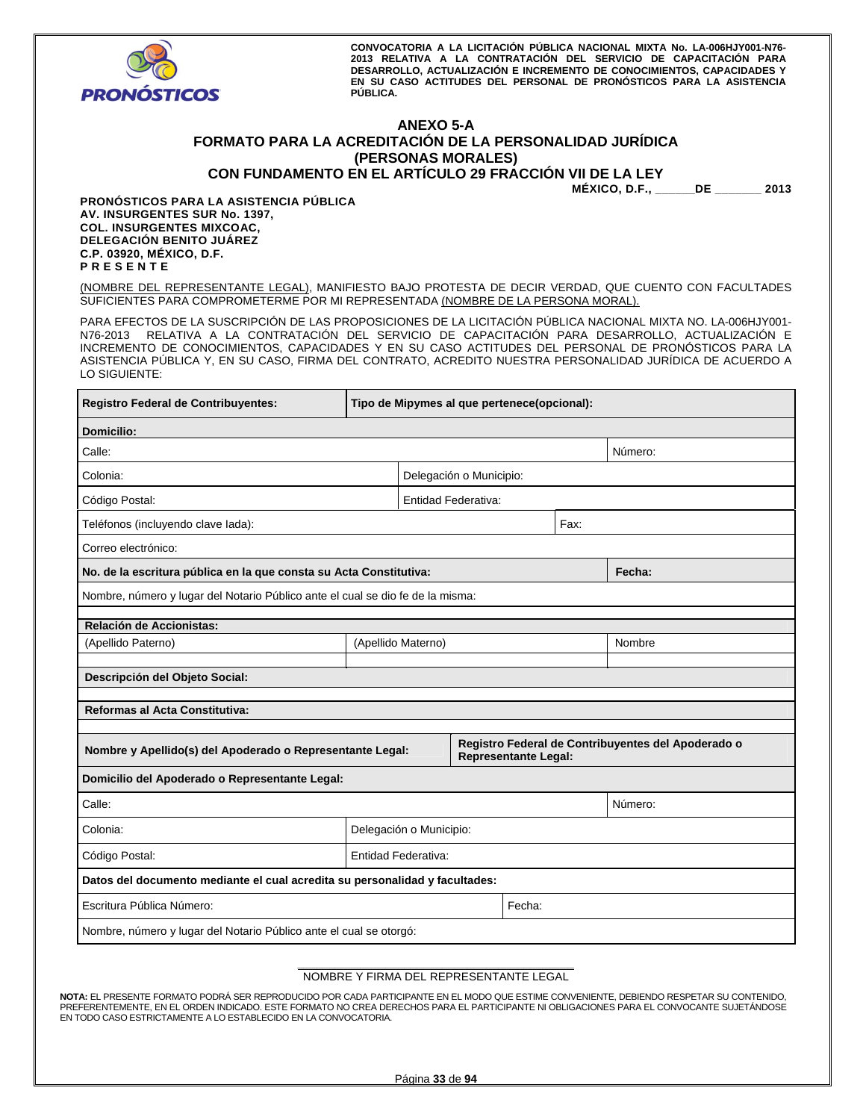

# **ANEXO 5-A FORMATO PARA LA ACREDITACIÓN DE LA PERSONALIDAD JURÍDICA (PERSONAS MORALES) CON FUNDAMENTO EN EL ARTÍCULO 29 FRACCIÓN VII DE LA LEY**

| ION VII DE LA LEY |  |
|-------------------|--|
| $\mathbf{H}$      |  |

**MÉXICO, D.F., \_\_\_\_\_\_DE \_\_\_\_\_\_\_ 2013** 

**PRONÓSTICOS PARA LA ASISTENCIA PÚBLICA AV. INSURGENTES SUR No. 1397, COL. INSURGENTES MIXCOAC, DELEGACIÓN BENITO JUÁREZ C.P. 03920, MÉXICO, D.F. P R E S E N T E** 

(NOMBRE DEL REPRESENTANTE LEGAL), MANIFIESTO BAJO PROTESTA DE DECIR VERDAD, QUE CUENTO CON FACULTADES SUFICIENTES PARA COMPROMETERME POR MI REPRESENTADA (NOMBRE DE LA PERSONA MORAL).

PARA EFECTOS DE LA SUSCRIPCIÓN DE LAS PROPOSICIONES DE LA LICITACIÓN PÚBLICA NACIONAL MIXTA NO. LA-006HJY001- N76-2013 RELATIVA A LA CONTRATACIÓN DEL SERVICIO DE CAPACITACIÓN PARA DESARROLLO, ACTUALIZACIÓN E INCREMENTO DE CONOCIMIENTOS, CAPACIDADES Y EN SU CASO ACTITUDES DEL PERSONAL DE PRONÓSTICOS PARA LA ASISTENCIA PÚBLICA Y, EN SU CASO, FIRMA DEL CONTRATO, ACREDITO NUESTRA PERSONALIDAD JURÍDICA DE ACUERDO A LO SIGUIENTE:

| Registro Federal de Contribuyentes:                                                                                                            | Tipo de Mipymes al que pertenece(opcional): |  |                            |      |  |        |
|------------------------------------------------------------------------------------------------------------------------------------------------|---------------------------------------------|--|----------------------------|------|--|--------|
| <b>Domicilio:</b>                                                                                                                              |                                             |  |                            |      |  |        |
| Calle:                                                                                                                                         | Número:                                     |  |                            |      |  |        |
| Colonia:                                                                                                                                       |                                             |  | Delegación o Municipio:    |      |  |        |
| Código Postal:                                                                                                                                 |                                             |  | <b>Entidad Federativa:</b> |      |  |        |
| Teléfonos (incluyendo clave lada):                                                                                                             |                                             |  |                            | Fax: |  |        |
| Correo electrónico:                                                                                                                            |                                             |  |                            |      |  |        |
| No. de la escritura pública en la que consta su Acta Constitutiva:                                                                             |                                             |  |                            |      |  | Fecha: |
| Nombre, número y lugar del Notario Público ante el cual se dio fe de la misma:                                                                 |                                             |  |                            |      |  |        |
| Relación de Accionistas:                                                                                                                       |                                             |  |                            |      |  |        |
| (Apellido Paterno)                                                                                                                             | (Apellido Materno)<br>Nombre                |  |                            |      |  |        |
| Descripción del Objeto Social:                                                                                                                 |                                             |  |                            |      |  |        |
| Reformas al Acta Constitutiva:                                                                                                                 |                                             |  |                            |      |  |        |
| Registro Federal de Contribuyentes del Apoderado o<br>Nombre y Apellido(s) del Apoderado o Representante Legal:<br><b>Representante Legal:</b> |                                             |  |                            |      |  |        |
| Domicilio del Apoderado o Representante Legal:                                                                                                 |                                             |  |                            |      |  |        |
| Calle:                                                                                                                                         | Número:                                     |  |                            |      |  |        |
| Colonia:                                                                                                                                       | Delegación o Municipio:                     |  |                            |      |  |        |
| Código Postal:                                                                                                                                 | Entidad Federativa:                         |  |                            |      |  |        |
| Datos del documento mediante el cual acredita su personalidad y facultades:                                                                    |                                             |  |                            |      |  |        |
| Escritura Pública Número:<br>Fecha:                                                                                                            |                                             |  |                            |      |  |        |
| Nombre, número y lugar del Notario Público ante el cual se otorgó:                                                                             |                                             |  |                            |      |  |        |

#### **\_\_\_\_\_\_\_\_\_\_\_\_\_\_\_\_\_\_\_\_\_\_\_\_\_\_\_\_\_\_\_\_\_\_\_\_\_\_\_\_\_\_\_\_**  NOMBRE Y FIRMA DEL REPRESENTANTE LEGAL

**NOTA:** EL PRESENTE FORMATO PODRÁ SER REPRODUCIDO POR CADA PARTICIPANTE EN EL MODO QUE ESTIME CONVENIENTE, DEBIENDO RESPETAR SU CONTENIDO, PREFERENTEMENTE, EN EL ORDEN INDICADO. ESTE FORMATO NO CREA DERECHOS PARA EL PARTICIPANTE NI OBLIGACIONES PARA EL CONVOCANTE SUJETÁNDOSE EN TODO CASO ESTRICTAMENTE A LO ESTABLECIDO EN LA CONVOCATORIA.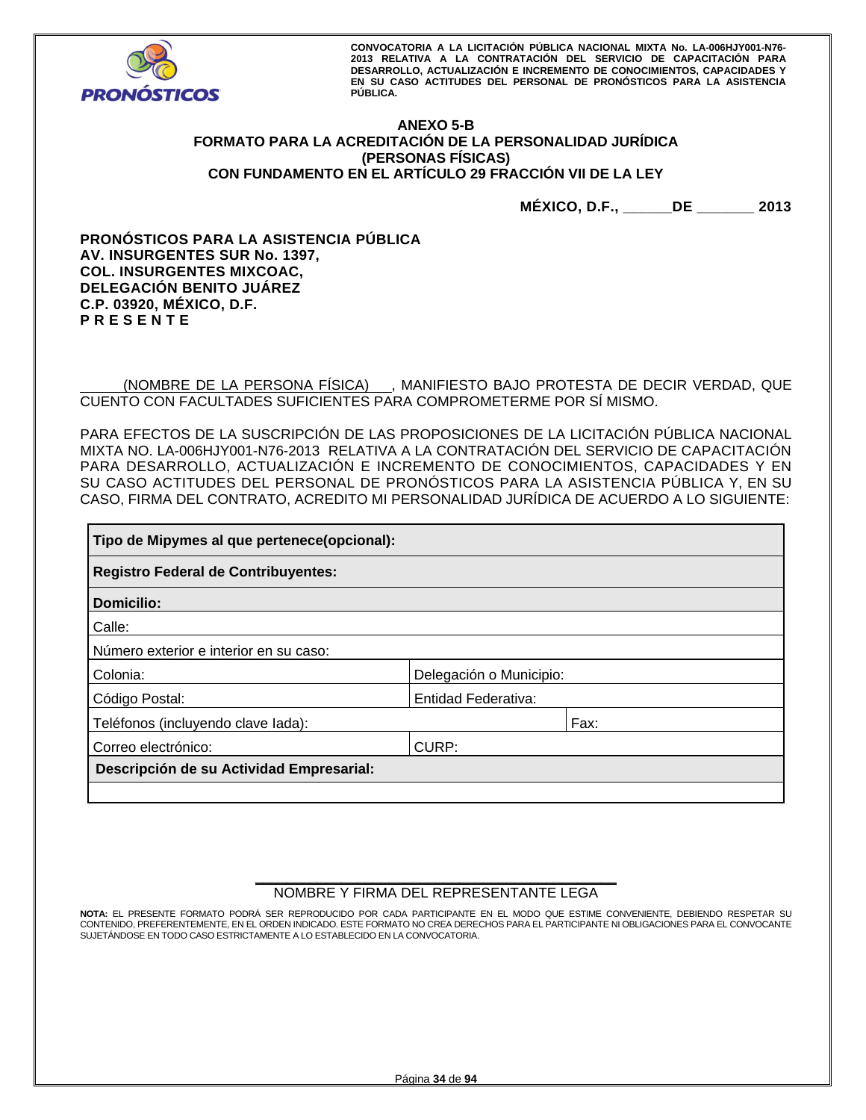

# **ANEXO 5-B FORMATO PARA LA ACREDITACIÓN DE LA PERSONALIDAD JURÍDICA (PERSONAS FÍSICAS) CON FUNDAMENTO EN EL ARTÍCULO 29 FRACCIÓN VII DE LA LEY**

**MÉXICO, D.F., \_\_\_\_\_\_DE \_\_\_\_\_\_\_ 2013** 

**PRONÓSTICOS PARA LA ASISTENCIA PÚBLICA AV. INSURGENTES SUR No. 1397, COL. INSURGENTES MIXCOAC, DELEGACIÓN BENITO JUÁREZ C.P. 03920, MÉXICO, D.F. P R E S E N T E** 

 (NOMBRE DE LA PERSONA FÍSICA) , MANIFIESTO BAJO PROTESTA DE DECIR VERDAD, QUE CUENTO CON FACULTADES SUFICIENTES PARA COMPROMETERME POR SÍ MISMO.

PARA EFECTOS DE LA SUSCRIPCIÓN DE LAS PROPOSICIONES DE LA LICITACIÓN PÚBLICA NACIONAL MIXTA NO. LA-006HJY001-N76-2013 RELATIVA A LA CONTRATACIÓN DEL SERVICIO DE CAPACITACIÓN PARA DESARROLLO, ACTUALIZACIÓN E INCREMENTO DE CONOCIMIENTOS, CAPACIDADES Y EN SU CASO ACTITUDES DEL PERSONAL DE PRONÓSTICOS PARA LA ASISTENCIA PÚBLICA Y, EN SU CASO, FIRMA DEL CONTRATO, ACREDITO MI PERSONALIDAD JURÍDICA DE ACUERDO A LO SIGUIENTE:

| Tipo de Mipymes al que pertenece(opcional): |                            |  |  |  |
|---------------------------------------------|----------------------------|--|--|--|
| <b>Registro Federal de Contribuyentes:</b>  |                            |  |  |  |
| Domicilio:                                  |                            |  |  |  |
| Calle:                                      |                            |  |  |  |
| Número exterior e interior en su caso:      |                            |  |  |  |
| Colonia:                                    | Delegación o Municipio:    |  |  |  |
| Código Postal:                              | <b>Entidad Federativa:</b> |  |  |  |
| Fax:<br>Teléfonos (incluyendo clave lada):  |                            |  |  |  |
| CURP:<br>Correo electrónico:                |                            |  |  |  |
| Descripción de su Actividad Empresarial:    |                            |  |  |  |
|                                             |                            |  |  |  |

#### **\_\_\_\_\_\_\_\_\_\_\_\_\_\_\_\_\_\_\_\_\_\_\_\_\_\_\_\_\_\_\_\_\_\_\_\_\_\_\_\_\_\_\_\_\_\_**  NOMBRE Y FIRMA DEL REPRESENTANTE LEGA

**NOTA:** EL PRESENTE FORMATO PODRÁ SER REPRODUCIDO POR CADA PARTICIPANTE EN EL MODO QUE ESTIME CONVENIENTE, DEBIENDO RESPETAR SU CONTENIDO, PREFERENTEMENTE, EN EL ORDEN INDICADO. ESTE FORMATO NO CREA DERECHOS PARA EL PARTICIPANTE NI OBLIGACIONES PARA EL CONVOCANTE SUJETÁNDOSE EN TODO CASO ESTRICTAMENTE A LO ESTABLECIDO EN LA CONVOCATORIA.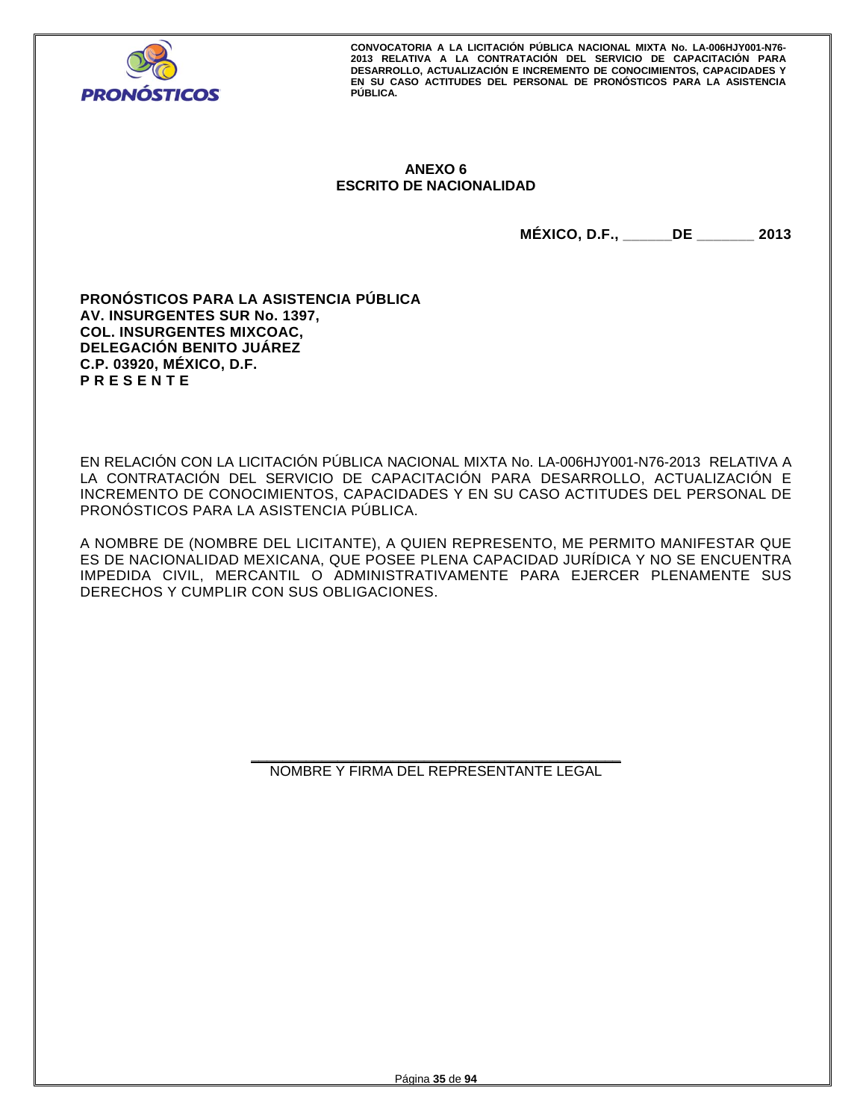

# **ANEXO 6 ESCRITO DE NACIONALIDAD**

**MÉXICO, D.F., \_\_\_\_\_\_DE \_\_\_\_\_\_\_ 2013** 

**PRONÓSTICOS PARA LA ASISTENCIA PÚBLICA AV. INSURGENTES SUR No. 1397, COL. INSURGENTES MIXCOAC, DELEGACIÓN BENITO JUÁREZ C.P. 03920, MÉXICO, D.F. P R E S E N T E** 

EN RELACIÓN CON LA LICITACIÓN PÚBLICA NACIONAL MIXTA No. LA-006HJY001-N76-2013 RELATIVA A LA CONTRATACIÓN DEL SERVICIO DE CAPACITACIÓN PARA DESARROLLO, ACTUALIZACIÓN E INCREMENTO DE CONOCIMIENTOS, CAPACIDADES Y EN SU CASO ACTITUDES DEL PERSONAL DE PRONÓSTICOS PARA LA ASISTENCIA PÚBLICA.

A NOMBRE DE (NOMBRE DEL LICITANTE), A QUIEN REPRESENTO, ME PERMITO MANIFESTAR QUE ES DE NACIONALIDAD MEXICANA, QUE POSEE PLENA CAPACIDAD JURÍDICA Y NO SE ENCUENTRA IMPEDIDA CIVIL, MERCANTIL O ADMINISTRATIVAMENTE PARA EJERCER PLENAMENTE SUS DERECHOS Y CUMPLIR CON SUS OBLIGACIONES.

> **\_\_\_\_\_\_\_\_\_\_\_\_\_\_\_\_\_\_\_\_\_\_\_\_\_\_\_\_\_\_\_\_\_\_\_\_\_\_\_\_\_\_\_\_\_\_\_**  NOMBRE Y FIRMA DEL REPRESENTANTE LEGAL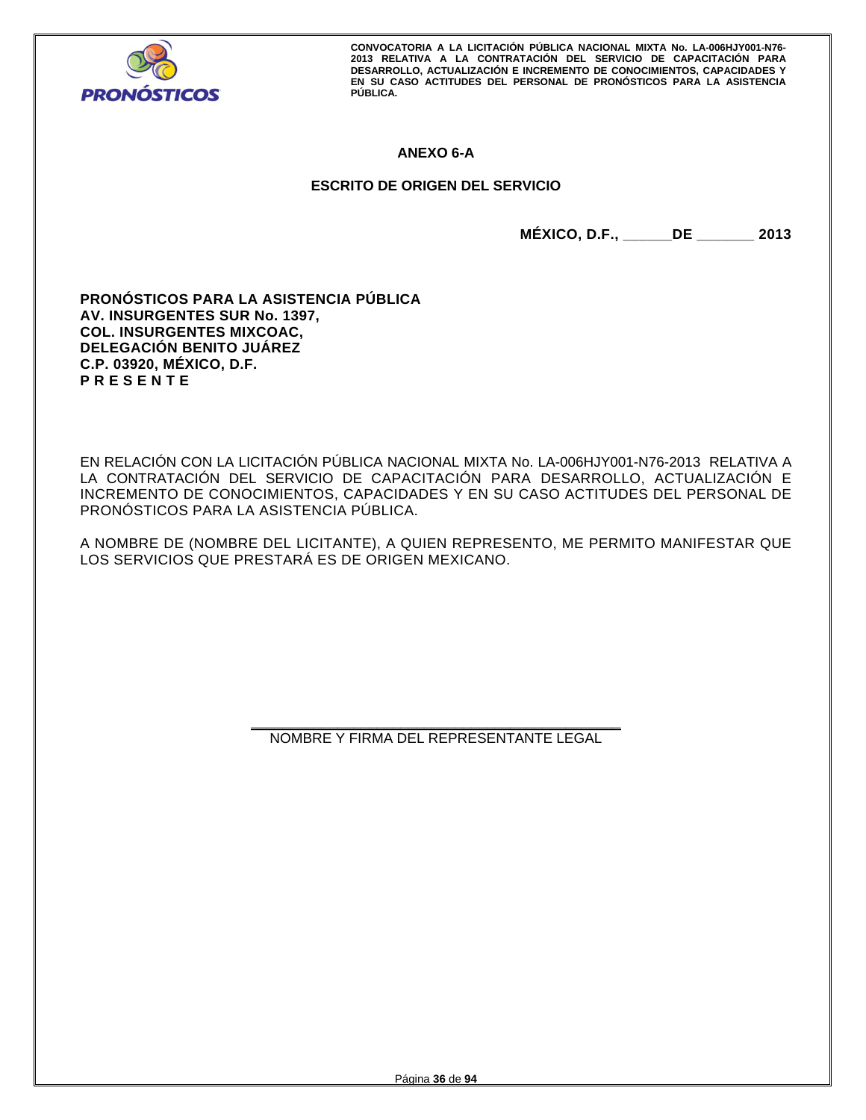

# **ANEXO 6-A**

# **ESCRITO DE ORIGEN DEL SERVICIO**

**MÉXICO, D.F., \_\_\_\_\_\_DE \_\_\_\_\_\_\_ 2013** 

**PRONÓSTICOS PARA LA ASISTENCIA PÚBLICA AV. INSURGENTES SUR No. 1397, COL. INSURGENTES MIXCOAC, DELEGACIÓN BENITO JUÁREZ C.P. 03920, MÉXICO, D.F. P R E S E N T E** 

EN RELACIÓN CON LA LICITACIÓN PÚBLICA NACIONAL MIXTA No. LA-006HJY001-N76-2013 RELATIVA A LA CONTRATACIÓN DEL SERVICIO DE CAPACITACIÓN PARA DESARROLLO, ACTUALIZACIÓN E INCREMENTO DE CONOCIMIENTOS, CAPACIDADES Y EN SU CASO ACTITUDES DEL PERSONAL DE PRONÓSTICOS PARA LA ASISTENCIA PÚBLICA.

A NOMBRE DE (NOMBRE DEL LICITANTE), A QUIEN REPRESENTO, ME PERMITO MANIFESTAR QUE LOS SERVICIOS QUE PRESTARÁ ES DE ORIGEN MEXICANO.

> **\_\_\_\_\_\_\_\_\_\_\_\_\_\_\_\_\_\_\_\_\_\_\_\_\_\_\_\_\_\_\_\_\_\_\_\_\_\_\_\_\_\_\_\_\_\_\_**  NOMBRE Y FIRMA DEL REPRESENTANTE LEGAL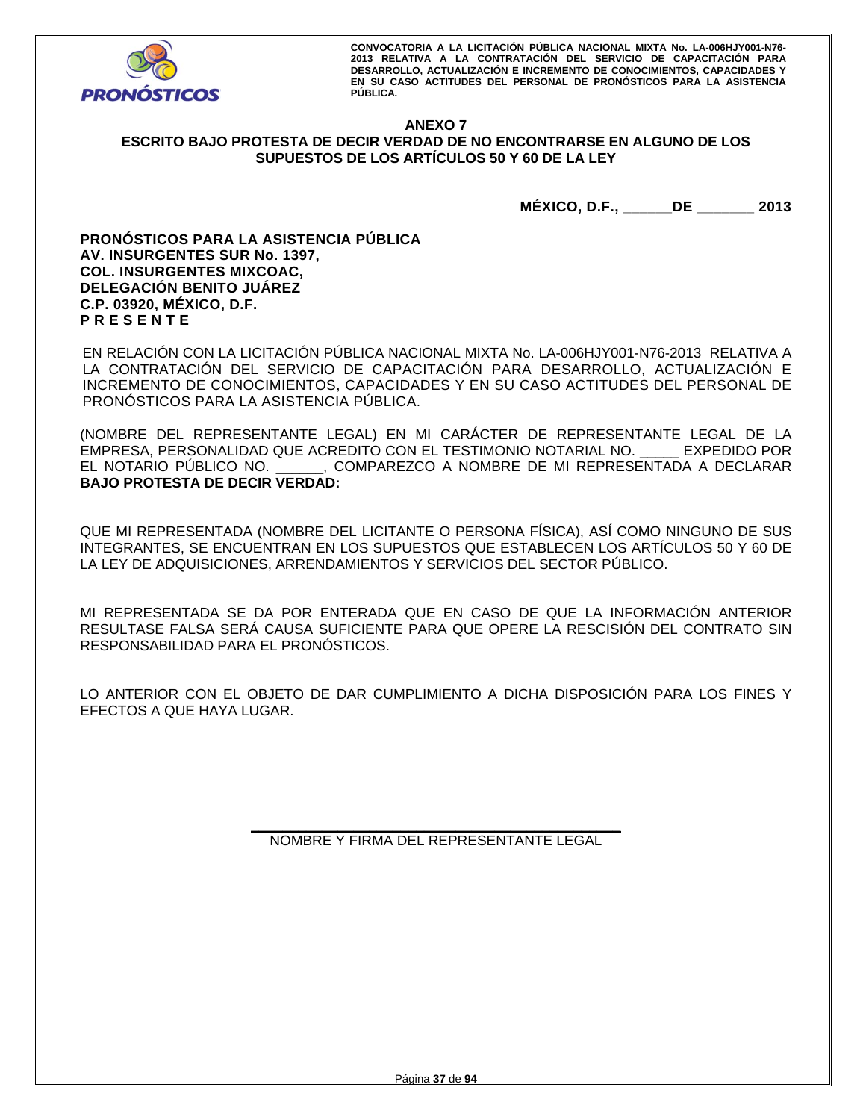

## **ANEXO 7 ESCRITO BAJO PROTESTA DE DECIR VERDAD DE NO ENCONTRARSE EN ALGUNO DE LOS SUPUESTOS DE LOS ARTÍCULOS 50 Y 60 DE LA LEY**

**MÉXICO, D.F., \_\_\_\_\_\_DE \_\_\_\_\_\_\_ 2013** 

**PRONÓSTICOS PARA LA ASISTENCIA PÚBLICA AV. INSURGENTES SUR No. 1397, COL. INSURGENTES MIXCOAC, DELEGACIÓN BENITO JUÁREZ C.P. 03920, MÉXICO, D.F. P R E S E N T E** 

EN RELACIÓN CON LA LICITACIÓN PÚBLICA NACIONAL MIXTA No. LA-006HJY001-N76-2013 RELATIVA A LA CONTRATACIÓN DEL SERVICIO DE CAPACITACIÓN PARA DESARROLLO, ACTUALIZACIÓN E INCREMENTO DE CONOCIMIENTOS, CAPACIDADES Y EN SU CASO ACTITUDES DEL PERSONAL DE PRONÓSTICOS PARA LA ASISTENCIA PÚBLICA.

(NOMBRE DEL REPRESENTANTE LEGAL) EN MI CARÁCTER DE REPRESENTANTE LEGAL DE LA EMPRESA, PERSONALIDAD QUE ACREDITO CON EL TESTIMONIO NOTARIAL NO. \_\_\_\_\_ EXPEDIDO POR EL NOTARIO PÚBLICO NO. \_\_\_\_\_\_, COMPAREZCO A NOMBRE DE MI REPRESENTADA A DECLARAR **BAJO PROTESTA DE DECIR VERDAD:** 

QUE MI REPRESENTADA (NOMBRE DEL LICITANTE O PERSONA FÍSICA), ASÍ COMO NINGUNO DE SUS INTEGRANTES, SE ENCUENTRAN EN LOS SUPUESTOS QUE ESTABLECEN LOS ARTÍCULOS 50 Y 60 DE LA LEY DE ADQUISICIONES, ARRENDAMIENTOS Y SERVICIOS DEL SECTOR PÚBLICO.

MI REPRESENTADA SE DA POR ENTERADA QUE EN CASO DE QUE LA INFORMACIÓN ANTERIOR RESULTASE FALSA SERÁ CAUSA SUFICIENTE PARA QUE OPERE LA RESCISIÓN DEL CONTRATO SIN RESPONSABILIDAD PARA EL PRONÓSTICOS.

LO ANTERIOR CON EL OBJETO DE DAR CUMPLIMIENTO A DICHA DISPOSICIÓN PARA LOS FINES Y EFECTOS A QUE HAYA LUGAR.

> **\_\_\_\_\_\_\_\_\_\_\_\_\_\_\_\_\_\_\_\_\_\_\_\_\_\_\_\_\_\_\_\_\_\_\_\_\_\_\_\_\_\_\_\_\_\_\_**  NOMBRE Y FIRMA DEL REPRESENTANTE LEGAL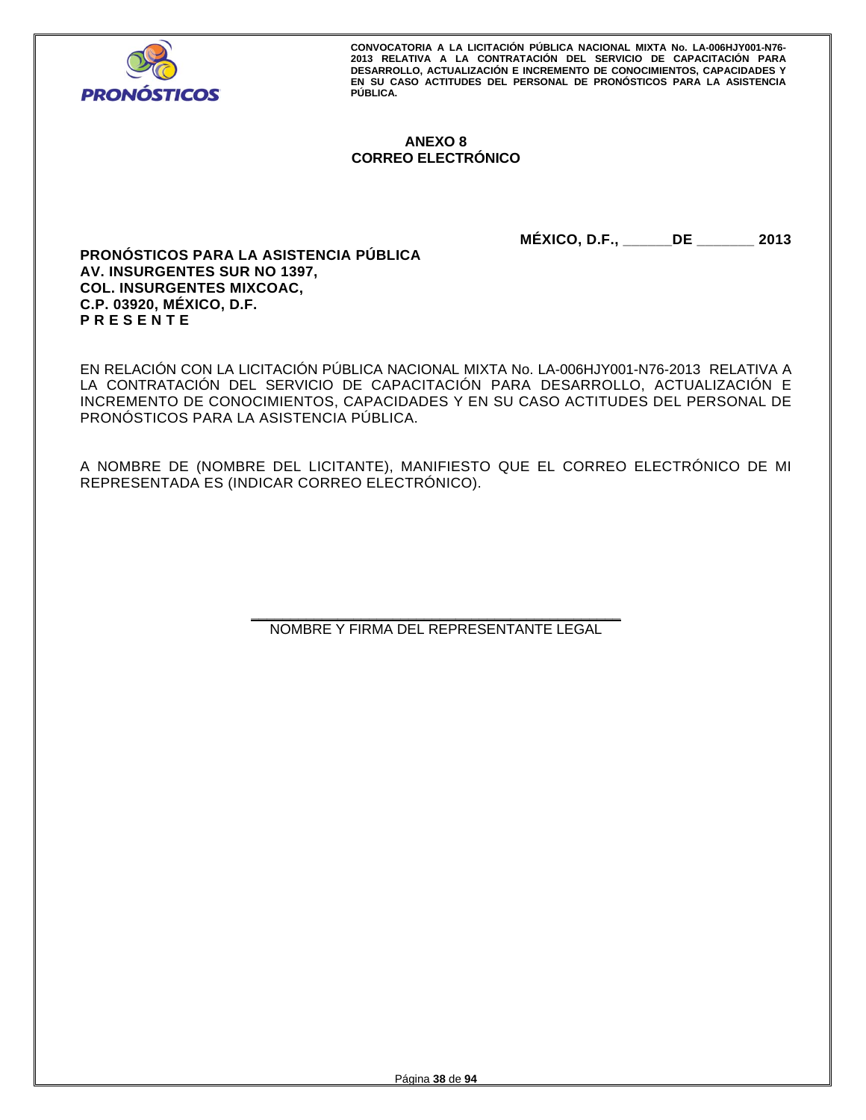

## **ANEXO 8 CORREO ELECTRÓNICO**

**MÉXICO, D.F., \_\_\_\_\_\_DE \_\_\_\_\_\_\_ 2013** 

**PRONÓSTICOS PARA LA ASISTENCIA PÚBLICA AV. INSURGENTES SUR NO 1397, COL. INSURGENTES MIXCOAC, C.P. 03920, MÉXICO, D.F. P R E S E N T E** 

EN RELACIÓN CON LA LICITACIÓN PÚBLICA NACIONAL MIXTA No. LA-006HJY001-N76-2013 RELATIVA A LA CONTRATACIÓN DEL SERVICIO DE CAPACITACIÓN PARA DESARROLLO, ACTUALIZACIÓN E INCREMENTO DE CONOCIMIENTOS, CAPACIDADES Y EN SU CASO ACTITUDES DEL PERSONAL DE PRONÓSTICOS PARA LA ASISTENCIA PÚBLICA.

A NOMBRE DE (NOMBRE DEL LICITANTE), MANIFIESTO QUE EL CORREO ELECTRÓNICO DE MI REPRESENTADA ES (INDICAR CORREO ELECTRÓNICO).

> **\_\_\_\_\_\_\_\_\_\_\_\_\_\_\_\_\_\_\_\_\_\_\_\_\_\_\_\_\_\_\_\_\_\_\_\_\_\_\_\_\_\_\_\_\_\_\_**  NOMBRE Y FIRMA DEL REPRESENTANTE LEGAL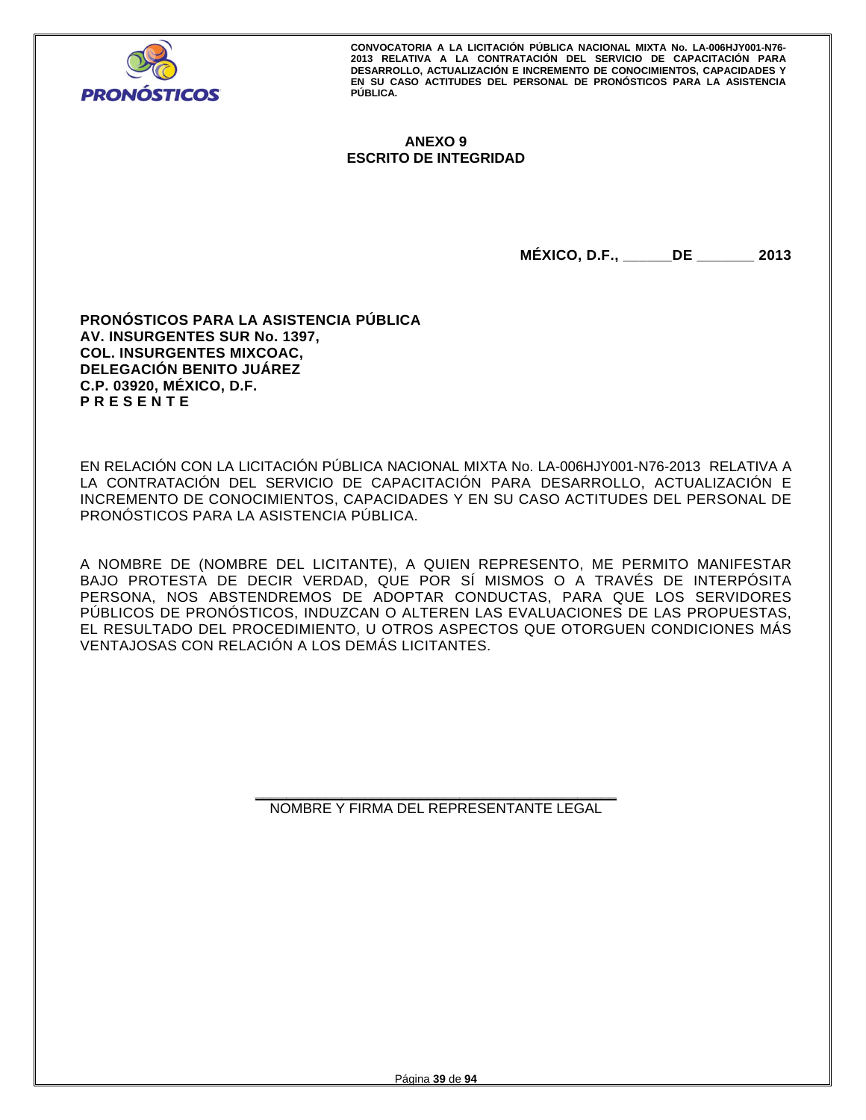

## **ANEXO 9 ESCRITO DE INTEGRIDAD**

**MÉXICO, D.F., \_\_\_\_\_\_DE \_\_\_\_\_\_\_ 2013** 

**PRONÓSTICOS PARA LA ASISTENCIA PÚBLICA AV. INSURGENTES SUR No. 1397, COL. INSURGENTES MIXCOAC, DELEGACIÓN BENITO JUÁREZ C.P. 03920, MÉXICO, D.F. P R E S E N T E** 

EN RELACIÓN CON LA LICITACIÓN PÚBLICA NACIONAL MIXTA No. LA-006HJY001-N76-2013 RELATIVA A LA CONTRATACIÓN DEL SERVICIO DE CAPACITACIÓN PARA DESARROLLO, ACTUALIZACIÓN E INCREMENTO DE CONOCIMIENTOS, CAPACIDADES Y EN SU CASO ACTITUDES DEL PERSONAL DE PRONÓSTICOS PARA LA ASISTENCIA PÚBLICA.

A NOMBRE DE (NOMBRE DEL LICITANTE), A QUIEN REPRESENTO, ME PERMITO MANIFESTAR BAJO PROTESTA DE DECIR VERDAD, QUE POR SÍ MISMOS O A TRAVÉS DE INTERPÓSITA PERSONA, NOS ABSTENDREMOS DE ADOPTAR CONDUCTAS, PARA QUE LOS SERVIDORES PÚBLICOS DE PRONÓSTICOS, INDUZCAN O ALTEREN LAS EVALUACIONES DE LAS PROPUESTAS, EL RESULTADO DEL PROCEDIMIENTO, U OTROS ASPECTOS QUE OTORGUEN CONDICIONES MÁS VENTAJOSAS CON RELACIÓN A LOS DEMÁS LICITANTES.

> **\_\_\_\_\_\_\_\_\_\_\_\_\_\_\_\_\_\_\_\_\_\_\_\_\_\_\_\_\_\_\_\_\_\_\_\_\_\_\_\_\_\_\_\_\_\_**  NOMBRE Y FIRMA DEL REPRESENTANTE LEGAL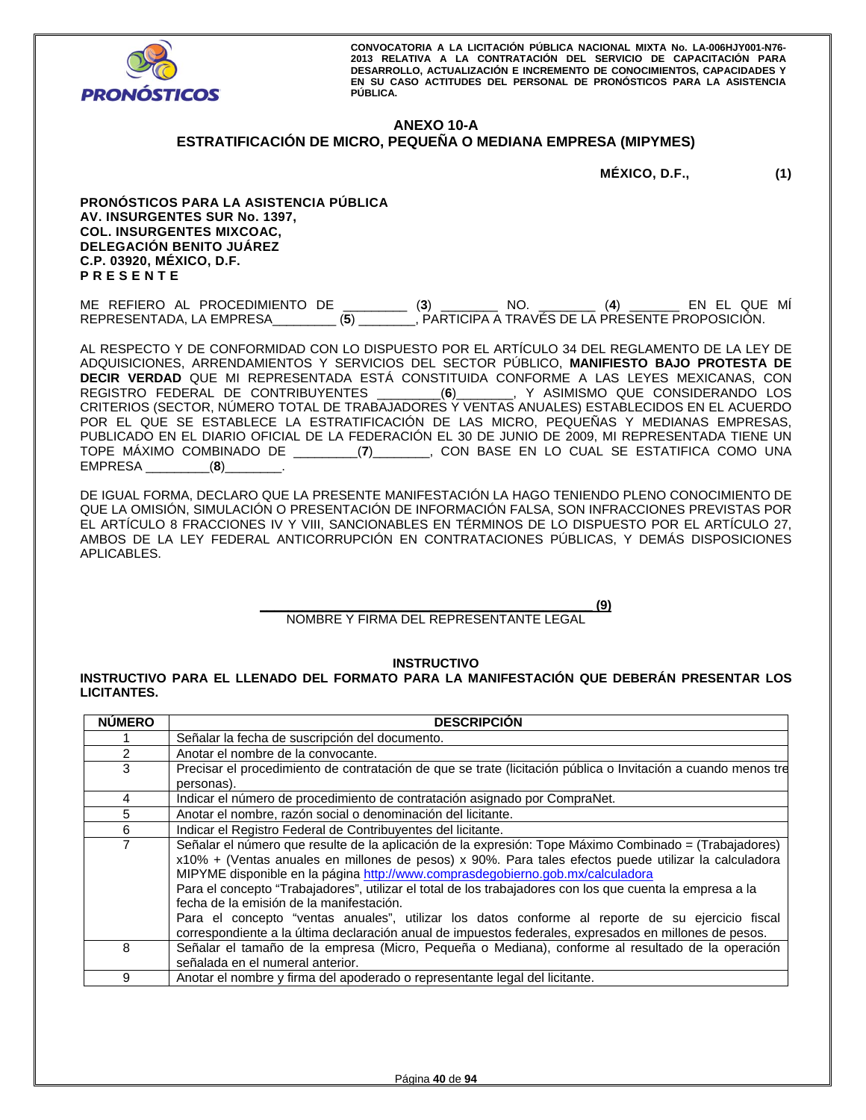

#### **ANEXO 10-A ESTRATIFICACIÓN DE MICRO, PEQUEÑA O MEDIANA EMPRESA (MIPYMES)**

**MÉXICO, D.F., (1)** 

**PRONÓSTICOS PARA LA ASISTENCIA PÚBLICA AV. INSURGENTES SUR No. 1397, COL. INSURGENTES MIXCOAC, DELEGACIÓN BENITO JUÁREZ C.P. 03920, MÉXICO, D.F. P R E S E N T E** 

ME REFIERO AL PROCEDIMIENTO DE \_\_\_\_\_\_\_\_\_ (**3**) \_\_\_\_\_\_\_\_ NO. \_\_\_\_\_\_\_\_ (**4**) \_\_\_\_\_\_\_ EN EL QUE MÍ REPRESENTADA, LA EMPRESA\_\_\_\_\_\_\_\_\_ (**5**) \_\_\_\_\_\_\_\_, PARTICIPA A TRAVÉS DE LA PRESENTE PROPOSICIÓN.

AL RESPECTO Y DE CONFORMIDAD CON LO DISPUESTO POR EL ARTÍCULO 34 DEL REGLAMENTO DE LA LEY DE ADQUISICIONES, ARRENDAMIENTOS Y SERVICIOS DEL SECTOR PÚBLICO, **MANIFIESTO BAJO PROTESTA DE DECIR VERDAD** QUE MI REPRESENTADA ESTÁ CONSTITUIDA CONFORME A LAS LEYES MEXICANAS, CON REGISTRO FEDERAL DE CONTRIBUYENTES \_\_\_\_\_\_\_\_\_(**6**)\_\_\_\_\_\_\_\_, Y ASIMISMO QUE CONSIDERANDO LOS CRITERIOS (SECTOR, NÚMERO TOTAL DE TRABAJADORES Y VENTAS ANUALES) ESTABLECIDOS EN EL ACUERDO POR EL QUE SE ESTABLECE LA ESTRATIFICACIÓN DE LAS MICRO, PEQUEÑAS Y MEDIANAS EMPRESAS, PUBLICADO EN EL DIARIO OFICIAL DE LA FEDERACIÓN EL 30 DE JUNIO DE 2009, MI REPRESENTADA TIENE UN TOPE MÁXIMO COMBINADO DE \_\_\_\_\_\_\_\_\_(**7**)\_\_\_\_\_\_\_\_, CON BASE EN LO CUAL SE ESTATIFICA COMO UNA EMPRESA \_\_\_\_\_\_\_\_\_(**8**)\_\_\_\_\_\_\_\_.

DE IGUAL FORMA, DECLARO QUE LA PRESENTE MANIFESTACIÓN LA HAGO TENIENDO PLENO CONOCIMIENTO DE QUE LA OMISIÓN, SIMULACIÓN O PRESENTACIÓN DE INFORMACIÓN FALSA, SON INFRACCIONES PREVISTAS POR EL ARTÍCULO 8 FRACCIONES IV Y VIII, SANCIONABLES EN TÉRMINOS DE LO DISPUESTO POR EL ARTÍCULO 27, AMBOS DE LA LEY FEDERAL ANTICORRUPCIÓN EN CONTRATACIONES PÚBLICAS, Y DEMÁS DISPOSICIONES APLICABLES.

> **\_\_\_\_\_\_\_\_\_\_\_\_\_\_\_\_\_\_\_\_\_\_\_\_\_\_\_\_\_\_\_\_\_\_\_\_\_\_\_\_\_\_\_\_\_\_\_ (9)**  NOMBRE Y FIRMA DEL REPRESENTANTE LEGAL

> > **INSTRUCTIVO**

**INSTRUCTIVO PARA EL LLENADO DEL FORMATO PARA LA MANIFESTACIÓN QUE DEBERÁN PRESENTAR LOS LICITANTES.** 

| <b>NÚMERO</b>  | <b>DESCRIPCIÓN</b>                                                                                                                                                                                                                                                                                                                                                                                                                                                                                                                                                                                                                                                      |
|----------------|-------------------------------------------------------------------------------------------------------------------------------------------------------------------------------------------------------------------------------------------------------------------------------------------------------------------------------------------------------------------------------------------------------------------------------------------------------------------------------------------------------------------------------------------------------------------------------------------------------------------------------------------------------------------------|
|                | Señalar la fecha de suscripción del documento.                                                                                                                                                                                                                                                                                                                                                                                                                                                                                                                                                                                                                          |
| $\overline{2}$ | Anotar el nombre de la convocante.                                                                                                                                                                                                                                                                                                                                                                                                                                                                                                                                                                                                                                      |
| 3              | Precisar el procedimiento de contratación de que se trate (licitación pública o Invitación a cuando menos tre                                                                                                                                                                                                                                                                                                                                                                                                                                                                                                                                                           |
|                | personas).                                                                                                                                                                                                                                                                                                                                                                                                                                                                                                                                                                                                                                                              |
| 4              | Indicar el número de procedimiento de contratación asignado por CompraNet.                                                                                                                                                                                                                                                                                                                                                                                                                                                                                                                                                                                              |
| 5              | Anotar el nombre, razón social o denominación del licitante.                                                                                                                                                                                                                                                                                                                                                                                                                                                                                                                                                                                                            |
| 6              | Indicar el Registro Federal de Contribuyentes del licitante.                                                                                                                                                                                                                                                                                                                                                                                                                                                                                                                                                                                                            |
| 7              | Señalar el número que resulte de la aplicación de la expresión: Tope Máximo Combinado = (Trabajadores)<br>x10% + (Ventas anuales en millones de pesos) x 90%. Para tales efectos puede utilizar la calculadora<br>MIPYME disponible en la página http://www.comprasdegobierno.gob.mx/calculadora<br>Para el concepto "Trabajadores", utilizar el total de los trabajadores con los que cuenta la empresa a la<br>fecha de la emisión de la manifestación.<br>Para el concepto "ventas anuales", utilizar los datos conforme al reporte de su ejercicio fiscal<br>correspondiente a la última declaración anual de impuestos federales, expresados en millones de pesos. |
| 8              | Señalar el tamaño de la empresa (Micro, Pequeña o Mediana), conforme al resultado de la operación<br>señalada en el numeral anterior.                                                                                                                                                                                                                                                                                                                                                                                                                                                                                                                                   |
| 9              | Anotar el nombre y firma del apoderado o representante legal del licitante.                                                                                                                                                                                                                                                                                                                                                                                                                                                                                                                                                                                             |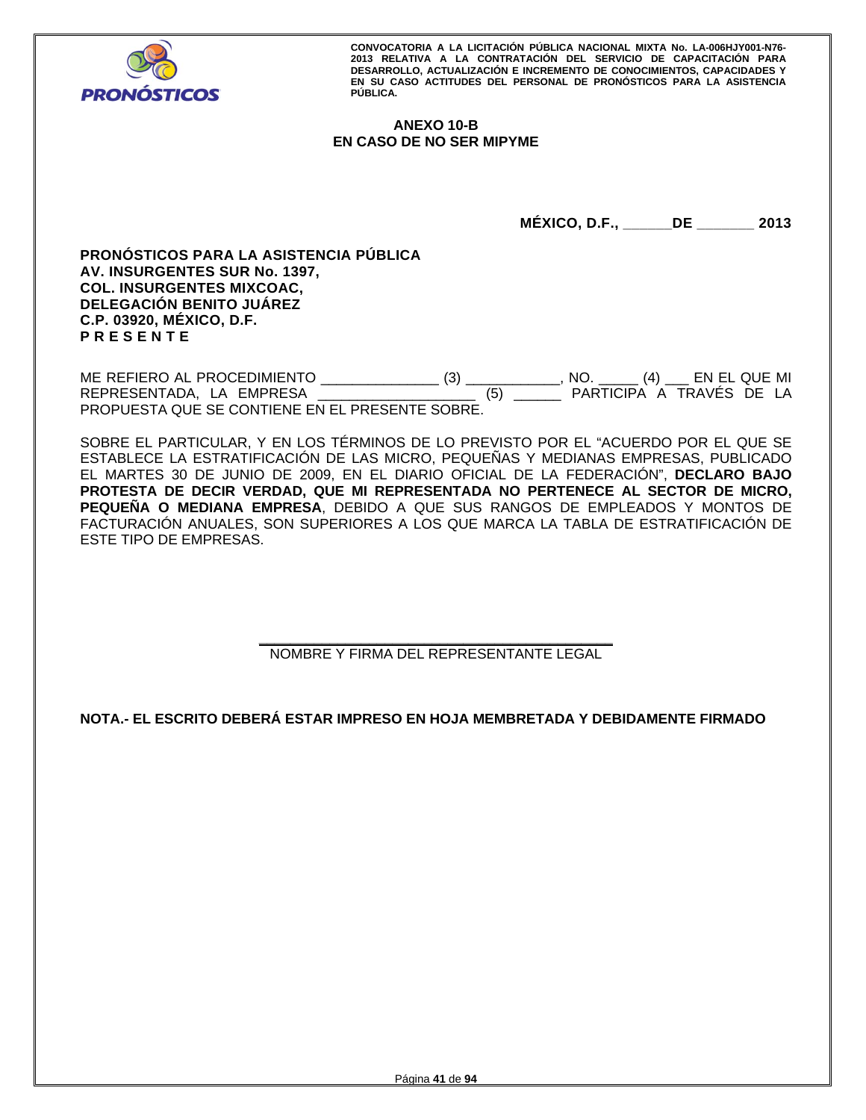

## **ANEXO 10-B EN CASO DE NO SER MIPYME**

**MÉXICO, D.F., \_\_\_\_\_\_DE \_\_\_\_\_\_\_ 2013** 

**PRONÓSTICOS PARA LA ASISTENCIA PÚBLICA AV. INSURGENTES SUR No. 1397, COL. INSURGENTES MIXCOAC, DELEGACIÓN BENITO JUÁREZ C.P. 03920, MÉXICO, D.F. P R E S E N T E** 

ME REFIERO AL PROCEDIMIENTO \_\_\_\_\_\_\_\_\_\_\_\_\_\_\_ (3) \_\_\_\_\_\_\_\_\_\_\_\_, NO. \_\_\_\_\_ (4) \_\_\_ EN EL QUE MI REPRESENTADA, LA EMPRESA PROPUESTA QUE SE CONTIENE EN EL PRESENTE SOBRE.

SOBRE EL PARTICULAR, Y EN LOS TÉRMINOS DE LO PREVISTO POR EL "ACUERDO POR EL QUE SE ESTABLECE LA ESTRATIFICACIÓN DE LAS MICRO, PEQUEÑAS Y MEDIANAS EMPRESAS, PUBLICADO EL MARTES 30 DE JUNIO DE 2009, EN EL DIARIO OFICIAL DE LA FEDERACIÓN", **DECLARO BAJO PROTESTA DE DECIR VERDAD, QUE MI REPRESENTADA NO PERTENECE AL SECTOR DE MICRO, PEQUEÑA O MEDIANA EMPRESA**, DEBIDO A QUE SUS RANGOS DE EMPLEADOS Y MONTOS DE FACTURACIÓN ANUALES, SON SUPERIORES A LOS QUE MARCA LA TABLA DE ESTRATIFICACIÓN DE ESTE TIPO DE EMPRESAS.

> **\_\_\_\_\_\_\_\_\_\_\_\_\_\_\_\_\_\_\_\_\_\_\_\_\_\_\_\_\_\_\_\_\_\_\_\_\_\_\_\_\_\_\_\_\_**  NOMBRE Y FIRMA DEL REPRESENTANTE LEGAL

**NOTA.- EL ESCRITO DEBERÁ ESTAR IMPRESO EN HOJA MEMBRETADA Y DEBIDAMENTE FIRMADO**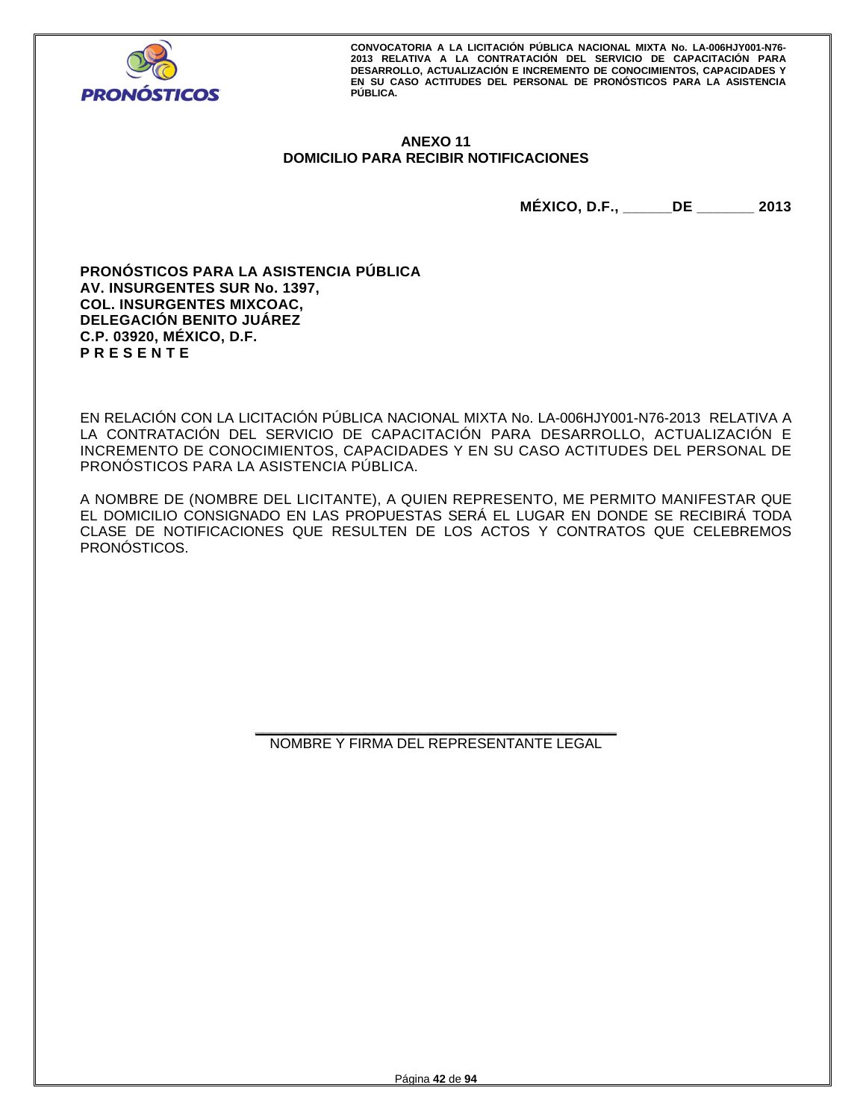

## **ANEXO 11 DOMICILIO PARA RECIBIR NOTIFICACIONES**

**MÉXICO, D.F., \_\_\_\_\_\_DE \_\_\_\_\_\_\_ 2013** 

**PRONÓSTICOS PARA LA ASISTENCIA PÚBLICA AV. INSURGENTES SUR No. 1397, COL. INSURGENTES MIXCOAC, DELEGACIÓN BENITO JUÁREZ C.P. 03920, MÉXICO, D.F. P R E S E N T E** 

EN RELACIÓN CON LA LICITACIÓN PÚBLICA NACIONAL MIXTA No. LA-006HJY001-N76-2013 RELATIVA A LA CONTRATACIÓN DEL SERVICIO DE CAPACITACIÓN PARA DESARROLLO, ACTUALIZACIÓN E INCREMENTO DE CONOCIMIENTOS, CAPACIDADES Y EN SU CASO ACTITUDES DEL PERSONAL DE PRONÓSTICOS PARA LA ASISTENCIA PÚBLICA.

A NOMBRE DE (NOMBRE DEL LICITANTE), A QUIEN REPRESENTO, ME PERMITO MANIFESTAR QUE EL DOMICILIO CONSIGNADO EN LAS PROPUESTAS SERÁ EL LUGAR EN DONDE SE RECIBIRÁ TODA CLASE DE NOTIFICACIONES QUE RESULTEN DE LOS ACTOS Y CONTRATOS QUE CELEBREMOS PRONÓSTICOS.

> **\_\_\_\_\_\_\_\_\_\_\_\_\_\_\_\_\_\_\_\_\_\_\_\_\_\_\_\_\_\_\_\_\_\_\_\_\_\_\_\_\_\_\_\_\_\_**  NOMBRE Y FIRMA DEL REPRESENTANTE LEGAL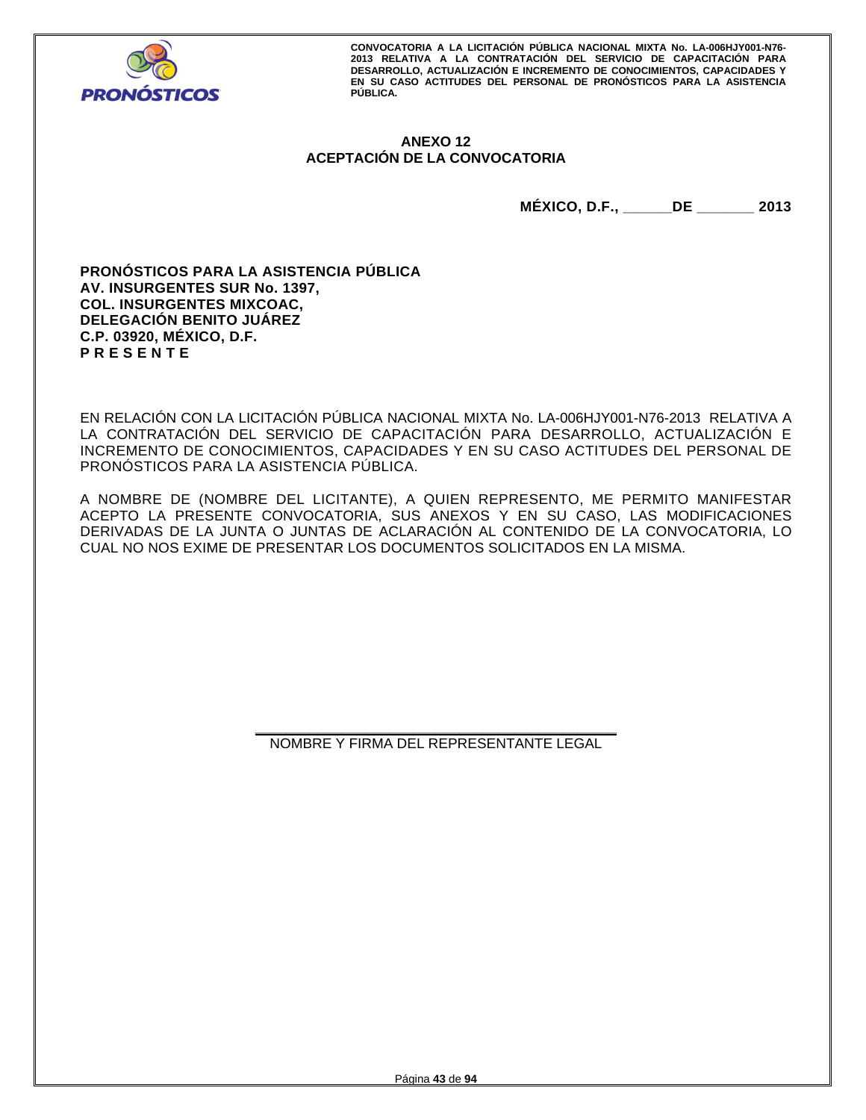

## **ANEXO 12 ACEPTACIÓN DE LA CONVOCATORIA**

**MÉXICO, D.F., \_\_\_\_\_\_DE \_\_\_\_\_\_\_ 2013** 

**PRONÓSTICOS PARA LA ASISTENCIA PÚBLICA AV. INSURGENTES SUR No. 1397, COL. INSURGENTES MIXCOAC, DELEGACIÓN BENITO JUÁREZ C.P. 03920, MÉXICO, D.F. P R E S E N T E** 

EN RELACIÓN CON LA LICITACIÓN PÚBLICA NACIONAL MIXTA No. LA-006HJY001-N76-2013 RELATIVA A LA CONTRATACIÓN DEL SERVICIO DE CAPACITACIÓN PARA DESARROLLO, ACTUALIZACIÓN E INCREMENTO DE CONOCIMIENTOS, CAPACIDADES Y EN SU CASO ACTITUDES DEL PERSONAL DE PRONÓSTICOS PARA LA ASISTENCIA PÚBLICA.

A NOMBRE DE (NOMBRE DEL LICITANTE), A QUIEN REPRESENTO, ME PERMITO MANIFESTAR ACEPTO LA PRESENTE CONVOCATORIA, SUS ANEXOS Y EN SU CASO, LAS MODIFICACIONES DERIVADAS DE LA JUNTA O JUNTAS DE ACLARACIÓN AL CONTENIDO DE LA CONVOCATORIA, LO CUAL NO NOS EXIME DE PRESENTAR LOS DOCUMENTOS SOLICITADOS EN LA MISMA.

> **\_\_\_\_\_\_\_\_\_\_\_\_\_\_\_\_\_\_\_\_\_\_\_\_\_\_\_\_\_\_\_\_\_\_\_\_\_\_\_\_\_\_\_\_\_\_**  NOMBRE Y FIRMA DEL REPRESENTANTE LEGAL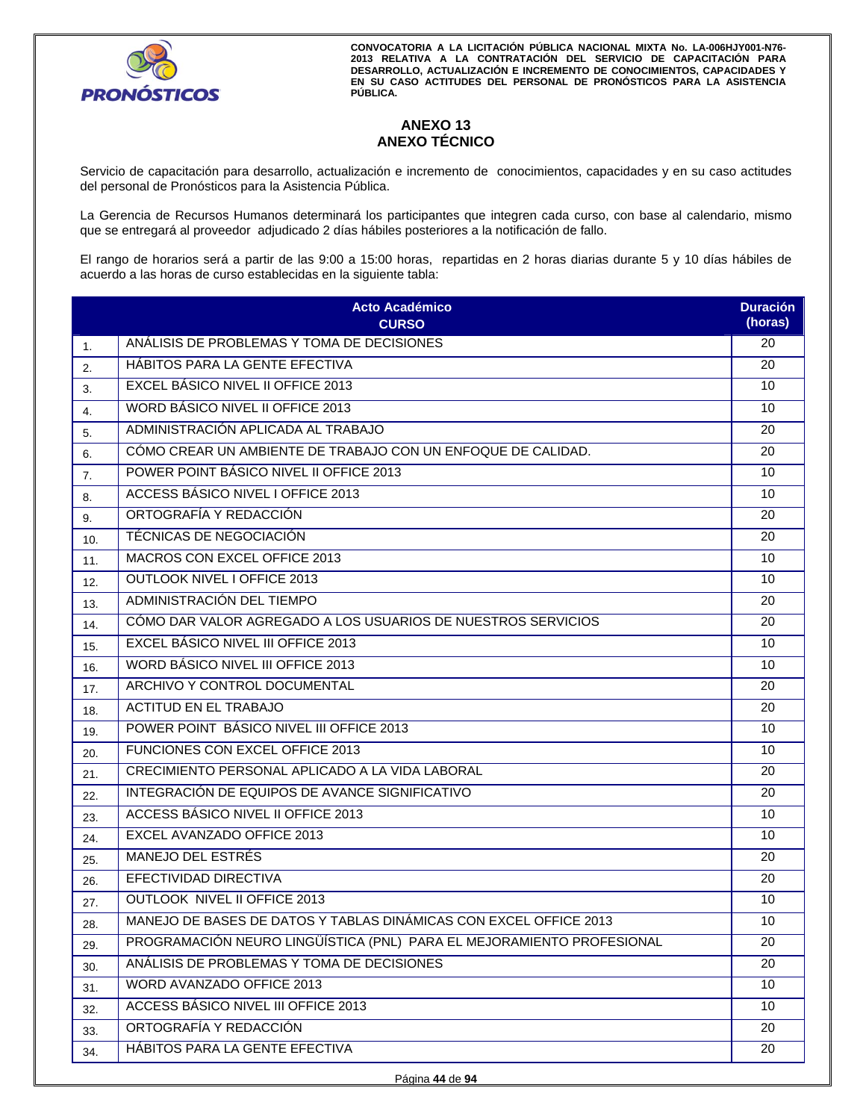

## **ANEXO 13 ANEXO TÉCNICO**

Servicio de capacitación para desarrollo, actualización e incremento de conocimientos, capacidades y en su caso actitudes del personal de Pronósticos para la Asistencia Pública.

La Gerencia de Recursos Humanos determinará los participantes que integren cada curso, con base al calendario, mismo que se entregará al proveedor adjudicado 2 días hábiles posteriores a la notificación de fallo.

El rango de horarios será a partir de las 9:00 a 15:00 horas, repartidas en 2 horas diarias durante 5 y 10 días hábiles de acuerdo a las horas de curso establecidas en la siguiente tabla:

|     | <b>Acto Académico</b><br><b>CURSO</b>                                 | <b>Duración</b><br>(horas) |
|-----|-----------------------------------------------------------------------|----------------------------|
| 1.  | ANÁLISIS DE PROBLEMAS Y TOMA DE DECISIONES                            | 20                         |
| 2.  | HÁBITOS PARA LA GENTE EFECTIVA                                        | 20                         |
| 3.  | <b>EXCEL BÁSICO NIVEL II OFFICE 2013</b>                              | 10                         |
| 4.  | WORD BÁSICO NIVEL II OFFICE 2013                                      | 10                         |
| 5.  | ADMINISTRACIÓN APLICADA AL TRABAJO                                    | 20                         |
| 6.  | CÓMO CREAR UN AMBIENTE DE TRABAJO CON UN ENFOQUE DE CALIDAD.          | 20                         |
| 7.  | POWER POINT BÁSICO NIVEL II OFFICE 2013                               | 10                         |
| 8.  | ACCESS BÁSICO NIVEL I OFFICE 2013                                     | 10                         |
| 9.  | ORTOGRAFÍA Y REDACCIÓN                                                | 20                         |
| 10. | TÉCNICAS DE NEGOCIACIÓN                                               | 20                         |
| 11. | MACROS CON EXCEL OFFICE 2013                                          | 10                         |
| 12. | OUTLOOK NIVEL I OFFICE 2013                                           | 10                         |
| 13. | ADMINISTRACIÓN DEL TIEMPO                                             | 20                         |
| 14. | CÓMO DAR VALOR AGREGADO A LOS USUARIOS DE NUESTROS SERVICIOS          | 20                         |
| 15. | EXCEL BÁSICO NIVEL III OFFICE 2013                                    | 10                         |
| 16. | WORD BÁSICO NIVEL III OFFICE 2013                                     | 10                         |
| 17. | ARCHIVO Y CONTROL DOCUMENTAL                                          | 20                         |
| 18. | <b>ACTITUD EN EL TRABAJO</b>                                          | 20                         |
| 19. | POWER POINT BÁSICO NIVEL III OFFICE 2013                              | 10                         |
| 20. | FUNCIONES CON EXCEL OFFICE 2013                                       | 10                         |
| 21. | CRECIMIENTO PERSONAL APLICADO A LA VIDA LABORAL                       | 20                         |
| 22. | INTEGRACIÓN DE EQUIPOS DE AVANCE SIGNIFICATIVO                        | 20                         |
| 23. | ACCESS BÁSICO NIVEL II OFFICE 2013                                    | 10                         |
| 24. | EXCEL AVANZADO OFFICE 2013                                            | 10                         |
| 25. | MANEJO DEL ESTRÉS                                                     | 20                         |
| 26. | EFECTIVIDAD DIRECTIVA                                                 | 20                         |
| 27. | <b>OUTLOOK NIVEL II OFFICE 2013</b>                                   | 10                         |
| 28. | MANEJO DE BASES DE DATOS Y TABLAS DINÁMICAS CON EXCEL OFFICE 2013     | 10                         |
| 29. | PROGRAMACIÓN NEURO LINGÜÍSTICA (PNL) PARA EL MEJORAMIENTO PROFESIONAL | 20                         |
| 30. | ANÁLISIS DE PROBLEMAS Y TOMA DE DECISIONES                            | 20                         |
| 31. | WORD AVANZADO OFFICE 2013                                             | 10                         |
| 32. | <b>ACCESS BÁSICO NIVEL III OFFICE 2013</b>                            | 10                         |
| 33. | ORTOGRAFÍA Y REDACCIÓN                                                | 20                         |
| 34. | HÁBITOS PARA LA GENTE EFECTIVA                                        | 20                         |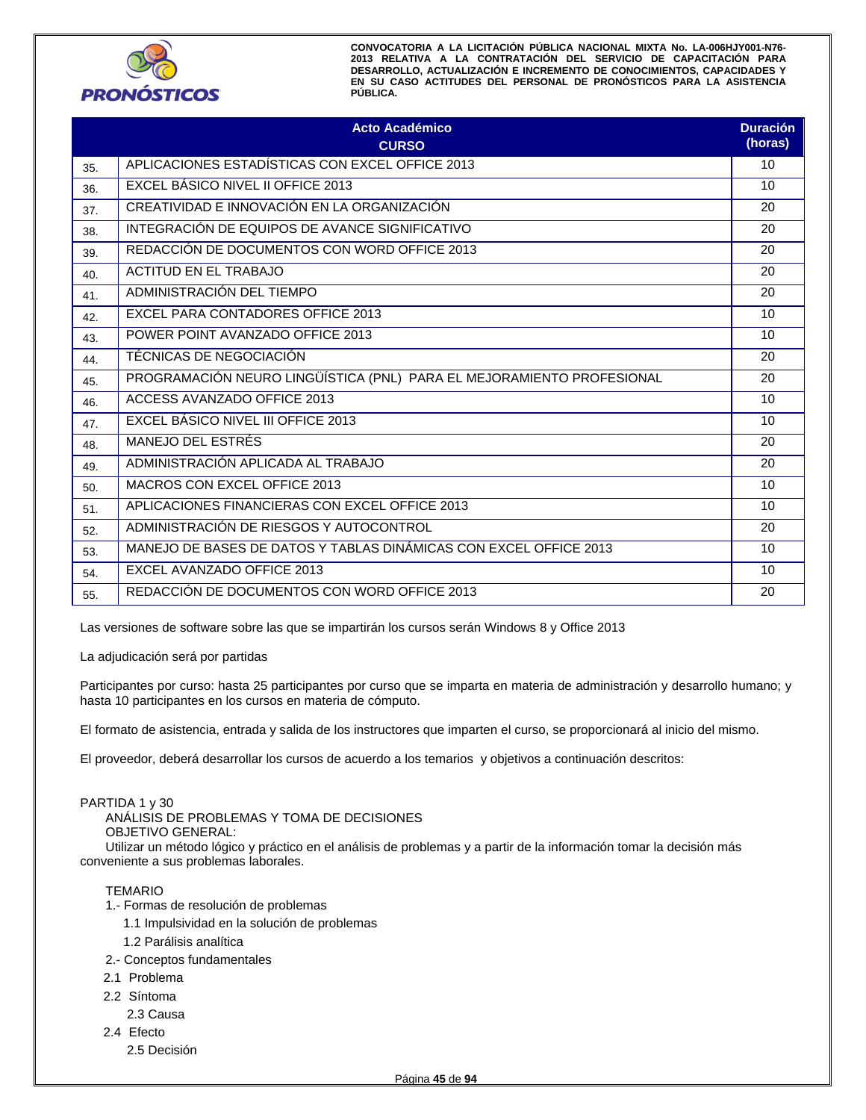

|     | <b>Acto Académico</b><br><b>CURSO</b>                                 | <b>Duración</b><br>(horas) |
|-----|-----------------------------------------------------------------------|----------------------------|
| 35. | APLICACIONES ESTADÍSTICAS CON EXCEL OFFICE 2013                       | 10                         |
| 36. | EXCEL BÁSICO NIVEL II OFFICE 2013                                     | 10                         |
| 37. | CREATIVIDAD E INNOVACIÓN EN LA ORGANIZACIÓN                           | 20                         |
| 38. | INTEGRACIÓN DE EQUIPOS DE AVANCE SIGNIFICATIVO                        | 20                         |
| 39. | REDACCIÓN DE DOCUMENTOS CON WORD OFFICE 2013                          | 20                         |
| 40. | <b>ACTITUD EN EL TRABAJO</b>                                          | 20                         |
| 41. | ADMINISTRACIÓN DEL TIEMPO                                             | 20                         |
| 42. | EXCEL PARA CONTADORES OFFICE 2013                                     | 10                         |
| 43. | POWER POINT AVANZADO OFFICE 2013                                      | 10                         |
| 44. | TÉCNICAS DE NEGOCIACIÓN                                               | 20                         |
| 45. | PROGRAMACIÓN NEURO LINGÜÍSTICA (PNL) PARA EL MEJORAMIENTO PROFESIONAL | 20                         |
| 46. | ACCESS AVANZADO OFFICE 2013                                           | 10                         |
| 47. | EXCEL BÁSICO NIVEL III OFFICE 2013                                    | 10                         |
| 48. | MANEJO DEL ESTRÉS                                                     | 20                         |
| 49. | ADMINISTRACIÓN APLICADA AL TRABAJO                                    | 20                         |
| 50. | MACROS CON EXCEL OFFICE 2013                                          | 10                         |
| 51. | APLICACIONES FINANCIERAS CON EXCEL OFFICE 2013                        | 10                         |
| 52. | ADMINISTRACIÓN DE RIESGOS Y AUTOCONTROL                               | 20                         |
| 53. | MANEJO DE BASES DE DATOS Y TABLAS DINÁMICAS CON EXCEL OFFICE 2013     | 10                         |
| 54. | EXCEL AVANZADO OFFICE 2013                                            | 10                         |
| 55. | REDACCIÓN DE DOCUMENTOS CON WORD OFFICE 2013                          | 20                         |

Las versiones de software sobre las que se impartirán los cursos serán Windows 8 y Office 2013

La adjudicación será por partidas

Participantes por curso: hasta 25 participantes por curso que se imparta en materia de administración y desarrollo humano; y hasta 10 participantes en los cursos en materia de cómputo.

El formato de asistencia, entrada y salida de los instructores que imparten el curso, se proporcionará al inicio del mismo.

El proveedor, deberá desarrollar los cursos de acuerdo a los temarios y objetivos a continuación descritos:

#### PARTIDA 1 y 30

ANÁLISIS DE PROBLEMAS Y TOMA DE DECISIONES OBJETIVO GENERAL:

Utilizar un método lógico y práctico en el análisis de problemas y a partir de la información tomar la decisión más conveniente a sus problemas laborales.

- 1.- Formas de resolución de problemas
	- 1.1 Impulsividad en la solución de problemas
	- 1.2 Parálisis analítica
- 2.- Conceptos fundamentales
- 2.1 Problema
- 2.2 Síntoma
	- 2.3 Causa
- 2.4 Efecto
	- 2.5 Decisión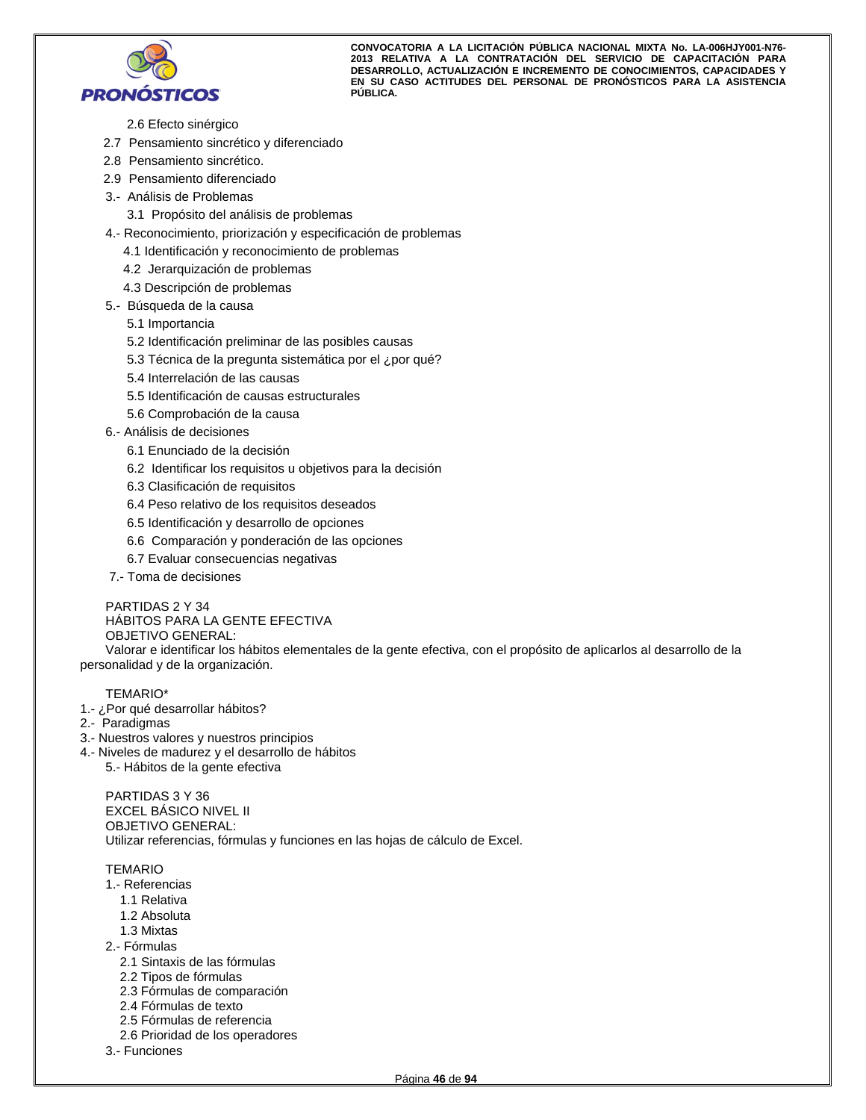

- 2.6 Efecto sinérgico
- 2.7 Pensamiento sincrético y diferenciado
- 2.8 Pensamiento sincrético.
- 2.9 Pensamiento diferenciado
- 3.- Análisis de Problemas
	- 3.1 Propósito del análisis de problemas
- 4.- Reconocimiento, priorización y especificación de problemas
	- 4.1 Identificación y reconocimiento de problemas
	- 4.2 Jerarquización de problemas
	- 4.3 Descripción de problemas
- 5.- Búsqueda de la causa
	- 5.1 Importancia
	- 5.2 Identificación preliminar de las posibles causas
	- 5.3 Técnica de la pregunta sistemática por el ¿por qué?
	- 5.4 Interrelación de las causas
	- 5.5 Identificación de causas estructurales
	- 5.6 Comprobación de la causa
- 6.- Análisis de decisiones
	- 6.1 Enunciado de la decisión
	- 6.2 Identificar los requisitos u objetivos para la decisión
	- 6.3 Clasificación de requisitos
	- 6.4 Peso relativo de los requisitos deseados
	- 6.5 Identificación y desarrollo de opciones
	- 6.6 Comparación y ponderación de las opciones
	- 6.7 Evaluar consecuencias negativas
- 7.- Toma de decisiones

PARTIDAS 2 Y 34 HÁBITOS PARA LA GENTE EFECTIVA OBJETIVO GENERAL:

Valorar e identificar los hábitos elementales de la gente efectiva, con el propósito de aplicarlos al desarrollo de la personalidad y de la organización.

## TEMARIO\*

- 1.- ¿Por qué desarrollar hábitos?
- 2.- Paradigmas
- 3.- Nuestros valores y nuestros principios
- 4.- Niveles de madurez y el desarrollo de hábitos
	- 5.- Hábitos de la gente efectiva

PARTIDAS 3 Y 36 EXCEL BÁSICO NIVEL II OBJETIVO GENERAL: Utilizar referencias, fórmulas y funciones en las hojas de cálculo de Excel.

- 1.- Referencias
	- 1.1 Relativa
	- 1.2 Absoluta
- 1.3 Mixtas
- 2.- Fórmulas
	- 2.1 Sintaxis de las fórmulas
	- 2.2 Tipos de fórmulas
	- 2.3 Fórmulas de comparación
	- 2.4 Fórmulas de texto
	- 2.5 Fórmulas de referencia
	- 2.6 Prioridad de los operadores
- 3.- Funciones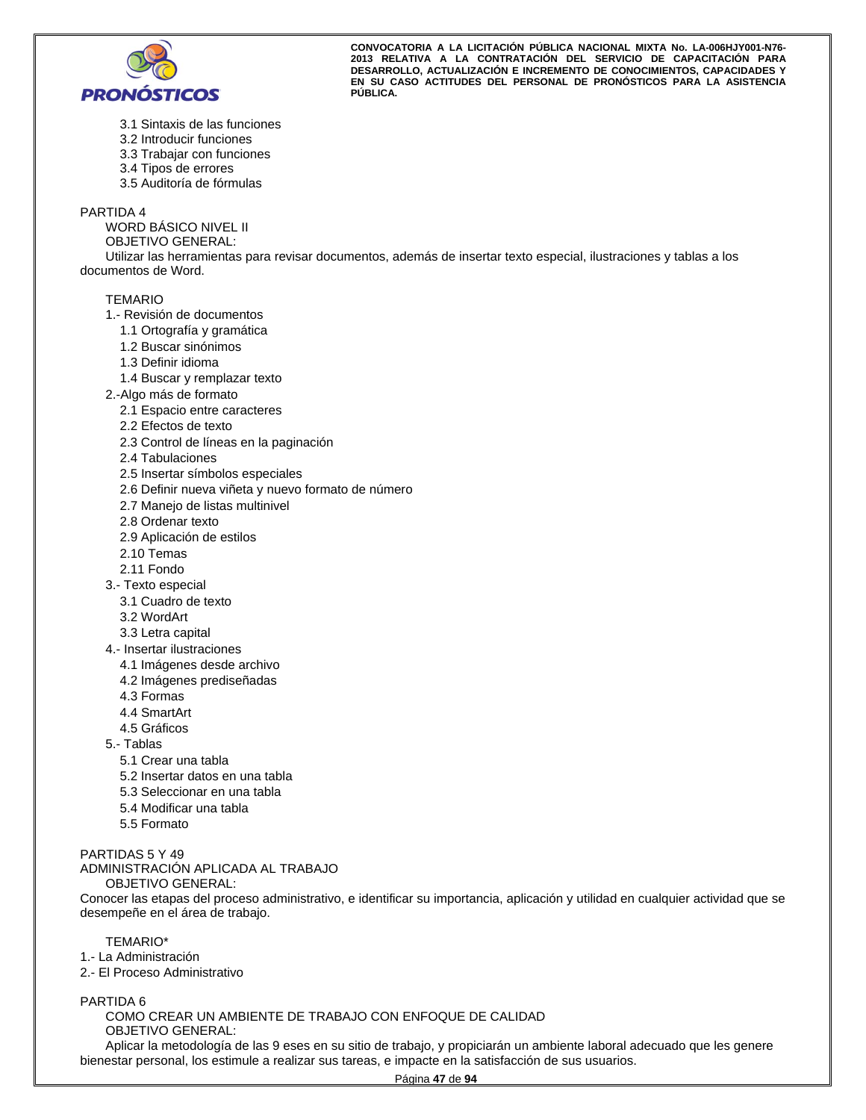

- 3.1 Sintaxis de las funciones
- 3.2 Introducir funciones
- 3.3 Trabajar con funciones
- 3.4 Tipos de errores
- 3.5 Auditoría de fórmulas

#### PARTIDA 4

WORD BÁSICO NIVEL II

OBJETIVO GENERAL:

Utilizar las herramientas para revisar documentos, además de insertar texto especial, ilustraciones y tablas a los documentos de Word.

#### TEMARIO

- 1.- Revisión de documentos
	- 1.1 Ortografía y gramática
	- 1.2 Buscar sinónimos
	- 1.3 Definir idioma
	- 1.4 Buscar y remplazar texto
- 2.-Algo más de formato
	- 2.1 Espacio entre caracteres
	- 2.2 Efectos de texto
	- 2.3 Control de líneas en la paginación
	- 2.4 Tabulaciones
	- 2.5 Insertar símbolos especiales
	- 2.6 Definir nueva viñeta y nuevo formato de número
	- 2.7 Manejo de listas multinivel
	- 2.8 Ordenar texto
	- 2.9 Aplicación de estilos
	- 2.10 Temas
	- 2.11 Fondo
- 3.- Texto especial
- 3.1 Cuadro de texto
- 3.2 WordArt
- 3.3 Letra capital
- 4.- Insertar ilustraciones
	- 4.1 Imágenes desde archivo
	- 4.2 Imágenes prediseñadas
	- 4.3 Formas
	- 4.4 SmartArt
	- 4.5 Gráficos
- 5.- Tablas
	- 5.1 Crear una tabla
	- 5.2 Insertar datos en una tabla
	- 5.3 Seleccionar en una tabla
	- 5.4 Modificar una tabla
	- 5.5 Formato

PARTIDAS 5 Y 49

ADMINISTRACIÓN APLICADA AL TRABAJO

OBJETIVO GENERAL:

Conocer las etapas del proceso administrativo, e identificar su importancia, aplicación y utilidad en cualquier actividad que se desempeñe en el área de trabajo.

TEMARIO\*

- 1.- La Administración
- 2.- El Proceso Administrativo

PARTIDA 6

COMO CREAR UN AMBIENTE DE TRABAJO CON ENFOQUE DE CALIDAD OBJETIVO GENERAL:

Aplicar la metodología de las 9 eses en su sitio de trabajo, y propiciarán un ambiente laboral adecuado que les genere bienestar personal, los estimule a realizar sus tareas, e impacte en la satisfacción de sus usuarios.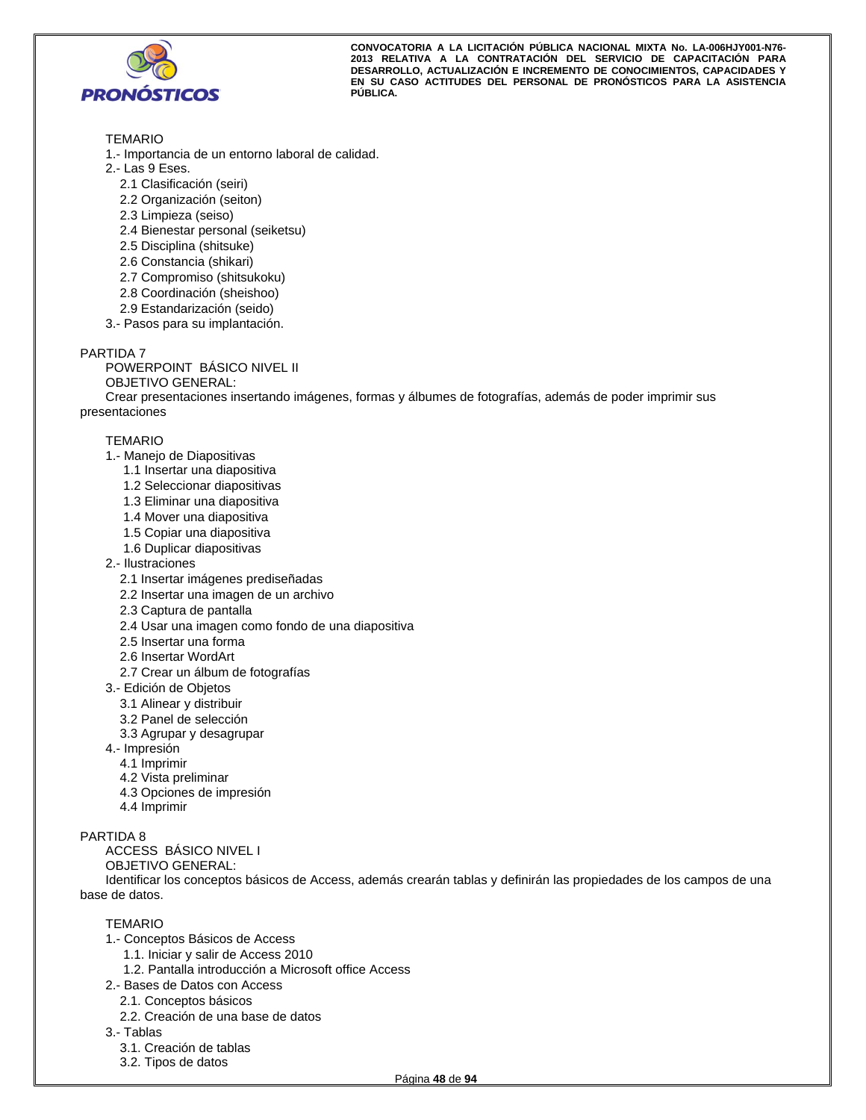

## TEMARIO

- 1.- Importancia de un entorno laboral de calidad.
- 2.- Las 9 Eses.
	- 2.1 Clasificación (seiri)
	- 2.2 Organización (seiton)
	- 2.3 Limpieza (seiso)
	- 2.4 Bienestar personal (seiketsu)
	- 2.5 Disciplina (shitsuke)
	- 2.6 Constancia (shikari)
	- 2.7 Compromiso (shitsukoku)
	- 2.8 Coordinación (sheishoo)
	- 2.9 Estandarización (seido)
- 3.- Pasos para su implantación.

#### PARTIDA 7

POWERPOINT BÁSICO NIVEL II OBJETIVO GENERAL:

Crear presentaciones insertando imágenes, formas y álbumes de fotografías, además de poder imprimir sus presentaciones

#### TEMARIO

- 1.- Manejo de Diapositivas
	- 1.1 Insertar una diapositiva
	- 1.2 Seleccionar diapositivas
	- 1.3 Eliminar una diapositiva
	- 1.4 Mover una diapositiva
	- 1.5 Copiar una diapositiva
	- 1.6 Duplicar diapositivas
- 2.- Ilustraciones
	- 2.1 Insertar imágenes prediseñadas
	- 2.2 Insertar una imagen de un archivo
	- 2.3 Captura de pantalla
	- 2.4 Usar una imagen como fondo de una diapositiva
	- 2.5 Insertar una forma
	- 2.6 Insertar WordArt
	- 2.7 Crear un álbum de fotografías
- 3.- Edición de Objetos
	- 3.1 Alinear y distribuir
	- 3.2 Panel de selección
	- 3.3 Agrupar y desagrupar
- 4.- Impresión
	- 4.1 Imprimir
	- 4.2 Vista preliminar
	- 4.3 Opciones de impresión
	- 4.4 Imprimir

## PARTIDA 8

- ACCESS BÁSICO NIVEL I
- OBJETIVO GENERAL:

Identificar los conceptos básicos de Access, además crearán tablas y definirán las propiedades de los campos de una base de datos.

- 1.- Conceptos Básicos de Access
	- 1.1. Iniciar y salir de Access 2010
	- 1.2. Pantalla introducción a Microsoft office Access
- 2.- Bases de Datos con Access
	- 2.1. Conceptos básicos
	- 2.2. Creación de una base de datos
- 3.- Tablas
	- 3.1. Creación de tablas
	- 3.2. Tipos de datos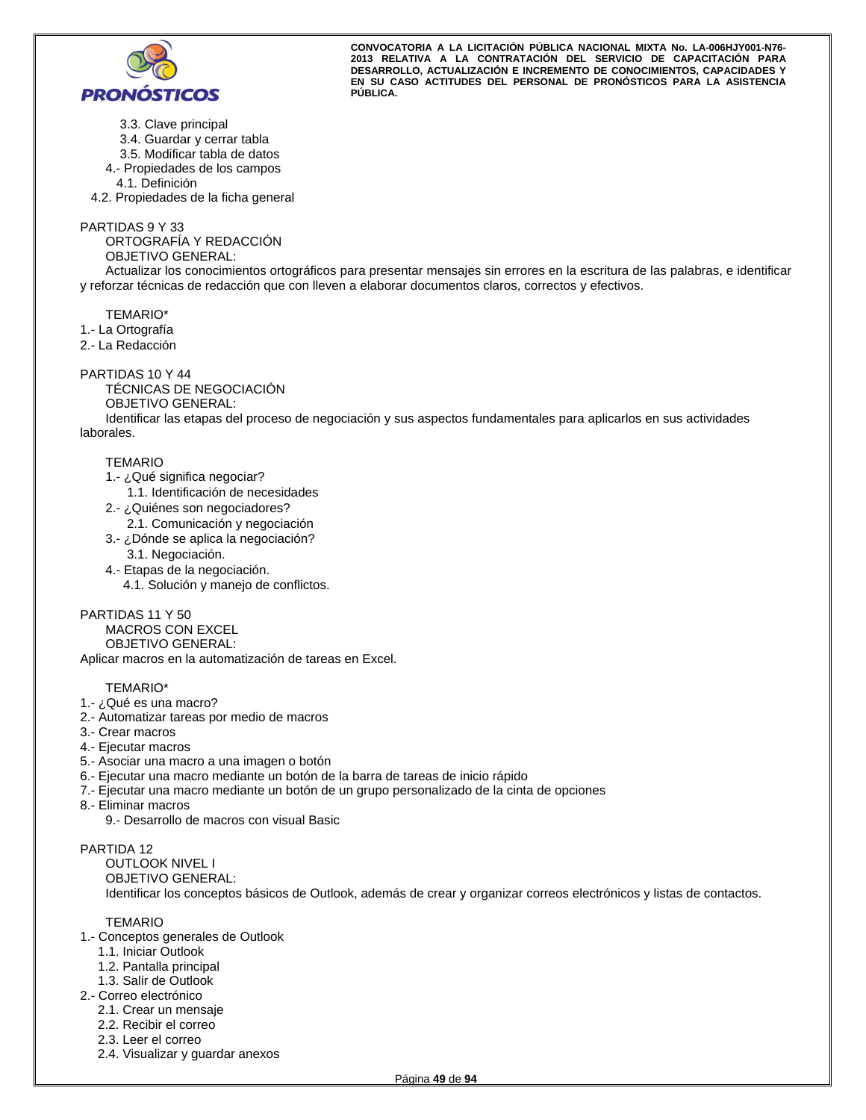

- 3.3. Clave principal
- 3.4. Guardar y cerrar tabla
- 3.5. Modificar tabla de datos
- 4.- Propiedades de los campos
- 4.1. Definición

4.2. Propiedades de la ficha general

PARTIDAS 9 Y 33

ORTOGRAFÍA Y REDACCIÓN

OBJETIVO GENERAL:

Actualizar los conocimientos ortográficos para presentar mensajes sin errores en la escritura de las palabras, e identificar y reforzar técnicas de redacción que con lleven a elaborar documentos claros, correctos y efectivos.

TEMARIO\*

1.- La Ortografía

2.- La Redacción

## PARTIDAS 10 Y 44

TÉCNICAS DE NEGOCIACIÓN OBJETIVO GENERAL:

Identificar las etapas del proceso de negociación y sus aspectos fundamentales para aplicarlos en sus actividades laborales.

## TEMARIO

- 1.- ¿Qué significa negociar?
	- 1.1. Identificación de necesidades
- 2.- ¿Quiénes son negociadores?
	- 2.1. Comunicación y negociación
- 3.- ¿Dónde se aplica la negociación?
- 3.1. Negociación.
- 4.- Etapas de la negociación.
	- 4.1. Solución y manejo de conflictos.

## PARTIDAS 11 Y 50

MACROS CON EXCEL OBJETIVO GENERAL:

Aplicar macros en la automatización de tareas en Excel.

## TEMARIO\*

- 1.- ¿Qué es una macro?
- 2.- Automatizar tareas por medio de macros
- 3.- Crear macros
- 4.- Ejecutar macros
- 5.- Asociar una macro a una imagen o botón
- 6.- Ejecutar una macro mediante un botón de la barra de tareas de inicio rápido
- 7.- Ejecutar una macro mediante un botón de un grupo personalizado de la cinta de opciones
- 8.- Eliminar macros
	- 9.- Desarrollo de macros con visual Basic

## PARTIDA 12

OUTLOOK NIVEL I OBJETIVO GENERAL: Identificar los conceptos básicos de Outlook, además de crear y organizar correos electrónicos y listas de contactos.

- 1.- Conceptos generales de Outlook
	- 1.1. Iniciar Outlook
	- 1.2. Pantalla principal
- 1.3. Salir de Outlook
- 2.- Correo electrónico
	- 2.1. Crear un mensaje
	- 2.2. Recibir el correo
	- 2.3. Leer el correo
	- 2.4. Visualizar y guardar anexos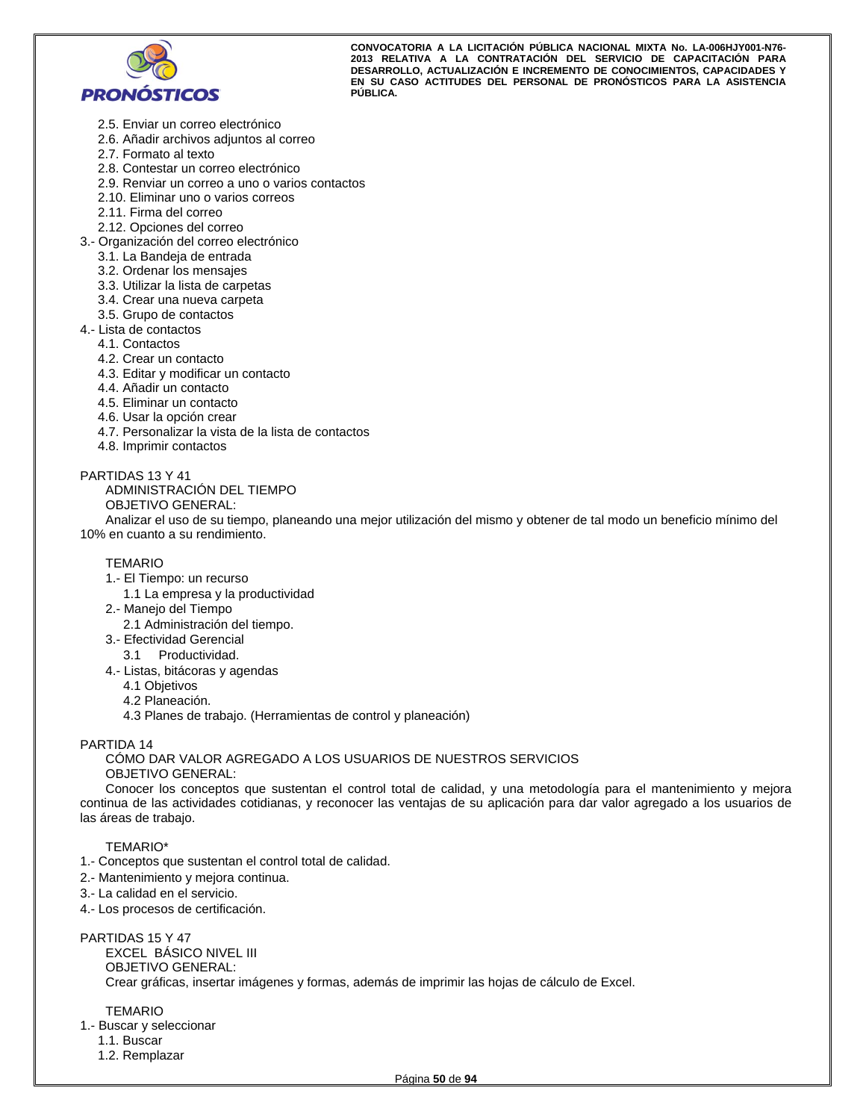

- 2.5. Enviar un correo electrónico
- 2.6. Añadir archivos adjuntos al correo
- 2.7. Formato al texto
- 2.8. Contestar un correo electrónico
- 2.9. Renviar un correo a uno o varios contactos
- 2.10. Eliminar uno o varios correos
- 2.11. Firma del correo
- 2.12. Opciones del correo
- 3.- Organización del correo electrónico
	- 3.1. La Bandeja de entrada
	- 3.2. Ordenar los mensajes
	- 3.3. Utilizar la lista de carpetas
	- 3.4. Crear una nueva carpeta
	- 3.5. Grupo de contactos
- 4.- Lista de contactos
	- 4.1. Contactos
	- 4.2. Crear un contacto
	- 4.3. Editar y modificar un contacto
	- 4.4. Añadir un contacto
	- 4.5. Eliminar un contacto
	- 4.6. Usar la opción crear
	- 4.7. Personalizar la vista de la lista de contactos
	- 4.8. Imprimir contactos

#### PARTIDAS 13 Y 41

ADMINISTRACIÓN DEL TIEMPO OBJETIVO GENERAL:

Analizar el uso de su tiempo, planeando una mejor utilización del mismo y obtener de tal modo un beneficio mínimo del 10% en cuanto a su rendimiento.

#### TEMARIO

- 1.- El Tiempo: un recurso
	- 1.1 La empresa y la productividad
- 2.- Manejo del Tiempo
	- 2.1 Administración del tiempo.
- 3.- Efectividad Gerencial
	- 3.1 Productividad.
- 4.- Listas, bitácoras y agendas
	- 4.1 Objetivos
	- 4.2 Planeación.
	- 4.3 Planes de trabajo. (Herramientas de control y planeación)

## PARTIDA 14

#### CÓMO DAR VALOR AGREGADO A LOS USUARIOS DE NUESTROS SERVICIOS OBJETIVO GENERAL:

Conocer los conceptos que sustentan el control total de calidad, y una metodología para el mantenimiento y mejora continua de las actividades cotidianas, y reconocer las ventajas de su aplicación para dar valor agregado a los usuarios de las áreas de trabajo.

#### TEMARIO\*

- 1.- Conceptos que sustentan el control total de calidad.
- 2.- Mantenimiento y mejora continua.
- 3.- La calidad en el servicio.
- 4.- Los procesos de certificación.

#### PARTIDAS 15 Y 47

EXCEL BÁSICO NIVEL III OBJETIVO GENERAL: Crear gráficas, insertar imágenes y formas, además de imprimir las hojas de cálculo de Excel.

#### TEMARIO

1.- Buscar y seleccionar

- 1.1. Buscar
- 1.2. Remplazar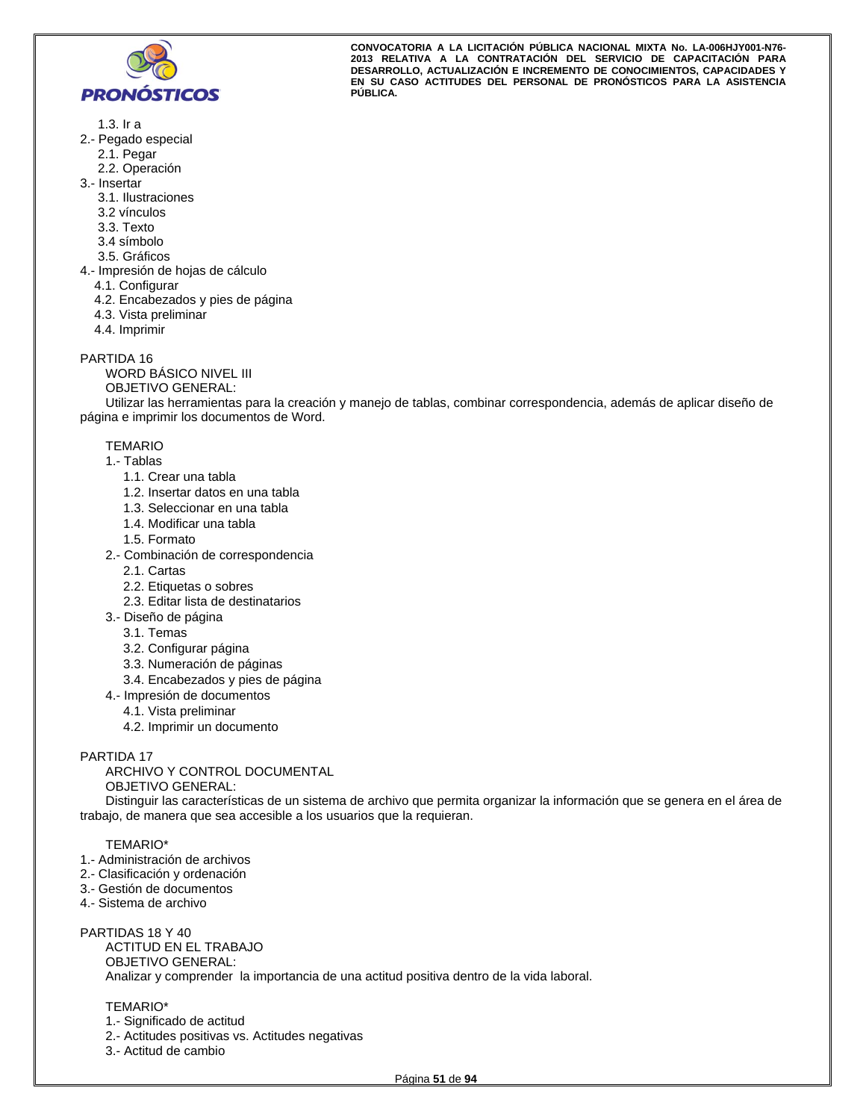

- 1.3. Ir a
- 2.- Pegado especial
	- 2.1. Pegar
	- 2.2. Operación
- 3.- Insertar
	- 3.1. Ilustraciones
	- 3.2 vínculos
	- 3.3. Texto
	- 3.4 símbolo
	- 3.5. Gráficos
- 4.- Impresión de hojas de cálculo
	- 4.1. Configurar
	- 4.2. Encabezados y pies de página
	- 4.3. Vista preliminar
	- 4.4. Imprimir

PARTIDA 16

WORD BÁSICO NIVEL III

OBJETIVO GENERAL:

Utilizar las herramientas para la creación y manejo de tablas, combinar correspondencia, además de aplicar diseño de página e imprimir los documentos de Word.

**TEMARIO** 

- 1.- Tablas
	- 1.1. Crear una tabla
	- 1.2. Insertar datos en una tabla
	- 1.3. Seleccionar en una tabla
	- 1.4. Modificar una tabla
	- 1.5. Formato
- 2.- Combinación de correspondencia
	- 2.1. Cartas
	- 2.2. Etiquetas o sobres
	- 2.3. Editar lista de destinatarios
- 3.- Diseño de página
	- 3.1. Temas
	- 3.2. Configurar página
	- 3.3. Numeración de páginas
	- 3.4. Encabezados y pies de página
- 4.- Impresión de documentos
	- 4.1. Vista preliminar
	- 4.2. Imprimir un documento

PARTIDA 17

ARCHIVO Y CONTROL DOCUMENTAL OBJETIVO GENERAL:

Distinguir las características de un sistema de archivo que permita organizar la información que se genera en el área de trabajo, de manera que sea accesible a los usuarios que la requieran.

## TEMARIO\*

- 1.- Administración de archivos
- 2.- Clasificación y ordenación
- 3.- Gestión de documentos
- 4.- Sistema de archivo

## PARTIDAS 18 Y 40

ACTITUD EN EL TRABAJO OBJETIVO GENERAL: Analizar y comprender la importancia de una actitud positiva dentro de la vida laboral.

## TEMARIO\*

- 1.- Significado de actitud
- 2.- Actitudes positivas vs. Actitudes negativas
- 3.- Actitud de cambio

**CONVOCATORIA A LA LICITACIÓN PÚBLICA NACIONAL MIXTA No. LA-006HJY001-N76- 2013 RELATIVA A LA CONTRATACIÓN DEL SERVICIO DE CAPACITACIÓN PARA DESARROLLO, ACTUALIZACIÓN E INCREMENTO DE CONOCIMIENTOS, CAPACIDADES Y EN SU CASO ACTITUDES DEL PERSONAL DE PRONÓSTICOS PARA LA ASISTENCIA PÚBLICA.**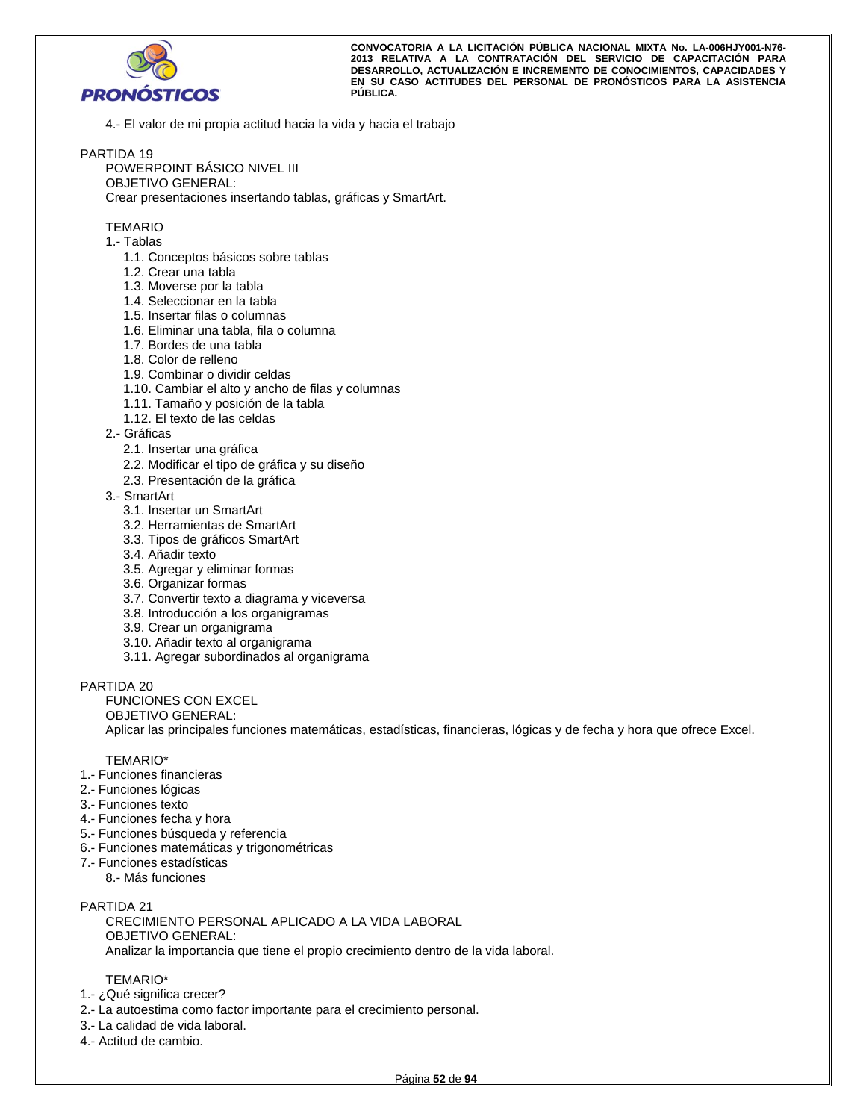

4.- El valor de mi propia actitud hacia la vida y hacia el trabajo

## PARTIDA 19

POWERPOINT BÁSICO NIVEL III OBJETIVO GENERAL: Crear presentaciones insertando tablas, gráficas y SmartArt.

#### TEMARIO

- 1.- Tablas
	- 1.1. Conceptos básicos sobre tablas
	- 1.2. Crear una tabla
	- 1.3. Moverse por la tabla
	- 1.4. Seleccionar en la tabla
	- 1.5. Insertar filas o columnas
	- 1.6. Eliminar una tabla, fila o columna
	- 1.7. Bordes de una tabla
	- 1.8. Color de relleno
	- 1.9. Combinar o dividir celdas
	- 1.10. Cambiar el alto y ancho de filas y columnas
	- 1.11. Tamaño y posición de la tabla
	- 1.12. El texto de las celdas
- 2.- Gráficas
	- 2.1. Insertar una gráfica
	- 2.2. Modificar el tipo de gráfica y su diseño
	- 2.3. Presentación de la gráfica
- 3.- SmartArt
	- 3.1. Insertar un SmartArt
	- 3.2. Herramientas de SmartArt
	- 3.3. Tipos de gráficos SmartArt
	- 3.4. Añadir texto
	- 3.5. Agregar y eliminar formas
	- 3.6. Organizar formas
	- 3.7. Convertir texto a diagrama y viceversa
	- 3.8. Introducción a los organigramas
	- 3.9. Crear un organigrama
	- 3.10. Añadir texto al organigrama
	- 3.11. Agregar subordinados al organigrama

PARTIDA 20

FUNCIONES CON EXCEL

OBJETIVO GENERAL:

Aplicar las principales funciones matemáticas, estadísticas, financieras, lógicas y de fecha y hora que ofrece Excel.

#### TEMARIO\*

- 1.- Funciones financieras
- 2.- Funciones lógicas
- 3.- Funciones texto
- 4.- Funciones fecha y hora
- 5.- Funciones búsqueda y referencia
- 6.- Funciones matemáticas y trigonométricas
- 7.- Funciones estadísticas
	- 8.- Más funciones

## PARTIDA 21

CRECIMIENTO PERSONAL APLICADO A LA VIDA LABORAL OBJETIVO GENERAL: Analizar la importancia que tiene el propio crecimiento dentro de la vida laboral.

- 1.- ¿Qué significa crecer?
- 2.- La autoestima como factor importante para el crecimiento personal.
- 3.- La calidad de vida laboral.
- 4.- Actitud de cambio.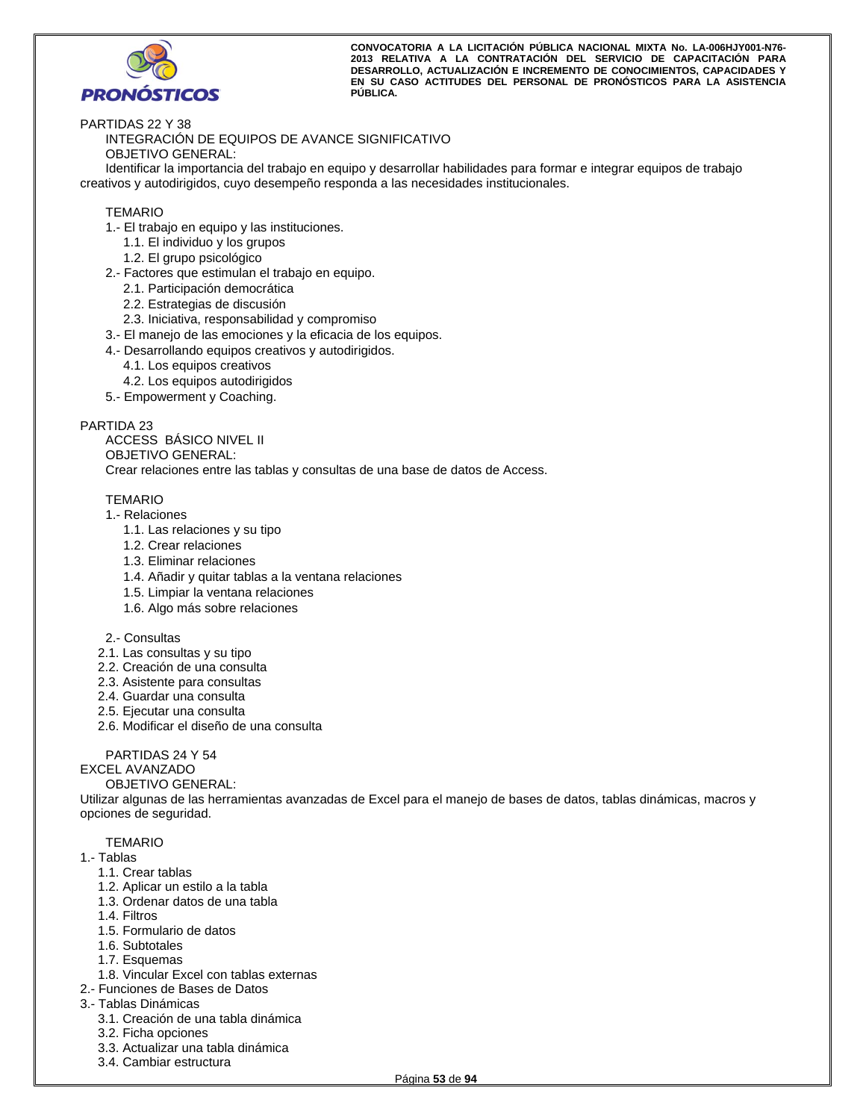

PARTIDAS 22 Y 38

INTEGRACIÓN DE EQUIPOS DE AVANCE SIGNIFICATIVO OBJETIVO GENERAL:

Identificar la importancia del trabajo en equipo y desarrollar habilidades para formar e integrar equipos de trabajo creativos y autodirigidos, cuyo desempeño responda a las necesidades institucionales.

## TEMARIO

- 1.- El trabajo en equipo y las instituciones.
	- 1.1. El individuo y los grupos
	- 1.2. El grupo psicológico
- 2.- Factores que estimulan el trabajo en equipo.
	- 2.1. Participación democrática
	- 2.2. Estrategias de discusión
	- 2.3. Iniciativa, responsabilidad y compromiso
- 3.- El manejo de las emociones y la eficacia de los equipos.
- 4.- Desarrollando equipos creativos y autodirigidos.
	- 4.1. Los equipos creativos
	- 4.2. Los equipos autodirigidos
- 5.- Empowerment y Coaching.

## PARTIDA 23

ACCESS BÁSICO NIVEL II OBJETIVO GENERAL: Crear relaciones entre las tablas y consultas de una base de datos de Access.

## TEMARIO

- 1.- Relaciones
	- 1.1. Las relaciones y su tipo
	- 1.2. Crear relaciones
	- 1.3. Eliminar relaciones
	- 1.4. Añadir y quitar tablas a la ventana relaciones
	- 1.5. Limpiar la ventana relaciones
	- 1.6. Algo más sobre relaciones
- 2.- Consultas
- 2.1. Las consultas y su tipo
- 2.2. Creación de una consulta
- 2.3. Asistente para consultas
- 2.4. Guardar una consulta
- 2.5. Ejecutar una consulta
- 2.6. Modificar el diseño de una consulta

## PARTIDAS 24 Y 54

## EXCEL AVANZADO

## OBJETIVO GENERAL:

Utilizar algunas de las herramientas avanzadas de Excel para el manejo de bases de datos, tablas dinámicas, macros y opciones de seguridad.

- 1.- Tablas
	- 1.1. Crear tablas
	- 1.2. Aplicar un estilo a la tabla
	- 1.3. Ordenar datos de una tabla
	- 1.4. Filtros
	- 1.5. Formulario de datos
	- 1.6. Subtotales
	- 1.7. Esquemas
	- 1.8. Vincular Excel con tablas externas
- 2.- Funciones de Bases de Datos
- 3.- Tablas Dinámicas
	- 3.1. Creación de una tabla dinámica
	- 3.2. Ficha opciones
	- 3.3. Actualizar una tabla dinámica
	- 3.4. Cambiar estructura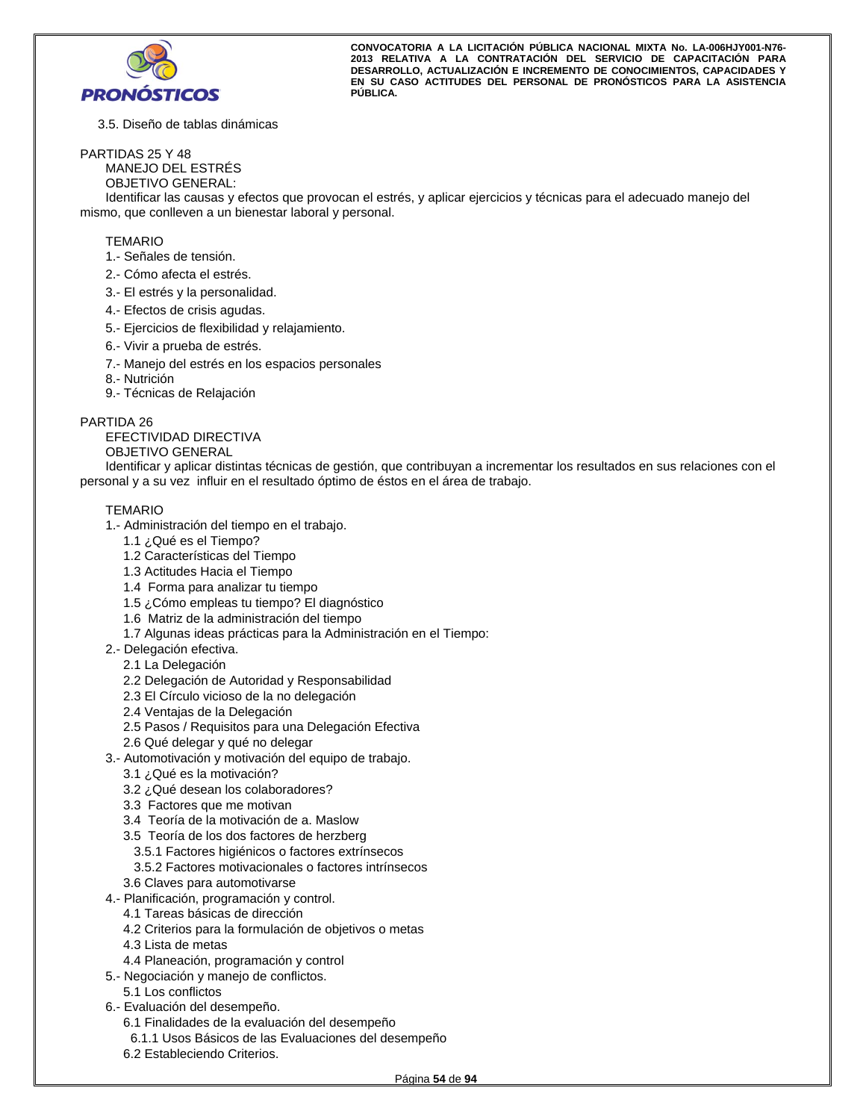

3.5. Diseño de tablas dinámicas

#### PARTIDAS 25 Y 48

MANEJO DEL ESTRÉS

OBJETIVO GENERAL:

Identificar las causas y efectos que provocan el estrés, y aplicar ejercicios y técnicas para el adecuado manejo del mismo, que conlleven a un bienestar laboral y personal.

#### TEMARIO

- 1.- Señales de tensión.
- 2.- Cómo afecta el estrés.
- 3.- El estrés y la personalidad.
- 4.- Efectos de crisis agudas.
- 5.- Ejercicios de flexibilidad y relajamiento.
- 6.- Vivir a prueba de estrés.
- 7.- Manejo del estrés en los espacios personales
- 8.- Nutrición
- 9.- Técnicas de Relajación

#### PARTIDA 26

EFECTIVIDAD DIRECTIVA OBJETIVO GENERAL

Identificar y aplicar distintas técnicas de gestión, que contribuyan a incrementar los resultados en sus relaciones con el personal y a su vez influir en el resultado óptimo de éstos en el área de trabajo.

- 1.- Administración del tiempo en el trabajo.
	- 1.1 ¿Qué es el Tiempo?
	- 1.2 Características del Tiempo
	- 1.3 Actitudes Hacia el Tiempo
	- 1.4 Forma para analizar tu tiempo
	- 1.5 ¿Cómo empleas tu tiempo? El diagnóstico
	- 1.6 Matriz de la administración del tiempo
	- 1.7 Algunas ideas prácticas para la Administración en el Tiempo:
- 2.- Delegación efectiva.
- 2.1 La Delegación
	- 2.2 Delegación de Autoridad y Responsabilidad
	- 2.3 El Círculo vicioso de la no delegación
	- 2.4 Ventajas de la Delegación
	- 2.5 Pasos / Requisitos para una Delegación Efectiva
- 2.6 Qué delegar y qué no delegar
- 3.- Automotivación y motivación del equipo de trabajo.
	- 3.1 ¿Qué es la motivación?
	- 3.2 ¿Qué desean los colaboradores?
	- 3.3 Factores que me motivan
	- 3.4 Teoría de la motivación de a. Maslow
	- 3.5 Teoría de los dos factores de herzberg
	- 3.5.1 Factores higiénicos o factores extrínsecos
	- 3.5.2 Factores motivacionales o factores intrínsecos
	- 3.6 Claves para automotivarse
- 4.- Planificación, programación y control.
	- 4.1 Tareas básicas de dirección
	- 4.2 Criterios para la formulación de objetivos o metas
	- 4.3 Lista de metas
	- 4.4 Planeación, programación y control
- 5.- Negociación y manejo de conflictos.
	- 5.1 Los conflictos
- 6.- Evaluación del desempeño.
	- 6.1 Finalidades de la evaluación del desempeño
	- 6.1.1 Usos Básicos de las Evaluaciones del desempeño
	- 6.2 Estableciendo Criterios.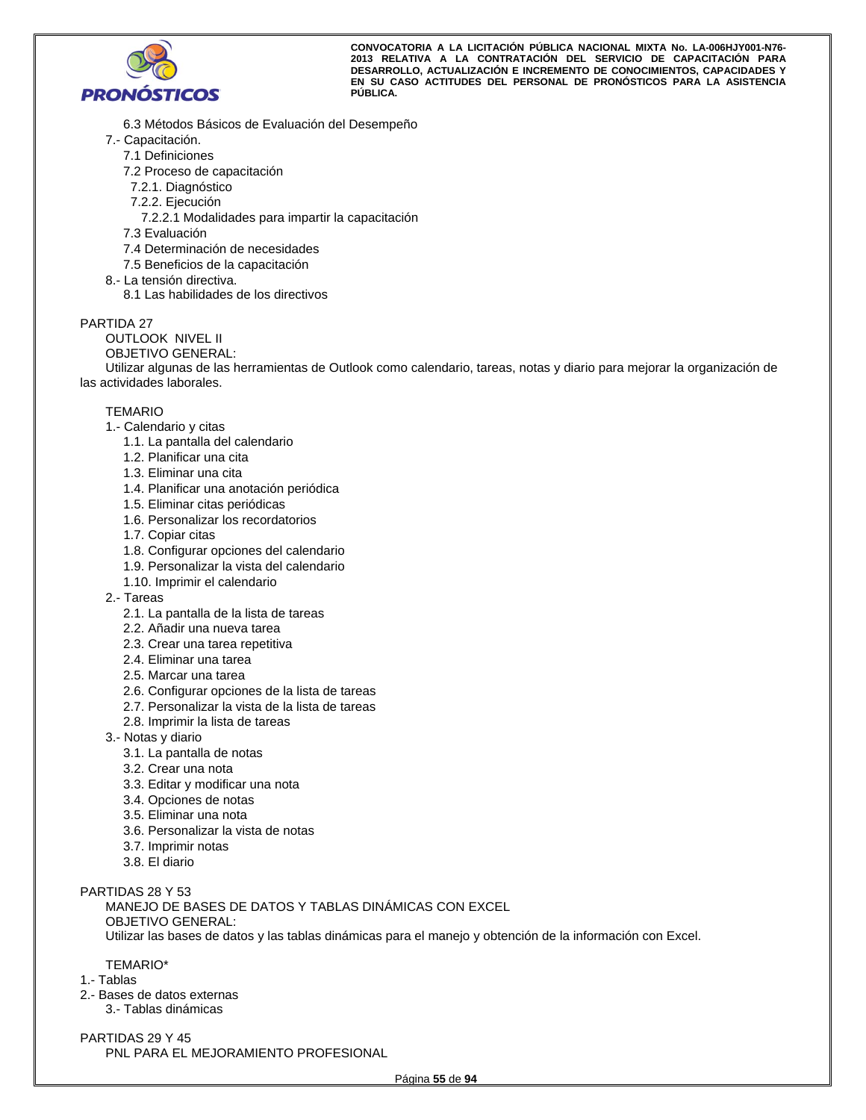

- 6.3 Métodos Básicos de Evaluación del Desempeño
- 7.- Capacitación.
	- 7.1 Definiciones
	- 7.2 Proceso de capacitación
	- 7.2.1. Diagnóstico
	- 7.2.2. Ejecución
		- 7.2.2.1 Modalidades para impartir la capacitación
	- 7.3 Evaluación
	- 7.4 Determinación de necesidades
	- 7.5 Beneficios de la capacitación
- 8.- La tensión directiva.
	- 8.1 Las habilidades de los directivos

## PARTIDA 27

- OUTLOOK NIVEL II
- OBJETIVO GENERAL:

Utilizar algunas de las herramientas de Outlook como calendario, tareas, notas y diario para mejorar la organización de las actividades laborales.

#### TEMARIO

- 1.- Calendario y citas
	- 1.1. La pantalla del calendario
	- 1.2. Planificar una cita
	- 1.3. Eliminar una cita
	- 1.4. Planificar una anotación periódica
	- 1.5. Eliminar citas periódicas
	- 1.6. Personalizar los recordatorios
	- 1.7. Copiar citas
	- 1.8. Configurar opciones del calendario
	- 1.9. Personalizar la vista del calendario
	- 1.10. Imprimir el calendario
- 2.- Tareas
	- 2.1. La pantalla de la lista de tareas
	- 2.2. Añadir una nueva tarea
	- 2.3. Crear una tarea repetitiva
	- 2.4. Eliminar una tarea
	- 2.5. Marcar una tarea
	- 2.6. Configurar opciones de la lista de tareas
	- 2.7. Personalizar la vista de la lista de tareas
	- 2.8. Imprimir la lista de tareas
- 3.- Notas y diario
	- 3.1. La pantalla de notas
	- 3.2. Crear una nota
	- 3.3. Editar y modificar una nota
	- 3.4. Opciones de notas
	- 3.5. Eliminar una nota
	- 3.6. Personalizar la vista de notas
	- 3.7. Imprimir notas
	- 3.8. El diario

PARTIDAS 28 Y 53

MANEJO DE BASES DE DATOS Y TABLAS DINÁMICAS CON EXCEL OBJETIVO GENERAL:

Utilizar las bases de datos y las tablas dinámicas para el manejo y obtención de la información con Excel.

TEMARIO\*

- 1.- Tablas
- 2.- Bases de datos externas
	- 3.- Tablas dinámicas

# PARTIDAS 29 Y 45

PNL PARA EL MEJORAMIENTO PROFESIONAL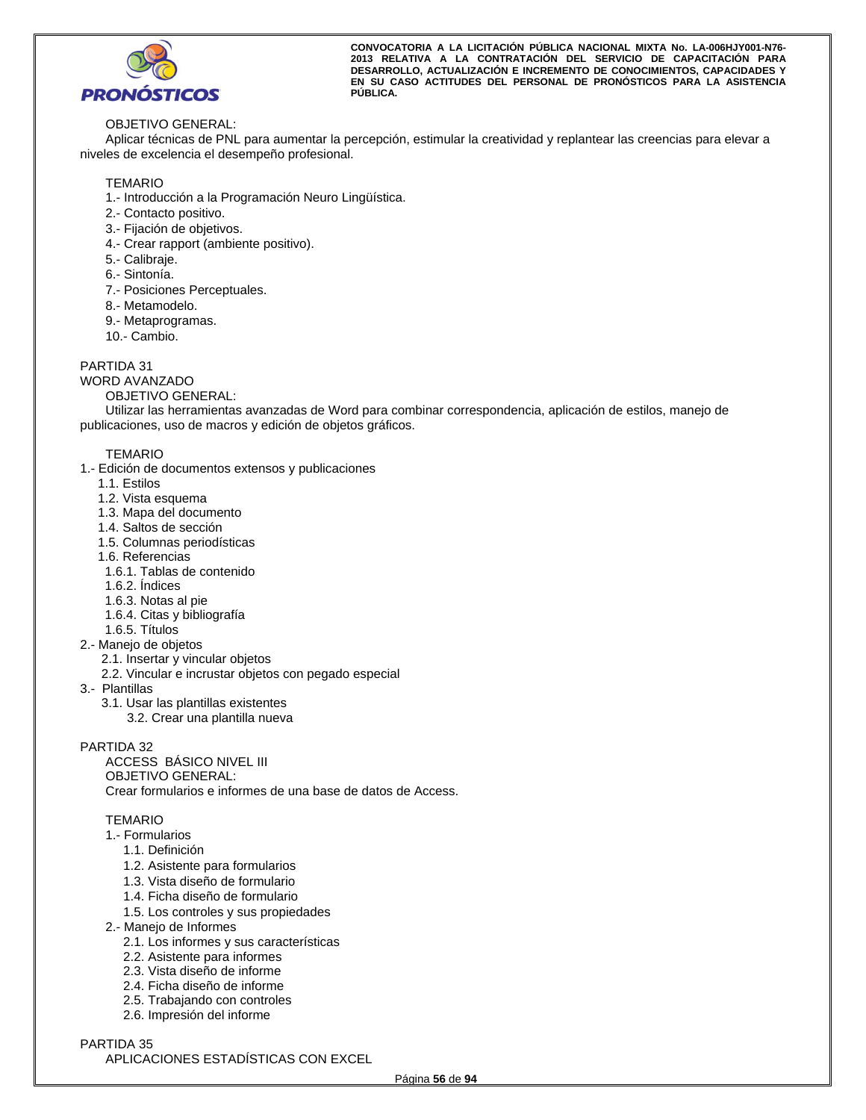

## OBJETIVO GENERAL:

Aplicar técnicas de PNL para aumentar la percepción, estimular la creatividad y replantear las creencias para elevar a niveles de excelencia el desempeño profesional.

## **TEMARIO**

- 1.- Introducción a la Programación Neuro Lingüística.
- 2.- Contacto positivo.
- 3.- Fijación de objetivos.
- 4.- Crear rapport (ambiente positivo).
- 5.- Calibraje.
- 6.- Sintonía.
- 7.- Posiciones Perceptuales.
- 8.- Metamodelo.
- 9.- Metaprogramas.
- 10.- Cambio.

PARTIDA 31

- WORD AVANZADO
	- OBJETIVO GENERAL:

Utilizar las herramientas avanzadas de Word para combinar correspondencia, aplicación de estilos, manejo de publicaciones, uso de macros y edición de objetos gráficos.

## TEMARIO

- 1.- Edición de documentos extensos y publicaciones
	- 1.1. Estilos
	- 1.2. Vista esquema
	- 1.3. Mapa del documento
	- 1.4. Saltos de sección
	- 1.5. Columnas periodísticas
	- 1.6. Referencias
	- 1.6.1. Tablas de contenido
	- 1.6.2. Índices
	- 1.6.3. Notas al pie
	- 1.6.4. Citas y bibliografía
	- 1.6.5. Títulos
- 2.- Manejo de objetos
	- 2.1. Insertar y vincular objetos
	- 2.2. Vincular e incrustar objetos con pegado especial
- 3.- Plantillas
	- 3.1. Usar las plantillas existentes
		- 3.2. Crear una plantilla nueva

## PARTIDA 32

ACCESS BÁSICO NIVEL III OBJETIVO GENERAL: Crear formularios e informes de una base de datos de Access.

## TEMARIO

- 1.- Formularios
	- 1.1. Definición
	- 1.2. Asistente para formularios
	- 1.3. Vista diseño de formulario
	- 1.4. Ficha diseño de formulario
	- 1.5. Los controles y sus propiedades
- 2.- Manejo de Informes
	- 2.1. Los informes y sus características
	- 2.2. Asistente para informes
	- 2.3. Vista diseño de informe
	- 2.4. Ficha diseño de informe
	- 2.5. Trabajando con controles
	- 2.6. Impresión del informe

## PARTIDA 35

APLICACIONES ESTADÍSTICAS CON EXCEL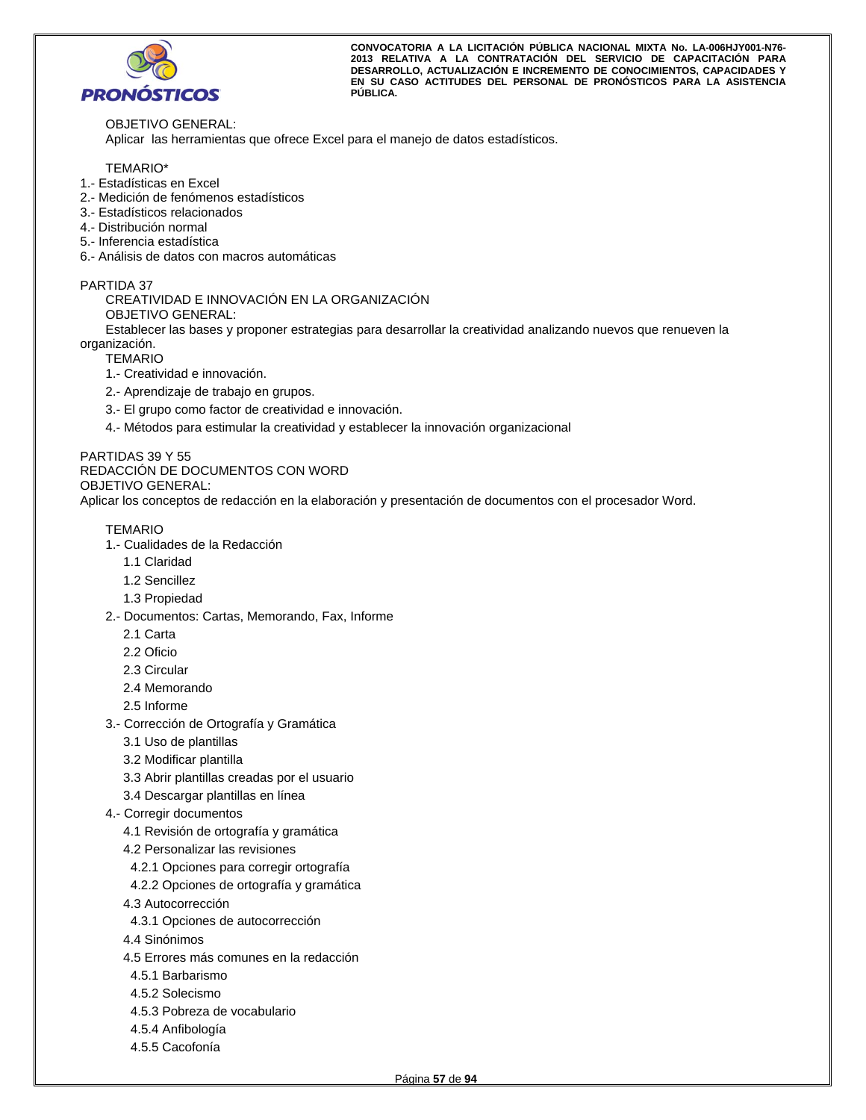

OBJETIVO GENERAL: Aplicar las herramientas que ofrece Excel para el manejo de datos estadísticos.

## TEMARIO\*

- 1.- Estadísticas en Excel
- 2.- Medición de fenómenos estadísticos
- 3.- Estadísticos relacionados
- 4.- Distribución normal
- 5.- Inferencia estadística
- 6.- Análisis de datos con macros automáticas

## PARTIDA 37

CREATIVIDAD E INNOVACIÓN EN LA ORGANIZACIÓN OBJETIVO GENERAL:

Establecer las bases y proponer estrategias para desarrollar la creatividad analizando nuevos que renueven la organización.

**TEMARIO** 

- 1.- Creatividad e innovación.
- 2.- Aprendizaje de trabajo en grupos.
- 3.- El grupo como factor de creatividad e innovación.
- 4.- Métodos para estimular la creatividad y establecer la innovación organizacional

## PARTIDAS 39 Y 55 REDACCIÓN DE DOCUMENTOS CON WORD

OBJETIVO GENERAL:

Aplicar los conceptos de redacción en la elaboración y presentación de documentos con el procesador Word.

- 1.- Cualidades de la Redacción
	- 1.1 Claridad
	- 1.2 Sencillez
	- 1.3 Propiedad
- 2.- Documentos: Cartas, Memorando, Fax, Informe
	- 2.1 Carta
	- 2.2 Oficio
	- 2.3 Circular
	- 2.4 Memorando
	- 2.5 Informe
- 3.- Corrección de Ortografía y Gramática
	- 3.1 Uso de plantillas
	- 3.2 Modificar plantilla
	- 3.3 Abrir plantillas creadas por el usuario
	- 3.4 Descargar plantillas en línea
- 4.- Corregir documentos
	- 4.1 Revisión de ortografía y gramática
	- 4.2 Personalizar las revisiones
	- 4.2.1 Opciones para corregir ortografía
	- 4.2.2 Opciones de ortografía y gramática
	- 4.3 Autocorrección
	- 4.3.1 Opciones de autocorrección
	- 4.4 Sinónimos
	- 4.5 Errores más comunes en la redacción
	- 4.5.1 Barbarismo
	- 4.5.2 Solecismo
	- 4.5.3 Pobreza de vocabulario
	- 4.5.4 Anfibología
	- 4.5.5 Cacofonía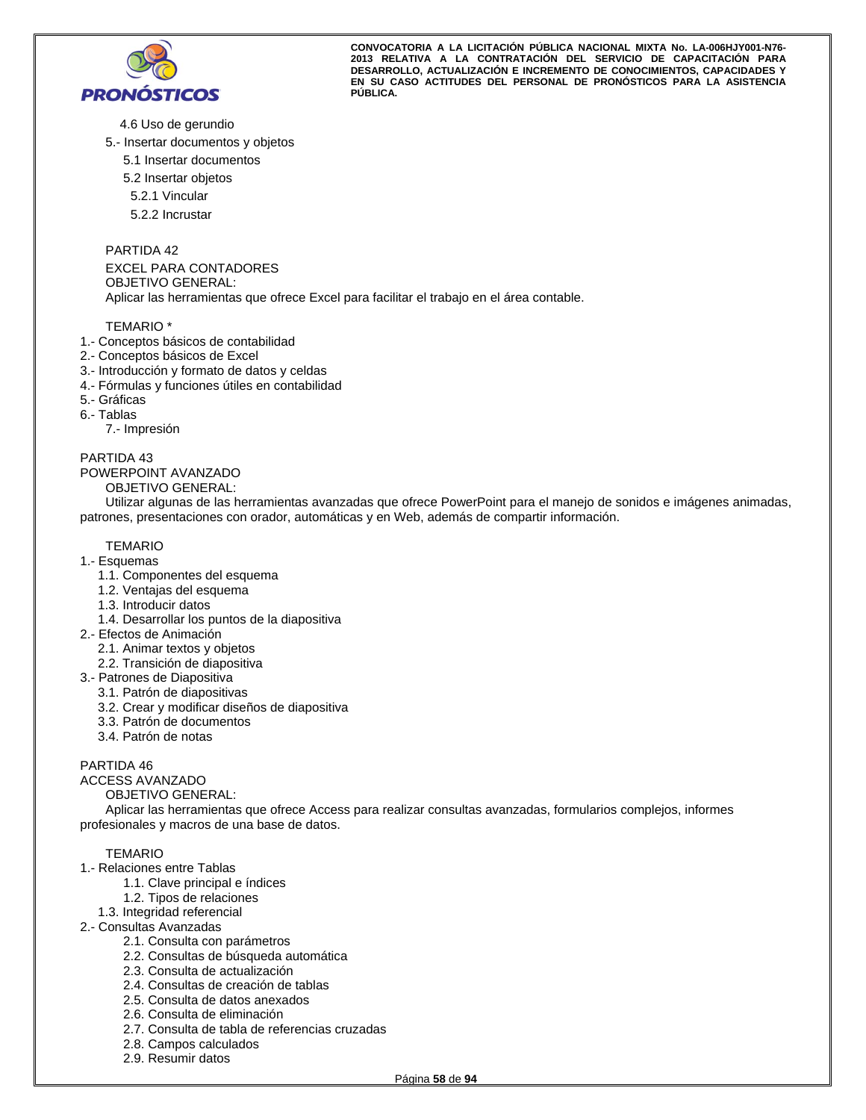

4.6 Uso de gerundio

- 5.- Insertar documentos y objetos
	- 5.1 Insertar documentos
	- 5.2 Insertar objetos
	- 5.2.1 Vincular
	- 5.2.2 Incrustar

PARTIDA 42

EXCEL PARA CONTADORES OBJETIVO GENERAL: Aplicar las herramientas que ofrece Excel para facilitar el trabajo en el área contable.

TEMARIO \*

- 1.- Conceptos básicos de contabilidad
- 2.- Conceptos básicos de Excel
- 3.- Introducción y formato de datos y celdas
- 4.- Fórmulas y funciones útiles en contabilidad
- 5.- Gráficas
- 6.- Tablas

7.- Impresión

PARTIDA 43

#### POWERPOINT AVANZADO

OBJETIVO GENERAL:

Utilizar algunas de las herramientas avanzadas que ofrece PowerPoint para el manejo de sonidos e imágenes animadas, patrones, presentaciones con orador, automáticas y en Web, además de compartir información.

## TEMARIO

- 1.- Esquemas
	- 1.1. Componentes del esquema
	- 1.2. Ventajas del esquema
	- 1.3. Introducir datos
	- 1.4. Desarrollar los puntos de la diapositiva
- 2.- Efectos de Animación
	- 2.1. Animar textos y objetos
	- 2.2. Transición de diapositiva
- 3.- Patrones de Diapositiva
	- 3.1. Patrón de diapositivas
	- 3.2. Crear y modificar diseños de diapositiva
	- 3.3. Patrón de documentos
	- 3.4. Patrón de notas

## PARTIDA 46

## ACCESS AVANZADO

OBJETIVO GENERAL:

Aplicar las herramientas que ofrece Access para realizar consultas avanzadas, formularios complejos, informes profesionales y macros de una base de datos.

- 1.- Relaciones entre Tablas
	- 1.1. Clave principal e índices
	- 1.2. Tipos de relaciones
	- 1.3. Integridad referencial
- 2.- Consultas Avanzadas
	- 2.1. Consulta con parámetros
	- 2.2. Consultas de búsqueda automática
	- 2.3. Consulta de actualización
	- 2.4. Consultas de creación de tablas
	- 2.5. Consulta de datos anexados
	- 2.6. Consulta de eliminación
	- 2.7. Consulta de tabla de referencias cruzadas
	- 2.8. Campos calculados
	- 2.9. Resumir datos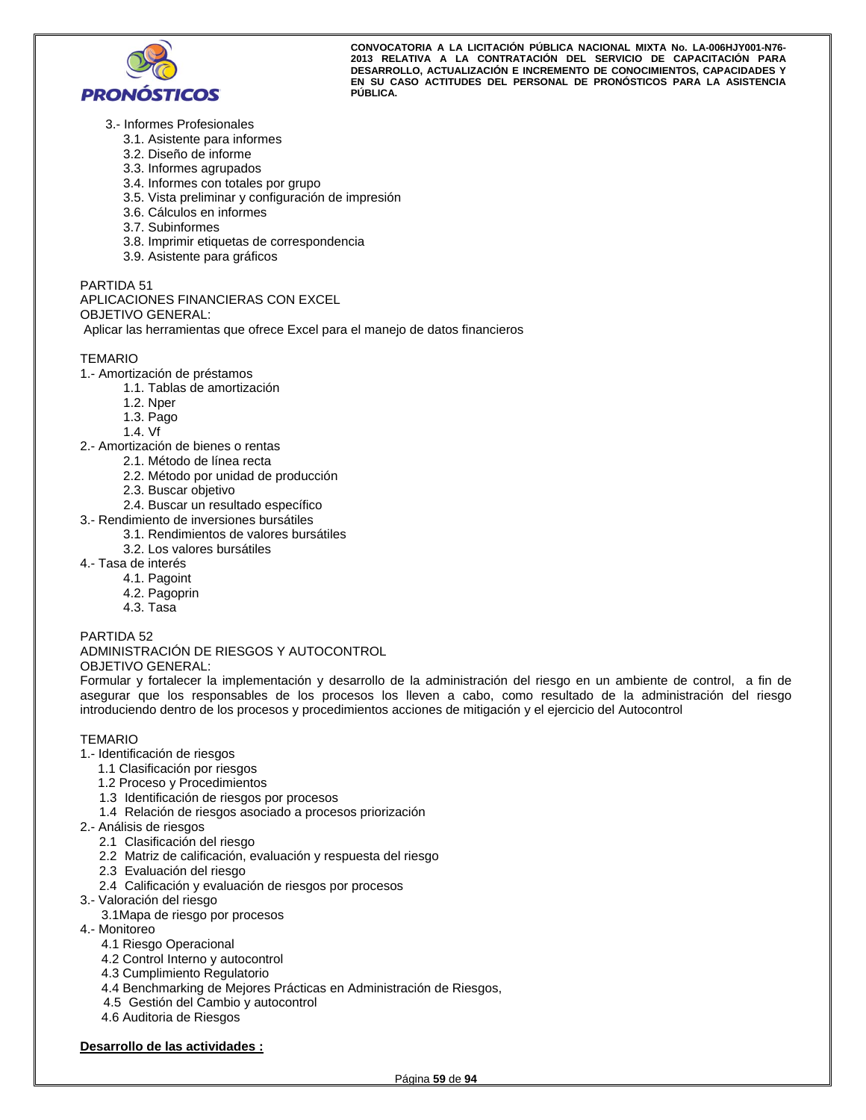

- 3.- Informes Profesionales
	- 3.1. Asistente para informes
	- 3.2. Diseño de informe
	- 3.3. Informes agrupados
	- 3.4. Informes con totales por grupo
	- 3.5. Vista preliminar y configuración de impresión
	- 3.6. Cálculos en informes
	- 3.7. Subinformes
	- 3.8. Imprimir etiquetas de correspondencia
	- 3.9. Asistente para gráficos

## PARTIDA 51

## APLICACIONES FINANCIERAS CON EXCEL OBJETIVO GENERAL:

Aplicar las herramientas que ofrece Excel para el manejo de datos financieros

## **TFMARIO**

- 1.- Amortización de préstamos
	- 1.1. Tablas de amortización
		- 1.2. Nper
		- 1.3. Pago
		- 1.4. Vf
- 2.- Amortización de bienes o rentas
	- 2.1. Método de línea recta
	- 2.2. Método por unidad de producción
	- 2.3. Buscar objetivo
	- 2.4. Buscar un resultado específico
- 3.- Rendimiento de inversiones bursátiles
	- 3.1. Rendimientos de valores bursátiles
	- 3.2. Los valores bursátiles
- 4.- Tasa de interés
	- 4.1. Pagoint
		- 4.2. Pagoprin
		- 4.3. Tasa

## PARTIDA 52

#### ADMINISTRACIÓN DE RIESGOS Y AUTOCONTROL OBJETIVO GENERAL:

Formular y fortalecer la implementación y desarrollo de la administración del riesgo en un ambiente de control, a fin de asegurar que los responsables de los procesos los lleven a cabo, como resultado de la administración del riesgo introduciendo dentro de los procesos y procedimientos acciones de mitigación y el ejercicio del Autocontrol

## TEMARIO

- 1.- Identificación de riesgos
	- 1.1 Clasificación por riesgos
	- 1.2 Proceso y Procedimientos
	- 1.3 Identificación de riesgos por procesos
	- 1.4 Relación de riesgos asociado a procesos priorización
- 2.- Análisis de riesgos
	- 2.1 Clasificación del riesgo
	- 2.2 Matriz de calificación, evaluación y respuesta del riesgo
	- 2.3 Evaluación del riesgo
	- 2.4 Calificación y evaluación de riesgos por procesos
- 3.- Valoración del riesgo
	- 3.1Mapa de riesgo por procesos
- 4.- Monitoreo
	- 4.1 Riesgo Operacional
	- 4.2 Control Interno y autocontrol
	- 4.3 Cumplimiento Regulatorio
	- 4.4 Benchmarking de Mejores Prácticas en Administración de Riesgos,
	- 4.5 Gestión del Cambio y autocontrol
	- 4.6 Auditoria de Riesgos

## **Desarrollo de las actividades :**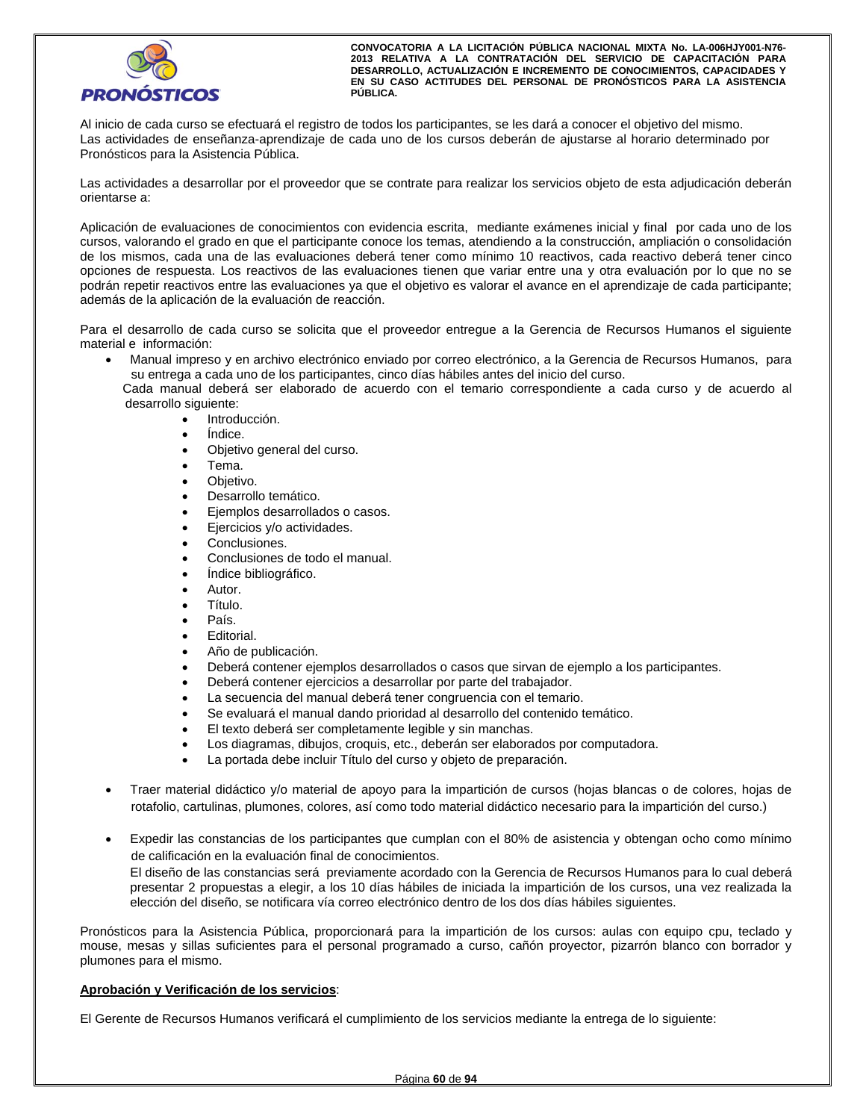

Al inicio de cada curso se efectuará el registro de todos los participantes, se les dará a conocer el objetivo del mismo. Las actividades de enseñanza-aprendizaje de cada uno de los cursos deberán de ajustarse al horario determinado por Pronósticos para la Asistencia Pública.

Las actividades a desarrollar por el proveedor que se contrate para realizar los servicios objeto de esta adjudicación deberán orientarse a:

Aplicación de evaluaciones de conocimientos con evidencia escrita, mediante exámenes inicial y final por cada uno de los cursos, valorando el grado en que el participante conoce los temas, atendiendo a la construcción, ampliación o consolidación de los mismos, cada una de las evaluaciones deberá tener como mínimo 10 reactivos, cada reactivo deberá tener cinco opciones de respuesta. Los reactivos de las evaluaciones tienen que variar entre una y otra evaluación por lo que no se podrán repetir reactivos entre las evaluaciones ya que el objetivo es valorar el avance en el aprendizaje de cada participante; además de la aplicación de la evaluación de reacción.

Para el desarrollo de cada curso se solicita que el proveedor entregue a la Gerencia de Recursos Humanos el siguiente material e información:

 Manual impreso y en archivo electrónico enviado por correo electrónico, a la Gerencia de Recursos Humanos, para su entrega a cada uno de los participantes, cinco días hábiles antes del inicio del curso.

 Cada manual deberá ser elaborado de acuerdo con el temario correspondiente a cada curso y de acuerdo al desarrollo siguiente:

- Introducción.
- Índice.
- Objetivo general del curso.
- Tema.
- Objetivo.
- Desarrollo temático.
- Ejemplos desarrollados o casos.
- Ejercicios y/o actividades.
- Conclusiones.
- Conclusiones de todo el manual.
- Índice bibliográfico.
- Autor.
- Título.
- País.
- Editorial.
- Año de publicación.
- Deberá contener ejemplos desarrollados o casos que sirvan de ejemplo a los participantes.
- Deberá contener ejercicios a desarrollar por parte del trabajador.
- La secuencia del manual deberá tener congruencia con el temario.
- Se evaluará el manual dando prioridad al desarrollo del contenido temático.
- El texto deberá ser completamente legible y sin manchas.
- Los diagramas, dibujos, croquis, etc., deberán ser elaborados por computadora.
- La portada debe incluir Título del curso y objeto de preparación.
- Traer material didáctico y/o material de apoyo para la impartición de cursos (hojas blancas o de colores, hojas de rotafolio, cartulinas, plumones, colores, así como todo material didáctico necesario para la impartición del curso.)
- Expedir las constancias de los participantes que cumplan con el 80% de asistencia y obtengan ocho como mínimo de calificación en la evaluación final de conocimientos.

El diseño de las constancias será previamente acordado con la Gerencia de Recursos Humanos para lo cual deberá presentar 2 propuestas a elegir, a los 10 días hábiles de iniciada la impartición de los cursos, una vez realizada la elección del diseño, se notificara vía correo electrónico dentro de los dos días hábiles siguientes.

Pronósticos para la Asistencia Pública, proporcionará para la impartición de los cursos: aulas con equipo cpu, teclado y mouse, mesas y sillas suficientes para el personal programado a curso, cañón proyector, pizarrón blanco con borrador y plumones para el mismo.

## **Aprobación y Verificación de los servicios**:

El Gerente de Recursos Humanos verificará el cumplimiento de los servicios mediante la entrega de lo siguiente: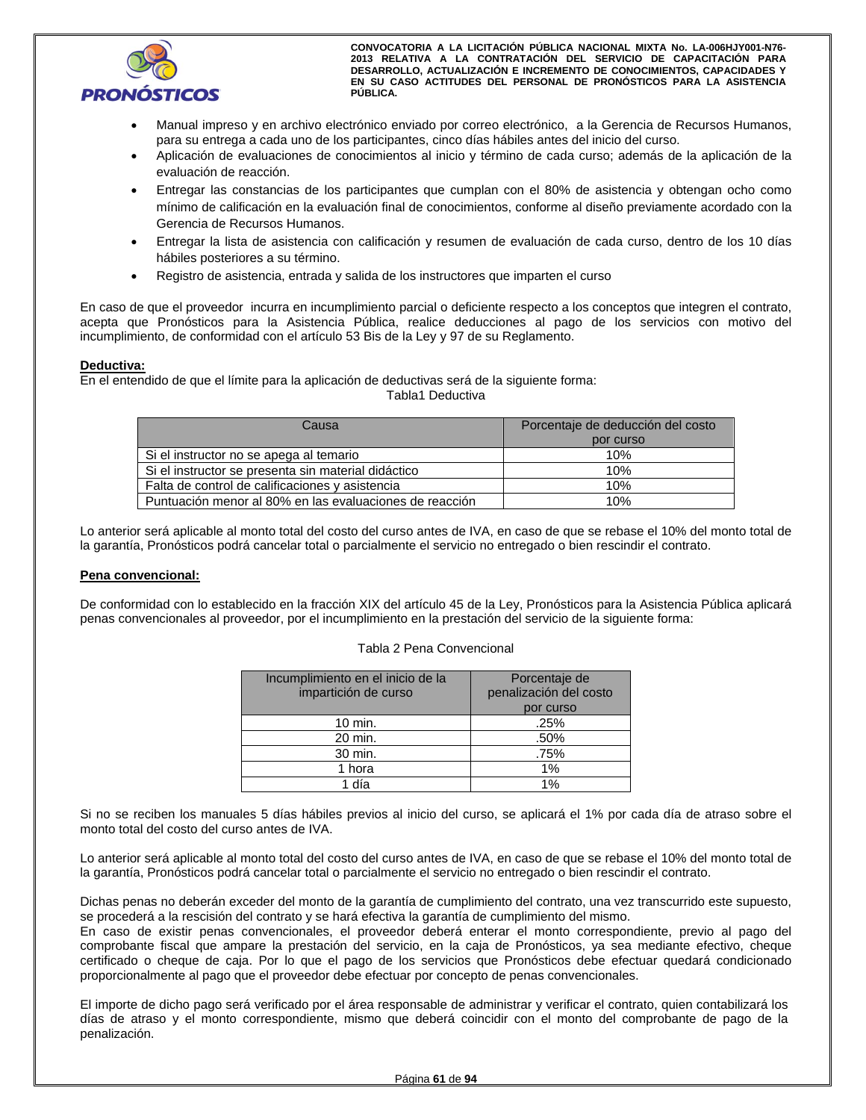

- Manual impreso y en archivo electrónico enviado por correo electrónico, a la Gerencia de Recursos Humanos, para su entrega a cada uno de los participantes, cinco días hábiles antes del inicio del curso.
- Aplicación de evaluaciones de conocimientos al inicio y término de cada curso; además de la aplicación de la evaluación de reacción.
- Entregar las constancias de los participantes que cumplan con el 80% de asistencia y obtengan ocho como mínimo de calificación en la evaluación final de conocimientos, conforme al diseño previamente acordado con la Gerencia de Recursos Humanos.
- Entregar la lista de asistencia con calificación y resumen de evaluación de cada curso, dentro de los 10 días hábiles posteriores a su término.
- Registro de asistencia, entrada y salida de los instructores que imparten el curso

En caso de que el proveedor incurra en incumplimiento parcial o deficiente respecto a los conceptos que integren el contrato, acepta que Pronósticos para la Asistencia Pública, realice deducciones al pago de los servicios con motivo del incumplimiento, de conformidad con el artículo 53 Bis de la Ley y 97 de su Reglamento.

## **Deductiva:**

En el entendido de que el límite para la aplicación de deductivas será de la siguiente forma:

## Tabla1 Deductiva

| Causa                                                   | Porcentaje de deducción del costo |
|---------------------------------------------------------|-----------------------------------|
|                                                         | por curso                         |
| Si el instructor no se apega al temario                 | 10%                               |
| Si el instructor se presenta sin material didáctico     | 10%                               |
| Falta de control de calificaciones y asistencia         | 10%                               |
| Puntuación menor al 80% en las evaluaciones de reacción | 10%                               |

Lo anterior será aplicable al monto total del costo del curso antes de IVA, en caso de que se rebase el 10% del monto total de la garantía, Pronósticos podrá cancelar total o parcialmente el servicio no entregado o bien rescindir el contrato.

## **Pena convencional:**

De conformidad con lo establecido en la fracción XIX del artículo 45 de la Ley, Pronósticos para la Asistencia Pública aplicará penas convencionales al proveedor, por el incumplimiento en la prestación del servicio de la siguiente forma:

#### Tabla 2 Pena Convencional

| Incumplimiento en el inicio de la<br>impartición de curso | Porcentaje de<br>penalización del costo<br>por curso |
|-----------------------------------------------------------|------------------------------------------------------|
| $10 \text{ min.}$                                         | .25%                                                 |
| 20 min.                                                   | .50%                                                 |
| 30 min.                                                   | .75%                                                 |
| 1 hora                                                    | 1%                                                   |
| 1 día                                                     | 1%                                                   |

Si no se reciben los manuales 5 días hábiles previos al inicio del curso, se aplicará el 1% por cada día de atraso sobre el monto total del costo del curso antes de IVA.

Lo anterior será aplicable al monto total del costo del curso antes de IVA, en caso de que se rebase el 10% del monto total de la garantía, Pronósticos podrá cancelar total o parcialmente el servicio no entregado o bien rescindir el contrato.

Dichas penas no deberán exceder del monto de la garantía de cumplimiento del contrato, una vez transcurrido este supuesto, se procederá a la rescisión del contrato y se hará efectiva la garantía de cumplimiento del mismo.

En caso de existir penas convencionales, el proveedor deberá enterar el monto correspondiente, previo al pago del comprobante fiscal que ampare la prestación del servicio, en la caja de Pronósticos, ya sea mediante efectivo, cheque certificado o cheque de caja. Por lo que el pago de los servicios que Pronósticos debe efectuar quedará condicionado proporcionalmente al pago que el proveedor debe efectuar por concepto de penas convencionales.

El importe de dicho pago será verificado por el área responsable de administrar y verificar el contrato, quien contabilizará los días de atraso y el monto correspondiente, mismo que deberá coincidir con el monto del comprobante de pago de la penalización.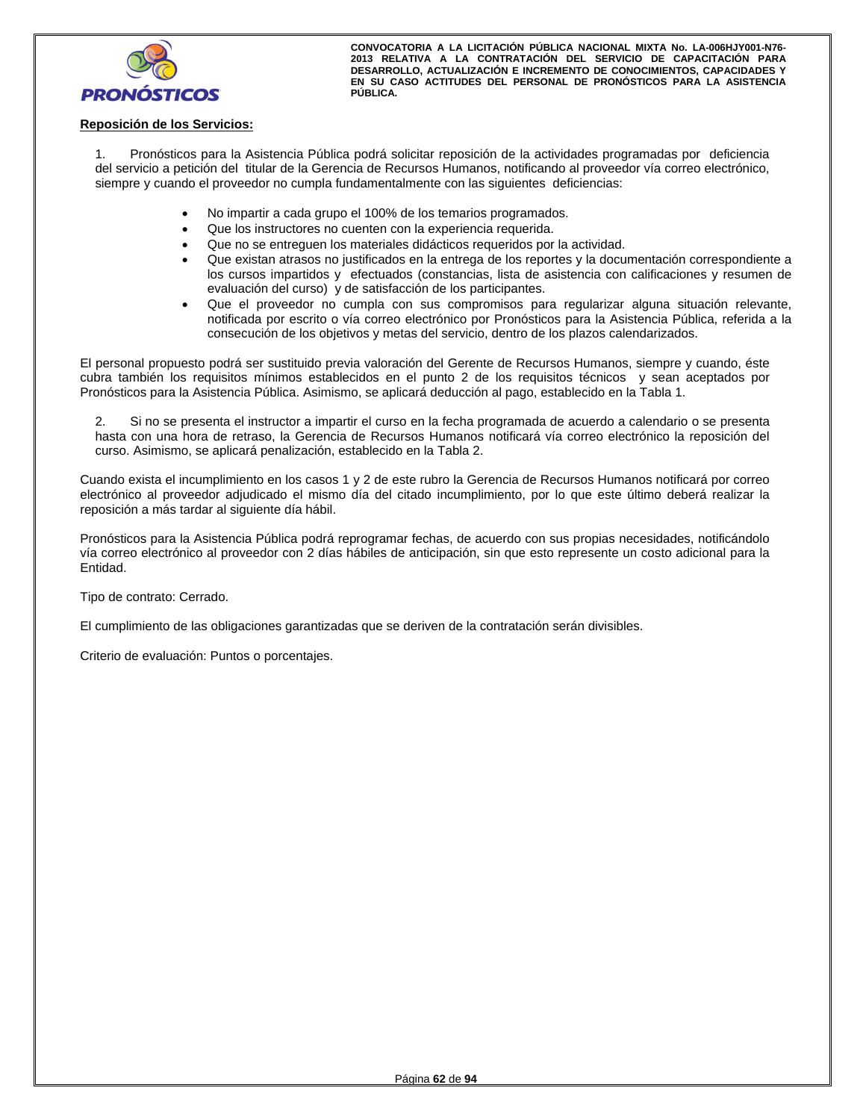

## **Reposición de los Servicios:**

1. Pronósticos para la Asistencia Pública podrá solicitar reposición de la actividades programadas por deficiencia del servicio a petición del titular de la Gerencia de Recursos Humanos, notificando al proveedor vía correo electrónico, siempre y cuando el proveedor no cumpla fundamentalmente con las siguientes deficiencias:

- No impartir a cada grupo el 100% de los temarios programados.
- Que los instructores no cuenten con la experiencia requerida.
- Que no se entreguen los materiales didácticos requeridos por la actividad.
- Que existan atrasos no justificados en la entrega de los reportes y la documentación correspondiente a los cursos impartidos y efectuados (constancias, lista de asistencia con calificaciones y resumen de evaluación del curso) y de satisfacción de los participantes.
- Que el proveedor no cumpla con sus compromisos para regularizar alguna situación relevante, notificada por escrito o vía correo electrónico por Pronósticos para la Asistencia Pública, referida a la consecución de los objetivos y metas del servicio, dentro de los plazos calendarizados.

El personal propuesto podrá ser sustituido previa valoración del Gerente de Recursos Humanos, siempre y cuando, éste cubra también los requisitos mínimos establecidos en el punto 2 de los requisitos técnicos y sean aceptados por Pronósticos para la Asistencia Pública. Asimismo, se aplicará deducción al pago, establecido en la Tabla 1.

2. Si no se presenta el instructor a impartir el curso en la fecha programada de acuerdo a calendario o se presenta hasta con una hora de retraso, la Gerencia de Recursos Humanos notificará vía correo electrónico la reposición del curso. Asimismo, se aplicará penalización, establecido en la Tabla 2.

Cuando exista el incumplimiento en los casos 1 y 2 de este rubro la Gerencia de Recursos Humanos notificará por correo electrónico al proveedor adjudicado el mismo día del citado incumplimiento, por lo que este último deberá realizar la reposición a más tardar al siguiente día hábil.

Pronósticos para la Asistencia Pública podrá reprogramar fechas, de acuerdo con sus propias necesidades, notificándolo vía correo electrónico al proveedor con 2 días hábiles de anticipación, sin que esto represente un costo adicional para la Entidad.

Tipo de contrato: Cerrado.

El cumplimiento de las obligaciones garantizadas que se deriven de la contratación serán divisibles.

Criterio de evaluación: Puntos o porcentajes.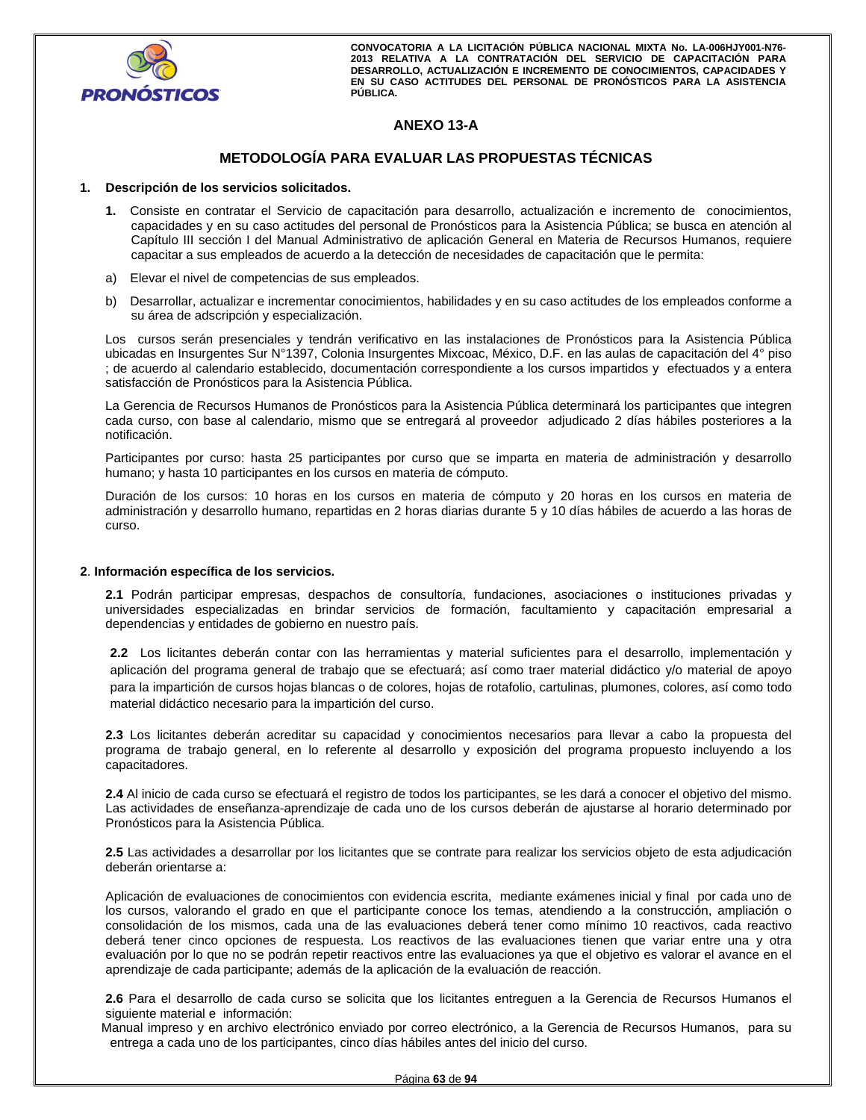

## **ANEXO 13-A**

## **METODOLOGÍA PARA EVALUAR LAS PROPUESTAS TÉCNICAS**

#### **1. Descripción de los servicios solicitados.**

- **1.** Consiste en contratar el Servicio de capacitación para desarrollo, actualización e incremento de conocimientos, capacidades y en su caso actitudes del personal de Pronósticos para la Asistencia Pública; se busca en atención al Capítulo III sección I del Manual Administrativo de aplicación General en Materia de Recursos Humanos, requiere capacitar a sus empleados de acuerdo a la detección de necesidades de capacitación que le permita:
- a) Elevar el nivel de competencias de sus empleados.
- b) Desarrollar, actualizar e incrementar conocimientos, habilidades y en su caso actitudes de los empleados conforme a su área de adscripción y especialización.

Los cursos serán presenciales y tendrán verificativo en las instalaciones de Pronósticos para la Asistencia Pública ubicadas en Insurgentes Sur N°1397, Colonia Insurgentes Mixcoac, México, D.F. en las aulas de capacitación del 4° piso ; de acuerdo al calendario establecido, documentación correspondiente a los cursos impartidos y efectuados y a entera satisfacción de Pronósticos para la Asistencia Pública.

La Gerencia de Recursos Humanos de Pronósticos para la Asistencia Pública determinará los participantes que integren cada curso, con base al calendario, mismo que se entregará al proveedor adjudicado 2 días hábiles posteriores a la notificación.

Participantes por curso: hasta 25 participantes por curso que se imparta en materia de administración y desarrollo humano; y hasta 10 participantes en los cursos en materia de cómputo.

Duración de los cursos: 10 horas en los cursos en materia de cómputo y 20 horas en los cursos en materia de administración y desarrollo humano, repartidas en 2 horas diarias durante 5 y 10 días hábiles de acuerdo a las horas de curso.

#### **2**. **Información específica de los servicios.**

**2.1** Podrán participar empresas, despachos de consultoría, fundaciones, asociaciones o instituciones privadas y universidades especializadas en brindar servicios de formación, facultamiento y capacitación empresarial a dependencias y entidades de gobierno en nuestro país.

**2.2** Los licitantes deberán contar con las herramientas y material suficientes para el desarrollo, implementación y aplicación del programa general de trabajo que se efectuará; así como traer material didáctico y/o material de apoyo para la impartición de cursos hojas blancas o de colores, hojas de rotafolio, cartulinas, plumones, colores, así como todo material didáctico necesario para la impartición del curso.

**2.3** Los licitantes deberán acreditar su capacidad y conocimientos necesarios para llevar a cabo la propuesta del programa de trabajo general, en lo referente al desarrollo y exposición del programa propuesto incluyendo a los capacitadores.

**2.4** Al inicio de cada curso se efectuará el registro de todos los participantes, se les dará a conocer el objetivo del mismo. Las actividades de enseñanza-aprendizaje de cada uno de los cursos deberán de ajustarse al horario determinado por Pronósticos para la Asistencia Pública.

**2.5** Las actividades a desarrollar por los licitantes que se contrate para realizar los servicios objeto de esta adjudicación deberán orientarse a:

Aplicación de evaluaciones de conocimientos con evidencia escrita, mediante exámenes inicial y final por cada uno de los cursos, valorando el grado en que el participante conoce los temas, atendiendo a la construcción, ampliación o consolidación de los mismos, cada una de las evaluaciones deberá tener como mínimo 10 reactivos, cada reactivo deberá tener cinco opciones de respuesta. Los reactivos de las evaluaciones tienen que variar entre una y otra evaluación por lo que no se podrán repetir reactivos entre las evaluaciones ya que el objetivo es valorar el avance en el aprendizaje de cada participante; además de la aplicación de la evaluación de reacción.

**2.6** Para el desarrollo de cada curso se solicita que los licitantes entreguen a la Gerencia de Recursos Humanos el siguiente material e información:

 Manual impreso y en archivo electrónico enviado por correo electrónico, a la Gerencia de Recursos Humanos, para su entrega a cada uno de los participantes, cinco días hábiles antes del inicio del curso.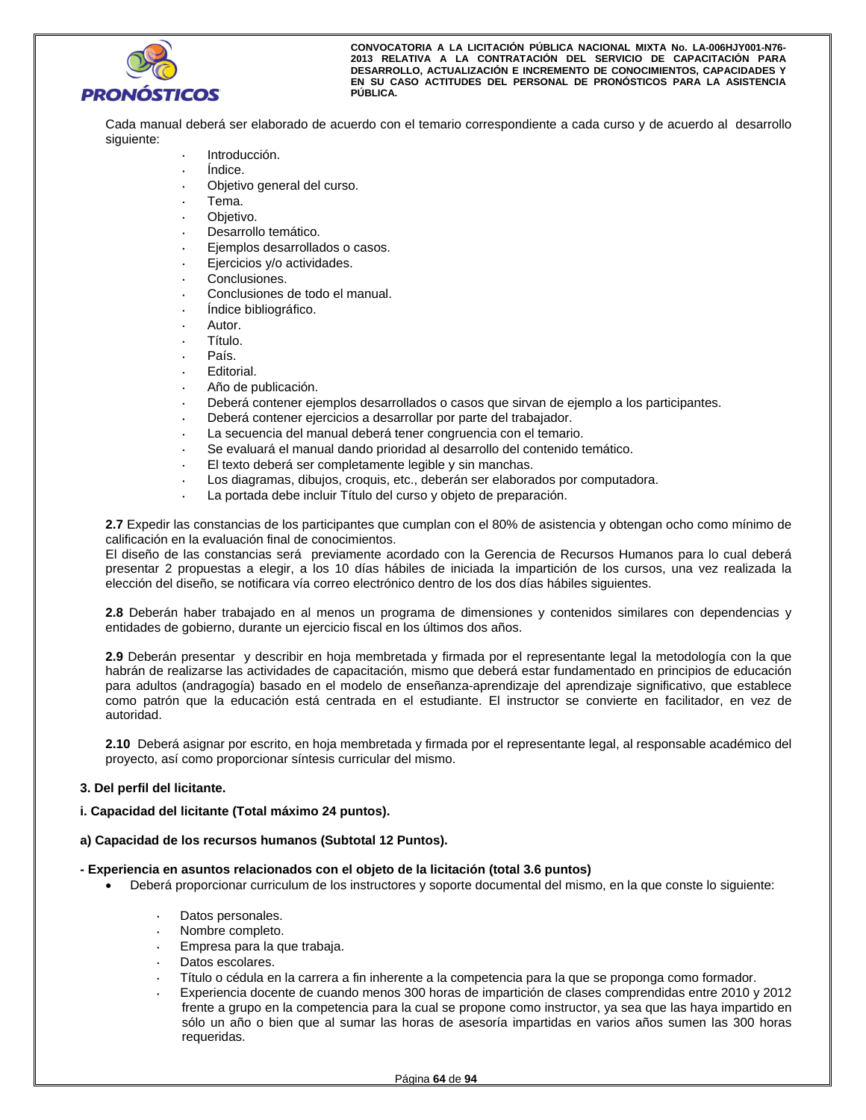

Cada manual deberá ser elaborado de acuerdo con el temario correspondiente a cada curso y de acuerdo al desarrollo siguiente:

- Introducción.
- Índice.
- Objetivo general del curso.
- Tema.
- Objetivo.
- Desarrollo temático.
- Ejemplos desarrollados o casos.
- Ejercicios y/o actividades.
- Conclusiones.
- Conclusiones de todo el manual.
- Índice bibliográfico.
- Autor.
- Título.
- País.
- Editorial.
- Año de publicación.
- Deberá contener ejemplos desarrollados o casos que sirvan de ejemplo a los participantes.
- Deberá contener ejercicios a desarrollar por parte del trabajador.
- La secuencia del manual deberá tener congruencia con el temario.
- Se evaluará el manual dando prioridad al desarrollo del contenido temático.
- El texto deberá ser completamente legible y sin manchas.
- Los diagramas, dibujos, croquis, etc., deberán ser elaborados por computadora.
- La portada debe incluir Título del curso y objeto de preparación.

**2.7** Expedir las constancias de los participantes que cumplan con el 80% de asistencia y obtengan ocho como mínimo de calificación en la evaluación final de conocimientos.

El diseño de las constancias será previamente acordado con la Gerencia de Recursos Humanos para lo cual deberá presentar 2 propuestas a elegir, a los 10 días hábiles de iniciada la impartición de los cursos, una vez realizada la elección del diseño, se notificara vía correo electrónico dentro de los dos días hábiles siguientes.

**2.8** Deberán haber trabajado en al menos un programa de dimensiones y contenidos similares con dependencias y entidades de gobierno, durante un ejercicio fiscal en los últimos dos años.

**2.9** Deberán presentar y describir en hoja membretada y firmada por el representante legal la metodología con la que habrán de realizarse las actividades de capacitación, mismo que deberá estar fundamentado en principios de educación para adultos (andragogía) basado en el modelo de enseñanza-aprendizaje del aprendizaje significativo, que establece como patrón que la educación está centrada en el estudiante. El instructor se convierte en facilitador, en vez de autoridad.

**2.10** Deberá asignar por escrito, en hoja membretada y firmada por el representante legal, al responsable académico del proyecto, así como proporcionar síntesis curricular del mismo.

## **3. Del perfil del licitante.**

## **i. Capacidad del licitante (Total máximo 24 puntos).**

#### **a) Capacidad de los recursos humanos (Subtotal 12 Puntos).**

#### **- Experiencia en asuntos relacionados con el objeto de la licitación (total 3.6 puntos)**

- Deberá proporcionar curriculum de los instructores y soporte documental del mismo, en la que conste lo siguiente:
	- Datos personales.
	- Nombre completo.
	- Empresa para la que trabaja.
	- Datos escolares.
	- Título o cédula en la carrera a fin inherente a la competencia para la que se proponga como formador.
	- Experiencia docente de cuando menos 300 horas de impartición de clases comprendidas entre 2010 y 2012 frente a grupo en la competencia para la cual se propone como instructor, ya sea que las haya impartido en sólo un año o bien que al sumar las horas de asesoría impartidas en varios años sumen las 300 horas requeridas.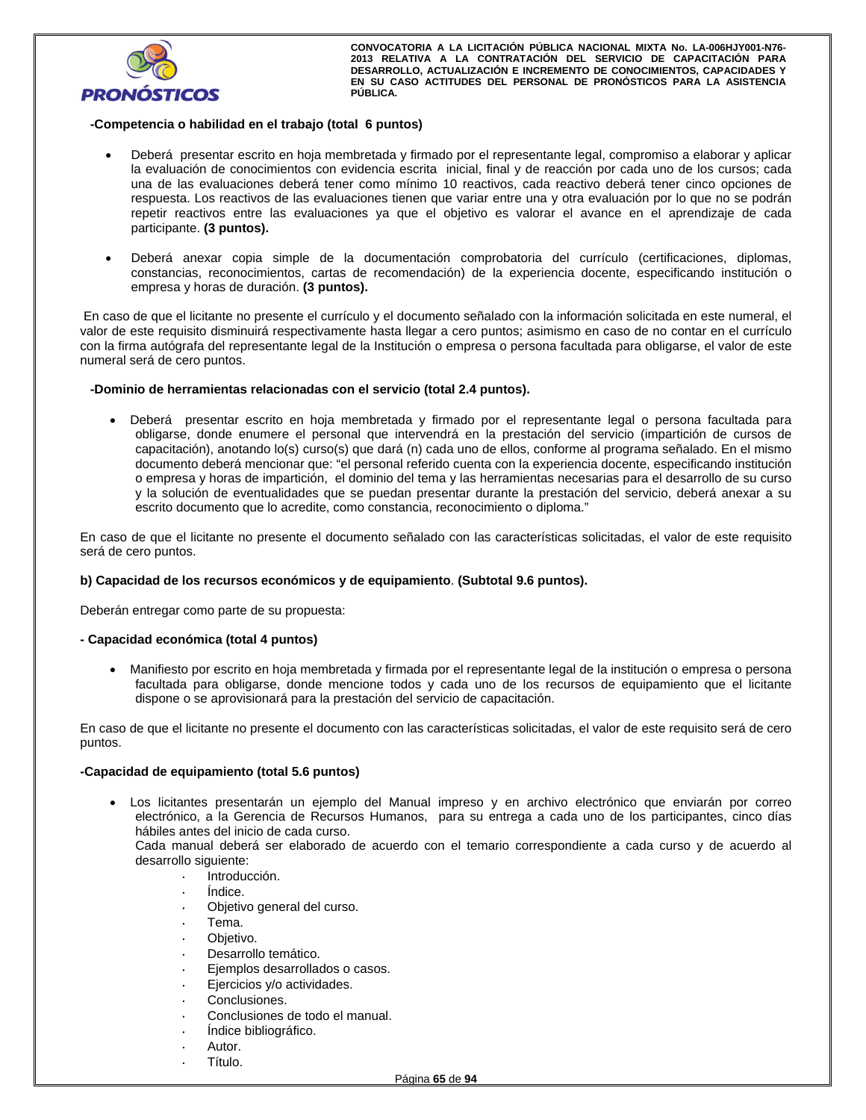

## **-Competencia o habilidad en el trabajo (total 6 puntos)**

- Deberá presentar escrito en hoja membretada y firmado por el representante legal, compromiso a elaborar y aplicar la evaluación de conocimientos con evidencia escrita inicial, final y de reacción por cada uno de los cursos; cada una de las evaluaciones deberá tener como mínimo 10 reactivos, cada reactivo deberá tener cinco opciones de respuesta. Los reactivos de las evaluaciones tienen que variar entre una y otra evaluación por lo que no se podrán repetir reactivos entre las evaluaciones ya que el objetivo es valorar el avance en el aprendizaje de cada participante. **(3 puntos).**
- Deberá anexar copia simple de la documentación comprobatoria del currículo (certificaciones, diplomas, constancias, reconocimientos, cartas de recomendación) de la experiencia docente, especificando institución o empresa y horas de duración. **(3 puntos).**

 En caso de que el licitante no presente el currículo y el documento señalado con la información solicitada en este numeral, el valor de este requisito disminuirá respectivamente hasta llegar a cero puntos; asimismo en caso de no contar en el currículo con la firma autógrafa del representante legal de la Institución o empresa o persona facultada para obligarse, el valor de este numeral será de cero puntos.

#### **-Dominio de herramientas relacionadas con el servicio (total 2.4 puntos).**

 Deberá presentar escrito en hoja membretada y firmado por el representante legal o persona facultada para obligarse, donde enumere el personal que intervendrá en la prestación del servicio (impartición de cursos de capacitación), anotando lo(s) curso(s) que dará (n) cada uno de ellos, conforme al programa señalado. En el mismo documento deberá mencionar que: "el personal referido cuenta con la experiencia docente, especificando institución o empresa y horas de impartición, el dominio del tema y las herramientas necesarias para el desarrollo de su curso y la solución de eventualidades que se puedan presentar durante la prestación del servicio, deberá anexar a su escrito documento que lo acredite, como constancia, reconocimiento o diploma."

En caso de que el licitante no presente el documento señalado con las características solicitadas, el valor de este requisito será de cero puntos.

## **b) Capacidad de los recursos económicos y de equipamiento**. **(Subtotal 9.6 puntos).**

Deberán entregar como parte de su propuesta:

## **- Capacidad económica (total 4 puntos)**

 Manifiesto por escrito en hoja membretada y firmada por el representante legal de la institución o empresa o persona facultada para obligarse, donde mencione todos y cada uno de los recursos de equipamiento que el licitante dispone o se aprovisionará para la prestación del servicio de capacitación.

En caso de que el licitante no presente el documento con las características solicitadas, el valor de este requisito será de cero puntos.

#### **-Capacidad de equipamiento (total 5.6 puntos)**

 Los licitantes presentarán un ejemplo del Manual impreso y en archivo electrónico que enviarán por correo electrónico, a la Gerencia de Recursos Humanos, para su entrega a cada uno de los participantes, cinco días hábiles antes del inicio de cada curso.

Cada manual deberá ser elaborado de acuerdo con el temario correspondiente a cada curso y de acuerdo al desarrollo siguiente:

- Introducción.
- Índice.
- Objetivo general del curso.
- Tema.
- Objetivo.
- Desarrollo temático.
- Ejemplos desarrollados o casos.
- Ejercicios y/o actividades.
- Conclusiones.
- Conclusiones de todo el manual.
- Índice bibliográfico.
- Autor.
- Título.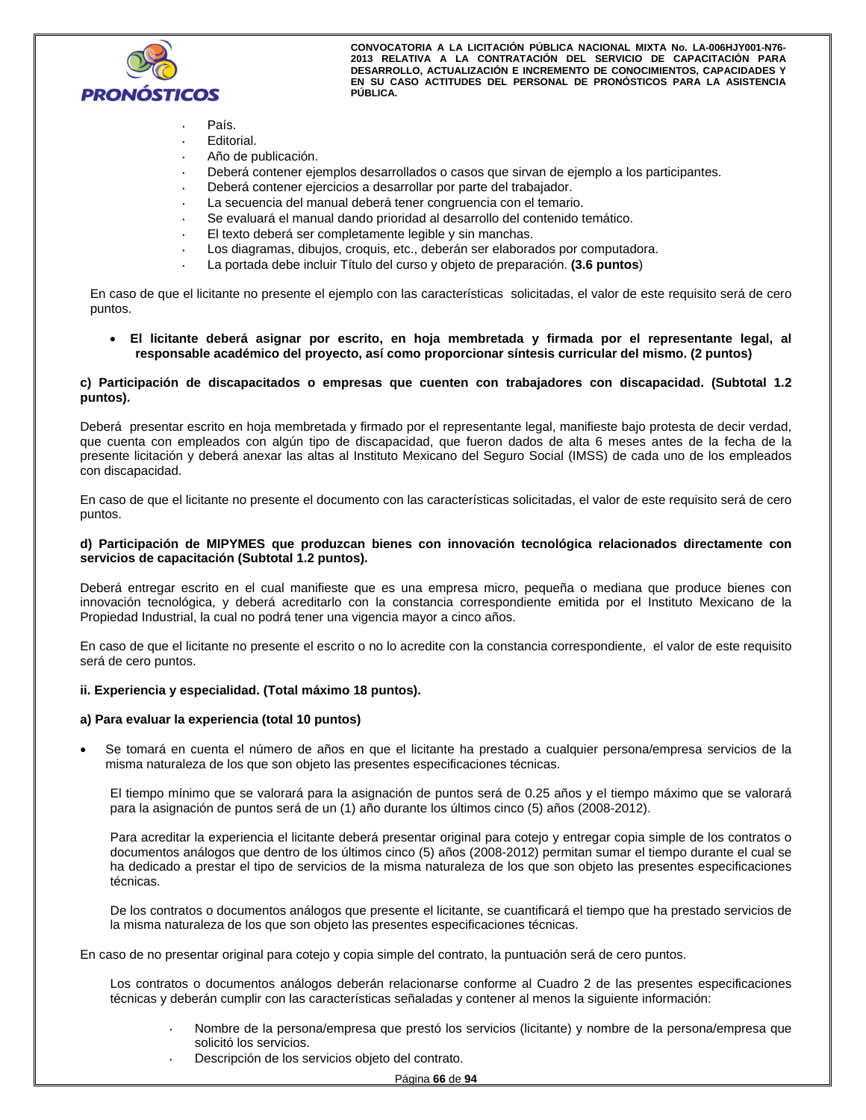

- País.
- Editorial.
- Año de publicación.
- Deberá contener ejemplos desarrollados o casos que sirvan de ejemplo a los participantes.
- Deberá contener ejercicios a desarrollar por parte del trabajador.
- La secuencia del manual deberá tener congruencia con el temario.
- Se evaluará el manual dando prioridad al desarrollo del contenido temático.
- El texto deberá ser completamente legible y sin manchas.
- Los diagramas, dibujos, croquis, etc., deberán ser elaborados por computadora.
- La portada debe incluir Título del curso y objeto de preparación. **(3.6 puntos**)

En caso de que el licitante no presente el ejemplo con las características solicitadas, el valor de este requisito será de cero puntos.

 **El licitante deberá asignar por escrito, en hoja membretada y firmada por el representante legal, al responsable académico del proyecto, así como proporcionar síntesis curricular del mismo. (2 puntos)**

#### **c) Participación de discapacitados o empresas que cuenten con trabajadores con discapacidad. (Subtotal 1.2 puntos).**

Deberá presentar escrito en hoja membretada y firmado por el representante legal, manifieste bajo protesta de decir verdad, que cuenta con empleados con algún tipo de discapacidad, que fueron dados de alta 6 meses antes de la fecha de la presente licitación y deberá anexar las altas al Instituto Mexicano del Seguro Social (IMSS) de cada uno de los empleados con discapacidad.

En caso de que el licitante no presente el documento con las características solicitadas, el valor de este requisito será de cero puntos.

#### **d) Participación de MIPYMES que produzcan bienes con innovación tecnológica relacionados directamente con servicios de capacitación (Subtotal 1.2 puntos).**

Deberá entregar escrito en el cual manifieste que es una empresa micro, pequeña o mediana que produce bienes con innovación tecnológica, y deberá acreditarlo con la constancia correspondiente emitida por el Instituto Mexicano de la Propiedad Industrial, la cual no podrá tener una vigencia mayor a cinco años.

En caso de que el licitante no presente el escrito o no lo acredite con la constancia correspondiente, el valor de este requisito será de cero puntos.

#### **ii. Experiencia y especialidad. (Total máximo 18 puntos).**

#### **a) Para evaluar la experiencia (total 10 puntos)**

 Se tomará en cuenta el número de años en que el licitante ha prestado a cualquier persona/empresa servicios de la misma naturaleza de los que son objeto las presentes especificaciones técnicas.

El tiempo mínimo que se valorará para la asignación de puntos será de 0.25 años y el tiempo máximo que se valorará para la asignación de puntos será de un (1) año durante los últimos cinco (5) años (2008-2012).

Para acreditar la experiencia el licitante deberá presentar original para cotejo y entregar copia simple de los contratos o documentos análogos que dentro de los últimos cinco (5) años (2008-2012) permitan sumar el tiempo durante el cual se ha dedicado a prestar el tipo de servicios de la misma naturaleza de los que son objeto las presentes especificaciones técnicas.

De los contratos o documentos análogos que presente el licitante, se cuantificará el tiempo que ha prestado servicios de la misma naturaleza de los que son objeto las presentes especificaciones técnicas.

En caso de no presentar original para cotejo y copia simple del contrato, la puntuación será de cero puntos.

Los contratos o documentos análogos deberán relacionarse conforme al Cuadro 2 de las presentes especificaciones técnicas y deberán cumplir con las características señaladas y contener al menos la siguiente información:

- Nombre de la persona/empresa que prestó los servicios (licitante) y nombre de la persona/empresa que solicitó los servicios.
- Descripción de los servicios objeto del contrato.

Página **66** de **94**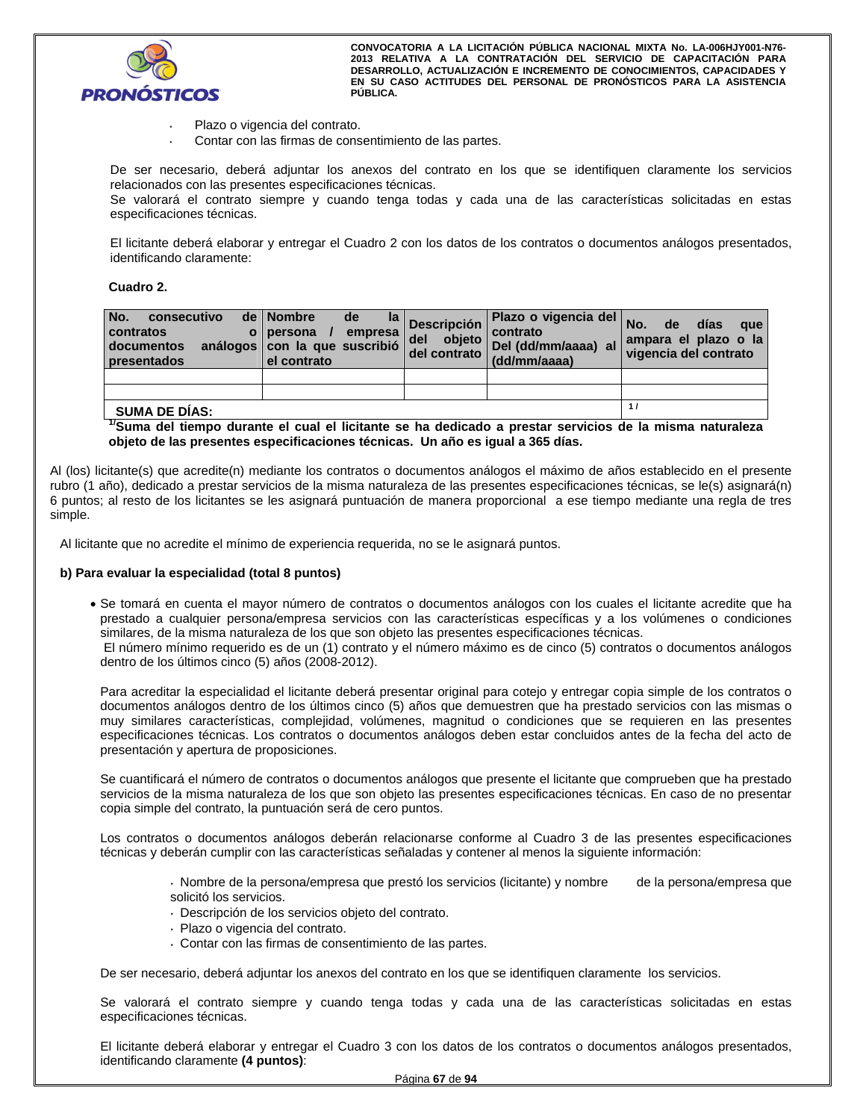

- Plazo o vigencia del contrato.
- Contar con las firmas de consentimiento de las partes.

De ser necesario, deberá adjuntar los anexos del contrato en los que se identifiquen claramente los servicios relacionados con las presentes especificaciones técnicas.

Se valorará el contrato siempre y cuando tenga todas y cada una de las características solicitadas en estas especificaciones técnicas.

El licitante deberá elaborar y entregar el Cuadro 2 con los datos de los contratos o documentos análogos presentados, identificando claramente:

## **Cuadro 2.**

| No.<br>consecutivo<br>contratos<br>documentos<br>presentados | de   Nombre<br>de<br>empresa<br>o persona<br>análogos con la que suscribió<br>el contrato | $ a $ Descripción<br>del<br>objeto<br>del contrato | Plazo o vigencia del No.<br>contrato<br>Del (dd/mm/aaaa) al<br>(dd/mm/aaaa) | días<br>de<br>que<br>ampara el plazo o la<br>vigencia del contrato |
|--------------------------------------------------------------|-------------------------------------------------------------------------------------------|----------------------------------------------------|-----------------------------------------------------------------------------|--------------------------------------------------------------------|
|                                                              |                                                                                           |                                                    |                                                                             |                                                                    |
| <b>SUMA DE DÍAS:</b>                                         |                                                                                           |                                                    |                                                                             | 11                                                                 |

## **1/Suma del tiempo durante el cual el licitante se ha dedicado a prestar servicios de la misma naturaleza objeto de las presentes especificaciones técnicas. Un año es igual a 365 días.**

Al (los) licitante(s) que acredite(n) mediante los contratos o documentos análogos el máximo de años establecido en el presente rubro (1 año), dedicado a prestar servicios de la misma naturaleza de las presentes especificaciones técnicas, se le(s) asignará(n) 6 puntos; al resto de los licitantes se les asignará puntuación de manera proporcional a ese tiempo mediante una regla de tres simple.

Al licitante que no acredite el mínimo de experiencia requerida, no se le asignará puntos.

#### **b) Para evaluar la especialidad (total 8 puntos)**

 Se tomará en cuenta el mayor número de contratos o documentos análogos con los cuales el licitante acredite que ha prestado a cualquier persona/empresa servicios con las características específicas y a los volúmenes o condiciones similares, de la misma naturaleza de los que son objeto las presentes especificaciones técnicas.

 El número mínimo requerido es de un (1) contrato y el número máximo es de cinco (5) contratos o documentos análogos dentro de los últimos cinco (5) años (2008-2012).

Para acreditar la especialidad el licitante deberá presentar original para cotejo y entregar copia simple de los contratos o documentos análogos dentro de los últimos cinco (5) años que demuestren que ha prestado servicios con las mismas o muy similares características, complejidad, volúmenes, magnitud o condiciones que se requieren en las presentes especificaciones técnicas. Los contratos o documentos análogos deben estar concluidos antes de la fecha del acto de presentación y apertura de proposiciones.

Se cuantificará el número de contratos o documentos análogos que presente el licitante que comprueben que ha prestado servicios de la misma naturaleza de los que son objeto las presentes especificaciones técnicas. En caso de no presentar copia simple del contrato, la puntuación será de cero puntos.

Los contratos o documentos análogos deberán relacionarse conforme al Cuadro 3 de las presentes especificaciones técnicas y deberán cumplir con las características señaladas y contener al menos la siguiente información:

> Nombre de la persona/empresa que prestó los servicios (licitante) y nombre de la persona/empresa que solicitó los servicios.

- Descripción de los servicios objeto del contrato.
- Plazo o vigencia del contrato.
- Contar con las firmas de consentimiento de las partes.

De ser necesario, deberá adjuntar los anexos del contrato en los que se identifiquen claramente los servicios.

Se valorará el contrato siempre y cuando tenga todas y cada una de las características solicitadas en estas especificaciones técnicas.

El licitante deberá elaborar y entregar el Cuadro 3 con los datos de los contratos o documentos análogos presentados, identificando claramente **(4 puntos)**: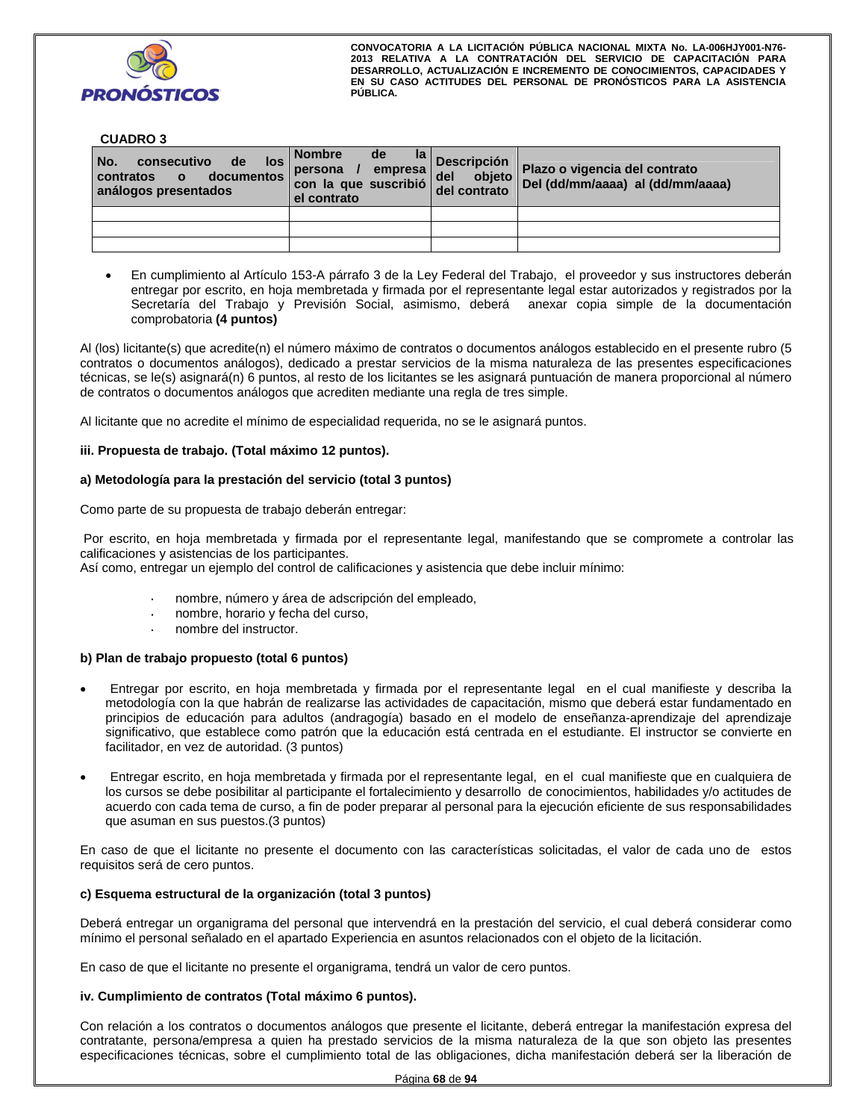

#### **CUADRO 3**

| No.<br>consecutivo<br>de de<br>los<br>documentos<br>contratos o<br>análogos presentados | <b>Nombre</b><br>de<br>persona /<br>empresa  <br>con la que suscribió<br>el contrato | $\frac{ \mathsf{a} }{ \mathsf{c} }$ Descripción<br>del<br>objeto<br>del contrato | Plazo o vigencia del contrato<br>Del (dd/mm/aaaa) al (dd/mm/aaaa) |
|-----------------------------------------------------------------------------------------|--------------------------------------------------------------------------------------|----------------------------------------------------------------------------------|-------------------------------------------------------------------|
|                                                                                         |                                                                                      |                                                                                  |                                                                   |
|                                                                                         |                                                                                      |                                                                                  |                                                                   |
|                                                                                         |                                                                                      |                                                                                  |                                                                   |

 En cumplimiento al Artículo 153-A párrafo 3 de la Ley Federal del Trabajo, el proveedor y sus instructores deberán entregar por escrito, en hoja membretada y firmada por el representante legal estar autorizados y registrados por la Secretaría del Trabajo y Previsión Social, asimismo, deberá anexar copia simple de la documentación comprobatoria **(4 puntos)**

Al (los) licitante(s) que acredite(n) el número máximo de contratos o documentos análogos establecido en el presente rubro (5 contratos o documentos análogos), dedicado a prestar servicios de la misma naturaleza de las presentes especificaciones técnicas, se le(s) asignará(n) 6 puntos, al resto de los licitantes se les asignará puntuación de manera proporcional al número de contratos o documentos análogos que acrediten mediante una regla de tres simple.

Al licitante que no acredite el mínimo de especialidad requerida, no se le asignará puntos.

#### **iii. Propuesta de trabajo. (Total máximo 12 puntos).**

#### **a) Metodología para la prestación del servicio (total 3 puntos)**

Como parte de su propuesta de trabajo deberán entregar:

 Por escrito, en hoja membretada y firmada por el representante legal, manifestando que se compromete a controlar las calificaciones y asistencias de los participantes.

Así como, entregar un ejemplo del control de calificaciones y asistencia que debe incluir mínimo:

- nombre, número y área de adscripción del empleado,
- nombre, horario y fecha del curso,
- nombre del instructor.

#### **b) Plan de trabajo propuesto (total 6 puntos)**

- Entregar por escrito, en hoja membretada y firmada por el representante legal en el cual manifieste y describa la metodología con la que habrán de realizarse las actividades de capacitación, mismo que deberá estar fundamentado en principios de educación para adultos (andragogía) basado en el modelo de enseñanza-aprendizaje del aprendizaje significativo, que establece como patrón que la educación está centrada en el estudiante. El instructor se convierte en facilitador, en vez de autoridad. (3 puntos)
- Entregar escrito, en hoja membretada y firmada por el representante legal, en el cual manifieste que en cualquiera de los cursos se debe posibilitar al participante el fortalecimiento y desarrollo de conocimientos, habilidades y/o actitudes de acuerdo con cada tema de curso, a fin de poder preparar al personal para la ejecución eficiente de sus responsabilidades que asuman en sus puestos.(3 puntos)

En caso de que el licitante no presente el documento con las características solicitadas, el valor de cada uno de estos requisitos será de cero puntos.

#### **c) Esquema estructural de la organización (total 3 puntos)**

Deberá entregar un organigrama del personal que intervendrá en la prestación del servicio, el cual deberá considerar como mínimo el personal señalado en el apartado Experiencia en asuntos relacionados con el objeto de la licitación.

En caso de que el licitante no presente el organigrama, tendrá un valor de cero puntos.

#### **iv. Cumplimiento de contratos (Total máximo 6 puntos).**

Con relación a los contratos o documentos análogos que presente el licitante, deberá entregar la manifestación expresa del contratante, persona/empresa a quien ha prestado servicios de la misma naturaleza de la que son objeto las presentes especificaciones técnicas, sobre el cumplimiento total de las obligaciones, dicha manifestación deberá ser la liberación de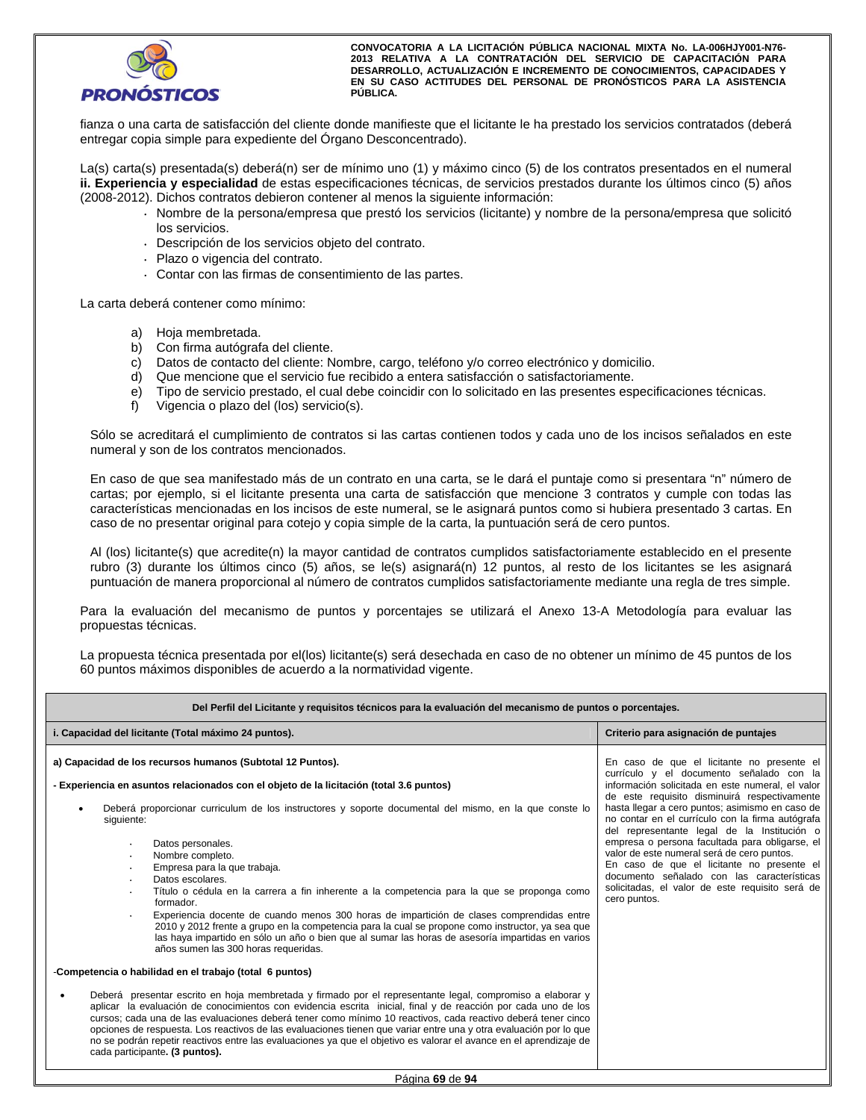

fianza o una carta de satisfacción del cliente donde manifieste que el licitante le ha prestado los servicios contratados (deberá entregar copia simple para expediente del Órgano Desconcentrado).

La(s) carta(s) presentada(s) deberá(n) ser de mínimo uno (1) y máximo cinco (5) de los contratos presentados en el numeral **ii. Experiencia y especialidad** de estas especificaciones técnicas, de servicios prestados durante los últimos cinco (5) años (2008-2012). Dichos contratos debieron contener al menos la siguiente información:

- Nombre de la persona/empresa que prestó los servicios (licitante) y nombre de la persona/empresa que solicitó los servicios.
- Descripción de los servicios objeto del contrato.
- Plazo o vigencia del contrato.
- Contar con las firmas de consentimiento de las partes.

La carta deberá contener como mínimo:

- a) Hoja membretada.
- b) Con firma autógrafa del cliente.
- c) Datos de contacto del cliente: Nombre, cargo, teléfono y/o correo electrónico y domicilio.
- d) Que mencione que el servicio fue recibido a entera satisfacción o satisfactoriamente.
- e) Tipo de servicio prestado, el cual debe coincidir con lo solicitado en las presentes especificaciones técnicas.
- f) Vigencia o plazo del (los) servicio(s).

Sólo se acreditará el cumplimiento de contratos si las cartas contienen todos y cada uno de los incisos señalados en este numeral y son de los contratos mencionados.

En caso de que sea manifestado más de un contrato en una carta, se le dará el puntaje como si presentara "n" número de cartas; por ejemplo, si el licitante presenta una carta de satisfacción que mencione 3 contratos y cumple con todas las características mencionadas en los incisos de este numeral, se le asignará puntos como si hubiera presentado 3 cartas. En caso de no presentar original para cotejo y copia simple de la carta, la puntuación será de cero puntos.

Al (los) licitante(s) que acredite(n) la mayor cantidad de contratos cumplidos satisfactoriamente establecido en el presente rubro (3) durante los últimos cinco (5) años, se le(s) asignará(n) 12 puntos, al resto de los licitantes se les asignará puntuación de manera proporcional al número de contratos cumplidos satisfactoriamente mediante una regla de tres simple.

Para la evaluación del mecanismo de puntos y porcentajes se utilizará el Anexo 13-A Metodología para evaluar las propuestas técnicas.

La propuesta técnica presentada por el(los) licitante(s) será desechada en caso de no obtener un mínimo de 45 puntos de los 60 puntos máximos disponibles de acuerdo a la normatividad vigente.

| Del Perfil del Licitante y requisitos técnicos para la evaluación del mecanismo de puntos o porcentajes.                                                                                                                                                                                                                                                                                                                                                                                                                                                                                                                                                                                                                                                                                                                                                                                                                                                                                                                                                                                                                                                                                                                                                                                                                                                                                                                                                                                                                                                                                                |                                                                                                                                                                                                                                                                                                                                                                                                                                                                                                                                                                                                                 |
|---------------------------------------------------------------------------------------------------------------------------------------------------------------------------------------------------------------------------------------------------------------------------------------------------------------------------------------------------------------------------------------------------------------------------------------------------------------------------------------------------------------------------------------------------------------------------------------------------------------------------------------------------------------------------------------------------------------------------------------------------------------------------------------------------------------------------------------------------------------------------------------------------------------------------------------------------------------------------------------------------------------------------------------------------------------------------------------------------------------------------------------------------------------------------------------------------------------------------------------------------------------------------------------------------------------------------------------------------------------------------------------------------------------------------------------------------------------------------------------------------------------------------------------------------------------------------------------------------------|-----------------------------------------------------------------------------------------------------------------------------------------------------------------------------------------------------------------------------------------------------------------------------------------------------------------------------------------------------------------------------------------------------------------------------------------------------------------------------------------------------------------------------------------------------------------------------------------------------------------|
| i. Capacidad del licitante (Total máximo 24 puntos).                                                                                                                                                                                                                                                                                                                                                                                                                                                                                                                                                                                                                                                                                                                                                                                                                                                                                                                                                                                                                                                                                                                                                                                                                                                                                                                                                                                                                                                                                                                                                    | Criterio para asignación de puntajes                                                                                                                                                                                                                                                                                                                                                                                                                                                                                                                                                                            |
| a) Capacidad de los recursos humanos (Subtotal 12 Puntos).<br>- Experiencia en asuntos relacionados con el objeto de la licitación (total 3.6 puntos)<br>Deberá proporcionar curriculum de los instructores y soporte documental del mismo, en la que conste lo<br>$\bullet$<br>siquiente:<br>Datos personales.<br>$\bullet$<br>Nombre completo.<br>$\bullet$<br>Empresa para la que trabaja.<br>$\bullet$<br>Datos escolares.<br>$\bullet$<br>Título o cédula en la carrera a fin inherente a la competencia para la que se proponga como<br>formador.<br>Experiencia docente de cuando menos 300 horas de impartición de clases comprendidas entre<br>$\bullet$<br>2010 y 2012 frente a grupo en la competencia para la cual se propone como instructor, ya sea que<br>las haya impartido en sólo un año o bien que al sumar las horas de asesoría impartidas en varios<br>años sumen las 300 horas requeridas.<br>-Competencia o habilidad en el trabajo (total 6 puntos)<br>Deberá presentar escrito en hoja membretada y firmado por el representante legal, compromiso a elaborar y<br>aplicar la evaluación de conocimientos con evidencia escrita inicial, final y de reacción por cada uno de los<br>cursos; cada una de las evaluaciones deberá tener como mínimo 10 reactivos, cada reactivo deberá tener cinco<br>opciones de respuesta. Los reactivos de las evaluaciones tienen que variar entre una y otra evaluación por lo que<br>no se podrán repetir reactivos entre las evaluaciones ya que el objetivo es valorar el avance en el aprendizaje de<br>cada participante. (3 puntos). | En caso de que el licitante no presente el<br>currículo y el documento señalado con la<br>información solicitada en este numeral, el valor<br>de este requisito disminuirá respectivamente<br>hasta llegar a cero puntos; asimismo en caso de<br>no contar en el currículo con la firma autógrafa<br>del representante legal de la Institución o<br>empresa o persona facultada para obligarse, el<br>valor de este numeral será de cero puntos.<br>En caso de que el licitante no presente el<br>documento señalado con las características<br>solicitadas, el valor de este requisito será de<br>cero puntos. |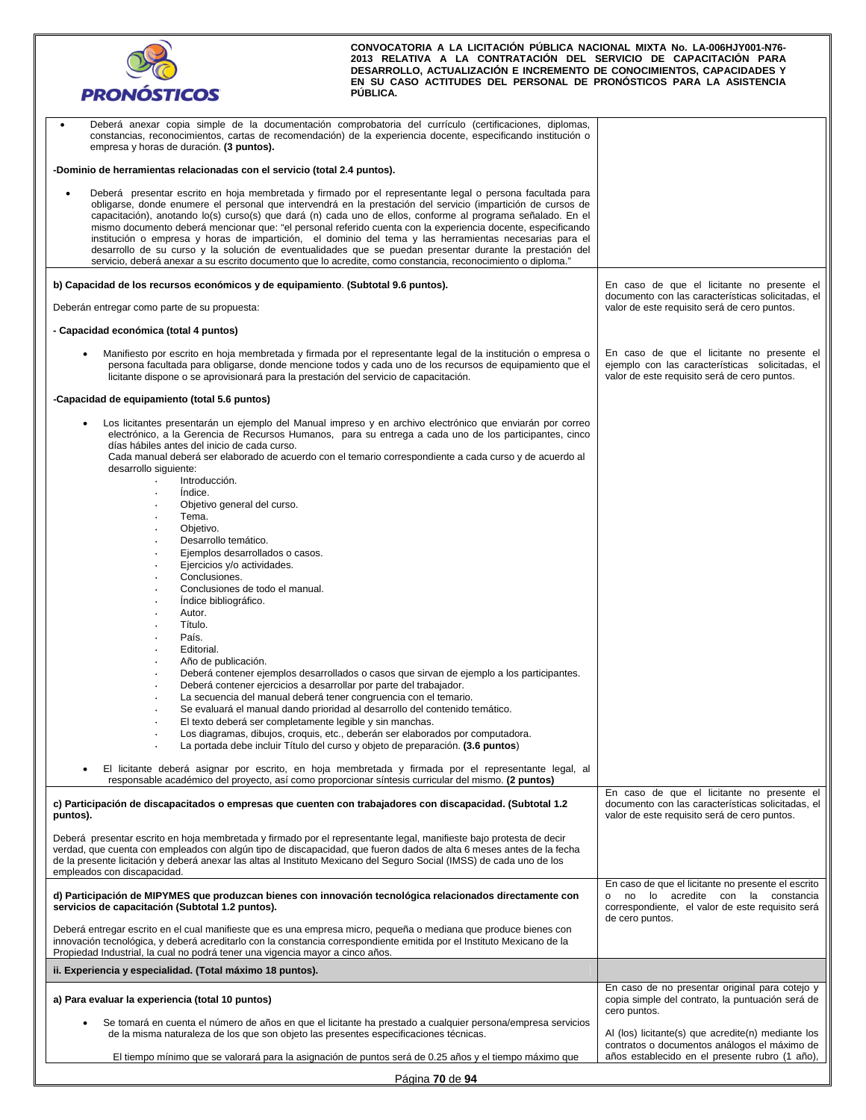| <b>PRONÓSTICOS</b>                                                                                                                                                                                                                                                                                                                                                                                                                                                                                                                                                                                                                                                                                                                                                                             | CONVOCATORIA A LA LICITACIÓN PÚBLICA NACIONAL MIXTA No. LA-006HJY001-N76-<br>2013 RELATIVA A LA CONTRATACIÓN DEL SERVICIO DE CAPACITACIÓN PARA<br>DESARROLLO, ACTUALIZACIÓN E INCREMENTO DE CONOCIMIENTOS, CAPACIDADES Y<br>EN SU CASO ACTITUDES DEL PERSONAL DE PRONÓSTICOS PARA LA ASISTENCIA<br>PUBLICA.                    |                                                                                                                                                                 |
|------------------------------------------------------------------------------------------------------------------------------------------------------------------------------------------------------------------------------------------------------------------------------------------------------------------------------------------------------------------------------------------------------------------------------------------------------------------------------------------------------------------------------------------------------------------------------------------------------------------------------------------------------------------------------------------------------------------------------------------------------------------------------------------------|--------------------------------------------------------------------------------------------------------------------------------------------------------------------------------------------------------------------------------------------------------------------------------------------------------------------------------|-----------------------------------------------------------------------------------------------------------------------------------------------------------------|
| Deberá anexar copia simple de la documentación comprobatoria del currículo (certificaciones, diplomas,<br>constancias, reconocimientos, cartas de recomendación) de la experiencia docente, especificando institución o<br>empresa y horas de duración. (3 puntos).                                                                                                                                                                                                                                                                                                                                                                                                                                                                                                                            |                                                                                                                                                                                                                                                                                                                                |                                                                                                                                                                 |
| -Dominio de herramientas relacionadas con el servicio (total 2.4 puntos).                                                                                                                                                                                                                                                                                                                                                                                                                                                                                                                                                                                                                                                                                                                      |                                                                                                                                                                                                                                                                                                                                |                                                                                                                                                                 |
| Deberá presentar escrito en hoja membretada y firmado por el representante legal o persona facultada para<br>obligarse, donde enumere el personal que intervendrá en la prestación del servicio (impartición de cursos de<br>capacitación), anotando lo(s) curso(s) que dará (n) cada uno de ellos, conforme al programa señalado. En el<br>mismo documento deberá mencionar que: "el personal referido cuenta con la experiencia docente, especificando<br>institución o empresa y horas de impartición, el dominio del tema y las herramientas necesarias para el<br>desarrollo de su curso y la solución de eventualidades que se puedan presentar durante la prestación del<br>servicio, deberá anexar a su escrito documento que lo acredite, como constancia, reconocimiento o diploma." |                                                                                                                                                                                                                                                                                                                                |                                                                                                                                                                 |
| b) Capacidad de los recursos económicos y de equipamiento. (Subtotal 9.6 puntos).                                                                                                                                                                                                                                                                                                                                                                                                                                                                                                                                                                                                                                                                                                              |                                                                                                                                                                                                                                                                                                                                | En caso de que el licitante no presente el                                                                                                                      |
| Deberán entregar como parte de su propuesta:                                                                                                                                                                                                                                                                                                                                                                                                                                                                                                                                                                                                                                                                                                                                                   |                                                                                                                                                                                                                                                                                                                                | documento con las características solicitadas, el<br>valor de este requisito será de cero puntos.                                                               |
| - Capacidad económica (total 4 puntos)                                                                                                                                                                                                                                                                                                                                                                                                                                                                                                                                                                                                                                                                                                                                                         |                                                                                                                                                                                                                                                                                                                                |                                                                                                                                                                 |
| licitante dispone o se aprovisionará para la prestación del servicio de capacitación.                                                                                                                                                                                                                                                                                                                                                                                                                                                                                                                                                                                                                                                                                                          | Manifiesto por escrito en hoja membretada y firmada por el representante legal de la institución o empresa o<br>persona facultada para obligarse, donde mencione todos y cada uno de los recursos de equipamiento que el                                                                                                       | En caso de que el licitante no presente el<br>ejemplo con las características solicitadas, el<br>valor de este requisito será de cero puntos.                   |
| -Capacidad de equipamiento (total 5.6 puntos)                                                                                                                                                                                                                                                                                                                                                                                                                                                                                                                                                                                                                                                                                                                                                  |                                                                                                                                                                                                                                                                                                                                |                                                                                                                                                                 |
| días hábiles antes del inicio de cada curso.                                                                                                                                                                                                                                                                                                                                                                                                                                                                                                                                                                                                                                                                                                                                                   | Los licitantes presentarán un ejemplo del Manual impreso y en archivo electrónico que enviarán por correo<br>electrónico, a la Gerencia de Recursos Humanos, para su entrega a cada uno de los participantes, cinco<br>Cada manual deberá ser elaborado de acuerdo con el temario correspondiente a cada curso y de acuerdo al |                                                                                                                                                                 |
| desarrollo siguiente:<br>Introducción.                                                                                                                                                                                                                                                                                                                                                                                                                                                                                                                                                                                                                                                                                                                                                         |                                                                                                                                                                                                                                                                                                                                |                                                                                                                                                                 |
| Indice.<br>Objetivo general del curso.                                                                                                                                                                                                                                                                                                                                                                                                                                                                                                                                                                                                                                                                                                                                                         |                                                                                                                                                                                                                                                                                                                                |                                                                                                                                                                 |
| Tema.<br>Objetivo.                                                                                                                                                                                                                                                                                                                                                                                                                                                                                                                                                                                                                                                                                                                                                                             |                                                                                                                                                                                                                                                                                                                                |                                                                                                                                                                 |
| Desarrollo temático.                                                                                                                                                                                                                                                                                                                                                                                                                                                                                                                                                                                                                                                                                                                                                                           |                                                                                                                                                                                                                                                                                                                                |                                                                                                                                                                 |
| Ejemplos desarrollados o casos.<br>Ejercicios y/o actividades.                                                                                                                                                                                                                                                                                                                                                                                                                                                                                                                                                                                                                                                                                                                                 |                                                                                                                                                                                                                                                                                                                                |                                                                                                                                                                 |
| Conclusiones.<br>Conclusiones de todo el manual.                                                                                                                                                                                                                                                                                                                                                                                                                                                                                                                                                                                                                                                                                                                                               |                                                                                                                                                                                                                                                                                                                                |                                                                                                                                                                 |
| Indice bibliográfico.                                                                                                                                                                                                                                                                                                                                                                                                                                                                                                                                                                                                                                                                                                                                                                          |                                                                                                                                                                                                                                                                                                                                |                                                                                                                                                                 |
| Autor.<br>Título.                                                                                                                                                                                                                                                                                                                                                                                                                                                                                                                                                                                                                                                                                                                                                                              |                                                                                                                                                                                                                                                                                                                                |                                                                                                                                                                 |
| País.<br>Editorial.                                                                                                                                                                                                                                                                                                                                                                                                                                                                                                                                                                                                                                                                                                                                                                            |                                                                                                                                                                                                                                                                                                                                |                                                                                                                                                                 |
| Año de publicación.                                                                                                                                                                                                                                                                                                                                                                                                                                                                                                                                                                                                                                                                                                                                                                            |                                                                                                                                                                                                                                                                                                                                |                                                                                                                                                                 |
| Deberá contener ejercicios a desarrollar por parte del trabajador.                                                                                                                                                                                                                                                                                                                                                                                                                                                                                                                                                                                                                                                                                                                             | Deberá contener ejemplos desarrollados o casos que sirvan de ejemplo a los participantes.                                                                                                                                                                                                                                      |                                                                                                                                                                 |
| La secuencia del manual deberá tener congruencia con el temario.                                                                                                                                                                                                                                                                                                                                                                                                                                                                                                                                                                                                                                                                                                                               | Se evaluará el manual dando prioridad al desarrollo del contenido temático.                                                                                                                                                                                                                                                    |                                                                                                                                                                 |
| El texto deberá ser completamente legible y sin manchas.                                                                                                                                                                                                                                                                                                                                                                                                                                                                                                                                                                                                                                                                                                                                       |                                                                                                                                                                                                                                                                                                                                |                                                                                                                                                                 |
|                                                                                                                                                                                                                                                                                                                                                                                                                                                                                                                                                                                                                                                                                                                                                                                                | Los diagramas, dibujos, croquis, etc., deberán ser elaborados por computadora.<br>La portada debe incluir Título del curso y objeto de preparación. (3.6 puntos)                                                                                                                                                               |                                                                                                                                                                 |
| responsable académico del proyecto, así como proporcionar síntesis curricular del mismo. (2 puntos)                                                                                                                                                                                                                                                                                                                                                                                                                                                                                                                                                                                                                                                                                            | El licitante deberá asignar por escrito, en hoja membretada y firmada por el representante legal, al                                                                                                                                                                                                                           |                                                                                                                                                                 |
| c) Participación de discapacitados o empresas que cuenten con trabajadores con discapacidad. (Subtotal 1.2<br>puntos).                                                                                                                                                                                                                                                                                                                                                                                                                                                                                                                                                                                                                                                                         |                                                                                                                                                                                                                                                                                                                                | En caso de que el licitante no presente el<br>documento con las características solicitadas, el<br>valor de este requisito será de cero puntos.                 |
| Deberá presentar escrito en hoja membretada y firmado por el representante legal, manifieste bajo protesta de decir<br>verdad, que cuenta con empleados con algún tipo de discapacidad, que fueron dados de alta 6 meses antes de la fecha<br>de la presente licitación y deberá anexar las altas al Instituto Mexicano del Seguro Social (IMSS) de cada uno de los<br>empleados con discapacidad.                                                                                                                                                                                                                                                                                                                                                                                             |                                                                                                                                                                                                                                                                                                                                |                                                                                                                                                                 |
| d) Participación de MIPYMES que produzcan bienes con innovación tecnológica relacionados directamente con<br>servicios de capacitación (Subtotal 1.2 puntos).                                                                                                                                                                                                                                                                                                                                                                                                                                                                                                                                                                                                                                  |                                                                                                                                                                                                                                                                                                                                | En caso de que el licitante no presente el escrito<br>o no lo acredite con la constancia<br>correspondiente, el valor de este requisito será<br>de cero puntos. |
| Deberá entregar escrito en el cual manifieste que es una empresa micro, pequeña o mediana que produce bienes con<br>innovación tecnológica, y deberá acreditarlo con la constancia correspondiente emitida por el Instituto Mexicano de la<br>Propiedad Industrial, la cual no podrá tener una vigencia mayor a cinco años.                                                                                                                                                                                                                                                                                                                                                                                                                                                                    |                                                                                                                                                                                                                                                                                                                                |                                                                                                                                                                 |
| ii. Experiencia y especialidad. (Total máximo 18 puntos).                                                                                                                                                                                                                                                                                                                                                                                                                                                                                                                                                                                                                                                                                                                                      |                                                                                                                                                                                                                                                                                                                                |                                                                                                                                                                 |
| a) Para evaluar la experiencia (total 10 puntos)                                                                                                                                                                                                                                                                                                                                                                                                                                                                                                                                                                                                                                                                                                                                               |                                                                                                                                                                                                                                                                                                                                | En caso de no presentar original para cotejo y<br>copia simple del contrato, la puntuación será de<br>cero puntos.                                              |
| de la misma naturaleza de los que son objeto las presentes especificaciones técnicas.                                                                                                                                                                                                                                                                                                                                                                                                                                                                                                                                                                                                                                                                                                          | Se tomará en cuenta el número de años en que el licitante ha prestado a cualquier persona/empresa servicios                                                                                                                                                                                                                    | Al (los) licitante(s) que acredite(n) mediante los                                                                                                              |

| Página 70 de 94 |  |  |
|-----------------|--|--|
|                 |  |  |

contratos o documentos análogos el máximo de años establecido en el presente rubro (1 año),

El tiempo mínimo que se valorará para la asignación de puntos será de 0.25 años y el tiempo máximo que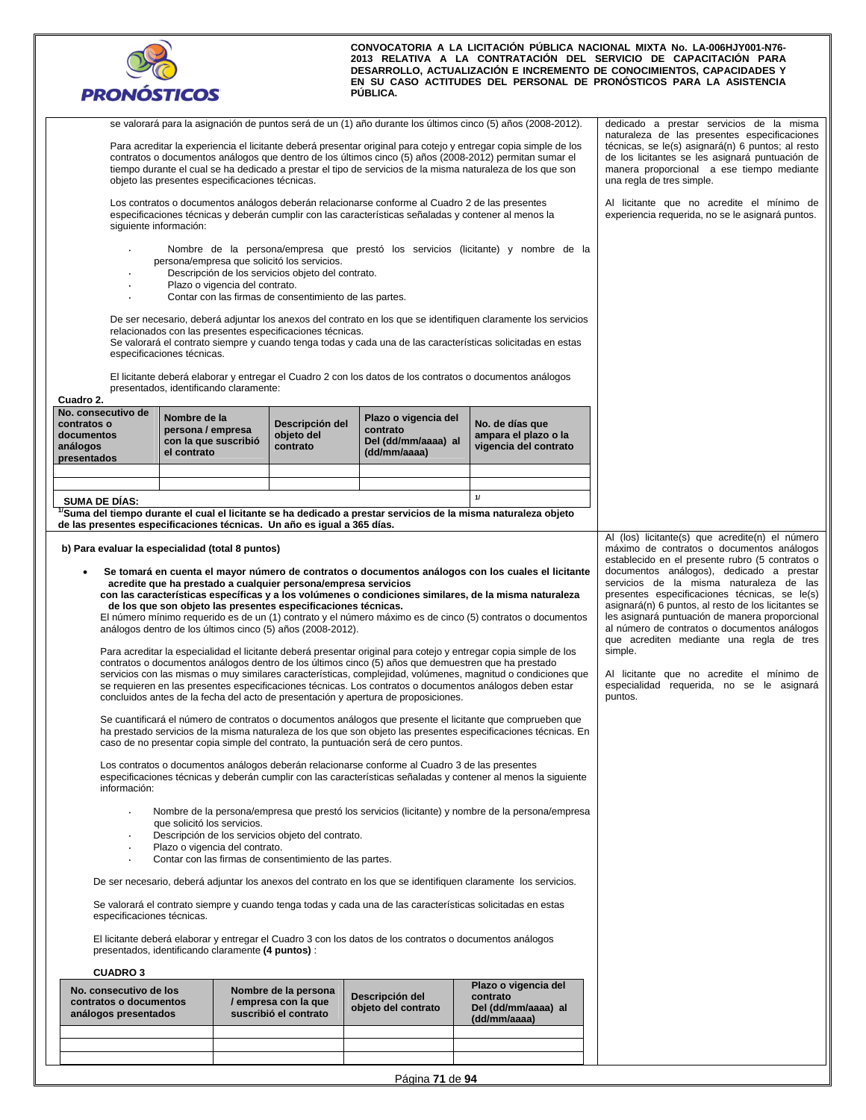

| siguiente información:                                                                                                                                                         |                                                                          | objeto las presentes especificaciones técnicas.                          |                                                                                                                                                                                                                         | Los contratos o documentos análogos deberán relacionarse conforme al Cuadro 2 de las presentes<br>especificaciones técnicas y deberán cumplir con las características señaladas y contener al menos la                                                                                                                                                                            | se valorará para la asignación de puntos será de un (1) año durante los últimos cinco (5) años (2008-2012).<br>Para acreditar la experiencia el licitante deberá presentar original para cotejo y entregar copia simple de los<br>contratos o documentos análogos que dentro de los últimos cinco (5) años (2008-2012) permitan sumar el<br>tiempo durante el cual se ha dedicado a prestar el tipo de servicios de la misma naturaleza de los que son<br>Nombre de la persona/empresa que prestó los servicios (licitante) y nombre de la                                                                                                                                                                                                                                                                                                                                                                                                                                                                                                                                                                                     | dedicado a prestar servicios de la misma<br>naturaleza de las presentes especificaciones<br>técnicas, se le(s) asignará(n) 6 puntos; al resto<br>de los licitantes se les asignará puntuación de<br>manera proporcional a ese tiempo mediante<br>una regla de tres simple.<br>Al licitante que no acredite el mínimo de<br>experiencia requerida, no se le asignará puntos.                                                                                                                                                                                                                                  |
|--------------------------------------------------------------------------------------------------------------------------------------------------------------------------------|--------------------------------------------------------------------------|--------------------------------------------------------------------------|-------------------------------------------------------------------------------------------------------------------------------------------------------------------------------------------------------------------------|-----------------------------------------------------------------------------------------------------------------------------------------------------------------------------------------------------------------------------------------------------------------------------------------------------------------------------------------------------------------------------------|--------------------------------------------------------------------------------------------------------------------------------------------------------------------------------------------------------------------------------------------------------------------------------------------------------------------------------------------------------------------------------------------------------------------------------------------------------------------------------------------------------------------------------------------------------------------------------------------------------------------------------------------------------------------------------------------------------------------------------------------------------------------------------------------------------------------------------------------------------------------------------------------------------------------------------------------------------------------------------------------------------------------------------------------------------------------------------------------------------------------------------|--------------------------------------------------------------------------------------------------------------------------------------------------------------------------------------------------------------------------------------------------------------------------------------------------------------------------------------------------------------------------------------------------------------------------------------------------------------------------------------------------------------------------------------------------------------------------------------------------------------|
|                                                                                                                                                                                | especificaciones técnicas.                                               | Plazo o vigencia del contrato.<br>presentados, identificando claramente: | persona/empresa que solicitó los servicios.<br>Descripción de los servicios objeto del contrato.<br>Contar con las firmas de consentimiento de las partes.<br>relacionados con las presentes especificaciones técnicas. |                                                                                                                                                                                                                                                                                                                                                                                   | De ser necesario, deberá adjuntar los anexos del contrato en los que se identifiquen claramente los servicios<br>Se valorará el contrato siempre y cuando tenga todas y cada una de las características solicitadas en estas<br>El licitante deberá elaborar y entregar el Cuadro 2 con los datos de los contratos o documentos análogos                                                                                                                                                                                                                                                                                                                                                                                                                                                                                                                                                                                                                                                                                                                                                                                       |                                                                                                                                                                                                                                                                                                                                                                                                                                                                                                                                                                                                              |
| Cuadro 2.<br>No. consecutivo de<br>contratos o<br>documentos<br>análogos<br>presentados                                                                                        | Nombre de la<br>persona / empresa<br>con la que suscribió<br>el contrato |                                                                          | Descripción del<br>objeto del<br>contrato                                                                                                                                                                               | Plazo o vigencia del<br>contrato<br>Del (dd/mm/aaaa) al<br>(dd/mm/aaaa)                                                                                                                                                                                                                                                                                                           | No. de días que<br>ampara el plazo o la<br>vigencia del contrato                                                                                                                                                                                                                                                                                                                                                                                                                                                                                                                                                                                                                                                                                                                                                                                                                                                                                                                                                                                                                                                               |                                                                                                                                                                                                                                                                                                                                                                                                                                                                                                                                                                                                              |
|                                                                                                                                                                                |                                                                          |                                                                          |                                                                                                                                                                                                                         |                                                                                                                                                                                                                                                                                                                                                                                   |                                                                                                                                                                                                                                                                                                                                                                                                                                                                                                                                                                                                                                                                                                                                                                                                                                                                                                                                                                                                                                                                                                                                |                                                                                                                                                                                                                                                                                                                                                                                                                                                                                                                                                                                                              |
| <b>SUMA DE DÍAS:</b>                                                                                                                                                           |                                                                          |                                                                          |                                                                                                                                                                                                                         |                                                                                                                                                                                                                                                                                                                                                                                   | 11                                                                                                                                                                                                                                                                                                                                                                                                                                                                                                                                                                                                                                                                                                                                                                                                                                                                                                                                                                                                                                                                                                                             |                                                                                                                                                                                                                                                                                                                                                                                                                                                                                                                                                                                                              |
| de las presentes especificaciones técnicas.  Un año es igual a 365 días.                                                                                                       |                                                                          |                                                                          |                                                                                                                                                                                                                         |                                                                                                                                                                                                                                                                                                                                                                                   | $\mathrm{^{17}}$ Suma del tiempo durante el cual el licitante se ha dedicado a prestar servicios de la misma naturaleza objeto                                                                                                                                                                                                                                                                                                                                                                                                                                                                                                                                                                                                                                                                                                                                                                                                                                                                                                                                                                                                 |                                                                                                                                                                                                                                                                                                                                                                                                                                                                                                                                                                                                              |
| b) Para evaluar la especialidad (total 8 puntos)<br>información:                                                                                                               |                                                                          |                                                                          | acredite que ha prestado a cualquier persona/empresa servicios<br>de los que son objeto las presentes especificaciones técnicas.<br>análogos dentro de los últimos cinco (5) años (2008-2012).                          | contratos o documentos análogos dentro de los últimos cinco (5) años que demuestren que ha prestado<br>concluidos antes de la fecha del acto de presentación y apertura de proposiciones.<br>caso de no presentar copia simple del contrato, la puntuación será de cero puntos.<br>Los contratos o documentos análogos deberán relacionarse conforme al Cuadro 3 de las presentes | Se tomará en cuenta el mayor número de contratos o documentos análogos con los cuales el licitante<br>con las características específicas y a los volúmenes o condiciones similares, de la misma naturaleza<br>El número mínimo requerido es de un (1) contrato y el número máximo es de cinco (5) contratos o documentos<br>Para acreditar la especialidad el licitante deberá presentar original para cotejo y entregar copia simple de los<br>servicios con las mismas o muy similares características, complejidad, volúmenes, magnitud o condiciones que<br>se requieren en las presentes especificaciones técnicas. Los contratos o documentos análogos deben estar<br>Se cuantificará el número de contratos o documentos análogos que presente el licitante que comprueben que<br>ha prestado servicios de la misma naturaleza de los que son objeto las presentes especificaciones técnicas. En<br>especificaciones técnicas y deberán cumplir con las características señaladas y contener al menos la siguiente<br>Nombre de la persona/empresa que prestó los servicios (licitante) y nombre de la persona/empresa | Al (los) licitante(s) que acredite(n) el número<br>máximo de contratos o documentos análogos<br>establecido en el presente rubro (5 contratos o<br>documentos análogos), dedicado a prestar<br>servicios de la misma naturaleza de las<br>presentes especificaciones técnicas, se le(s)<br>asignará(n) 6 puntos, al resto de los licitantes se<br>les asignará puntuación de manera proporcional<br>al número de contratos o documentos análogos<br>que acrediten mediante una regla de tres<br>simple.<br>Al licitante que no acredite el mínimo de<br>especialidad requerida, no se le asignará<br>puntos. |
| especificaciones técnicas.<br>presentados, identificando claramente (4 puntos) :<br><b>CUADRO3</b><br>No. consecutivo de los<br>contratos o documentos<br>análogos presentados | que solicitó los servicios.                                              | Plazo o vigencia del contrato.                                           | Descripción de los servicios objeto del contrato.<br>Contar con las firmas de consentimiento de las partes.<br>Nombre de la persona<br>/ empresa con la que<br>suscribió el contrato                                    | El licitante deberá elaborar y entregar el Cuadro 3 con los datos de los contratos o documentos análogos<br>Descripción del<br>objeto del contrato                                                                                                                                                                                                                                | De ser necesario, deberá adjuntar los anexos del contrato en los que se identifiquen claramente los servicios.<br>Se valorará el contrato siempre y cuando tenga todas y cada una de las características solicitadas en estas<br>Plazo o vigencia del<br>contrato<br>Del (dd/mm/aaaa) al<br>(dd/mm/aaaa)                                                                                                                                                                                                                                                                                                                                                                                                                                                                                                                                                                                                                                                                                                                                                                                                                       |                                                                                                                                                                                                                                                                                                                                                                                                                                                                                                                                                                                                              |
|                                                                                                                                                                                |                                                                          |                                                                          |                                                                                                                                                                                                                         |                                                                                                                                                                                                                                                                                                                                                                                   |                                                                                                                                                                                                                                                                                                                                                                                                                                                                                                                                                                                                                                                                                                                                                                                                                                                                                                                                                                                                                                                                                                                                |                                                                                                                                                                                                                                                                                                                                                                                                                                                                                                                                                                                                              |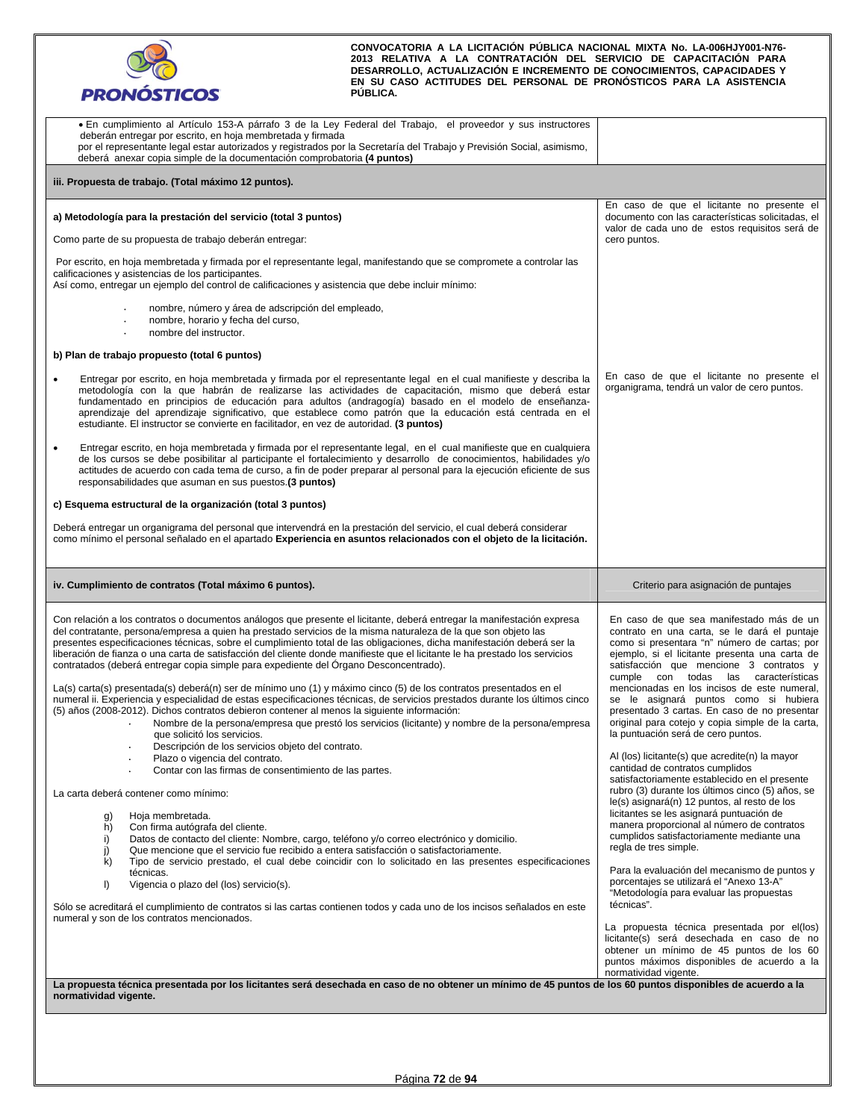

| • En cumplimiento al Artículo 153-A párrafo 3 de la Ley Federal del Trabajo, el proveedor y sus instructores<br>deberán entregar por escrito, en hoja membretada y firmada<br>por el representante legal estar autorizados y registrados por la Secretaría del Trabajo y Previsión Social, asimismo,<br>deberá anexar copia simple de la documentación comprobatoria (4 puntos)                                                                                                                                                                                                                                                                                                                                                                                                                                                                                                                                                                                                                                                                                                                                                                                                                                                                                                                                                                                                                                                                                                                                                                                                                                                                                                                                                                                                                                                                                                                                   |                                                                                                                                                                                                                                                                                                                                                                                                                                                                                                                                                                                                                                                                                                                                                                                                                                                                                                                                                                                                                                                                                                                                                                                                                                                                                                |
|-------------------------------------------------------------------------------------------------------------------------------------------------------------------------------------------------------------------------------------------------------------------------------------------------------------------------------------------------------------------------------------------------------------------------------------------------------------------------------------------------------------------------------------------------------------------------------------------------------------------------------------------------------------------------------------------------------------------------------------------------------------------------------------------------------------------------------------------------------------------------------------------------------------------------------------------------------------------------------------------------------------------------------------------------------------------------------------------------------------------------------------------------------------------------------------------------------------------------------------------------------------------------------------------------------------------------------------------------------------------------------------------------------------------------------------------------------------------------------------------------------------------------------------------------------------------------------------------------------------------------------------------------------------------------------------------------------------------------------------------------------------------------------------------------------------------------------------------------------------------------------------------------------------------|------------------------------------------------------------------------------------------------------------------------------------------------------------------------------------------------------------------------------------------------------------------------------------------------------------------------------------------------------------------------------------------------------------------------------------------------------------------------------------------------------------------------------------------------------------------------------------------------------------------------------------------------------------------------------------------------------------------------------------------------------------------------------------------------------------------------------------------------------------------------------------------------------------------------------------------------------------------------------------------------------------------------------------------------------------------------------------------------------------------------------------------------------------------------------------------------------------------------------------------------------------------------------------------------|
| iii. Propuesta de trabajo. (Total máximo 12 puntos).                                                                                                                                                                                                                                                                                                                                                                                                                                                                                                                                                                                                                                                                                                                                                                                                                                                                                                                                                                                                                                                                                                                                                                                                                                                                                                                                                                                                                                                                                                                                                                                                                                                                                                                                                                                                                                                              |                                                                                                                                                                                                                                                                                                                                                                                                                                                                                                                                                                                                                                                                                                                                                                                                                                                                                                                                                                                                                                                                                                                                                                                                                                                                                                |
| a) Metodología para la prestación del servicio (total 3 puntos)<br>Como parte de su propuesta de trabajo deberán entregar:<br>Por escrito, en hoja membretada y firmada por el representante legal, manifestando que se compromete a controlar las<br>calificaciones y asistencias de los participantes.<br>Así como, entregar un ejemplo del control de calificaciones y asistencia que debe incluir mínimo:<br>nombre, número y área de adscripción del empleado,<br>nombre, horario y fecha del curso,<br>nombre del instructor.<br>b) Plan de trabajo propuesto (total 6 puntos)<br>Entregar por escrito, en hoja membretada y firmada por el representante legal en el cual manifieste y describa la<br>metodología con la que habrán de realizarse las actividades de capacitación, mismo que deberá estar<br>fundamentado en principios de educación para adultos (andragogía) basado en el modelo de enseñanza-<br>aprendizaje del aprendizaje significativo, que establece como patrón que la educación está centrada en el<br>estudiante. El instructor se convierte en facilitador, en vez de autoridad. (3 puntos)                                                                                                                                                                                                                                                                                                                                                                                                                                                                                                                                                                                                                                                                                                                                                                                    | En caso de que el licitante no presente el<br>documento con las características solicitadas, el<br>valor de cada uno de estos requisitos será de<br>cero puntos.<br>En caso de que el licitante no presente el<br>organigrama, tendrá un valor de cero puntos.                                                                                                                                                                                                                                                                                                                                                                                                                                                                                                                                                                                                                                                                                                                                                                                                                                                                                                                                                                                                                                 |
| Entregar escrito, en hoja membretada y firmada por el representante legal, en el cual manifieste que en cualquiera<br>$\bullet$<br>de los cursos se debe posibilitar al participante el fortalecimiento y desarrollo de conocimientos, habilidades y/o<br>actitudes de acuerdo con cada tema de curso, a fin de poder preparar al personal para la ejecución eficiente de sus<br>responsabilidades que asuman en sus puestos.(3 puntos)<br>c) Esquema estructural de la organización (total 3 puntos)<br>Deberá entregar un organigrama del personal que intervendrá en la prestación del servicio, el cual deberá considerar<br>como mínimo el personal señalado en el apartado Experiencia en asuntos relacionados con el objeto de la licitación.                                                                                                                                                                                                                                                                                                                                                                                                                                                                                                                                                                                                                                                                                                                                                                                                                                                                                                                                                                                                                                                                                                                                                              |                                                                                                                                                                                                                                                                                                                                                                                                                                                                                                                                                                                                                                                                                                                                                                                                                                                                                                                                                                                                                                                                                                                                                                                                                                                                                                |
|                                                                                                                                                                                                                                                                                                                                                                                                                                                                                                                                                                                                                                                                                                                                                                                                                                                                                                                                                                                                                                                                                                                                                                                                                                                                                                                                                                                                                                                                                                                                                                                                                                                                                                                                                                                                                                                                                                                   |                                                                                                                                                                                                                                                                                                                                                                                                                                                                                                                                                                                                                                                                                                                                                                                                                                                                                                                                                                                                                                                                                                                                                                                                                                                                                                |
| iv. Cumplimiento de contratos (Total máximo 6 puntos).                                                                                                                                                                                                                                                                                                                                                                                                                                                                                                                                                                                                                                                                                                                                                                                                                                                                                                                                                                                                                                                                                                                                                                                                                                                                                                                                                                                                                                                                                                                                                                                                                                                                                                                                                                                                                                                            | Criterio para asignación de puntajes                                                                                                                                                                                                                                                                                                                                                                                                                                                                                                                                                                                                                                                                                                                                                                                                                                                                                                                                                                                                                                                                                                                                                                                                                                                           |
| Con relación a los contratos o documentos análogos que presente el licitante, deberá entregar la manifestación expresa<br>del contratante, persona/empresa a quien ha prestado servicios de la misma naturaleza de la que son objeto las<br>presentes especificaciones técnicas, sobre el cumplimiento total de las obligaciones, dicha manifestación deberá ser la<br>liberación de fianza o una carta de satisfacción del cliente donde manifieste que el licitante le ha prestado los servicios<br>contratados (deberá entregar copia simple para expediente del Organo Desconcentrado).<br>La(s) carta(s) presentada(s) deberá(n) ser de mínimo uno (1) y máximo cinco (5) de los contratos presentados en el<br>numeral ii. Experiencia y especialidad de estas especificaciones técnicas, de servicios prestados durante los últimos cinco<br>(5) años (2008-2012). Dichos contratos debieron contener al menos la siguiente información:<br>Nombre de la persona/empresa que prestó los servicios (licitante) y nombre de la persona/empresa<br>que solicitó los servicios.<br>Descripción de los servicios objeto del contrato.<br>Plazo o vigencia del contrato.<br>Contar con las firmas de consentimiento de las partes.<br>La carta deberá contener como mínimo:<br>Hoja membretada.<br>g)<br>Con firma autógrafa del cliente.<br>h)<br>i)<br>Datos de contacto del cliente: Nombre, cargo, teléfono y/o correo electrónico y domicilio.<br>Que mencione que el servicio fue recibido a entera satisfacción o satisfactoriamente.<br>j)<br>Tipo de servicio prestado, el cual debe coincidir con lo solicitado en las presentes especificaciones<br>k)<br>técnicas.<br>$\vert$<br>Vigencia o plazo del (los) servicio(s).<br>Sólo se acreditará el cumplimiento de contratos si las cartas contienen todos y cada uno de los incisos señalados en este<br>numeral y son de los contratos mencionados. | En caso de que sea manifestado más de un<br>contrato en una carta, se le dará el puntaje<br>como si presentara "n" número de cartas; por<br>ejemplo, si el licitante presenta una carta de<br>satisfacción que mencione 3 contratos y<br>cumple con todas las características<br>mencionadas en los incisos de este numeral,<br>se le asignará puntos como si hubiera<br>presentado 3 cartas. En caso de no presentar<br>original para cotejo y copia simple de la carta,<br>la puntuación será de cero puntos.<br>Al (los) licitante(s) que acredite(n) la mayor<br>cantidad de contratos cumplidos<br>satisfactoriamente establecido en el presente<br>rubro (3) durante los últimos cinco (5) años, se<br>le(s) asignará(n) 12 puntos, al resto de los<br>licitantes se les asignará puntuación de<br>manera proporcional al número de contratos<br>cumplidos satisfactoriamente mediante una<br>regla de tres simple.<br>Para la evaluación del mecanismo de puntos y<br>porcentajes se utilizará el "Anexo 13-A"<br>"Metodología para evaluar las propuestas<br>técnicas".<br>La propuesta técnica presentada por el(los)<br>licitante(s) será desechada en caso de no<br>obtener un mínimo de 45 puntos de los 60<br>puntos máximos disponibles de acuerdo a la<br>normatividad vigente. |
| La propuesta técnica presentada por los licitantes será desechada en caso de no obtener un mínimo de 45 puntos de los 60 puntos disponibles de acuerdo a la<br>normatividad vigente.                                                                                                                                                                                                                                                                                                                                                                                                                                                                                                                                                                                                                                                                                                                                                                                                                                                                                                                                                                                                                                                                                                                                                                                                                                                                                                                                                                                                                                                                                                                                                                                                                                                                                                                              |                                                                                                                                                                                                                                                                                                                                                                                                                                                                                                                                                                                                                                                                                                                                                                                                                                                                                                                                                                                                                                                                                                                                                                                                                                                                                                |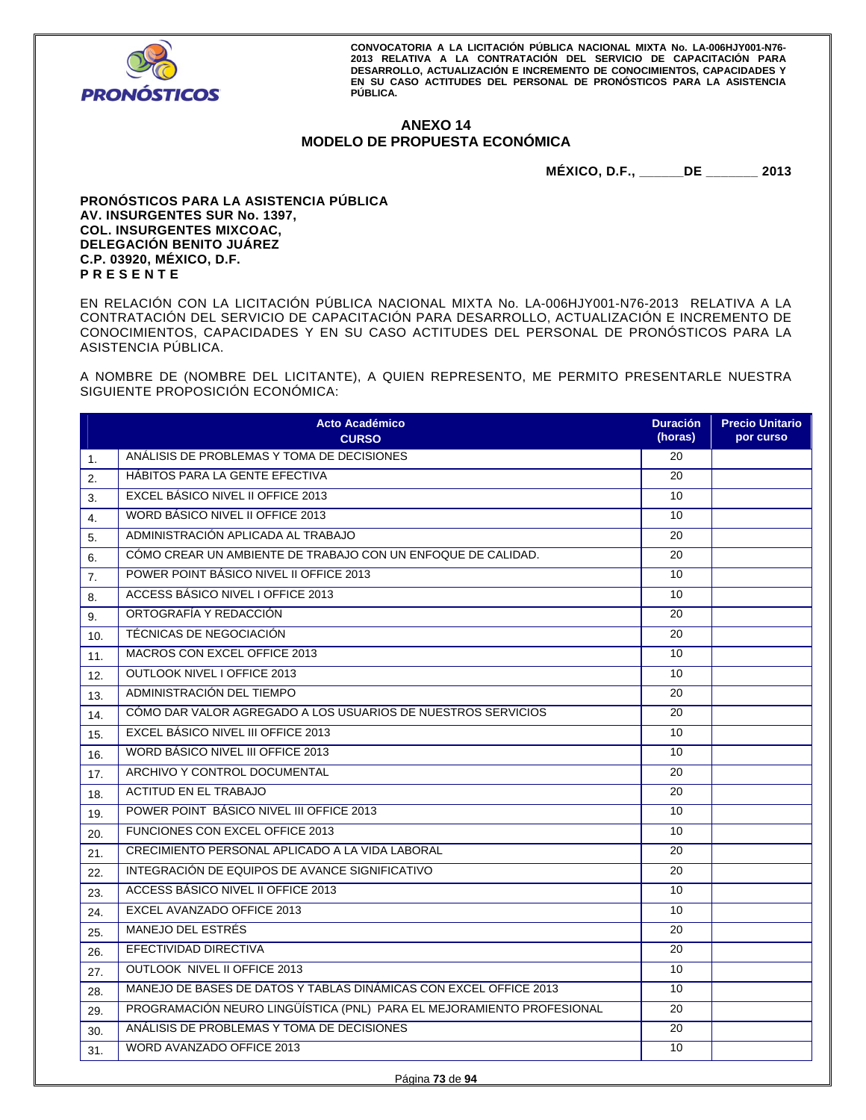

# **ANEXO 14 MODELO DE PROPUESTA ECONÓMICA**

**MÉXICO, D.F., \_\_\_\_\_\_DE \_\_\_\_\_\_\_ 2013** 

**PRONÓSTICOS PARA LA ASISTENCIA PÚBLICA AV. INSURGENTES SUR No. 1397, COL. INSURGENTES MIXCOAC, DELEGACIÓN BENITO JUÁREZ C.P. 03920, MÉXICO, D.F. P R E S E N T E** 

EN RELACIÓN CON LA LICITACIÓN PÚBLICA NACIONAL MIXTA No. LA-006HJY001-N76-2013 RELATIVA A LA CONTRATACIÓN DEL SERVICIO DE CAPACITACIÓN PARA DESARROLLO, ACTUALIZACIÓN E INCREMENTO DE CONOCIMIENTOS, CAPACIDADES Y EN SU CASO ACTITUDES DEL PERSONAL DE PRONÓSTICOS PARA LA ASISTENCIA PÚBLICA.

A NOMBRE DE (NOMBRE DEL LICITANTE), A QUIEN REPRESENTO, ME PERMITO PRESENTARLE NUESTRA SIGUIENTE PROPOSICIÓN ECONÓMICA:

|     | <b>Acto Académico</b><br><b>CURSO</b>                                 | <b>Duración</b><br>(horas) | <b>Precio Unitario</b><br>por curso |
|-----|-----------------------------------------------------------------------|----------------------------|-------------------------------------|
| 1.  | ANÁLISIS DE PROBLEMAS Y TOMA DE DECISIONES                            | 20                         |                                     |
| 2.  | HABITOS PARA LA GENTE EFECTIVA                                        | 20                         |                                     |
| 3.  | EXCEL BÁSICO NIVEL II OFFICE 2013                                     | 10                         |                                     |
| 4.  | <b>WORD BÁSICO NIVEL II OFFICE 2013</b>                               | 10                         |                                     |
| 5.  | ADMINISTRACIÓN APLICADA AL TRABAJO                                    | 20                         |                                     |
| 6.  | CÓMO CREAR UN AMBIENTE DE TRABAJO CON UN ENFOQUE DE CALIDAD.          | 20                         |                                     |
| 7.  | POWER POINT BÁSICO NIVEL II OFFICE 2013                               | 10                         |                                     |
| 8.  | <b>ACCESS BÁSICO NIVEL I OFFICE 2013</b>                              | 10                         |                                     |
| 9.  | ORTOGRAFÍA Y REDACCIÓN                                                | 20                         |                                     |
| 10. | TÉCNICAS DE NEGOCIACIÓN                                               | 20                         |                                     |
| 11. | MACROS CON EXCEL OFFICE 2013                                          | 10                         |                                     |
| 12. | <b>OUTLOOK NIVEL I OFFICE 2013</b>                                    | 10                         |                                     |
| 13. | ADMINISTRACIÓN DEL TIEMPO                                             | 20                         |                                     |
| 14. | CÓMO DAR VALOR AGREGADO A LOS USUARIOS DE NUESTROS SERVICIOS          | 20                         |                                     |
| 15. | EXCEL BÁSICO NIVEL III OFFICE 2013                                    | 10                         |                                     |
| 16. | <b>WORD BÁSICO NIVEL III OFFICE 2013</b>                              | 10                         |                                     |
| 17. | ARCHIVO Y CONTROL DOCUMENTAL                                          | 20                         |                                     |
| 18. | <b>ACTITUD EN EL TRABAJO</b>                                          | 20                         |                                     |
| 19. | POWER POINT BÁSICO NIVEL III OFFICE 2013                              | 10                         |                                     |
| 20. | FUNCIONES CON EXCEL OFFICE 2013                                       | 10                         |                                     |
| 21. | CRECIMIENTO PERSONAL APLICADO A LA VIDA LABORAL                       | 20                         |                                     |
| 22. | INTEGRACIÓN DE EQUIPOS DE AVANCE SIGNIFICATIVO                        | 20                         |                                     |
| 23. | <b>ACCESS BÁSICO NIVEL II OFFICE 2013</b>                             | 10                         |                                     |
| 24. | EXCEL AVANZADO OFFICE 2013                                            | 10                         |                                     |
| 25. | MANEJO DEL ESTRÉS                                                     | 20                         |                                     |
| 26. | EFECTIVIDAD DIRECTIVA                                                 | 20                         |                                     |
| 27. | OUTLOOK NIVEL II OFFICE 2013                                          | 10                         |                                     |
| 28. | MANEJO DE BASES DE DATOS Y TABLAS DINÁMICAS CON EXCEL OFFICE 2013     | 10                         |                                     |
| 29. | PROGRAMACIÓN NEURO LINGÜÍSTICA (PNL) PARA EL MEJORAMIENTO PROFESIONAL | 20                         |                                     |
| 30. | ANÁLISIS DE PROBLEMAS Y TOMA DE DECISIONES                            | 20                         |                                     |
| 31. | WORD AVANZADO OFFICE 2013                                             | 10                         |                                     |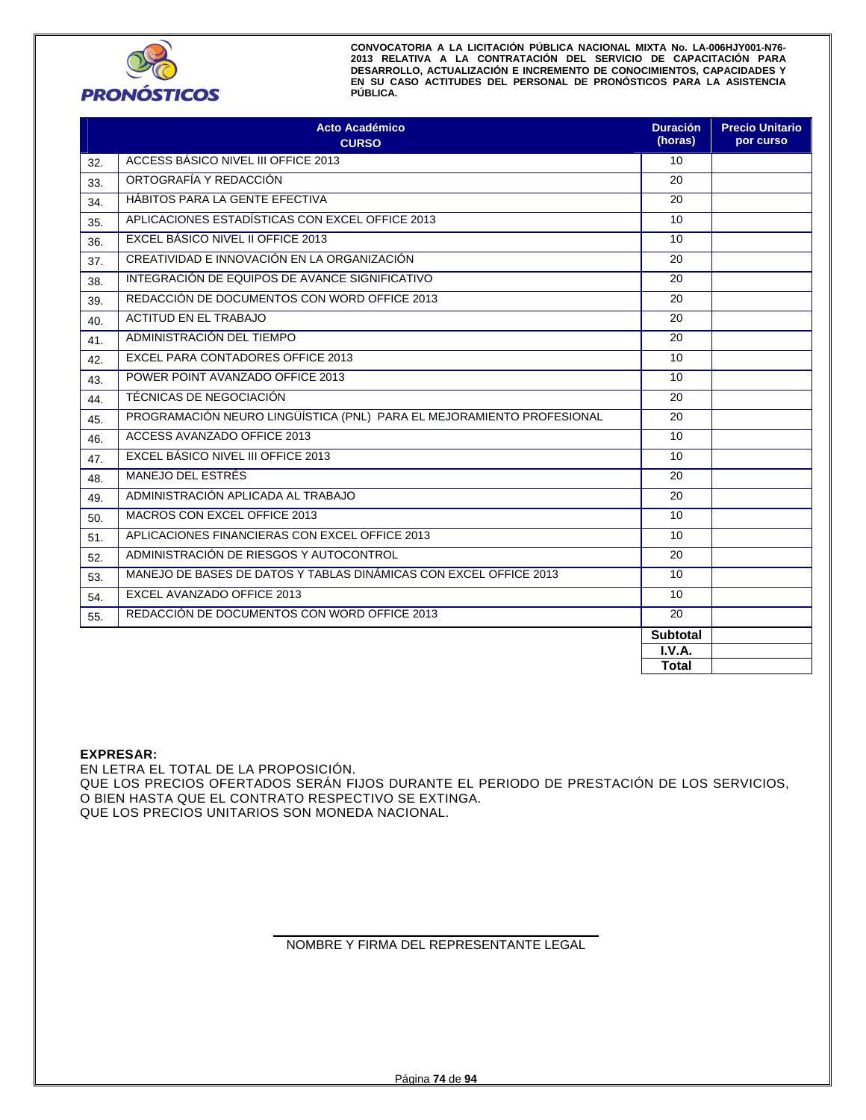

|     | <b>Acto Académico</b><br><b>CURSO</b>                                 | <b>Duración</b><br>(horas) | <b>Precio Unitario</b><br>por curso |
|-----|-----------------------------------------------------------------------|----------------------------|-------------------------------------|
| 32. | ACCESS BÁSICO NIVEL III OFFICE 2013                                   | 10                         |                                     |
| 33. | ORTOGRAFÍA Y REDACCIÓN                                                | 20                         |                                     |
| 34. | HÁBITOS PARA LA GENTE EFECTIVA                                        | 20                         |                                     |
| 35. | APLICACIONES ESTADÍSTICAS CON EXCEL OFFICE 2013                       | 10                         |                                     |
| 36. | EXCEL BÁSICO NIVEL II OFFICE 2013                                     | 10                         |                                     |
| 37. | CREATIVIDAD E INNOVACIÓN EN LA ORGANIZACIÓN                           | 20                         |                                     |
| 38. | INTEGRACIÓN DE EQUIPOS DE AVANCE SIGNIFICATIVO                        | 20                         |                                     |
| 39. | REDACCIÓN DE DOCUMENTOS CON WORD OFFICE 2013                          | 20                         |                                     |
| 40. | <b>ACTITUD EN EL TRABAJO</b>                                          | 20                         |                                     |
| 41. | ADMINISTRACIÓN DEL TIEMPO                                             | 20                         |                                     |
| 42. | EXCEL PARA CONTADORES OFFICE 2013                                     | 10                         |                                     |
| 43. | POWER POINT AVANZADO OFFICE 2013                                      | 10                         |                                     |
| 44. | TÉCNICAS DE NEGOCIACIÓN                                               | 20                         |                                     |
| 45. | PROGRAMACIÓN NEURO LINGÜÍSTICA (PNL) PARA EL MEJORAMIENTO PROFESIONAL | 20                         |                                     |
| 46. | ACCESS AVANZADO OFFICE 2013                                           | 10                         |                                     |
| 47. | EXCEL BÁSICO NIVEL III OFFICE 2013                                    | 10                         |                                     |
| 48. | MANEJO DEL ESTRÉS                                                     | 20                         |                                     |
| 49. | ADMINISTRACIÓN APLICADA AL TRABAJO                                    | 20                         |                                     |
| 50. | MACROS CON EXCEL OFFICE 2013                                          | 10                         |                                     |
| 51. | APLICACIONES FINANCIERAS CON EXCEL OFFICE 2013                        | 10                         |                                     |
| 52. | ADMINISTRACIÓN DE RIESGOS Y AUTOCONTROL                               | 20                         |                                     |
| 53. | MANEJO DE BASES DE DATOS Y TABLAS DINÁMICAS CON EXCEL OFFICE 2013     | 10                         |                                     |
| 54. | EXCEL AVANZADO OFFICE 2013                                            | 10                         |                                     |
| 55. | REDACCIÓN DE DOCUMENTOS CON WORD OFFICE 2013                          | 20                         |                                     |
|     |                                                                       | <b>Subtotal</b>            |                                     |
|     |                                                                       | I.V.A.                     |                                     |
|     |                                                                       | Total                      |                                     |

# **EXPRESAR:**

EN LETRA EL TOTAL DE LA PROPOSICIÓN. QUE LOS PRECIOS OFERTADOS SERÁN FIJOS DURANTE EL PERIODO DE PRESTACIÓN DE LOS SERVICIOS, O BIEN HASTA QUE EL CONTRATO RESPECTIVO SE EXTINGA. QUE LOS PRECIOS UNITARIOS SON MONEDA NACIONAL.

#### **\_\_\_\_\_\_\_\_\_\_\_\_\_\_\_\_\_\_\_\_\_\_\_\_\_\_\_\_\_\_\_\_\_\_\_\_\_\_\_\_\_\_\_\_\_\_**  NOMBRE Y FIRMA DEL REPRESENTANTE LEGAL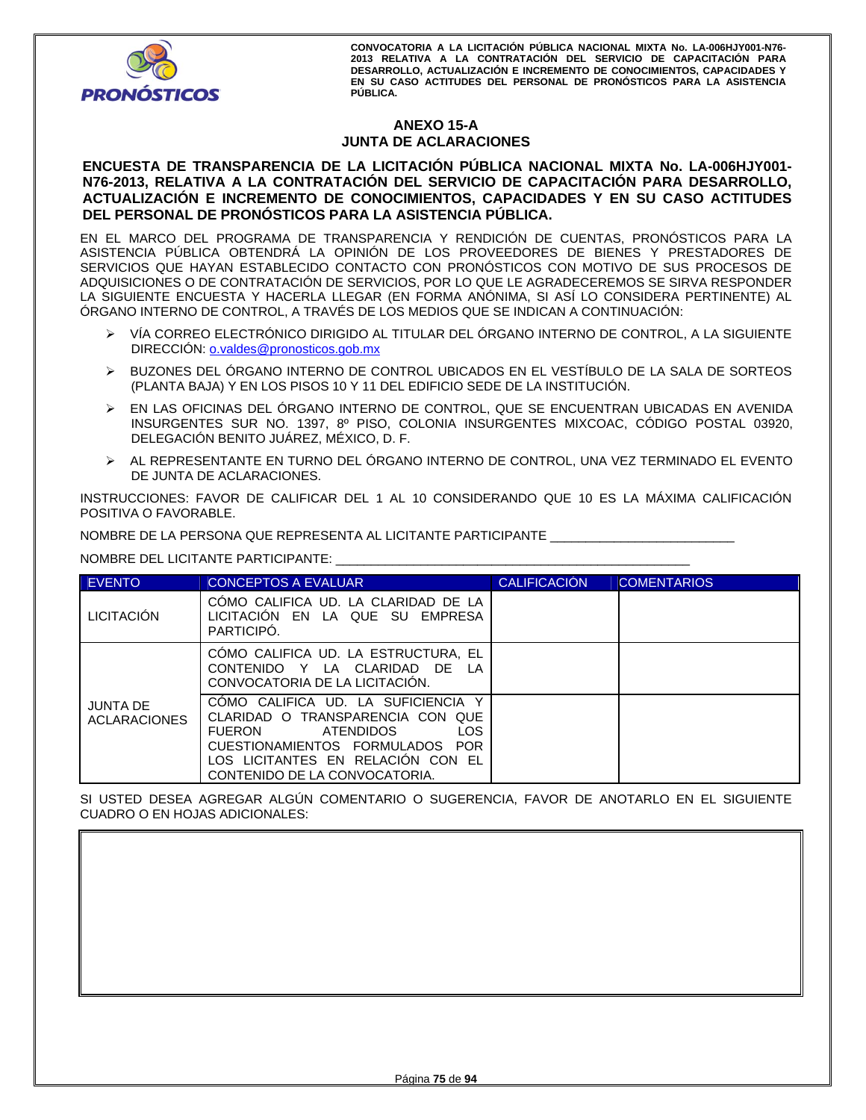

# **ANEXO 15-A JUNTA DE ACLARACIONES**

# **ENCUESTA DE TRANSPARENCIA DE LA LICITACIÓN PÚBLICA NACIONAL MIXTA No. LA-006HJY001- N76-2013, RELATIVA A LA CONTRATACIÓN DEL SERVICIO DE CAPACITACIÓN PARA DESARROLLO, ACTUALIZACIÓN E INCREMENTO DE CONOCIMIENTOS, CAPACIDADES Y EN SU CASO ACTITUDES DEL PERSONAL DE PRONÓSTICOS PARA LA ASISTENCIA PÚBLICA.**

EN EL MARCO DEL PROGRAMA DE TRANSPARENCIA Y RENDICIÓN DE CUENTAS, PRONÓSTICOS PARA LA ASISTENCIA PÚBLICA OBTENDRÁ LA OPINIÓN DE LOS PROVEEDORES DE BIENES Y PRESTADORES DE SERVICIOS QUE HAYAN ESTABLECIDO CONTACTO CON PRONÓSTICOS CON MOTIVO DE SUS PROCESOS DE ADQUISICIONES O DE CONTRATACIÓN DE SERVICIOS, POR LO QUE LE AGRADECEREMOS SE SIRVA RESPONDER LA SIGUIENTE ENCUESTA Y HACERLA LLEGAR (EN FORMA ANÓNIMA, SI ASÍ LO CONSIDERA PERTINENTE) AL ÓRGANO INTERNO DE CONTROL, A TRAVÉS DE LOS MEDIOS QUE SE INDICAN A CONTINUACIÓN:

- VÍA CORREO ELECTRÓNICO DIRIGIDO AL TITULAR DEL ÓRGANO INTERNO DE CONTROL, A LA SIGUIENTE DIRECCIÓN: o.valdes@pronosticos.gob.mx
- BUZONES DEL ÓRGANO INTERNO DE CONTROL UBICADOS EN EL VESTÍBULO DE LA SALA DE SORTEOS (PLANTA BAJA) Y EN LOS PISOS 10 Y 11 DEL EDIFICIO SEDE DE LA INSTITUCIÓN.
- EN LAS OFICINAS DEL ÓRGANO INTERNO DE CONTROL, QUE SE ENCUENTRAN UBICADAS EN AVENIDA INSURGENTES SUR NO. 1397, 8º PISO, COLONIA INSURGENTES MIXCOAC, CÓDIGO POSTAL 03920, DELEGACIÓN BENITO JUÁREZ, MÉXICO, D. F.
- AL REPRESENTANTE EN TURNO DEL ÓRGANO INTERNO DE CONTROL, UNA VEZ TERMINADO EL EVENTO DE JUNTA DE ACLARACIONES.

INSTRUCCIONES: FAVOR DE CALIFICAR DEL 1 AL 10 CONSIDERANDO QUE 10 ES LA MÁXIMA CALIFICACIÓN POSITIVA O FAVORABLE.

NOMBRE DE LA PERSONA QUE REPRESENTA AL LICITANTE PARTICIPANTE \_\_\_\_\_\_\_\_\_\_\_\_\_\_\_\_\_\_\_\_\_\_\_\_\_\_

NOMBRE DEL LICITANTE PARTICIPANTE: \_\_\_\_\_\_\_\_\_\_\_\_\_\_\_\_\_\_\_\_\_\_\_\_\_\_\_\_\_\_\_\_\_\_\_\_\_\_\_\_\_\_\_\_\_\_\_\_\_\_

| <b>EVENTO</b>                   | <b>CONCEPTOS A EVALUAR</b>                                                                                                                                                                                           | <b>CALIFICACIÓN</b> | <b>COMENTARIOS</b> |
|---------------------------------|----------------------------------------------------------------------------------------------------------------------------------------------------------------------------------------------------------------------|---------------------|--------------------|
| <b>LICITACIÓN</b>               | COMO CALIFICA UD. LA CLARIDAD DE LA<br>LICITACION EN LA QUE SU EMPRESA<br>PARTICIPO.                                                                                                                                 |                     |                    |
|                                 | CÓMO CALIFICA UD. LA ESTRUCTURA, EL<br>CONTENIDO Y LA CLARIDAD DE LA<br>CONVOCATORIA DE LA LICITACION.                                                                                                               |                     |                    |
| JUNTA DE<br><b>ACLARACIONES</b> | COMO CALIFICA UD. LA SUFICIENCIA Y<br>CLARIDAD O TRANSPARENCIA CON QUE<br><b>LOS</b><br>FUERON<br>ATENDIDOS<br>CUESTIONAMIENTOS FORMULADOS POR<br>LOS LICITANTES EN RELACION CON EL<br>CONTENIDO DE LA CONVOCATORIA. |                     |                    |

SI USTED DESEA AGREGAR ALGÚN COMENTARIO O SUGERENCIA, FAVOR DE ANOTARLO EN EL SIGUIENTE CUADRO O EN HOJAS ADICIONALES: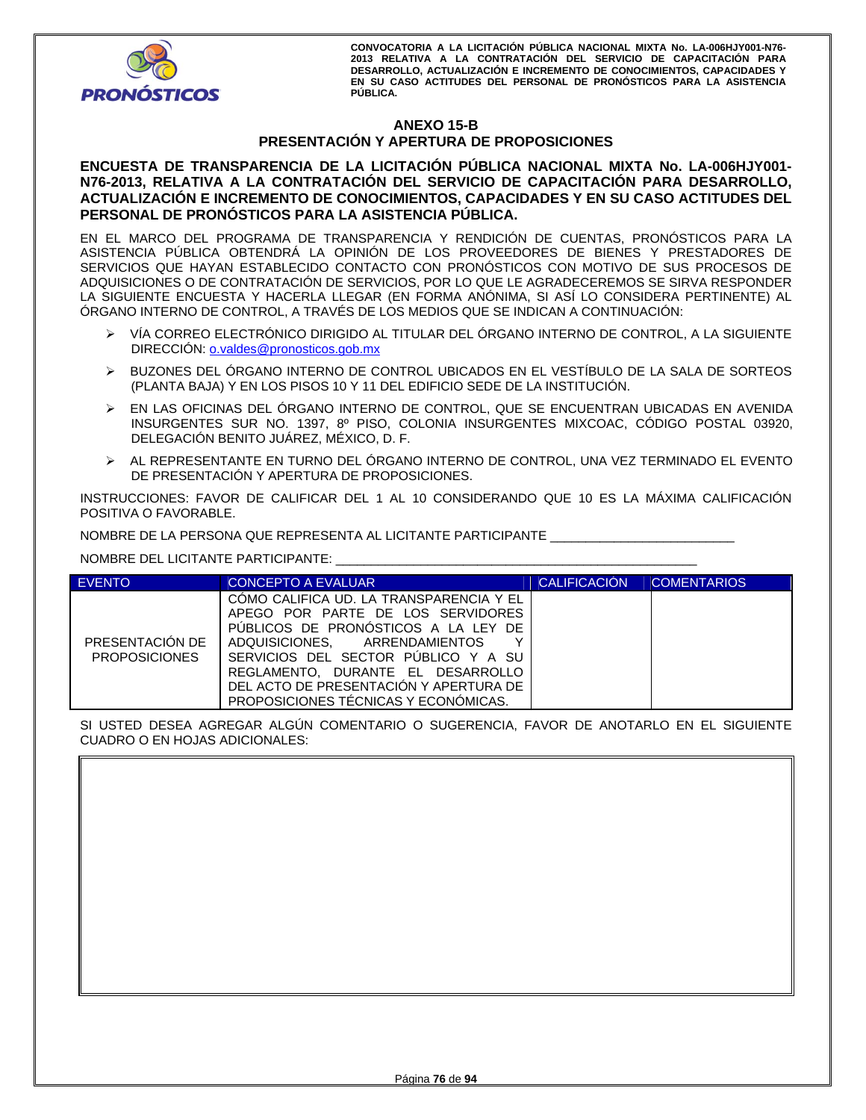

# **ANEXO 15-B PRESENTACIÓN Y APERTURA DE PROPOSICIONES**

# **ENCUESTA DE TRANSPARENCIA DE LA LICITACIÓN PÚBLICA NACIONAL MIXTA No. LA-006HJY001-** N76-2013, RELATIVA A LA CONTRATACION DEL SERVICIO DE CAPACITACION PARA DESARROLLO, **ACTUALIZACIÓN E INCREMENTO DE CONOCIMIENTOS, CAPACIDADES Y EN SU CASO ACTITUDES DEL PERSONAL DE PRONÓSTICOS PARA LA ASISTENCIA PÚBLICA.**

EN EL MARCO DEL PROGRAMA DE TRANSPARENCIA Y RENDICIÓN DE CUENTAS, PRONÓSTICOS PARA LA ASISTENCIA PÚBLICA OBTENDRÁ LA OPINIÓN DE LOS PROVEEDORES DE BIENES Y PRESTADORES DE SERVICIOS QUE HAYAN ESTABLECIDO CONTACTO CON PRONÓSTICOS CON MOTIVO DE SUS PROCESOS DE ADQUISICIONES O DE CONTRATACIÓN DE SERVICIOS, POR LO QUE LE AGRADECEREMOS SE SIRVA RESPONDER LA SIGUIENTE ENCUESTA Y HACERLA LLEGAR (EN FORMA ANÓNIMA, SI ASÍ LO CONSIDERA PERTINENTE) AL ÓRGANO INTERNO DE CONTROL, A TRAVÉS DE LOS MEDIOS QUE SE INDICAN A CONTINUACIÓN:

- VÍA CORREO ELECTRÓNICO DIRIGIDO AL TITULAR DEL ÓRGANO INTERNO DE CONTROL, A LA SIGUIENTE DIRECCIÓN: o.valdes@pronosticos.gob.mx
- BUZONES DEL ÓRGANO INTERNO DE CONTROL UBICADOS EN EL VESTÍBULO DE LA SALA DE SORTEOS (PLANTA BAJA) Y EN LOS PISOS 10 Y 11 DEL EDIFICIO SEDE DE LA INSTITUCIÓN.
- EN LAS OFICINAS DEL ÓRGANO INTERNO DE CONTROL, QUE SE ENCUENTRAN UBICADAS EN AVENIDA INSURGENTES SUR NO. 1397, 8º PISO, COLONIA INSURGENTES MIXCOAC, CÓDIGO POSTAL 03920, DELEGACIÓN BENITO JUÁREZ, MÉXICO, D. F.
- AL REPRESENTANTE EN TURNO DEL ÓRGANO INTERNO DE CONTROL, UNA VEZ TERMINADO EL EVENTO DE PRESENTACIÓN Y APERTURA DE PROPOSICIONES.

INSTRUCCIONES: FAVOR DE CALIFICAR DEL 1 AL 10 CONSIDERANDO QUE 10 ES LA MÁXIMA CALIFICACIÓN POSITIVA O FAVORABLE.

NOMBRE DE LA PERSONA QUE REPRESENTA AL LICITANTE PARTICIPANTE \_\_\_\_\_\_\_\_\_\_\_\_\_\_\_\_\_\_\_\_\_\_\_\_\_\_

NOMBRE DEL LICITANTE PARTICIPANTE: \_\_\_\_\_\_\_\_\_\_\_\_\_\_\_\_\_\_\_\_\_\_\_\_\_\_\_\_\_\_\_\_\_\_\_\_\_\_\_\_\_\_\_\_\_\_\_\_\_\_\_

| <b>EVENTO</b>                           | <b>CONCEPTO A EVALUAR</b>                                                                                                                                                                                                                                                                                               | <b>CALIFICACIÓN</b> | <b>COMENTARIOS</b> |
|-----------------------------------------|-------------------------------------------------------------------------------------------------------------------------------------------------------------------------------------------------------------------------------------------------------------------------------------------------------------------------|---------------------|--------------------|
| PRESENTACIÓN DE<br><b>PROPOSICIONES</b> | COMO CALIFICA UD. LA TRANSPARENCIA Y EL<br>APEGO POR PARTE DE LOS SERVIDORES<br>PUBLICOS DE PRONOSTICOS A LA LEY DE<br>ADQUISICIONES. ARRENDAMIENTOS<br>v<br>SERVICIOS DEL SECTOR PUBLICO Y A SU<br>REGLAMENTO. DURANTE EL DESARROLLO<br>DEL ACTO DE PRESENTACIÓN Y APERTURA DE<br>PROPOSICIONES TÉCNICAS Y ECONÓMICAS. |                     |                    |

SI USTED DESEA AGREGAR ALGÚN COMENTARIO O SUGERENCIA, FAVOR DE ANOTARLO EN EL SIGUIENTE CUADRO O EN HOJAS ADICIONALES: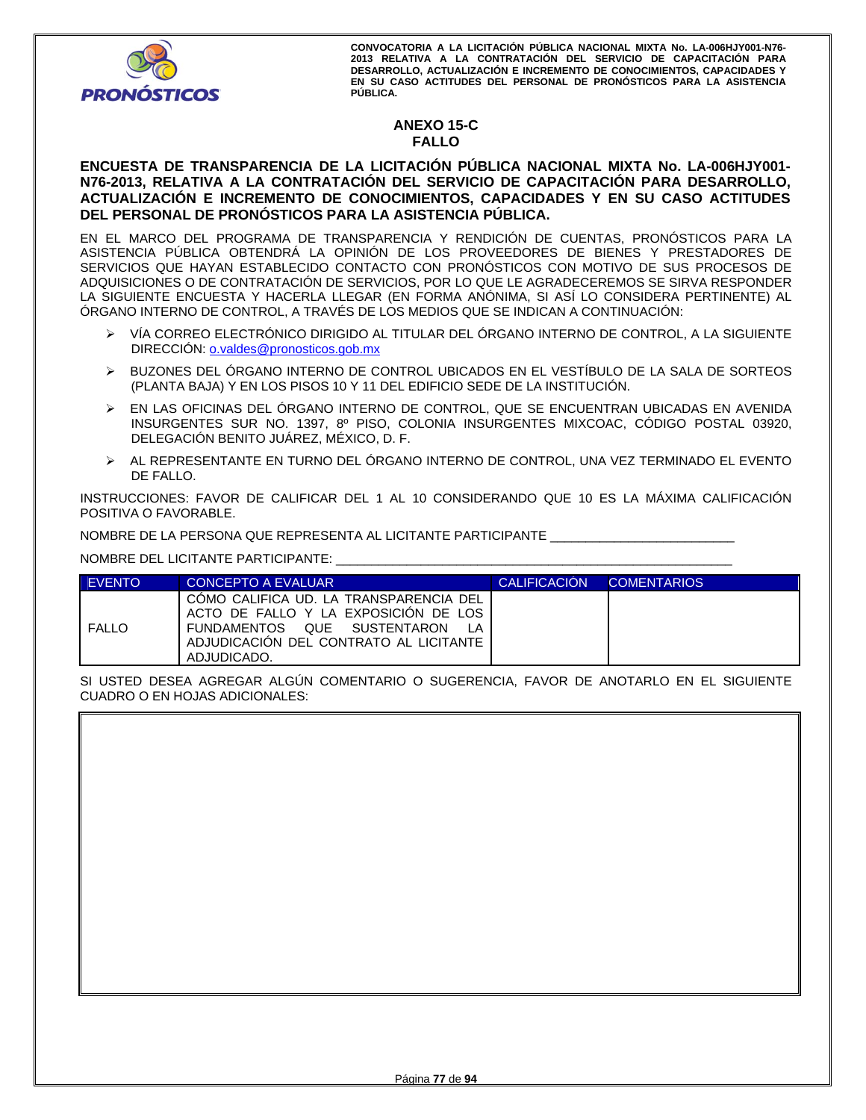

# **ANEXO 15-C FALLO**

# **ENCUESTA DE TRANSPARENCIA DE LA LICITACIÓN PÚBLICA NACIONAL MIXTA No. LA-006HJY001- N76-2013, RELATIVA A LA CONTRATACIÓN DEL SERVICIO DE CAPACITACIÓN PARA DESARROLLO, ACTUALIZACIÓN E INCREMENTO DE CONOCIMIENTOS, CAPACIDADES Y EN SU CASO ACTITUDES DEL PERSONAL DE PRONÓSTICOS PARA LA ASISTENCIA PÚBLICA.**

EN EL MARCO DEL PROGRAMA DE TRANSPARENCIA Y RENDICIÓN DE CUENTAS, PRONÓSTICOS PARA LA ASISTENCIA PÚBLICA OBTENDRÁ LA OPINIÓN DE LOS PROVEEDORES DE BIENES Y PRESTADORES DE SERVICIOS QUE HAYAN ESTABLECIDO CONTACTO CON PRONÓSTICOS CON MOTIVO DE SUS PROCESOS DE ADQUISICIONES O DE CONTRATACIÓN DE SERVICIOS, POR LO QUE LE AGRADECEREMOS SE SIRVA RESPONDER LA SIGUIENTE ENCUESTA Y HACERLA LLEGAR (EN FORMA ANÓNIMA, SI ASÍ LO CONSIDERA PERTINENTE) AL ÓRGANO INTERNO DE CONTROL, A TRAVÉS DE LOS MEDIOS QUE SE INDICAN A CONTINUACIÓN:

- VÍA CORREO ELECTRÓNICO DIRIGIDO AL TITULAR DEL ÓRGANO INTERNO DE CONTROL, A LA SIGUIENTE DIRECCIÓN: o.valdes@pronosticos.gob.mx
- BUZONES DEL ÓRGANO INTERNO DE CONTROL UBICADOS EN EL VESTÍBULO DE LA SALA DE SORTEOS (PLANTA BAJA) Y EN LOS PISOS 10 Y 11 DEL EDIFICIO SEDE DE LA INSTITUCIÓN.
- EN LAS OFICINAS DEL ÓRGANO INTERNO DE CONTROL, QUE SE ENCUENTRAN UBICADAS EN AVENIDA INSURGENTES SUR NO. 1397, 8º PISO, COLONIA INSURGENTES MIXCOAC, CÓDIGO POSTAL 03920, DELEGACIÓN BENITO JUÁREZ, MÉXICO, D. F.
- AL REPRESENTANTE EN TURNO DEL ÓRGANO INTERNO DE CONTROL, UNA VEZ TERMINADO EL EVENTO DE FALLO.

INSTRUCCIONES: FAVOR DE CALIFICAR DEL 1 AL 10 CONSIDERANDO QUE 10 ES LA MÁXIMA CALIFICACIÓN POSITIVA O FAVORABLE.

NOMBRE DE LA PERSONA QUE REPRESENTA AL LICITANTE PARTICIPANTE \_\_\_\_\_\_\_\_\_\_\_\_\_\_\_\_\_\_\_\_\_\_\_\_\_\_

NOMBRE DEL LICITANTE PARTICIPANTE: \_\_\_\_\_\_\_\_\_\_\_\_\_\_\_\_\_\_\_\_\_\_\_\_\_\_\_\_\_\_\_\_\_\_\_\_\_\_\_\_\_\_\_\_\_\_\_\_\_\_\_\_\_\_\_\_

| <b>EVENTO</b> | CONCEPTO A EVALUAR                                                                                                                                                     | <b>CALIFICACIÓN</b> | <b>COMENTARIOS</b> |
|---------------|------------------------------------------------------------------------------------------------------------------------------------------------------------------------|---------------------|--------------------|
| <b>FALLO</b>  | COMO CALIFICA UD. LA TRANSPARENCIA DEL<br>ACTO DE FALLO Y LA EXPOSICION DE LOS<br>FUNDAMENTOS QUE SUSTENTARON<br>ADJUDICACIÓN DEL CONTRATO AL LICITANTE<br>ADJUDICADO. |                     |                    |

SI USTED DESEA AGREGAR ALGÚN COMENTARIO O SUGERENCIA, FAVOR DE ANOTARLO EN EL SIGUIENTE CUADRO O EN HOJAS ADICIONALES: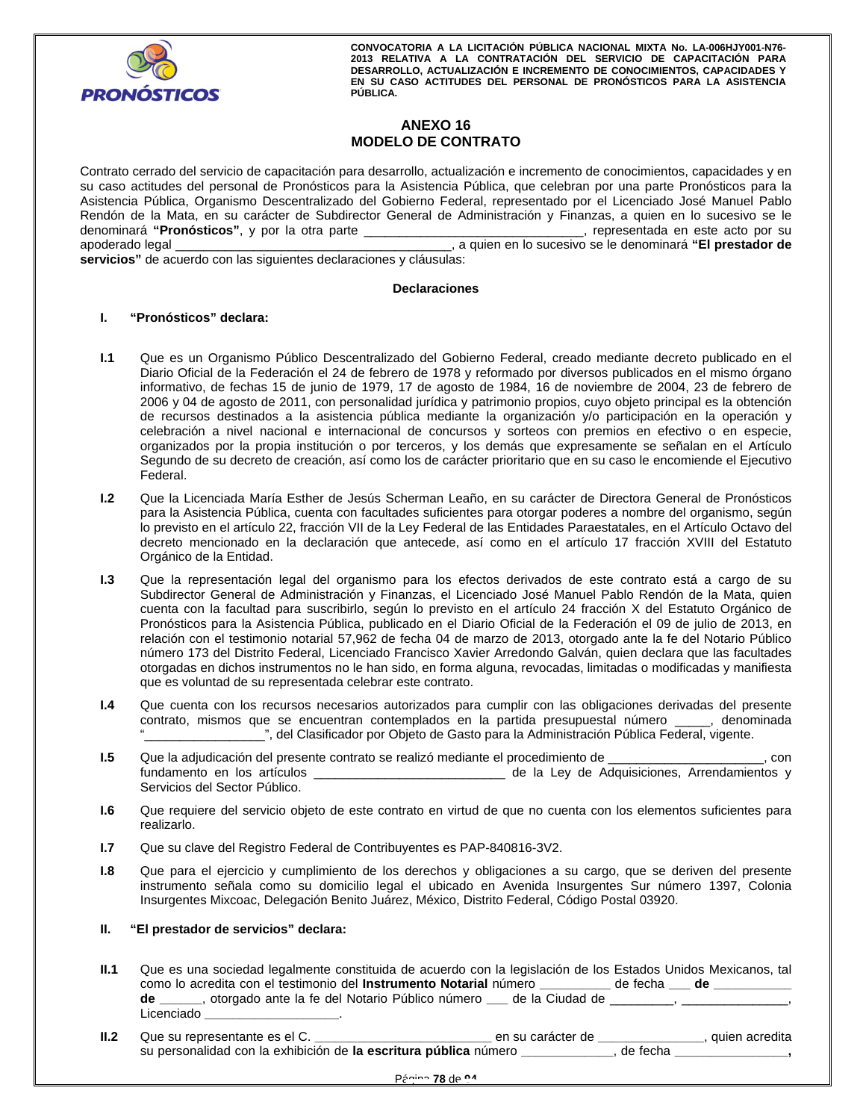

# **ANEXO 16 MODELO DE CONTRATO**

Contrato cerrado del servicio de capacitación para desarrollo, actualización e incremento de conocimientos, capacidades y en su caso actitudes del personal de Pronósticos para la Asistencia Pública, que celebran por una parte Pronósticos para la Asistencia Pública, Organismo Descentralizado del Gobierno Federal, representado por el Licenciado José Manuel Pablo Rendón de la Mata, en su carácter de Subdirector General de Administración y Finanzas, a quien en lo sucesivo se le denominará **"Pronósticos"**, y por la otra parte \_\_\_\_\_\_\_\_\_\_\_\_\_\_\_\_\_\_\_\_\_\_\_\_\_\_\_\_\_\_\_, representada en este acto por su apoderado legal \_\_\_\_\_\_\_\_\_\_\_\_\_\_\_\_\_\_\_\_\_\_\_\_\_\_\_\_\_\_\_\_\_\_\_\_\_\_\_, a quien en lo sucesivo se le denominará **"El prestador de servicios"** de acuerdo con las siguientes declaraciones y cláusulas:

#### **Declaraciones**

#### **I. "Pronósticos" declara:**

- **I.1** Que es un Organismo Público Descentralizado del Gobierno Federal, creado mediante decreto publicado en el Diario Oficial de la Federación el 24 de febrero de 1978 y reformado por diversos publicados en el mismo órgano informativo, de fechas 15 de junio de 1979, 17 de agosto de 1984, 16 de noviembre de 2004, 23 de febrero de 2006 y 04 de agosto de 2011, con personalidad jurídica y patrimonio propios, cuyo objeto principal es la obtención de recursos destinados a la asistencia pública mediante la organización y/o participación en la operación y celebración a nivel nacional e internacional de concursos y sorteos con premios en efectivo o en especie, organizados por la propia institución o por terceros, y los demás que expresamente se señalan en el Artículo Segundo de su decreto de creación, así como los de carácter prioritario que en su caso le encomiende el Ejecutivo Federal.
- decreto mencionado en la declaración que antecede, así como en el artículo 17 fracción XVIII del Estatuto<br>Orgánico de la Entidad.<br>**I.3** Que la representación legal del organismo para los efectos derivados de este contrato **I.2** Que la Licenciada María Esther de Jesús Scherman Leaño, en su carácter de Directora General de Pronósticos para la Asistencia Pública, cuenta con facultades suficientes para otorgar poderes a nombre del organismo, según lo previsto en el artículo 22, fracción VII de la Ley Federal de las Entidades Paraestatales, en el Artículo Octavo del decreto mencionado en la declaración que antecede, así como en el artículo 17 fracción XVIII del Estatuto Orgánico de la Entidad.
- Subdirector General de Administración y Finanzas, el Licenciado José Manuel Pablo Rendón de la Mata, quien cuenta con la facultad para suscribirlo, según lo previsto en el artículo 24 fracción X del Estatuto Orgánico de Pronósticos para la Asistencia Pública, publicado en el Diario Oficial de la Federación el 09 de julio de 2013, en relación con el testimonio notarial 57,962 de fecha 04 de marzo de 2013, otorgado ante la fe del Notario Público número 173 del Distrito Federal, Licenciado Francisco Xavier Arredondo Galván, quien declara que las facultades otorgadas en dichos instrumentos no le han sido, en forma alguna, revocadas, limitadas o modificadas y manifiesta que es voluntad de su representada celebrar este contrato.
- **I.4** Que cuenta con los recursos necesarios autorizados para cumplir con las obligaciones derivadas del presente contrato, mismos que se encuentran contemplados en la partida presupuestal número \_\_\_\_\_, denominada ", del Clasificador por Objeto de Gasto para la Administración Pública Federal, vigente.
- **I.5** Que la adjudicación del presente contrato se realizó mediante el procedimiento de \_\_\_\_\_\_\_\_\_\_\_\_\_\_\_\_\_\_\_\_\_\_, con fundamento en los artículos \_\_\_\_\_\_\_\_\_\_\_\_\_\_\_\_\_\_\_\_\_\_\_\_\_\_\_ de la Ley de Adquisiciones, Arrendamientos y Servicios del Sector Público.
- **I.6** Que requiere del servicio objeto de este contrato en virtud de que no cuenta con los elementos suficientes para realizarlo.
- **I.7** Que su clave del Registro Federal de Contribuyentes es PAP-840816-3V2.
- **I.8** Que para el ejercicio y cumplimiento de los derechos y obligaciones a su cargo, que se deriven del presente instrumento señala como su domicilio legal el ubicado en Avenida Insurgentes Sur número 1397, Colonia Insurgentes Mixcoac, Delegación Benito Juárez, México, Distrito Federal, Código Postal 03920.

### **II. "El prestador de servicios" declara:**

- **II.1** Que es una sociedad legalmente constituida de acuerdo con la legislación de los Estados Unidos Mexicanos, tal como lo acredita con el testimonio del **Instrumento Notarial** número **\_\_\_\_\_\_\_\_\_\_** de fecha **\_\_\_ de \_\_\_\_\_\_\_\_\_\_\_ de \_\_\_\_\_\_**, otorgado ante la fe del Notario Público número **\_\_\_** de la Ciudad de \_\_\_\_\_\_\_\_\_, \_\_\_\_\_\_\_\_\_\_\_\_\_\_\_, Licenciado **\_\_\_\_\_\_\_\_\_\_\_\_\_\_\_\_\_\_\_**.
- **II.2** Que su representante es el C. **\_\_\_\_\_\_\_\_\_\_\_\_\_\_\_\_\_\_\_\_\_\_\_\_\_** en su carácter de **\_\_\_\_\_\_\_\_\_\_\_\_\_\_\_**, quien acredita su personalidad con la exhibición de **la escritura pública** número **\_\_\_\_\_\_\_\_\_\_\_\_\_**, de fecha **\_\_\_\_\_\_\_\_\_\_\_\_\_\_\_\_,**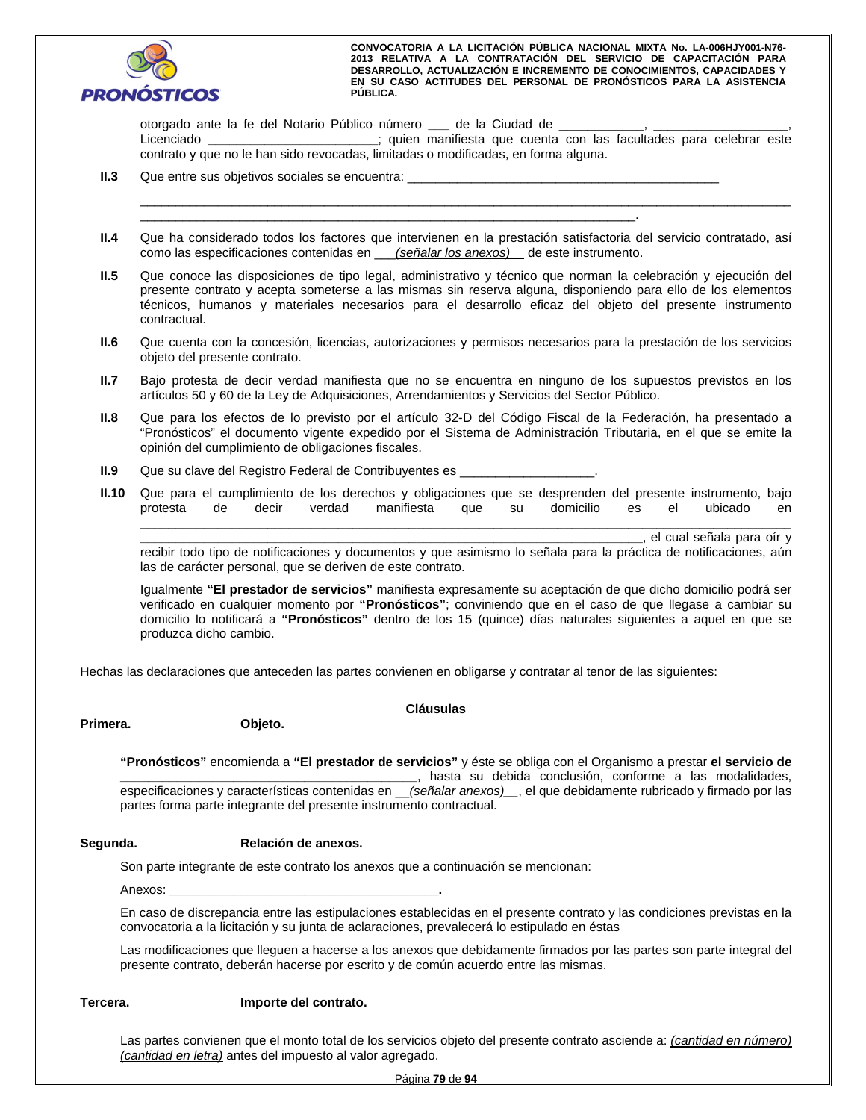

otorgado ante la fe del Notario Público número \_\_\_\_\_ de la Ciudad de Licenciado **\_\_\_\_\_\_\_\_\_\_\_\_\_\_\_\_\_\_\_\_\_\_\_\_**; quien manifiesta que cuenta con las facultades para celebrar este contrato y que no le han sido revocadas, limitadas o modificadas, en forma alguna.

 $\_$  . The contribution of the contribution of the contribution of the contribution of the contribution of the contribution of the contribution of the contribution of the contribution of the contribution of the contributio

**II.3** Que entre sus objetivos sociales se encuentra:

**II.4** Que ha considerado todos los factores que intervienen en la prestación satisfactoria del servicio contratado, así como las especificaciones contenidas en \_\_\_*(señalar los anexos)\_\_* de este instrumento.

\_\_\_\_\_\_\_\_\_\_\_\_\_\_\_\_\_\_\_\_\_\_\_\_\_\_\_\_\_\_\_\_\_\_\_\_\_\_\_\_\_\_\_\_\_\_\_\_\_\_\_\_\_\_\_\_\_\_\_\_\_\_\_\_\_\_\_\_\_\_.

- **II.5** Que conoce las disposiciones de tipo legal, administrativo y técnico que norman la celebración y ejecución del presente contrato y acepta someterse a las mismas sin reserva alguna, disponiendo para ello de los elementos técnicos, humanos y materiales necesarios para el desarrollo eficaz del objeto del presente instrumento contractual.
- **II.6** Que cuenta con la concesión, licencias, autorizaciones y permisos necesarios para la prestación de los servicios objeto del presente contrato.
- **II.7** Bajo protesta de decir verdad manifiesta que no se encuentra en ninguno de los supuestos previstos en los artículos 50 y 60 de la Ley de Adquisiciones, Arrendamientos y Servicios del Sector Público.
- **II.8** Que para los efectos de lo previsto por el artículo 32-D del Código Fiscal de la Federación, ha presentado a "Pronósticos" el documento vigente expedido por el Sistema de Administración Tributaria, en el que se emite la opinión del cumplimiento de obligaciones fiscales.
- **II.9** Que su clave del Registro Federal de Contribuyentes es
- **II.10** Que para el cumplimiento de los derechos y obligaciones que se desprenden del presente instrumento, bajo protesta de decir verdad manifiesta que su domicilio es el ubicado en

**\_\_\_\_\_\_\_\_\_\_\_\_\_\_\_\_\_\_\_\_\_\_\_\_\_\_\_\_\_\_\_\_\_\_\_\_\_\_\_\_\_\_\_\_\_\_\_\_\_\_\_\_\_\_\_\_\_\_\_\_\_\_\_\_\_\_\_\_\_\_\_\_\_\_\_\_\_\_\_\_\_\_\_\_\_\_\_\_\_\_\_\_ \_\_\_\_\_\_\_\_\_\_\_\_\_\_\_\_\_\_\_\_\_\_\_\_\_\_\_\_\_\_\_\_\_\_\_\_\_\_\_\_\_\_\_\_\_\_\_\_\_\_\_\_\_\_\_\_\_\_\_\_\_\_\_\_\_\_\_\_\_\_\_**, el cual señala para oír y

recibir todo tipo de notificaciones y documentos y que asimismo lo señala para la práctica de notificaciones, aún las de carácter personal, que se deriven de este contrato.

Igualmente **"El prestador de servicios"** manifiesta expresamente su aceptación de que dicho domicilio podrá ser verificado en cualquier momento por **"Pronósticos"**; conviniendo que en el caso de que llegase a cambiar su domicilio lo notificará a **"Pronósticos"** dentro de los 15 (quince) días naturales siguientes a aquel en que se produzca dicho cambio.

Hechas las declaraciones que anteceden las partes convienen en obligarse y contratar al tenor de las siguientes:

#### **Primera. Objeto.**

#### **Cláusulas**

partes forma parte integrante del presente instrumento contractual.<br>
Poloni<sup>ón</sup> de presente instrumento contractual. **"Pronósticos"** encomienda a **"El prestador de servicios"** y éste se obliga con el Organismo a prestar **el servicio de \_\_\_\_\_\_\_\_\_\_\_\_\_\_\_\_\_\_\_\_\_\_\_\_\_\_\_\_\_\_\_\_\_\_\_\_\_\_\_\_\_\_**, hasta su debida conclusión, conforme a las modalidades, especificaciones y características contenidas en \_\_*(señalar anexos)\_\_*, el que debidamente rubricado y firmado por las

#### **Segunda. Relación de anexos.**

Son parte integrante de este contrato los anexos que a continuación se mencionan:

Anexos: **\_\_\_\_\_\_\_\_\_\_\_\_\_\_\_\_\_\_\_\_\_\_\_\_\_\_\_\_\_\_\_\_\_\_\_\_\_\_.**

En caso de discrepancia entre las estipulaciones establecidas en el presente contrato y las condiciones previstas en la convocatoria a la licitación y su junta de aclaraciones, prevalecerá lo estipulado en éstas

Las modificaciones que lleguen a hacerse a los anexos que debidamente firmados por las partes son parte integral del presente contrato, deberán hacerse por escrito y de común acuerdo entre las mismas.

#### **Tercera. Importe del contrato.**

Las partes convienen que el monto total de los servicios objeto del presente contrato asciende a: *(cantidad en número) (cantidad en letra)* antes del impuesto al valor agregado.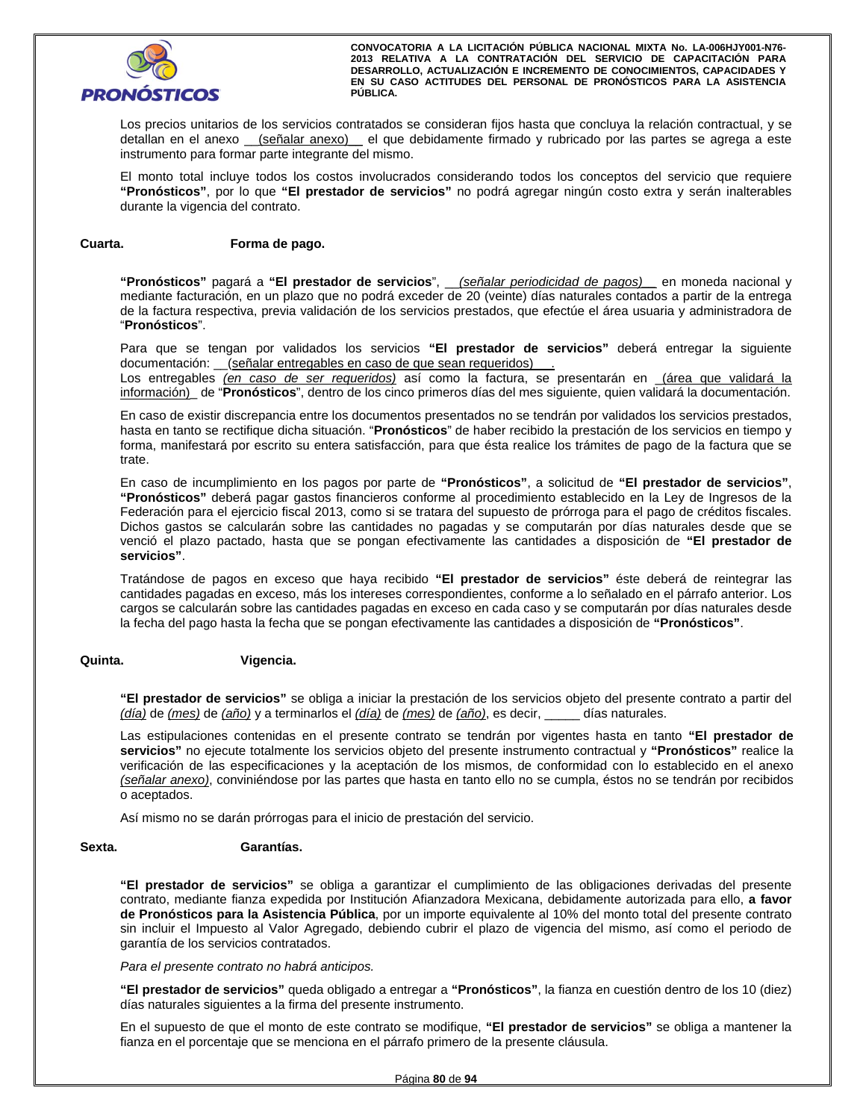

Los precios unitarios de los servicios contratados se consideran fijos hasta que concluya la relación contractual, y se detallan en el anexo *\_\_\_ (señalar anexo)* \_\_ el que debidamente firmado y rubricado por las partes se agrega a este instrumento para formar parte integrante del mismo.

El monto total incluye todos los costos involucrados considerando todos los conceptos del servicio que requiere **"Pronósticos"**, por lo que **"El prestador de servicios"** no podrá agregar ningún costo extra y serán inalterables durante la vigencia del contrato.

#### **Cuarta. Forma de pago.**

**"Pronósticos"** pagará a **"El prestador de servicios**", \_\_*(señalar periodicidad de pagos)\_\_* en moneda nacional y mediante facturación, en un plazo que no podrá exceder de 20 (veinte) días naturales contados a partir de la entrega de la factura respectiva, previa validación de los servicios prestados, que efectúe el área usuaria y administradora de "**Pronósticos**".

Para que se tengan por validados los servicios **"El prestador de servicios"** deberá entregar la siguiente documentación: \_\_(señalar entregables en caso de que sean requeridos)

Los entregables *(en caso de ser requeridos)* así como la factura, se presentarán en \_(área que validará la información)\_ de "**Pronósticos**", dentro de los cinco primeros días del mes siguiente, quien validará la documentación.

En caso de existir discrepancia entre los documentos presentados no se tendrán por validados los servicios prestados, hasta en tanto se rectifique dicha situación. "**Pronósticos**" de haber recibido la prestación de los servicios en tiempo y forma, manifestará por escrito su entera satisfacción, para que ésta realice los trámites de pago de la factura que se trate.

venció el plazo pactado, hasta que se pongan efectivamente las cantidades a disposición de "**El prestador de**<br>**servicios**".<br>Tratándose de pagos en exceso que haya recibido "<mark>El prestador de servicios</mark>" éste deberá de reint En caso de incumplimiento en los pagos por parte de **"Pronósticos"**, a solicitud de **"El prestador de servicios"**, **"Pronósticos"** deberá pagar gastos financieros conforme al procedimiento establecido en la Ley de Ingresos de la Federación para el ejercicio fiscal 2013, como si se tratara del supuesto de prórroga para el pago de créditos fiscales. Dichos gastos se calcularán sobre las cantidades no pagadas y se computarán por días naturales desde que se venció el plazo pactado, hasta que se pongan efectivamente las cantidades a disposición de **"El prestador de servicios"**.

cantidades pagadas en exceso, más los intereses correspondientes, conforme a lo señalado en el párrafo anterior. Los cargos se calcularán sobre las cantidades pagadas en exceso en cada caso y se computarán por días naturales desde la fecha del pago hasta la fecha que se pongan efectivamente las cantidades a disposición de **"Pronósticos"**.

### **Quinta. Vigencia.**

**"El prestador de servicios"** se obliga a iniciar la prestación de los servicios objeto del presente contrato a partir del *(día)* de *(mes)* de *(año)* y a terminarlos el *(día)* de *(mes)* de *(año)*, es decir, \_\_\_\_\_ días naturales.

Las estipulaciones contenidas en el presente contrato se tendrán por vigentes hasta en tanto **"El prestador de servicios"** no ejecute totalmente los servicios objeto del presente instrumento contractual y **"Pronósticos"** realice la verificación de las especificaciones y la aceptación de los mismos, de conformidad con lo establecido en el anexo *(señalar anexo)*, conviniéndose por las partes que hasta en tanto ello no se cumpla, éstos no se tendrán por recibidos o aceptados.

Así mismo no se darán prórrogas para el inicio de prestación del servicio.

#### **Sexta. Garantías.**

**"El prestador de servicios"** se obliga a garantizar el cumplimiento de las obligaciones derivadas del presente contrato, mediante fianza expedida por Institución Afianzadora Mexicana, debidamente autorizada para ello, **a favor de Pronósticos para la Asistencia Pública**, por un importe equivalente al 10% del monto total del presente contrato sin incluir el Impuesto al Valor Agregado, debiendo cubrir el plazo de vigencia del mismo, así como el periodo de garantía de los servicios contratados.

*Para el presente contrato no habrá anticipos.*

**"El prestador de servicios"** queda obligado a entregar a **"Pronósticos"**, la fianza en cuestión dentro de los 10 (diez) días naturales siguientes a la firma del presente instrumento.

En el supuesto de que el monto de este contrato se modifique, **"El prestador de servicios"** se obliga a mantener la fianza en el porcentaje que se menciona en el párrafo primero de la presente cláusula.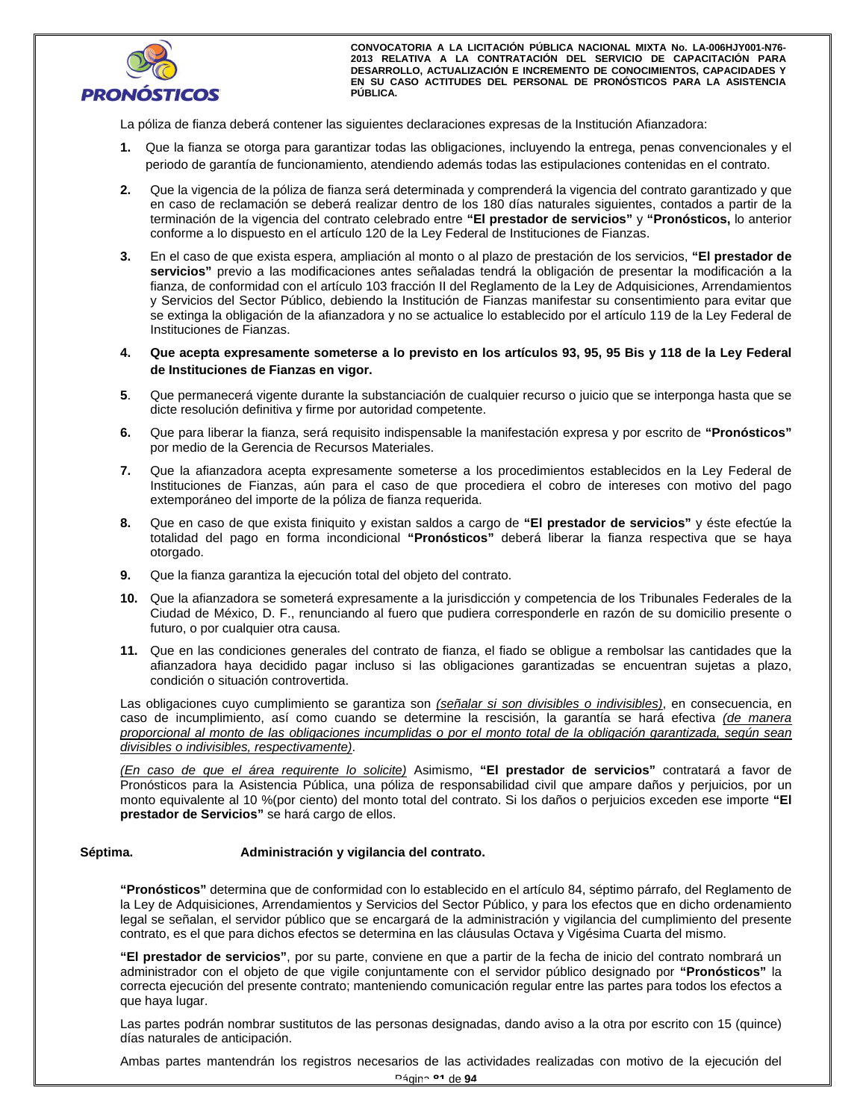

La póliza de fianza deberá contener las siguientes declaraciones expresas de la Institución Afianzadora:

- **1.** Que la fianza se otorga para garantizar todas las obligaciones, incluyendo la entrega, penas convencionales y el periodo de garantía de funcionamiento, atendiendo además todas las estipulaciones contenidas en el contrato.
- **2.** Que la vigencia de la póliza de fianza será determinada y comprenderá la vigencia del contrato garantizado y que en caso de reclamación se deberá realizar dentro de los 180 días naturales siguientes, contados a partir de la terminación de la vigencia del contrato celebrado entre **"El prestador de servicios"** y **"Pronósticos,** lo anterior conforme a lo dispuesto en el artículo 120 de la Ley Federal de Instituciones de Fianzas.
- **3.** En el caso de que exista espera, ampliación al monto o al plazo de prestación de los servicios, **"El prestador de servicios"** previo a las modificaciones antes señaladas tendrá la obligación de presentar la modificación a la fianza, de conformidad con el artículo 103 fracción II del Reglamento de la Ley de Adquisiciones, Arrendamientos y Servicios del Sector Público, debiendo la Institución de Fianzas manifestar su consentimiento para evitar que se extinga la obligación de la afianzadora y no se actualice lo establecido por el artículo 119 de la Ley Federal de Instituciones de Fianzas.
- **4. Que acepta expresamente someterse a lo previsto en los artículos 93, 95, 95 Bis y 118 de la Ley Federal de Instituciones de Fianzas en vigor.**<br>**5. Que permanecerá vigente durante la substanciación de cualquier recurso de Instituciones de Fianzas en vigor.**
- **5**. Que permanecerá vigente durante la substanciación de cualquier recurso o juicio que se interponga hasta que se dicte resolución definitiva y firme por autoridad competente.
- **6.** Que para liberar la fianza, será requisito indispensable la manifestación expresa y por escrito de **"Pronósticos"** por medio de la Gerencia de Recursos Materiales.
- **7.** Que la afianzadora acepta expresamente someterse a los procedimientos establecidos en la Ley Federal de Instituciones de Fianzas, aún para el caso de que procediera el cobro de intereses con motivo del pago extemporáneo del importe de la póliza de fianza requerida.
- **8.** Que en caso de que exista finiquito y existan saldos a cargo de **"El prestador de servicios"** y éste efectúe la totalidad del pago en forma incondicional **"Pronósticos"** deberá liberar la fianza respectiva que se haya otorgado.
- **9.** Que la fianza garantiza la ejecución total del objeto del contrato.
- **10.** Que la afianzadora se someterá expresamente a la jurisdicción y competencia de los Tribunales Federales de la Ciudad de México, D. F., renunciando al fuero que pudiera corresponderle en razón de su domicilio presente o futuro, o por cualquier otra causa.
- **11.** Que en las condiciones generales del contrato de fianza, el fiado se obligue a rembolsar las cantidades que la afianzadora haya decidido pagar incluso si las obligaciones garantizadas se encuentran sujetas a plazo, condición o situación controvertida.

Las obligaciones cuyo cumplimiento se garantiza son *(señalar si son divisibles o indivisibles)*, en consecuencia, en caso de incumplimiento, así como cuando se determine la rescisión, la garantía se hará efectiva *(de manera proporcional al monto de las obligaciones incumplidas o por el monto total de la obligación garantizada, según sean divisibles o indivisibles, respectivamente)*.

*(En caso de que el área requirente lo solicite)* Asimismo, **"El prestador de servicios"** contratará a favor de Pronósticos para la Asistencia Pública, una póliza de responsabilidad civil que ampare daños y perjuicios, por un monto equivalente al 10 %(por ciento) del monto total del contrato. Si los daños o perjuicios exceden ese importe **"El prestador de Servicios"** se hará cargo de ellos.

### Séptima. **Administración y vigilancia del contrato.**

**"Pronósticos"** determina que de conformidad con lo establecido en el artículo 84, séptimo párrafo, del Reglamento de la Ley de Adquisiciones, Arrendamientos y Servicios del Sector Público, y para los efectos que en dicho ordenamiento legal se señalan, el servidor público que se encargará de la administración y vigilancia del cumplimiento del presente contrato, es el que para dichos efectos se determina en las cláusulas Octava y Vigésima Cuarta del mismo.

**"El prestador de servicios"**, por su parte, conviene en que a partir de la fecha de inicio del contrato nombrará un administrador con el objeto de que vigile conjuntamente con el servidor público designado por **"Pronósticos"** la correcta ejecución del presente contrato; manteniendo comunicación regular entre las partes para todos los efectos a que haya lugar.

Las partes podrán nombrar sustitutos de las personas designadas, dando aviso a la otra por escrito con 15 (quince) días naturales de anticipación.

Ambas partes mantendrán los registros necesarios de las actividades realizadas con motivo de la ejecución del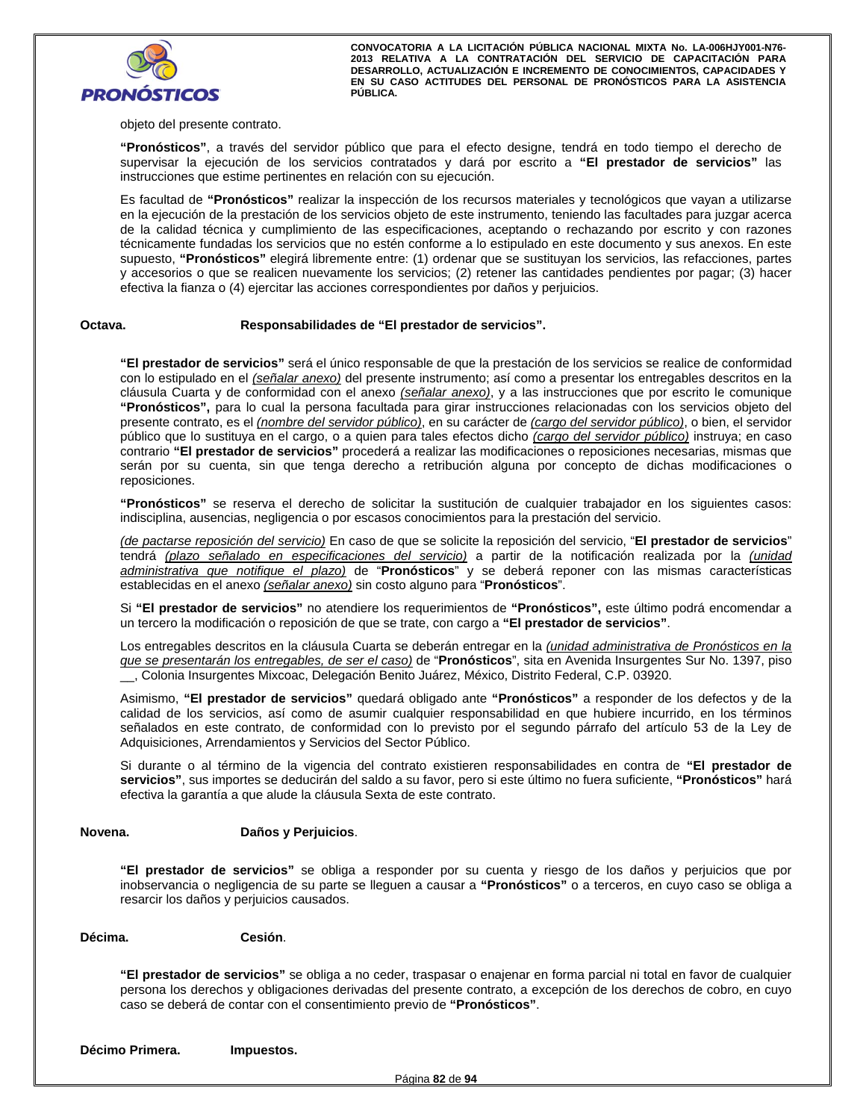

objeto del presente contrato.

**"Pronósticos"**, a través del servidor público que para el efecto designe, tendrá en todo tiempo el derecho de supervisar la ejecución de los servicios contratados y dará por escrito a **"El prestador de servicios"** las instrucciones que estime pertinentes en relación con su ejecución.

Es facultad de **"Pronósticos"** realizar la inspección de los recursos materiales y tecnológicos que vayan a utilizarse en la ejecución de la prestación de los servicios objeto de este instrumento, teniendo las facultades para juzgar acerca de la calidad técnica y cumplimiento de las especificaciones, aceptando o rechazando por escrito y con razones técnicamente fundadas los servicios que no estén conforme a lo estipulado en este documento y sus anexos. En este supuesto, **"Pronósticos"** elegirá libremente entre: (1) ordenar que se sustituyan los servicios, las refacciones, partes y accesorios o que se realicen nuevamente los servicios; (2) retener las cantidades pendientes por pagar; (3) hacer efectiva la fianza o (4) ejercitar las acciones correspondientes por daños y perjuicios.

#### **Octava. Responsabilidades de "El prestador de servicios".**

**"El prestador de servicios"** será el único responsable de que la prestación de los servicios se realice de conformidad con lo estipulado en el *(señalar anexo)* del presente instrumento; así como a presentar los entregables descritos en la cláusula Cuarta y de conformidad con el anexo *(señalar anexo)*, y a las instrucciones que por escrito le comunique **"Pronósticos",** para lo cual la persona facultada para girar instrucciones relacionadas con los servicios objeto del presente contrato, es el *(nombre del servidor público)*, en su carácter de *(cargo del servidor público)*, o bien, el servidor público que lo sustituya en el cargo, o a quien para tales efectos dicho *(cargo del servidor público)* instruya; en caso contrario **"El prestador de servicios"** procederá a realizar las modificaciones o reposiciones necesarias, mismas que serán por su cuenta, sin que tenga derecho a retribución alguna por concepto de dichas modificaciones o reposiciones.

**"Pronósticos"** se reserva el derecho de solicitar la sustitución de cualquier trabajador en los siguientes casos: indisciplina, ausencias, negligencia o por escasos conocimientos para la prestación del servicio.

*(de pactarse reposición del servicio)* En caso de que se solicite la reposición del servicio, "**El prestador de servicios**" tendrá *(plazo señalado en especificaciones del servicio)* a partir de la notificación realizada por la *(unidad administrativa que notifique el plazo)* de "**Pronósticos**" y se deberá reponer con las mismas características establecidas en el anexo *(señalar anexo)* sin costo alguno para "**Pronósticos**".

Si **"El prestador de servicios"** no atendiere los requerimientos de **"Pronósticos",** este último podrá encomendar a un tercero la modificación o reposición de que se trate, con cargo a **"El prestador de servicios"**.

Los entregables descritos en la cláusula Cuarta se deberán entregar en la *(unidad administrativa de Pronósticos en la que se presentarán los entregables, de ser el caso)* de "**Pronósticos**", sita en Avenida Insurgentes Sur No. 1397, piso \_\_, Colonia Insurgentes Mixcoac, Delegación Benito Juárez, México, Distrito Federal, C.P. 03920.

Asimismo, **"El prestador de servicios"** quedará obligado ante **"Pronósticos"** a responder de los defectos y de la calidad de los servicios, así como de asumir cualquier responsabilidad en que hubiere incurrido, en los términos señalados en este contrato, de conformidad con lo previsto por el segundo párrafo del artículo 53 de la Ley de Adquisiciones, Arrendamientos y Servicios del Sector Público.

Si durante o al término de la vigencia del contrato existieren responsabilidades en contra de **"El prestador de servicios"**, sus importes se deducirán del saldo a su favor, pero si este último no fuera suficiente, **"Pronósticos"** hará efectiva la garantía a que alude la cláusula Sexta de este contrato.

#### **Novena. Daños y Perjuicios**.

a<mark>.</mark><br>"El prestador de servicios" se obliga a responder por su cuenta y riesgo de los daños y perjuicios que por inobservancia o negligencia de su parte se lleguen a causar a **"Pronósticos"** o a terceros, en cuyo caso se obliga a resarcir los daños y perjuicios causados.

**Décima. Cesión**.

**"El prestador de servicios"** se obliga a no ceder, traspasar o enajenar en forma parcial ni total en favor de cualquier persona los derechos y obligaciones derivadas del presente contrato, a excepción de los derechos de cobro, en cuyo caso se deberá de contar con el consentimiento previo de **"Pronósticos"**.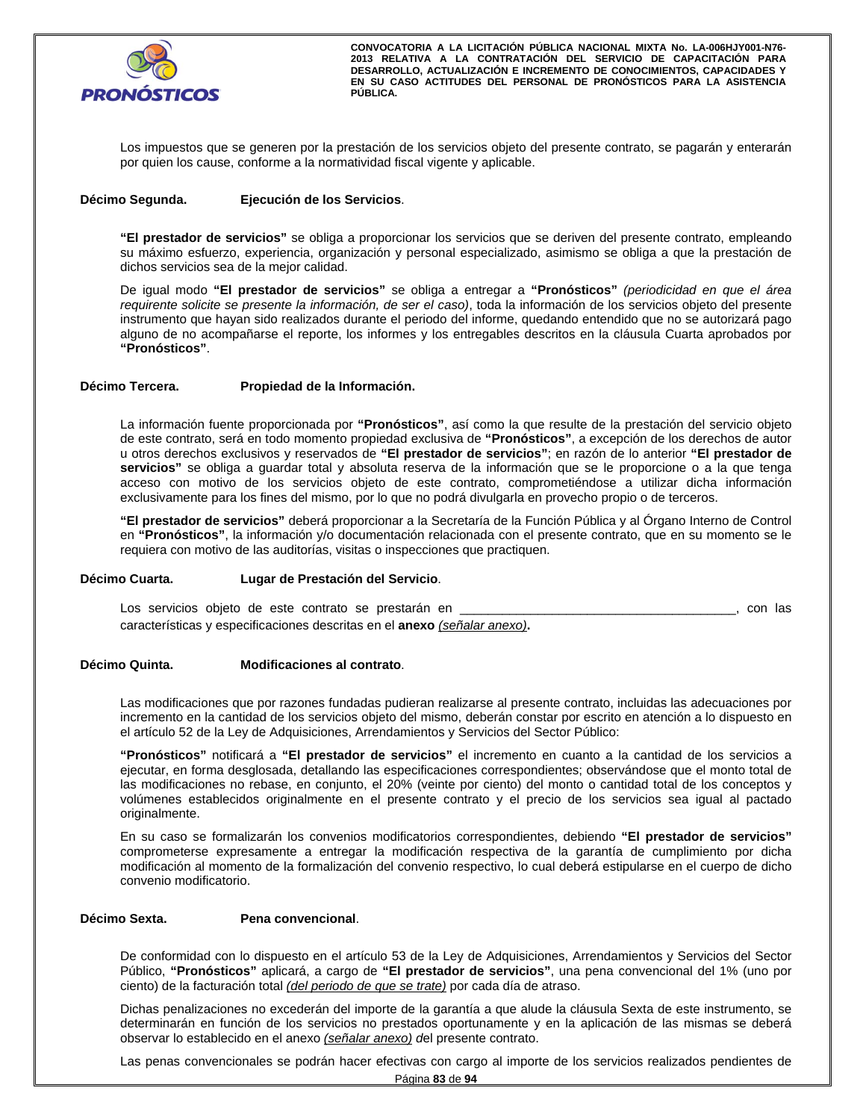

Los impuestos que se generen por la prestación de los servicios objeto del presente contrato, se pagarán y enterarán por quien los cause, conforme a la normatividad fiscal vigente y aplicable.

#### **Décimo Segunda. Ejecución de los Servicios**.

**"El prestador de servicios"** se obliga a proporcionar los servicios que se deriven del presente contrato, empleando su máximo esfuerzo, experiencia, organización y personal especializado, asimismo se obliga a que la prestación de dichos servicios sea de la mejor calidad.

De igual modo **"El prestador de servicios"** se obliga a entregar a **"Pronósticos"** *(periodicidad en que el área requirente solicite se presente la información, de ser el caso)*, toda la información de los servicios objeto del presente instrumento que hayan sido realizados durante el periodo del informe, quedando entendido que no se autorizará pago alguno de no acompañarse el reporte, los informes y los entregables descritos en la cláusula Cuarta aprobados por **"Pronósticos"**.

#### **Décimo Tercera. Propiedad de la Información.**

La información fuente proporcionada por **"Pronósticos"**, así como la que resulte de la prestación del servicio objeto de este contrato, será en todo momento propiedad exclusiva de **"Pronósticos"**, a excepción de los derechos de autor u otros derechos exclusivos y reservados de **"El prestador de servicios"**; en razón de lo anterior **"El prestador de servicios"** se obliga a guardar total y absoluta reserva de la información que se le proporcione o a la que tenga acceso con motivo de los servicios objeto de este contrato, comprometiéndose a utilizar dicha información exclusivamente para los fines del mismo, por lo que no podrá divulgarla en provecho propio o de terceros.

**"El prestador de servicios"** deberá proporcionar a la Secretaría de la Función Pública y al Órgano Interno de Control en **"Pronósticos"**, la información y/o documentación relacionada con el presente contrato, que en su momento se le requiera con motivo de las auditorías, visitas o inspecciones que practiquen.

#### **Décimo Cuarta. Lugar de Prestación del Servicio**.

Los servicios objeto de este contrato se prestarán en el producto de la producto de la producto de la producto características y especificaciones descritas en el **anexo** *(señalar anexo)***.**

# ta. Modificaciones al contrato. **Décimo Quinta. Modificaciones al contrato**.

Las modificaciones que por razones fundadas pudieran realizarse al presente contrato, incluidas las adecuaciones por incremento en la cantidad de los servicios objeto del mismo, deberán constar por escrito en atención a lo dispuesto en el artículo 52 de la Ley de Adquisiciones, Arrendamientos y Servicios del Sector Público:

**"Pronósticos"** notificará a **"El prestador de servicios"** el incremento en cuanto a la cantidad de los servicios a ejecutar, en forma desglosada, detallando las especificaciones correspondientes; observándose que el monto total de las modificaciones no rebase, en conjunto, el 20% (veinte por ciento) del monto o cantidad total de los conceptos y volúmenes establecidos originalmente en el presente contrato y el precio de los servicios sea igual al pactado originalmente.

En su caso se formalizarán los convenios modificatorios correspondientes, debiendo **"El prestador de servicios"**  comprometerse expresamente a entregar la modificación respectiva de la garantía de cumplimiento por dicha modificación al momento de la formalización del convenio respectivo, lo cual deberá estipularse en el cuerpo de dicho convenio modificatorio.

#### **Décimo Sexta. Pena convencional**.

De conformidad con lo dispuesto en el artículo 53 de la Ley de Adquisiciones, Arrendamientos y Servicios del Sector Público, **"Pronósticos"** aplicará, a cargo de **"El prestador de servicios"**, una pena convencional del 1% (uno por ciento) de la facturación total *(del periodo de que se trate)* por cada día de atraso.

Dichas penalizaciones no excederán del importe de la garantía a que alude la cláusula Sexta de este instrumento, se determinarán en función de los servicios no prestados oportunamente y en la aplicación de las mismas se deberá observar lo establecido en el anexo *(señalar anexo) d*el presente contrato.

Las penas convencionales se podrán hacer efectivas con cargo al importe de los servicios realizados pendientes de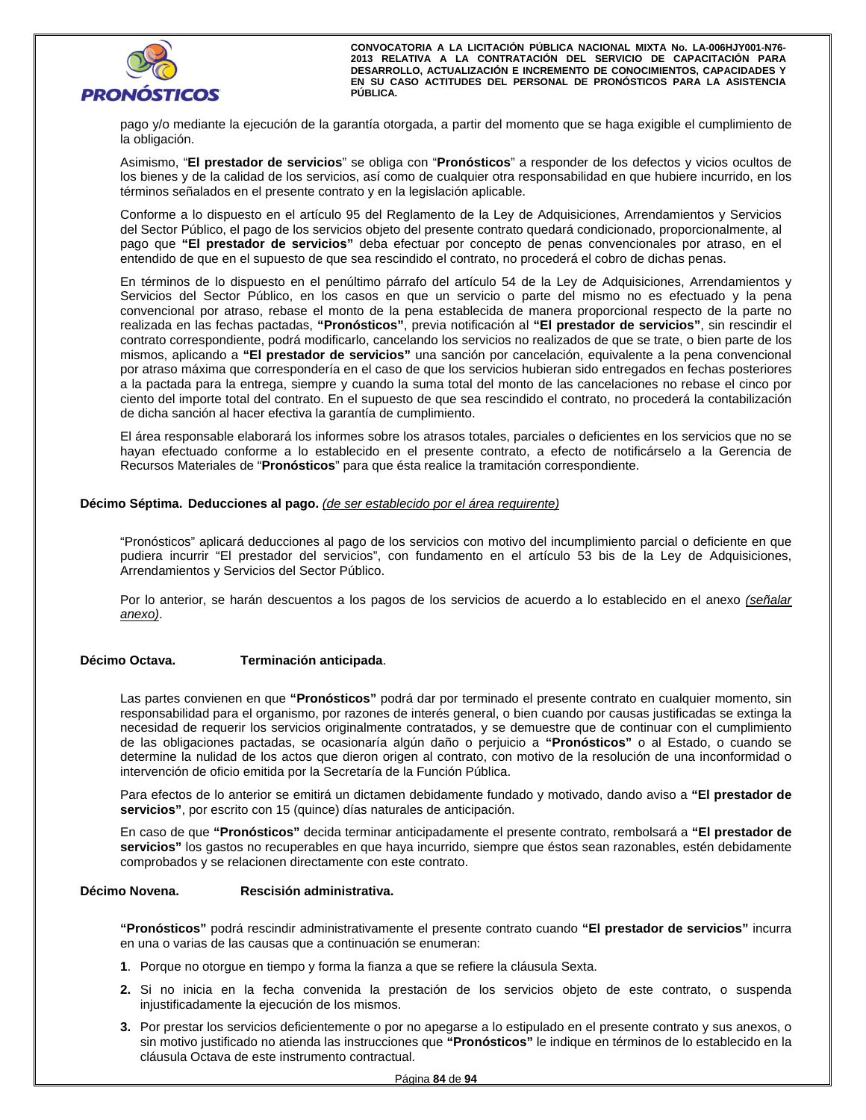

pago y/o mediante la ejecución de la garantía otorgada, a partir del momento que se haga exigible el cumplimiento de la obligación.

Asimismo, "**El prestador de servicios**" se obliga con "**Pronósticos**" a responder de los defectos y vicios ocultos de los bienes y de la calidad de los servicios, así como de cualquier otra responsabilidad en que hubiere incurrido, en los términos señalados en el presente contrato y en la legislación aplicable.

Conforme a lo dispuesto en el artículo 95 del Reglamento de la Ley de Adquisiciones, Arrendamientos y Servicios del Sector Público, el pago de los servicios objeto del presente contrato quedará condicionado, proporcionalmente, al pago que **"El prestador de servicios"** deba efectuar por concepto de penas convencionales por atraso, en el entendido de que en el supuesto de que sea rescindido el contrato, no procederá el cobro de dichas penas.

En términos de lo dispuesto en el penúltimo párrafo del artículo 54 de la Ley de Adquisiciones, Arrendamientos y<br>Servicios del Sector Público, en los casos en que un servicio o parte del mismo no es efectuado y la pena<br>con En términos de lo dispuesto en el penúltimo párrafo del artículo 54 de la Ley de Adquisiciones, Arrendamientos y Servicios del Sector Público, en los casos en que un servicio o parte del mismo no es efectuado y la pena realizada en las fechas pactadas, **"Pronósticos"**, previa notificación al **"El prestador de servicios"**, sin rescindir el contrato correspondiente, podrá modificarlo, cancelando los servicios no realizados de que se trate, o bien parte de los mismos, aplicando a **"El prestador de servicios"** una sanción por cancelación, equivalente a la pena convencional por atraso máxima que correspondería en el caso de que los servicios hubieran sido entregados en fechas posteriores a la pactada para la entrega, siempre y cuando la suma total del monto de las cancelaciones no rebase el cinco por ciento del importe total del contrato. En el supuesto de que sea rescindido el contrato, no procederá la contabilización de dicha sanción al hacer efectiva la garantía de cumplimiento.

El área responsable elaborará los informes sobre los atrasos totales, parciales o deficientes en los servicios que no se hayan efectuado conforme a lo establecido en el presente contrato, a efecto de notificárselo a la Gerencia de Recursos Materiales de "**Pronósticos**" para que ésta realice la tramitación correspondiente.

#### **Décimo Séptima. Deducciones al pago.** *(de ser establecido por el área requirente)*

"Pronósticos" aplicará deducciones al pago de los servicios con motivo del incumplimiento parcial o deficiente en que pudiera incurrir "El prestador del servicios", con fundamento en el artículo 53 bis de la Ley de Adquisiciones, Arrendamientos y Servicios del Sector Público.

Por lo anterior, se harán descuentos a los pagos de los servicios de acuerdo a lo establecido en el anexo *(señalar anexo)*.

#### **Décimo Octava. Terminación anticipada**.

Las partes convienen en que **"Pronósticos"** podrá dar por terminado el presente contrato en cualquier momento, sin responsabilidad para el organismo, por razones de interés general, o bien cuando por causas justificadas se extinga la necesidad de requerir los servicios originalmente contratados, y se demuestre que de continuar con el cumplimiento de las obligaciones pactadas, se ocasionaría algún daño o perjuicio a **"Pronósticos"** o al Estado, o cuando se determine la nulidad de los actos que dieron origen al contrato, con motivo de la resolución de una inconformidad o intervención de oficio emitida por la Secretaría de la Función Pública.

Para efectos de lo anterior se emitirá un dictamen debidamente fundado y motivado, dando aviso a **"El prestador de servicios"**, por escrito con 15 (quince) días naturales de anticipación.

En caso de que **"Pronósticos"** decida terminar anticipadamente el presente contrato, rembolsará a **"El prestador de servicios"** los gastos no recuperables en que haya incurrido, siempre que éstos sean razonables, estén debidamente comprobados y se relacionen directamente con este contrato.

### **Décimo Novena. Rescisión administrativa.**

**"Pronósticos"** podrá rescindir administrativamente el presente contrato cuando **"El prestador de servicios"** incurra en una o varias de las causas que a continuación se enumeran:

- **1**. Porque no otorgue en tiempo y forma la fianza a que se refiere la cláusula Sexta.
- **2.** Si no inicia en la fecha convenida la prestación de los servicios objeto de este contrato, o suspenda injustificadamente la ejecución de los mismos.
- injustificadamente la ejecución de los mismos.<br>3. Por prestar los servicios deficientemente o por no apegarse a lo estipulado en el presente contrato y sin motivo justificado no atienda las instrucciones que "Pronósticos" **3.** Por prestar los servicios deficientemente o por no apegarse a lo estipulado en el presente contrato y sus anexos, o sin motivo justificado no atienda las instrucciones que **"Pronósticos"** le indique en términos de lo establecido en la cláusula Octava de este instrumento contractual.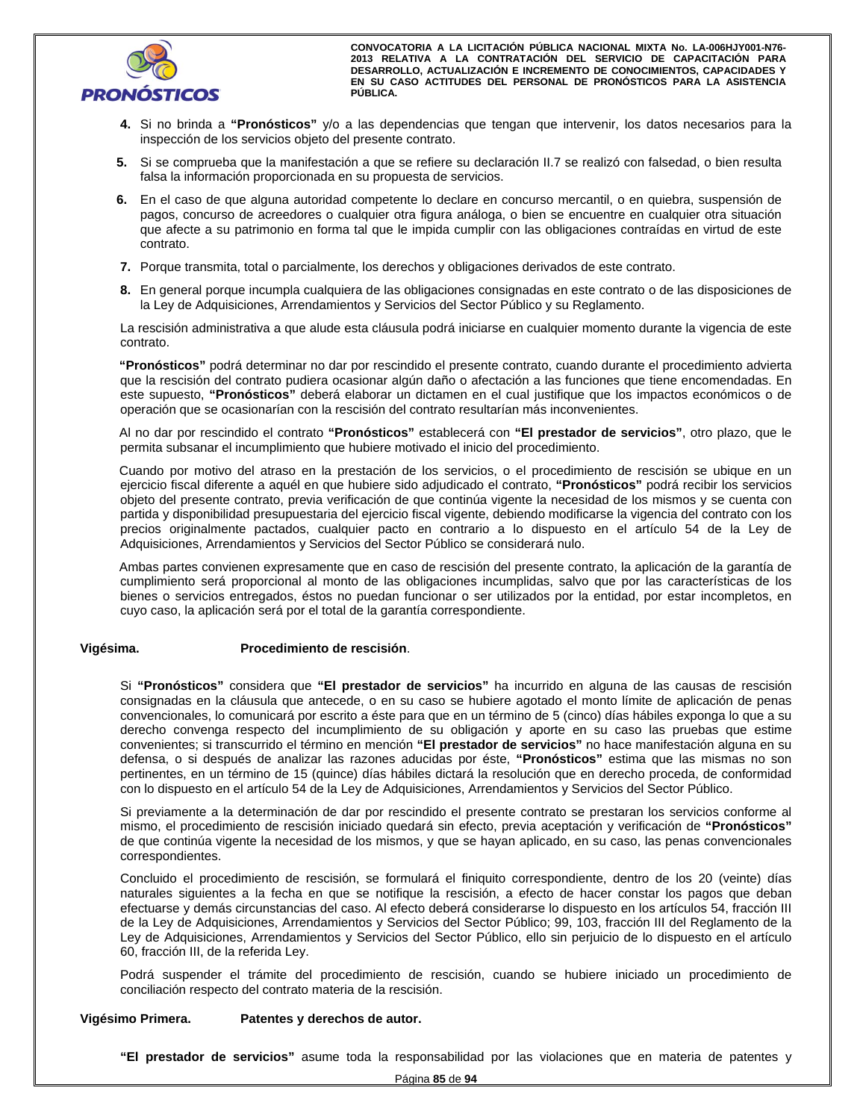

- **4.** Si no brinda a **"Pronósticos"** y/o a las dependencias que tengan que intervenir, los datos necesarios para la inspección de los servicios objeto del presente contrato.
- **5.** Si se comprueba que la manifestación a que se refiere su declaración II.7 se realizó con falsedad, o bien resulta falsa la información proporcionada en su propuesta de servicios.
- **6.** En el caso de que alguna autoridad competente lo declare en concurso mercantil, o en quiebra, suspensión de pagos, concurso de acreedores o cualquier otra figura análoga, o bien se encuentre en cualquier otra situación que afecte a su patrimonio en forma tal que le impida cumplir con las obligaciones contraídas en virtud de este contrato.
- **7.** Porque transmita, total o parcialmente, los derechos y obligaciones derivados de este contrato.
- **8.** En general porque incumpla cualquiera de las obligaciones consignadas en este contrato o de las disposiciones de la Ley de Adquisiciones, Arrendamientos y Servicios del Sector Público y su Reglamento.

La rescisión administrativa a que alude esta cláusula podrá iniciarse en cualquier momento durante la vigencia de este contrato.

**"Pronósticos"** podrá determinar no dar por rescindido el presente contrato, cuando durante el procedimiento advierta que la rescisión del contrato pudiera ocasionar algún daño o afectación a las funciones que tiene encomendadas. En este supuesto, **"Pronósticos"** deberá elaborar un dictamen en el cual justifique que los impactos económicos o de operación que se ocasionarían con la rescisión del contrato resultarían más inconvenientes.

Al no dar por rescindido el contrato **"Pronósticos"** establecerá con **"El prestador de servicios"**, otro plazo, que le permita subsanar el incumplimiento que hubiere motivado el inicio del procedimiento.

Cuando por motivo del atraso en la prestación de los servicios, o el procedimiento de rescisión se ubique en un ejercicio fiscal diferente a aquél en que hubiere sido adjudicado el contrato, **"Pronósticos"** podrá recibir los servicios objeto del presente contrato, previa verificación de que continúa vigente la necesidad de los mismos y se cuenta con partida y disponibilidad presupuestaria del ejercicio fiscal vigente, debiendo modificarse la vigencia del contrato con los precios originalmente pactados, cualquier pacto en contrario a lo dispuesto en el artículo 54 de la Ley de Adquisiciones, Arrendamientos y Servicios del Sector Público se considerará nulo.

Ambas partes convienen expresamente que en caso de rescisión del presente contrato, la aplicación de la garantía de cumplimiento será proporcional al monto de las obligaciones incumplidas, salvo que por las características de los bienes o servicios entregados, éstos no puedan funcionar o ser utilizados por la entidad, por estar incompletos, en cuyo caso, la aplicación será por el total de la garantía correspondiente.

#### **Vigésima. Procedimiento de rescisión**.

derecho convenga respecto del incumplimiento de su obligación y aporte en su caso las pruebas de convenientes; si transcurrido el término en mención "**El prestador de servicios**" no hace manifestación algerensa, o si despu Si **"Pronósticos"** considera que **"El prestador de servicios"** ha incurrido en alguna de las causas de rescisión consignadas en la cláusula que antecede, o en su caso se hubiere agotado el monto límite de aplicación de penas convencionales, lo comunicará por escrito a éste para que en un término de 5 (cinco) días hábiles exponga lo que a su derecho convenga respecto del incumplimiento de su obligación y aporte en su caso las pruebas que estime convenientes; si transcurrido el término en mención **"El prestador de servicios"** no hace manifestación alguna en su defensa, o si después de analizar las razones aducidas por éste, **"Pronósticos"** estima que las mismas no son pertinentes, en un término de 15 (quince) días hábiles dictará la resolución que en derecho proceda, de conformidad con lo dispuesto en el artículo 54 de la Ley de Adquisiciones, Arrendamientos y Servicios del Sector Público.

Si previamente a la determinación de dar por rescindido el presente contrato se prestaran los servicios conforme al mismo, el procedimiento de rescisión iniciado quedará sin efecto, previa aceptación y verificación de **"Pronósticos"** de que continúa vigente la necesidad de los mismos, y que se hayan aplicado, en su caso, las penas convencionales correspondientes.

Concluido el procedimiento de rescisión, se formulará el finiquito correspondiente, dentro de los 20 (veinte) días naturales siguientes a la fecha en que se notifique la rescisión, a efecto de hacer constar los pagos que deban efectuarse y demás circunstancias del caso. Al efecto deberá considerarse lo dispuesto en los artículos 54, fracción III de la Ley de Adquisiciones, Arrendamientos y Servicios del Sector Público; 99, 103, fracción III del Reglamento de la Ley de Adquisiciones, Arrendamientos y Servicios del Sector Público, ello sin perjuicio de lo dispuesto en el artículo 60, fracción III, de la referida Ley.

Podrá suspender el trámite del procedimiento de rescisión, cuando se hubiere iniciado un procedimiento de conciliación respecto del contrato materia de la rescisión.

#### **Vigésimo Primera. Patentes y derechos de autor.**

**"El prestador de servicios"** asume toda la responsabilidad por las violaciones que en materia de patentes y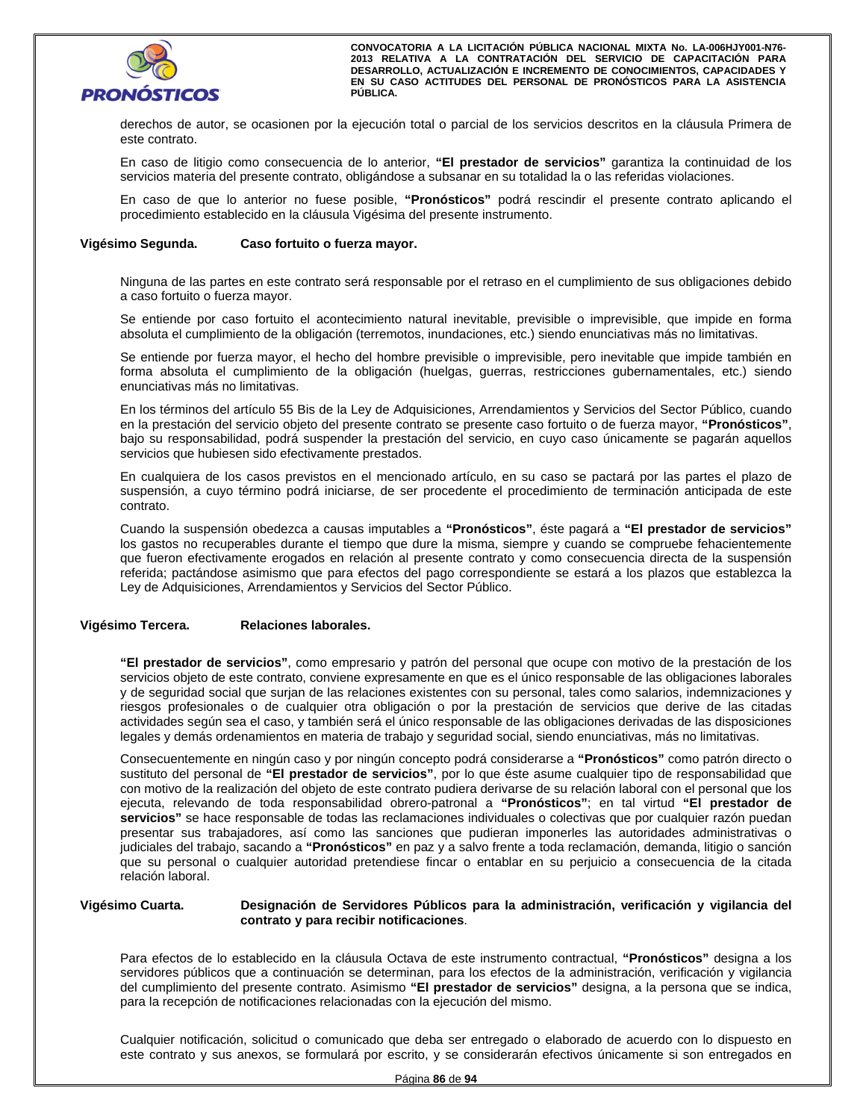

derechos de autor, se ocasionen por la ejecución total o parcial de los servicios descritos en la cláusula Primera de este contrato.

En caso de litigio como consecuencia de lo anterior, **"El prestador de servicios"** garantiza la continuidad de los servicios materia del presente contrato, obligándose a subsanar en su totalidad la o las referidas violaciones.

En caso de que lo anterior no fuese posible, **"Pronósticos"** podrá rescindir el presente contrato aplicando el procedimiento establecido en la cláusula Vigésima del presente instrumento.

#### **Vigésimo Segunda. Caso fortuito o fuerza mayor.**

Ninguna de las partes en este contrato será responsable por el retraso en el cumplimiento de sus obligaciones debido a caso fortuito o fuerza mayor.

Se entiende por caso fortuito el acontecimiento natural inevitable, previsible o imprevisible, que impide en forma absoluta el cumplimiento de la obligación (terremotos, inundaciones, etc.) siendo enunciativas más no limitativas.

Se entiende por fuerza mayor, el hecho del hombre previsible o imprevisible, pero inevitable que impide también en forma absoluta el cumplimiento de la obligación (huelgas, guerras, restricciones gubernamentales, etc.) siendo enunciativas más no limitativas.

en la prestación del servicio objeto del presente contrato se presente caso fortuno o de fuerza mayor, **Pronosticos**,<br>bajo su responsabilidad, podrá suspender la prestación del servicio, en cuyo caso únicamente se pagarán En los términos del artículo 55 Bis de la Ley de Adquisiciones, Arrendamientos y Servicios del Sector Público, cuando en la prestación del servicio objeto del presente contrato se presente caso fortuito o de fuerza mayor, **"Pronósticos"**, servicios que hubiesen sido efectivamente prestados.

En cualquiera de los casos previstos en el mencionado artículo, en su caso se pactará por las partes el plazo de suspensión, a cuyo término podrá iniciarse, de ser procedente el procedimiento de terminación anticipada de este contrato.

Cuando la suspensión obedezca a causas imputables a **"Pronósticos"**, éste pagará a **"El prestador de servicios"** los gastos no recuperables durante el tiempo que dure la misma, siempre y cuando se compruebe fehacientemente que fueron efectivamente erogados en relación al presente contrato y como consecuencia directa de la suspensión referida; pactándose asimismo que para efectos del pago correspondiente se estará a los plazos que establezca la Ley de Adquisiciones, Arrendamientos y Servicios del Sector Público.

#### **Vigésimo Tercera. Relaciones laborales.**

**"El prestador de servicios"**, como empresario y patrón del personal que ocupe con motivo de la prestación de los servicios objeto de este contrato, conviene expresamente en que es el único responsable de las obligaciones laborales y de seguridad social que surjan de las relaciones existentes con su personal, tales como salarios, indemnizaciones y riesgos profesionales o de cualquier otra obligación o por la prestación de servicios que derive de las citadas actividades según sea el caso, y también será el único responsable de las obligaciones derivadas de las disposiciones legales y demás ordenamientos en materia de trabajo y seguridad social, siendo enunciativas, más no limitativas.

Consecuentemente en ningún caso y por ningún concepto podrá considerarse a **"Pronósticos"** como patrón directo o sustituto del personal de **"El prestador de servicios"**, por lo que éste asume cualquier tipo de responsabilidad que con motivo de la realización del objeto de este contrato pudiera derivarse de su relación laboral con el personal que los ejecuta, relevando de toda responsabilidad obrero-patronal a **"Pronósticos"**; en tal virtud **"El prestador de servicios"** se hace responsable de todas las reclamaciones individuales o colectivas que por cualquier razón puedan presentar sus trabajadores, así como las sanciones que pudieran imponerles las autoridades administrativas o judiciales del trabajo, sacando a **"Pronósticos"** en paz y a salvo frente a toda reclamación, demanda, litigio o sanción que su personal o cualquier autoridad pretendiese fincar o entablar en su perjuicio a consecuencia de la citada relación laboral.

#### **Vigésimo Cuarta. Designación de Servidores Públicos para la administración, verificación y vigilancia del contrato y para recibir notificaciones**.

Para efectos de lo establecido en la cláusula Octava de este instrumento contractual, **"Pronósticos"** designa a los servidores públicos que a continuación se determinan, para los efectos de la administración, verificación y vigilancia del cumplimiento del presente contrato. Asimismo **"El prestador de servicios"** designa, a la persona que se indica, para la recepción de notificaciones relacionadas con la ejecución del mismo.

Cualquier notificación, solicitud o comunicado que deba ser entregado o elaborado de acuerdo con lo dispuesto en este contrato y sus anexos, se formulará por escrito, y se considerarán efectivos únicamente si son entregados en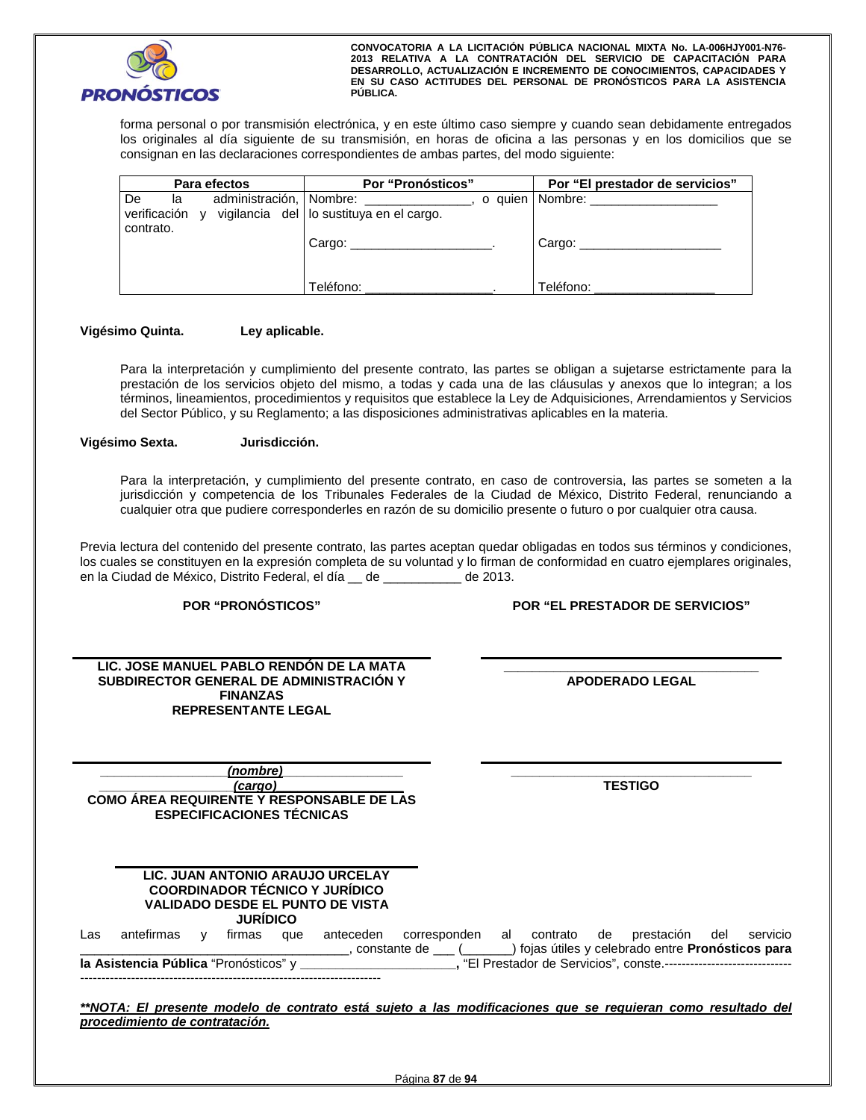

forma personal o por transmisión electrónica, y en este último caso siempre y cuando sean debidamente entregados los originales al día siguiente de su transmisión, en horas de oficina a las personas y en los domicilios que se consignan en las declaraciones correspondientes de ambas partes, del modo siguiente:

|           | Para efectos | Por "Pronósticos"                                                                  | Por "El prestador de servicios"                                                                                 |
|-----------|--------------|------------------------------------------------------------------------------------|-----------------------------------------------------------------------------------------------------------------|
| De<br>la  |              | administración, Nombre:<br>verificación y vigilancia del lo sustituya en el cargo. | o quien   Nombre: will be a series of the series of the series of the series of the series of the series of the |
| contrato. |              | Cargo:                                                                             | Cargo: $\frac{2}{\sqrt{2}}$                                                                                     |
|           |              | Teléfono:                                                                          | Teléfono:                                                                                                       |

### **Vigésimo Quinta. Ley aplicable.**

Para la interpretación y cumplimiento del presente contrato, las partes se obligan a sujetarse estrictamente para la prestación de los servicios objeto del mismo, a todas y cada una de las cláusulas y anexos que lo integran; a los términos, lineamientos, procedimientos y requisitos que establece la Ley de Adquisiciones, Arrendamientos y Servicios del Sector Público, y su Reglamento; a las disposiciones administrativas aplicables en la materia.

#### **Vigésimo Sexta. Jurisdicción.**

Para la interpretación, y cumplimiento del presente contrato, en caso de controversia, las partes se someten a la jurisdicción y competencia de los Tribunales Federales de la Ciudad de México, Distrito Federal, renunciando a cualquier otra que pudiere corresponderles en razón de su domicilio presente o futuro o por cualquier otra causa.

Previa lectura del contenido del presente contrato, las partes aceptan quedar obligadas en todos sus términos y condiciones, los cuales se constituyen en la expresión completa de su voluntad y lo firman de conformidad en cuatro ejemplares originales, en la Ciudad de México, Distrito Federal, el día \_\_ de \_\_\_\_\_\_\_\_\_ de 2013.

**POR "PRONÓSTICOS" POR "EL PRESTADOR DE SERVICIOS"**

| LIC. JOSE MANUEL PABLO RENDON DE LA MATA |                        |
|------------------------------------------|------------------------|
| SUBDIRECTOR GENERAL DE ADMINISTRACIÓN Y  | <b>APODERADO LEGAL</b> |
| <b>FINANZAS</b>                          |                        |
| <b>REPRESENTANTE LEGAL</b>               |                        |

**\_\_\_\_\_\_\_\_\_\_\_\_\_\_\_\_\_\_\_\_\_\_\_\_\_\_\_\_\_\_\_\_\_\_\_\_ APODERADO LEGAL** 

**\_\_\_\_\_\_\_\_\_\_\_\_\_\_\_\_\_\_***(nombre)***\_\_\_\_\_\_\_\_\_\_\_\_\_\_\_\_\_ \_\_\_\_\_\_\_\_\_\_\_\_\_\_\_\_\_\_\_***(cargo)\_\_\_\_\_\_\_\_\_\_\_\_\_\_\_\_\_\_* **COMO ÁREA REQUIRENTE Y RESPONSABLE DE LAS ESPECIFICACIONES TÉCNICAS** 

**LIC. JUAN ANTONIO ARAUJO URCELAY**

**\_\_\_\_\_\_\_\_\_\_\_\_\_\_\_\_\_\_\_\_\_\_\_\_\_\_\_\_\_\_\_\_\_\_ TESTIGO** 

|                                       |            |  | <b>JURIDICO</b> |     | <b>COORDINADOR TÉCNICO Y JURÍDICO</b><br>VALIDADO DESDE EL PUNTO DE VISTA |                                   |             |                                                                        |     |          |
|---------------------------------------|------------|--|-----------------|-----|---------------------------------------------------------------------------|-----------------------------------|-------------|------------------------------------------------------------------------|-----|----------|
| Las                                   | antefirmas |  | firmas          | que | anteceden                                                                 | corresponden al<br>constante de ( | contrato de | prestación<br>) fojas útiles y celebrado entre <b>Pronósticos para</b> | del | servicio |
| la Asistencia Pública "Pronósticos" y |            |  |                 |     |                                                                           |                                   |             | , "El Prestador de Servicios", conste.-------------------------------  |     |          |

*\*\*NOTA: El presente modelo de contrato está sujeto a las modificaciones que se requieran como resultado del procedimiento de contratación.*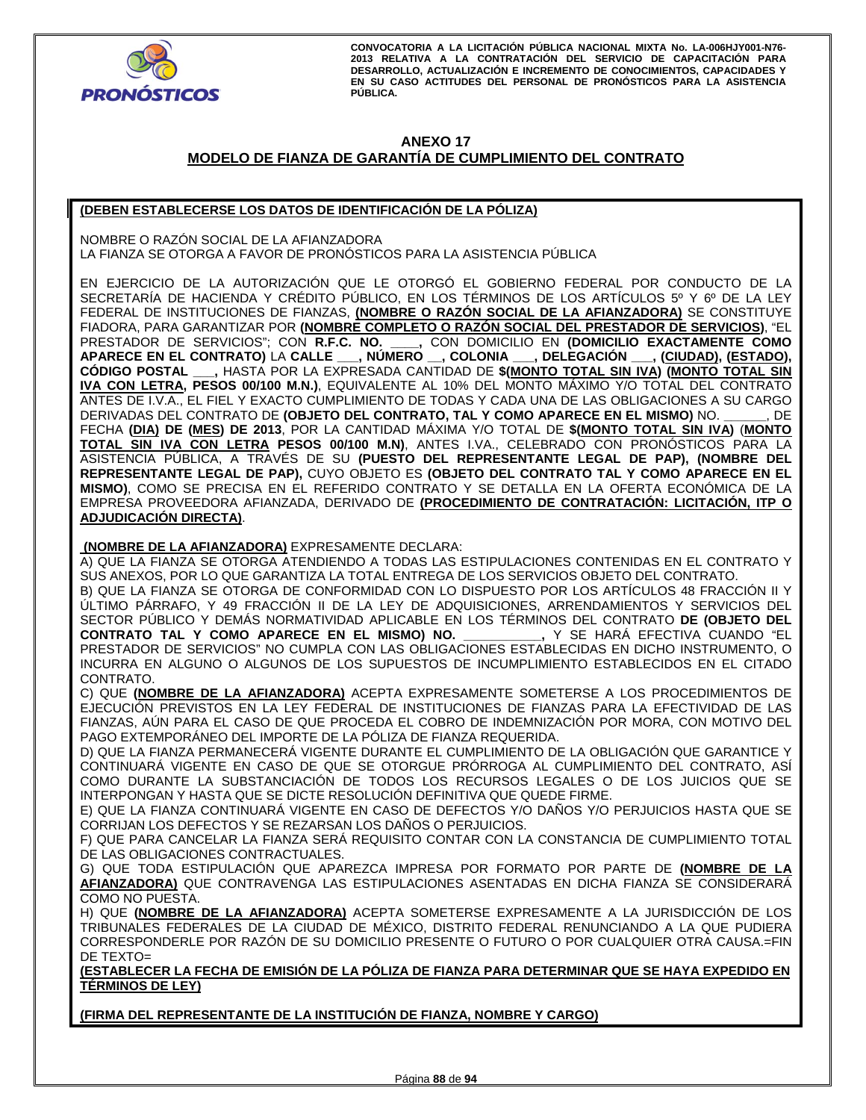

# **ANEXO 17**

# **MODELO DE FIANZA DE GARANTÍA DE CUMPLIMIENTO DEL CONTRATO**

# **(DEBEN ESTABLECERSE LOS DATOS DE IDENTIFICACIÓN DE LA PÓLIZA)**

NOMBRE O RAZÓN SOCIAL DE LA AFIANZADORA LA FIANZA SE OTORGA A FAVOR DE PRONÓSTICOS PARA LA ASISTENCIA PÚBLICA

EN EJERCICIO DE LA AUTORIZACIÓN QUE LE OTORGÓ EL GOBIERNO FEDERAL POR CONDUCTO DE LA SECRETARÍA DE HACIENDA Y CRÉDITO PÚBLICO, EN LOS TÉRMINOS DE LOS ARTÍCULOS 5º Y 6º DE LA LEY FEDERAL DE INSTITUCIONES DE FIANZAS, **(NOMBRE O RAZÓN SOCIAL DE LA AFIANZADORA)** SE CONSTITUYE FIADORA, PARA GARANTIZAR POR **(NOMBRE COMPLETO O RAZÓN SOCIAL DEL PRESTADOR DE SERVICIOS)**, "EL PRESTADOR DE SERVICIOS"; CON **R.F.C. NO. \_\_\_\_,** CON DOMICILIO EN **(DOMICILIO EXACTAMENTE COMO APARECE EN EL CONTRATO)** LA **CALLE \_\_\_, NÚMERO \_\_, COLONIA \_\_\_, DELEGACIÓN \_\_\_, (CIUDAD), (ESTADO), CÓDIGO POSTAL \_\_\_,** HASTA POR LA EXPRESADA CANTIDAD DE **\$(MONTO TOTAL SIN IVA) (MONTO TOTAL SIN IVA CON LETRA, PESOS 00/100 M.N.)**, EQUIVALENTE AL 10% DEL MONTO MÁXIMO Y/O TOTAL DEL CONTRATO ANTES DE I.V.A., EL FIEL Y EXACTO CUMPLIMIENTO DE TODAS Y CADA UNA DE LAS OBLIGACIONES A SU CARGO DERIVADAS DEL CONTRATO DE **(OBJETO DEL CONTRATO, TAL Y COMO APARECE EN EL MISMO)** NO. **\_\_\_\_\_\_**, DE FECHA **(DIA) DE (MES) DE 2013**, POR LA CANTIDAD MÁXIMA Y/O TOTAL DE **\$(MONTO TOTAL SIN IVA)** (**MONTO TOTAL SIN IVA CON LETRA PESOS 00/100 M.N)**, ANTES I.VA., CELEBRADO CON PRONÓSTICOS PARA LA ASISTENCIA PÚBLICA, A TRAVÉS DE SU **(PUESTO DEL REPRESENTANTE LEGAL DE PAP), (NOMBRE DEL REPRESENTANTE LEGAL DE PAP),** CUYO OBJETO ES **(OBJETO DEL CONTRATO TAL Y COMO APARECE EN EL MISMO)**, COMO SE PRECISA EN EL REFERIDO CONTRATO Y SE DETALLA EN LA OFERTA ECONÓMICA DE LA EMPRESA PROVEEDORA AFIANZADA, DERIVADO DE **(PROCEDIMIENTO DE CONTRATACIÓN: LICITACIÓN, ITP O ADJUDICACIÓN DIRECTA)**.

 **(NOMBRE DE LA AFIANZADORA)** EXPRESAMENTE DECLARA:

A) QUE LA FIANZA SE OTORGA ATENDIENDO A TODAS LAS ESTIPULACIONES CONTENIDAS EN EL CONTRATO Y SUS ANEXOS, POR LO QUE GARANTIZA LA TOTAL ENTREGA DE LOS SERVICIOS OBJETO DEL CONTRATO.

B) QUE LA FIANZA SE OTORGA DE CONFORMIDAD CON LO DISPUESTO POR LOS ARTÍCULOS 48 FRACCIÓN II Y ÚLTIMO PÁRRAFO, Y 49 FRACCIÓN II DE LA LEY DE ADQUISICIONES, ARRENDAMIENTOS Y SERVICIOS DEL SECTOR PÚBLICO Y DEMÁS NORMATIVIDAD APLICABLE EN LOS TÉRMINOS DEL CONTRATO **DE (OBJETO DEL**  CONTRATO TAL Y COMO APARECE EN EL MISMO) NO. PRESTADOR DE SERVICIOS" NO CUMPLA CON LAS OBLIGACIONES ESTABLECIDAS EN DICHO INSTRUMENTO, O INCURRA EN ALGUNO O ALGUNOS DE LOS SUPUESTOS DE INCUMPLIMIENTO ESTABLECIDOS EN EL CITADO CONTRATO.

C) QUE **(NOMBRE DE LA AFIANZADORA)** ACEPTA EXPRESAMENTE SOMETERSE A LOS PROCEDIMIENTOS DE EJECUCIÓN PREVISTOS EN LA LEY FEDERAL DE INSTITUCIONES DE FIANZAS PARA LA EFECTIVIDAD DE LAS FIANZAS, AÚN PARA EL CASO DE QUE PROCEDA EL COBRO DE INDEMNIZACIÓN POR MORA, CON MOTIVO DEL PAGO EXTEMPORÁNEO DEL IMPORTE DE LA PÓLIZA DE FIANZA REQUERIDA.

D) QUE LA FIANZA PERMANECERÁ VIGENTE DURANTE EL CUMPLIMIENTO DE LA OBLIGACIÓN QUE GARANTICE Y CONTINUARÁ VIGENTE EN CASO DE QUE SE OTORGUE PRÓRROGA AL CUMPLIMIENTO DEL CONTRATO, ASÍ COMO DURANTE LA SUBSTANCIACIÓN DE TODOS LOS RECURSOS LEGALES O DE LOS JUICIOS QUE SE INTERPONGAN Y HASTA QUE SE DICTE RESOLUCIÓN DEFINITIVA QUE QUEDE FIRME.

E) QUE LA FIANZA CONTINUARÁ VIGENTE EN CASO DE DEFECTOS Y/O DAÑOS Y/O PERJUICIOS HASTA QUE SE CORRIJAN LOS DEFECTOS Y SE REZARSAN LOS DAÑOS O PERJUICIOS.

F) QUE PARA CANCELAR LA FIANZA SERÁ REQUISITO CONTAR CON LA CONSTANCIA DE CUMPLIMIENTO TOTAL DE LAS OBLIGACIONES CONTRACTUALES.

G) QUE TODA ESTIPULACIÓN QUE APAREZCA IMPRESA POR FORMATO POR PARTE DE **(NOMBRE DE LA AFIANZADORA)** QUE CONTRAVENGA LAS ESTIPULACIONES ASENTADAS EN DICHA FIANZA SE CONSIDERARÁ COMO NO PUESTA.

H) QUE **(NOMBRE DE LA AFIANZADORA)** ACEPTA SOMETERSE EXPRESAMENTE A LA JURISDICCIÓN DE LOS TRIBUNALES FEDERALES DE LA CIUDAD DE MÉXICO, DISTRITO FEDERAL RENUNCIANDO A LA QUE PUDIERA CORRESPONDERLE POR RAZÓN DE SU DOMICILIO PRESENTE O FUTURO O POR CUALQUIER OTRA CAUSA.=FIN DE TEXTO=

**(ESTABLECER LA FECHA DE EMISIÓN DE LA PÓLIZA DE FIANZA PARA DETERMINAR QUE SE HAYA EXPEDIDO EN TÉRMINOS DE LEY)** 

**(FIRMA DEL REPRESENTANTE DE LA INSTITUCIÓN DE FIANZA, NOMBRE Y CARGO)**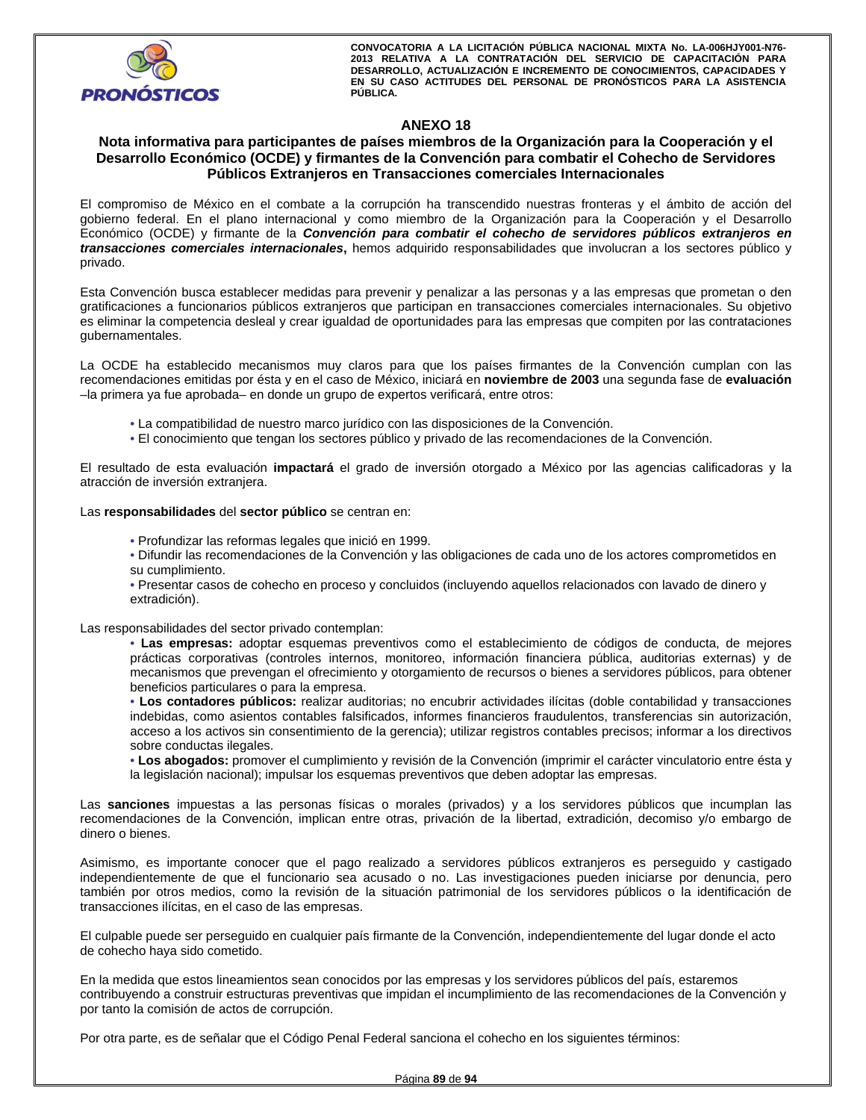

# **ANEXO 18**

# **Nota informativa para participantes de países miembros de la Organización para la Cooperación y el Desarrollo Económico (OCDE) y firmantes de la Convención para combatir el Cohecho de Servidores Públicos Extranjeros en Transacciones comerciales Internacionales**

El compromiso de México en el combate a la corrupción ha transcendido nuestras fronteras y el ámbito de acción del gobierno federal. En el plano internacional y como miembro de la Organización para la Cooperación y el Desarrollo Económico (OCDE) y firmante de la *Convención para combatir el cohecho de servidores públicos extranjeros en transacciones comerciales internacionales***,** hemos adquirido responsabilidades que involucran a los sectores público y privado.

Esta Convención busca establecer medidas para prevenir y penalizar a las personas y a las empresas que prometan o den gratificaciones a funcionarios públicos extranjeros que participan en transacciones comerciales internacionales. Su objetivo es eliminar la competencia desleal y crear igualdad de oportunidades para las empresas que compiten por las contrataciones gubernamentales.

La OCDE ha establecido mecanismos muy claros para que los países firmantes de la Convención cumplan con las recomendaciones emitidas por ésta y en el caso de México, iniciará en **noviembre de 2003** una segunda fase de **evaluación**  –la primera ya fue aprobada– en donde un grupo de expertos verificará, entre otros:

- La compatibilidad de nuestro marco jurídico con las disposiciones de la Convención.
- El conocimiento que tengan los sectores público y privado de las recomendaciones de la Convención.

El resultado de esta evaluación **impactará** el grado de inversión otorgado a México por las agencias calificadoras y la atracción de inversión extranjera.

Las **responsabilidades** del **sector público** se centran en:

- Profundizar las reformas legales que inició en 1999.
- Difundir las recomendaciones de la Convención y las obligaciones de cada uno de los actores comprometidos en su cumplimiento.
- Presentar casos de cohecho en proceso y concluidos (incluyendo aquellos relacionados con lavado de dinero y extradición).

Las responsabilidades del sector privado contemplan:

• **Las empresas:** adoptar esquemas preventivos como el establecimiento de códigos de conducta, de mejores prácticas corporativas (controles internos, monitoreo, información financiera pública, auditorias externas) y de mecanismos que prevengan el ofrecimiento y otorgamiento de recursos o bienes a servidores públicos, para obtener beneficios particulares o para la empresa.

• **Los contadores públicos:** realizar auditorias; no encubrir actividades ilícitas (doble contabilidad y transacciones indebidas, como asientos contables falsificados, informes financieros fraudulentos, transferencias sin autorización, acceso a los activos sin consentimiento de la gerencia); utilizar registros contables precisos; informar a los directivos sobre conductas ilegales.

• **Los abogados:** promover el cumplimiento y revisión de la Convención (imprimir el carácter vinculatorio entre ésta y la legislación nacional); impulsar los esquemas preventivos que deben adoptar las empresas.

Las **sanciones** impuestas a las personas físicas o morales (privados) y a los servidores públicos que incumplan las recomendaciones de la Convención, implican entre otras, privación de la libertad, extradición, decomiso y/o embargo de dinero o bienes.

Asimismo, es importante conocer que el pago realizado a servidores públicos extranjeros es perseguido y castigado independientemente de que el funcionario sea acusado o no. Las investigaciones pueden iniciarse por denuncia, pero también por otros medios, como la revisión de la situación patrimonial de los servidores públicos o la identificación de transacciones ilícitas, en el caso de las empresas.

El culpable puede ser perseguido en cualquier país firmante de la Convención, independientemente del lugar donde el acto de cohecho haya sido cometido.

En la medida que estos lineamientos sean conocidos por las empresas y los servidores públicos del país, estaremos contribuyendo a construir estructuras preventivas que impidan el incumplimiento de las recomendaciones de la Convención y por tanto la comisión de actos de corrupción.

Por otra parte, es de señalar que el Código Penal Federal sanciona el cohecho en los siguientes términos: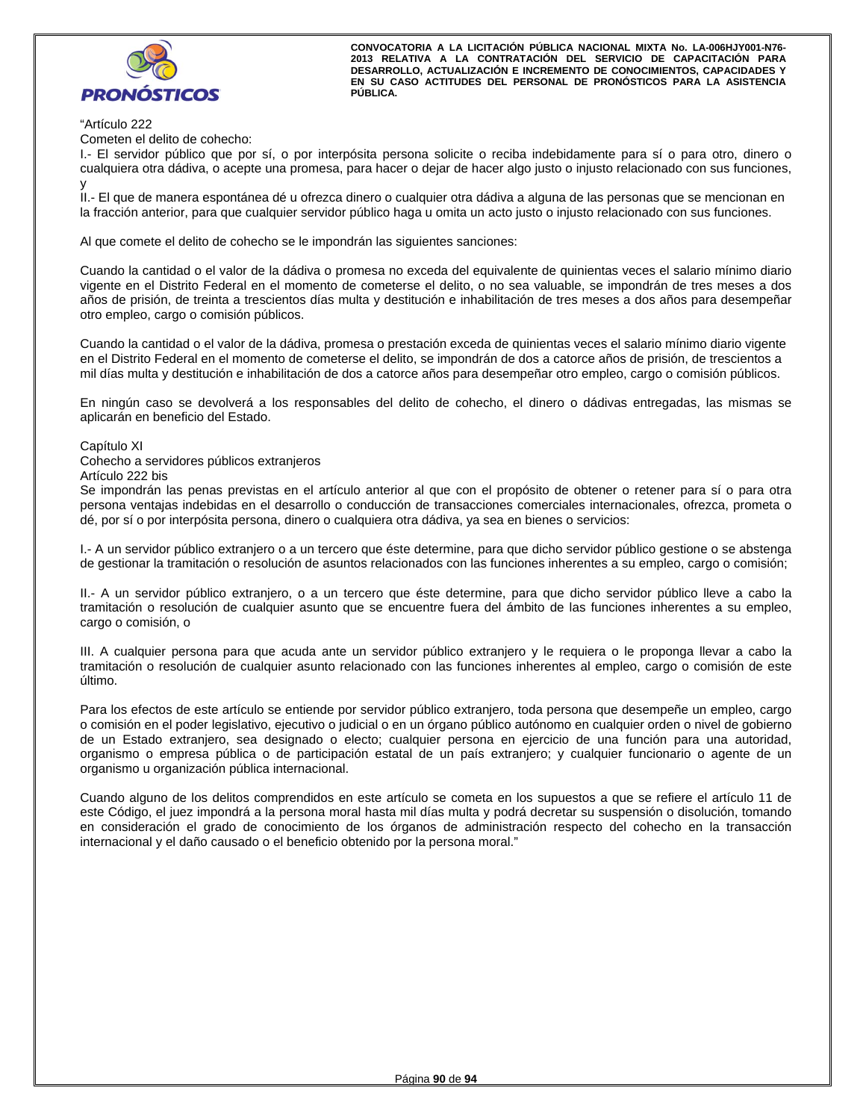

#### "Artículo 222

Cometen el delito de cohecho:

I.- El servidor público que por sí, o por interpósita persona solicite o reciba indebidamente para sí o para otro, dinero o cualquiera otra dádiva, o acepte una promesa, para hacer o dejar de hacer algo justo o injusto relacionado con sus funciones, y

II.- El que de manera espontánea dé u ofrezca dinero o cualquier otra dádiva a alguna de las personas que se mencionan en la fracción anterior, para que cualquier servidor público haga u omita un acto justo o injusto relacionado con sus funciones.

Al que comete el delito de cohecho se le impondrán las siguientes sanciones:

Cuando la cantidad o el valor de la dádiva o promesa no exceda del equivalente de quinientas veces el salario mínimo diario vigente en el Distrito Federal en el momento de cometerse el delito, o no sea valuable, se impondrán de tres meses a dos años de prisión, de treinta a trescientos días multa y destitución e inhabilitación de tres meses a dos años para desempeñar otro empleo, cargo o comisión públicos.

Cuando la cantidad o el valor de la dádiva, promesa o prestación exceda de quinientas veces el salario mínimo diario vigente en el Distrito Federal en el momento de cometerse el delito, se impondrán de dos a catorce años de prisión, de trescientos a mil días multa y destitución e inhabilitación de dos a catorce años para desempeñar otro empleo, cargo o comisión públicos.

En ningún caso se devolverá a los responsables del delito de cohecho, el dinero o dádivas entregadas, las mismas se aplicarán en beneficio del Estado.

Capítulo XI

Cohecho a servidores públicos extranjeros

Artículo 222 bis

Se impondrán las penas previstas en el artículo anterior al que con el propósito de obtener o retener para sí o para otra persona ventajas indebidas en el desarrollo o conducción de transacciones comerciales internacionales, ofrezca, prometa o dé, por sí o por interpósita persona, dinero o cualquiera otra dádiva, ya sea en bienes o servicios:

I.- A un servidor público extranjero o a un tercero que éste determine, para que dicho servidor público gestione o se abstenga de gestionar la tramitación o resolución de asuntos relacionados con las funciones inherentes a su empleo, cargo o comisión;

II.- A un servidor público extranjero, o a un tercero que éste determine, para que dicho servidor público lleve a cabo la tramitación o resolución de cualquier asunto que se encuentre fuera del ámbito de las funciones inherentes a su empleo, cargo o comisión, o

III. A cualquier persona para que acuda ante un servidor público extranjero y le requiera o le proponga llevar a cabo la tramitación o resolución de cualquier asunto relacionado con las funciones inherentes al empleo, cargo o comisión de este último.

Para los efectos de este artículo se entiende por servidor público extranjero, toda persona que desempeñe un empleo, cargo o comisión en el poder legislativo, ejecutivo o judicial o en un órgano público autónomo en cualquier orden o nivel de gobierno de un Estado extranjero, sea designado o electo; cualquier persona en ejercicio de una función para una autoridad, organismo o empresa pública o de participación estatal de un país extranjero; y cualquier funcionario o agente de un organismo u organización pública internacional.

Cuando alguno de los delitos comprendidos en este artículo se cometa en los supuestos a que se refiere el artículo 11 de este Código, el juez impondrá a la persona moral hasta mil días multa y podrá decretar su suspensión o disolución, tomando en consideración el grado de conocimiento de los órganos de administración respecto del cohecho en la transacción internacional y el daño causado o el beneficio obtenido por la persona moral."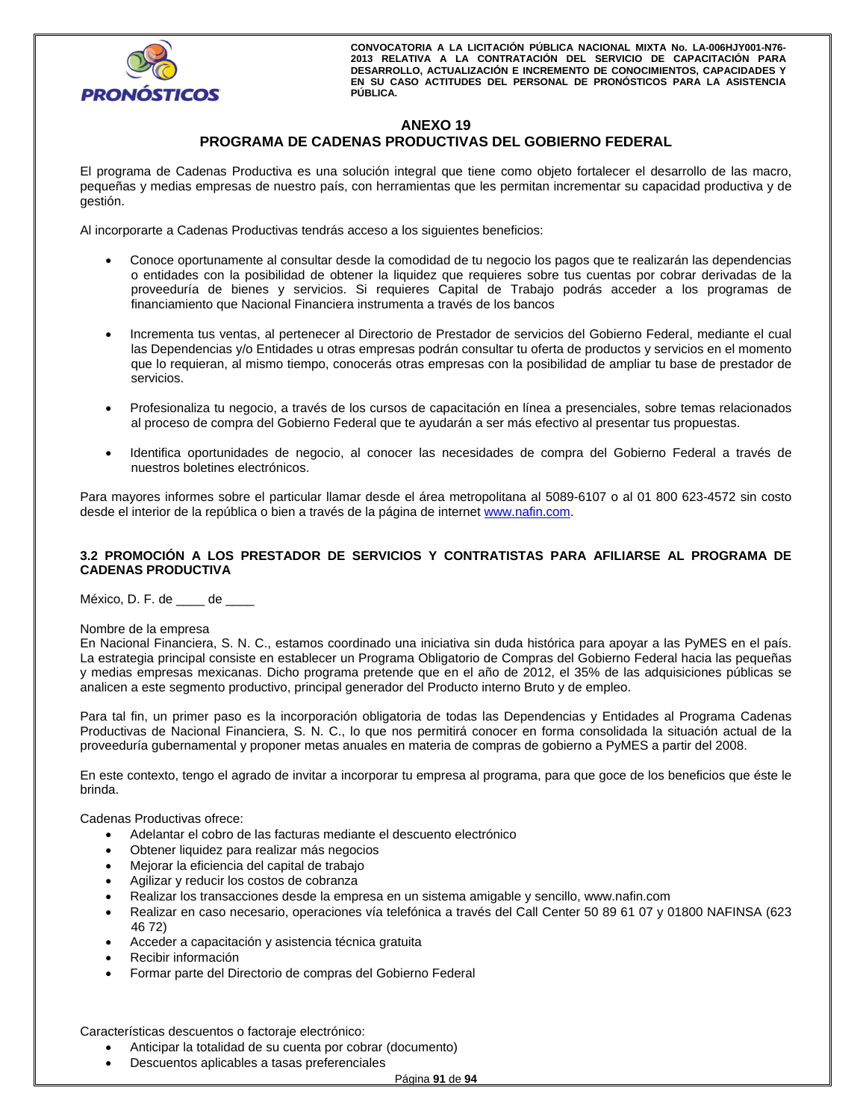

# **ANEXO 19 PROGRAMA DE CADENAS PRODUCTIVAS DEL GOBIERNO FEDERAL**

El programa de Cadenas Productiva es una solución integral que tiene como objeto fortalecer el desarrollo de las macro, pequeñas y medias empresas de nuestro país, con herramientas que les permitan incrementar su capacidad productiva y de gestión.

Al incorporarte a Cadenas Productivas tendrás acceso a los siguientes beneficios:

- Conoce oportunamente al consultar desde la comodidad de tu negocio los pagos que te realizarán las dependencias o entidades con la posibilidad de obtener la liquidez que requieres sobre tus cuentas por cobrar derivadas de la proveeduría de bienes y servicios. Si requieres Capital de Trabajo podrás acceder a los programas de financiamiento que Nacional Financiera instrumenta a través de los bancos
- Incrementa tus ventas, al pertenecer al Directorio de Prestador de servicios del Gobierno Federal, mediante el cual las Dependencias y/o Entidades u otras empresas podrán consultar tu oferta de productos y servicios en el momento que lo requieran, al mismo tiempo, conocerás otras empresas con la posibilidad de ampliar tu base de prestador de servicios.
- Profesionaliza tu negocio, a través de los cursos de capacitación en línea a presenciales, sobre temas relacionados al proceso de compra del Gobierno Federal que te ayudarán a ser más efectivo al presentar tus propuestas.
- Identifica oportunidades de negocio, al conocer las necesidades de compra del Gobierno Federal a través de nuestros boletines electrónicos.

Para mayores informes sobre el particular llamar desde el área metropolitana al 5089-6107 o al 01 800 623-4572 sin costo desde el interior de la república o bien a través de la página de internet www.nafin.com.

## **3.2 PROMOCIÓN A LOS PRESTADOR DE SERVICIOS Y CONTRATISTAS PARA AFILIARSE AL PROGRAMA DE CADENAS PRODUCTIVA**

México, D. F. de \_\_\_\_ de \_\_\_\_

#### Nombre de la empresa

En Nacional Financiera, S. N. C., estamos coordinado una iniciativa sin duda histórica para apoyar a las PyMES en el país. La estrategia principal consiste en establecer un Programa Obligatorio de Compras del Gobierno Federal hacia las pequeñas y medias empresas mexicanas. Dicho programa pretende que en el año de 2012, el 35% de las adquisiciones públicas se analicen a este segmento productivo, principal generador del Producto interno Bruto y de empleo.

Para tal fin, un primer paso es la incorporación obligatoria de todas las Dependencias y Entidades al Programa Cadenas Productivas de Nacional Financiera, S. N. C., lo que nos permitirá conocer en forma consolidada la situación actual de la proveeduría gubernamental y proponer metas anuales en materia de compras de gobierno a PyMES a partir del 2008.

En este contexto, tengo el agrado de invitar a incorporar tu empresa al programa, para que goce de los beneficios que éste le brinda.

Cadenas Productivas ofrece:

- Adelantar el cobro de las facturas mediante el descuento electrónico
- Obtener liquidez para realizar más negocios
- Mejorar la eficiencia del capital de trabajo
- Agilizar y reducir los costos de cobranza
- Realizar los transacciones desde la empresa en un sistema amigable y sencillo, www.nafin.com
- Realizar en caso necesario, operaciones vía telefónica a través del Call Center 50 89 61 07 y 01800 NAFINSA (623 46 72)
- Acceder a capacitación y asistencia técnica gratuita
- Recibir información
- Formar parte del Directorio de compras del Gobierno Federal

Características descuentos o factoraje electrónico:

- Anticipar la totalidad de su cuenta por cobrar (documento)
- Descuentos aplicables a tasas preferenciales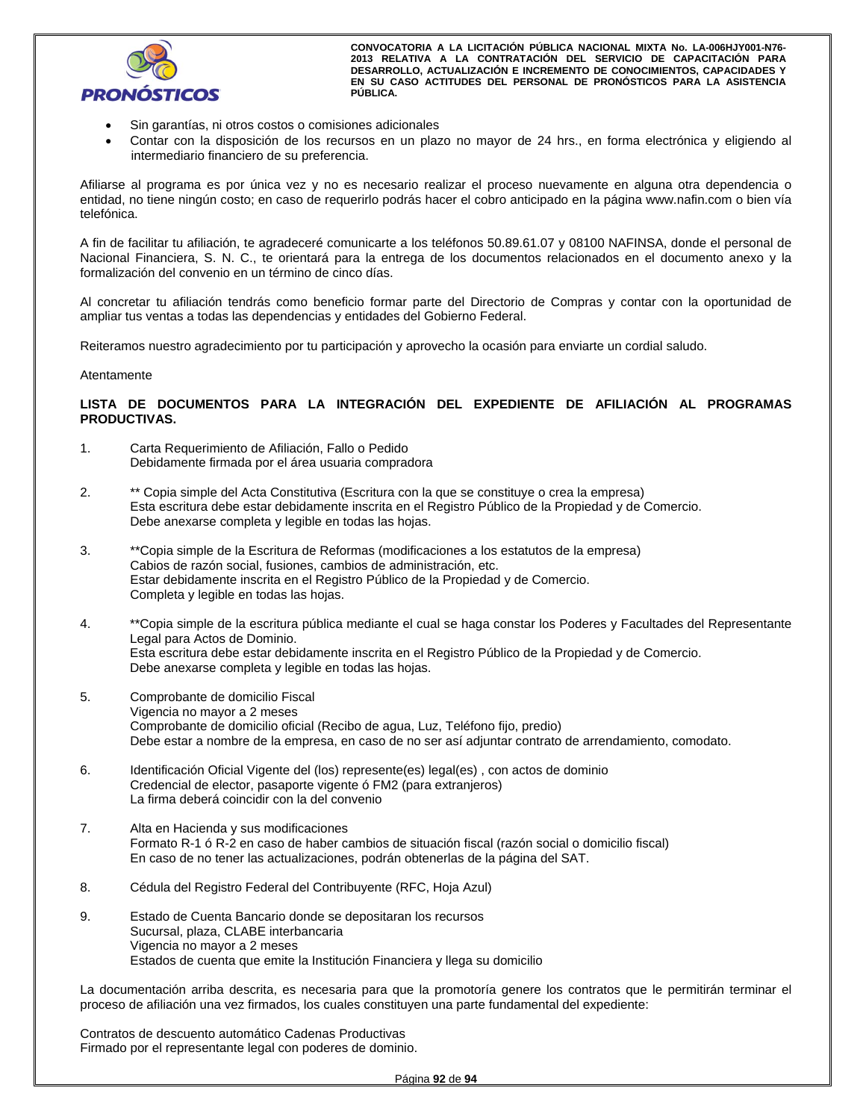

- Sin garantías, ni otros costos o comisiones adicionales
- Contar con la disposición de los recursos en un plazo no mayor de 24 hrs., en forma electrónica y eligiendo al intermediario financiero de su preferencia.

Afiliarse al programa es por única vez y no es necesario realizar el proceso nuevamente en alguna otra dependencia o entidad, no tiene ningún costo; en caso de requerirlo podrás hacer el cobro anticipado en la página www.nafin.com o bien vía telefónica.

A fin de facilitar tu afiliación, te agradeceré comunicarte a los teléfonos 50.89.61.07 y 08100 NAFINSA, donde el personal de Nacional Financiera, S. N. C., te orientará para la entrega de los documentos relacionados en el documento anexo y la formalización del convenio en un término de cinco días.

Al concretar tu afiliación tendrás como beneficio formar parte del Directorio de Compras y contar con la oportunidad de ampliar tus ventas a todas las dependencias y entidades del Gobierno Federal.

Reiteramos nuestro agradecimiento por tu participación y aprovecho la ocasión para enviarte un cordial saludo.

#### Atentamente

## **LISTA DE DOCUMENTOS PARA LA INTEGRACIÓN DEL EXPEDIENTE DE AFILIACIÓN AL PROGRAMAS PRODUCTIVAS.**

- 1. Carta Requerimiento de Afiliación, Fallo o Pedido Debidamente firmada por el área usuaria compradora
- 2. \*\* Copia simple del Acta Constitutiva (Escritura con la que se constituye o crea la empresa) Esta escritura debe estar debidamente inscrita en el Registro Público de la Propiedad y de Comercio. Debe anexarse completa y legible en todas las hojas.
- 3. \*\*Copia simple de la Escritura de Reformas (modificaciones a los estatutos de la empresa) Cabios de razón social, fusiones, cambios de administración, etc. Estar debidamente inscrita en el Registro Público de la Propiedad y de Comercio. Completa y legible en todas las hojas.
- 4. \*\*Copia simple de la escritura pública mediante el cual se haga constar los Poderes y Facultades del Representante Legal para Actos de Dominio. Esta escritura debe estar debidamente inscrita en el Registro Público de la Propiedad y de Comercio. Debe anexarse completa y legible en todas las hojas.
- 5. Comprobante de domicilio Fiscal Vigencia no mayor a 2 meses Comprobante de domicilio oficial (Recibo de agua, Luz, Teléfono fijo, predio) Debe estar a nombre de la empresa, en caso de no ser así adjuntar contrato de arrendamiento, comodato.
- 6. Identificación Oficial Vigente del (los) represente(es) legal(es) , con actos de dominio Credencial de elector, pasaporte vigente ó FM2 (para extranjeros) La firma deberá coincidir con la del convenio
- 7. Alta en Hacienda y sus modificaciones Formato R-1 ó R-2 en caso de haber cambios de situación fiscal (razón social o domicilio fiscal) En caso de no tener las actualizaciones, podrán obtenerlas de la página del SAT.
- 8. Cédula del Registro Federal del Contribuyente (RFC, Hoja Azul)
- 9. Estado de Cuenta Bancario donde se depositaran los recursos Sucursal, plaza, CLABE interbancaria Vigencia no mayor a 2 meses Estados de cuenta que emite la Institución Financiera y llega su domicilio

La documentación arriba descrita, es necesaria para que la promotoría genere los contratos que le permitirán terminar el proceso de afiliación una vez firmados, los cuales constituyen una parte fundamental del expediente:

Contratos de descuento automático Cadenas Productivas Firmado por el representante legal con poderes de dominio.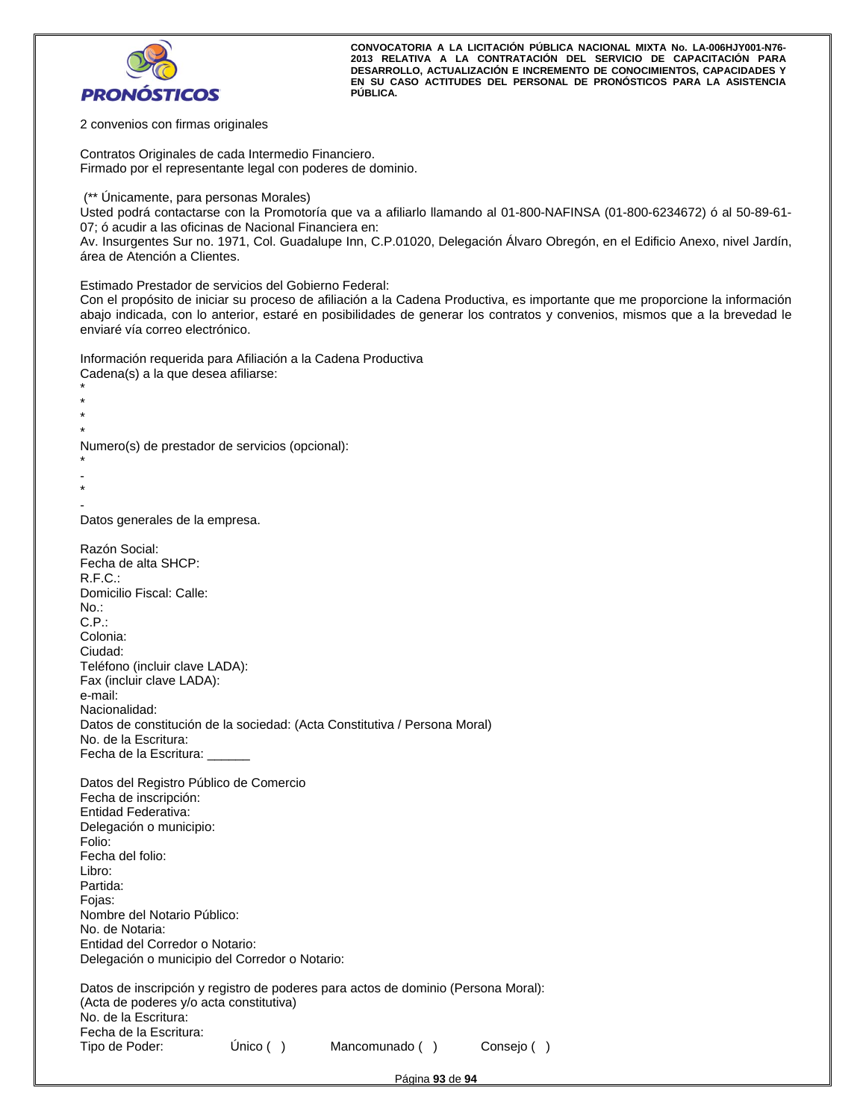

2 convenios con firmas originales

Contratos Originales de cada Intermedio Financiero. Firmado por el representante legal con poderes de dominio.

(\*\* Únicamente, para personas Morales)

Usted podrá contactarse con la Promotoría que va a afiliarlo llamando al 01-800-NAFINSA (01-800-6234672) ó al 50-89-61- 07; ó acudir a las oficinas de Nacional Financiera en:

Av. Insurgentes Sur no. 1971, Col. Guadalupe Inn, C.P.01020, Delegación Álvaro Obregón, en el Edificio Anexo, nivel Jardín, área de Atención a Clientes.

Estimado Prestador de servicios del Gobierno Federal:

Con el propósito de iniciar su proceso de afiliación a la Cadena Productiva, es importante que me proporcione la información abajo indicada, con lo anterior, estaré en posibilidades de generar los contratos y convenios, mismos que a la brevedad le enviaré vía correo electrónico.

Información requerida para Afiliación a la Cadena Productiva Cadena(s) a la que desea afiliarse:

\* \* \*

Numero(s) de prestador de servicios (opcional):

```
* 
- 
*
```
\*

- Datos generales de la empresa.

| Razón Social:<br>Fecha de alta SHCP:                                              |             |                |            |
|-----------------------------------------------------------------------------------|-------------|----------------|------------|
| R.F.C.:                                                                           |             |                |            |
| Domicilio Fiscal: Calle:                                                          |             |                |            |
| No.:                                                                              |             |                |            |
| C.P.                                                                              |             |                |            |
| Colonia:                                                                          |             |                |            |
| Ciudad:                                                                           |             |                |            |
| Teléfono (incluir clave LADA):                                                    |             |                |            |
| Fax (incluir clave LADA):                                                         |             |                |            |
| e-mail:<br>Nacionalidad:                                                          |             |                |            |
| Datos de constitución de la sociedad: (Acta Constitutiva / Persona Moral)         |             |                |            |
| No. de la Escritura:                                                              |             |                |            |
| Fecha de la Escritura: ______                                                     |             |                |            |
|                                                                                   |             |                |            |
| Datos del Registro Público de Comercio                                            |             |                |            |
| Fecha de inscripción:                                                             |             |                |            |
| Entidad Federativa:                                                               |             |                |            |
| Delegación o municipio:                                                           |             |                |            |
| Folio:                                                                            |             |                |            |
| Fecha del folio:<br>Libro:                                                        |             |                |            |
| Partida:                                                                          |             |                |            |
| Fojas:                                                                            |             |                |            |
| Nombre del Notario Público:                                                       |             |                |            |
| No. de Notaria:                                                                   |             |                |            |
| Entidad del Corredor o Notario:                                                   |             |                |            |
| Delegación o municipio del Corredor o Notario:                                    |             |                |            |
| Datos de inscripción y registro de poderes para actos de dominio (Persona Moral): |             |                |            |
| (Acta de poderes y/o acta constitutiva)                                           |             |                |            |
| No. de la Escritura:                                                              |             |                |            |
| Fecha de la Escritura:                                                            |             |                |            |
| Tipo de Poder:                                                                    | Único $( )$ | Mancomunado () | Consejo () |